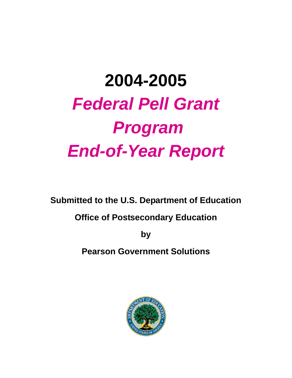# **2004-2005**  *Federal Pell Grant Program End-of-Year Report*

**Submitted to the U.S. Department of Education** 

**Office of Postsecondary Education** 

**by** 

**Pearson Government Solutions** 

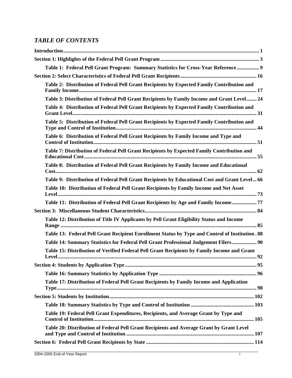# *TABLE OF CONTENTS*

| Table 1: Federal Pell Grant Program: Summary Statistics for Cross-Year Reference 9               |
|--------------------------------------------------------------------------------------------------|
|                                                                                                  |
| Table 2: Distribution of Federal Pell Grant Recipients by Expected Family Contribution and       |
| Table 3: Distribution of Federal Pell Grant Recipients by Family Income and Grant Level 24       |
| Table 4: Distribution of Federal Pell Grant Recipients by Expected Family Contribution and       |
| Table 5: Distribution of Federal Pell Grant Recipients by Expected Family Contribution and       |
| Table 6: Distribution of Federal Pell Grant Recipients by Family Income and Type and             |
| Table 7: Distribution of Federal Pell Grant Recipients by Expected Family Contribution and       |
| Table 8: Distribution of Federal Pell Grant Recipients by Family Income and Educational          |
| Table 9: Distribution of Federal Pell Grant Recipients by Educational Cost and Grant Level 66    |
| Table 10: Distribution of Federal Pell Grant Recipients by Family Income and Net Asset           |
| Table 11: Distribution of Federal Pell Grant Recipients by Age and Family Income 77              |
|                                                                                                  |
| Table 12: Distribution of Title IV Applicants by Pell Grant Eligibility Status and Income        |
| Table 13: Federal Pell Grant Recipient Enrollment Status by Type and Control of Institution . 88 |
| Table 14: Summary Statistics for Federal Pell Grant Professional Judgement Filers 90             |
| Table 15: Distribution of Verified Federal Pell Grant Recipients by Family Income and Grant      |
|                                                                                                  |
|                                                                                                  |
| Table 17: Distribution of Federal Pell Grant Recipients by Family Income and Application         |
|                                                                                                  |
|                                                                                                  |
| Table 19: Federal Pell Grant Expenditures, Recipients, and Average Grant by Type and             |
| Table 20: Distribution of Federal Pell Grant Recipients and Average Grant by Grant Level         |
|                                                                                                  |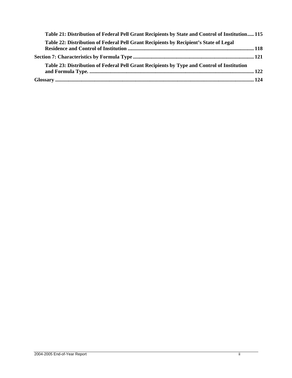| Table 21: Distribution of Federal Pell Grant Recipients by State and Control of Institution 115 |  |
|-------------------------------------------------------------------------------------------------|--|
| Table 22: Distribution of Federal Pell Grant Recipients by Recipient's State of Legal           |  |
|                                                                                                 |  |
| Table 23: Distribution of Federal Pell Grant Recipients by Type and Control of Institution      |  |
|                                                                                                 |  |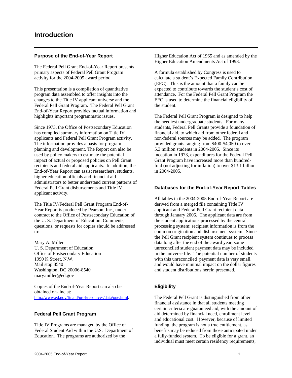### **Purpose of the End-of-Year Report**

The Federal Pell Grant End-of-Year Report presents primary aspects of Federal Pell Grant Program activity for the 2004-2005 award period.

This presentation is a compilation of quantitative program data assembled to offer insights into the changes to the Title IV applicant universe and the Federal Pell Grant Program. The Federal Pell Grant End-of-Year Report provides factual information and highlights important programmatic issues.

Since 1973, the Office of Postsecondary Education has compiled summary information on Title IV applicants and Federal Pell Grant Program activity. The information provides a basis for program planning and development. The Report can also be used by policy makers to estimate the potential impact of actual or proposed policies on Pell Grant recipients and federal aid applicants. In addition, the End-of-Year Report can assist researchers, students, higher education officials and financial aid administrators to better understand current patterns of Federal Pell Grant disbursements and Title IV applicant activity.

The Title IV/Federal Pell Grant Program End-of-Year Report is produced by Pearson, Inc., under contract to the Office of Postsecondary Education of the U. S. Department of Education. Comments, questions, or requests for copies should be addressed to:

Mary A. Miller U. S. Department of Education Office of Postsecondary Education 1990 K Street, N.W. Mail stop 8540 Washington, DC 20006-8540 mary.miller@ed.gov

Copies of the End-of-Year Report can also be obtained on-line at: http://www.ed.gov/finaid/prof/resources/data/ope.html.

# **Federal Pell Grant Program**

Title IV Programs are managed by the Office of Federal Student Aid within the U.S. Department of Education. The programs are authorized by the

Higher Education Act of 1965 and as amended by the Higher Education Amendments Act of 1998.

A formula established by Congress is used to calculate a student's Expected Family Contribution (EFC). This is the amount that a family can be expected to contribute towards the student's cost of attendance. For the Federal Pell Grant Program the EFC is used to determine the financial eligibility of the student.

The Federal Pell Grant Program is designed to help the neediest undergraduate students. For many students, Federal Pell Grants provide a foundation of financial aid, to which aid from other federal and non-federal sources may be added. The program provided grants ranging from \$400-\$4,050 to over 5.3 million students in 2004-2005. Since its inception in 1973, expenditures for the Federal Pell Grant Program have increased more than hundredfold (not adjusting for inflation) to over \$13.1 billion in 2004-2005.

### **Databases for the End-of-Year Report Tables**

All tables in the 2004-2005 End-of-Year Report are derived from a merged file containing Title IV applicant and Federal Pell Grant recipient data through January 2006. The applicant data are from the student applications processed by the central processing system; recipient information is from the common origination and disbursement system. Since the Pell Grant recipient system continues to process data long after the end of the award year, some unreconciled student payment data may be included in the universe file. The potential number of students with this unreconciled payment data is very small, and would have minimal impact on the dollar figures and student distributions herein presented.

# **Eligibility**

The Federal Pell Grant is distinguished from other financial assistance in that all students meeting certain criteria are guaranteed aid, with the amount of aid determined by financial need, enrollment level and educational cost. However, because of limited funding, the program is not a true entitlement, as benefits may be reduced from those anticipated under a fully-funded system. To be eligible for a grant, an individual must meet certain residency requirements,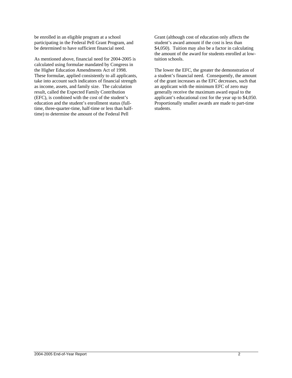be enrolled in an eligible program at a school participating in the Federal Pell Grant Program, and be determined to have sufficient financial need.

As mentioned above, financial need for 2004-2005 is calculated using formulae mandated by Congress in the Higher Education Amendments Act of 1998. These formulae, applied consistently to all applicants, take into account such indicators of financial strength as income, assets, and family size. The calculation result, called the Expected Family Contribution (EFC), is combined with the cost of the student's education and the student's enrollment status (fulltime, three-quarter-time, half-time or less than halftime) to determine the amount of the Federal Pell

Grant (although cost of education only affects the student's award amount if the cost is less than \$4,050). Tuition may also be a factor in calculating the amount of the award for students enrolled at lowtuition schools.

The lower the EFC, the greater the demonstration of a student's financial need. Consequently, the amount of the grant increases as the EFC decreases, such that an applicant with the minimum EFC of zero may generally receive the maximum award equal to the applicant's educational cost for the year up to \$4,050. Proportionally smaller awards are made to part-time students.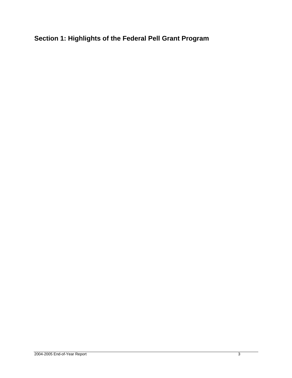# **Section 1: Highlights of the Federal Pell Grant Program**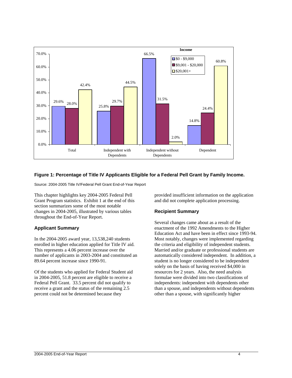

# **Figure 1: Percentage of Title IV Applicants Eligible for a Federal Pell Grant by Family Income.**

Source: 2004-2005 Title IV/Federal Pell Grant End-of-Year Report

This chapter highlights key 2004-2005 Federal Pell Grant Program statistics. Exhibit 1 at the end of this section summarizes some of the most notable changes in 2004-2005, illustrated by various tables throughout the End-of-Year Report.

# **Applicant Summary**

In the 2004-2005 award year, 13,538,240 students enrolled in higher education applied for Title IV aid. This represents a 4.06 percent increase over the number of applicants in 2003-2004 and constituted an 89.64 percent increase since 1990-91.

Of the students who applied for Federal Student aid in 2004-2005, 51.8 percent are eligible to receive a Federal Pell Grant. 33.5 percent did not qualify to receive a grant and the status of the remaining 2.5 percent could not be determined because they

provided insufficient information on the application and did not complete application processing.

# **Recipient Summary**

Several changes came about as a result of the enactment of the 1992 Amendments to the Higher Education Act and have been in effect since 1993-94. Most notably, changes were implemented regarding the criteria and eligibility of independent students. Married and/or graduate or professional students are automatically considered independent. In addition, a student is no longer considered to be independent solely on the basis of having received \$4,000 in resources for 2 years. Also, the need analysis formulae were divided into two classifications of independents: independent with dependents other than a spouse, and independents without dependents other than a spouse, with significantly higher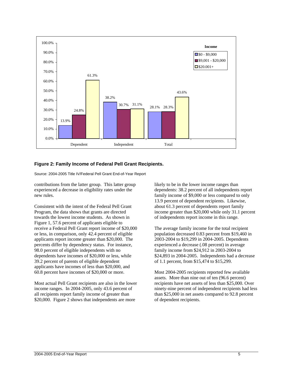

## **Figure 2: Family Income of Federal Pell Grant Recipients.**

Source: 2004-2005 Title IV/Federal Pell Grant End-of-Year Report

contributions from the latter group. This latter group experienced a decrease in eligibility rates under the new rules.

Consistent with the intent of the Federal Pell Grant Program, the data shows that grants are directed towards the lowest income students. As shown in Figure 1, 57.6 percent of applicants eligible to receive a Federal Pell Grant report income of \$20,000 or less, in comparison, only 42.4 percent of eligible applicants report income greater than \$20,000. The percents differ by dependency status. For instance, 98.0 percent of eligible independents with no dependents have incomes of \$20,000 or less, while 39.2 percent of parents of eligible dependent applicants have incomes of less than \$20,000, and 60.8 percent have incomes of \$20,000 or more.

Most actual Pell Grant recipients are also in the lower income ranges. In 2004-2005, only 43.6 percent of all recipients report family income of greater than \$20,000. Figure 2 shows that independents are more

likely to be in the lower income ranges than dependents: 38.2 percent of all independents report family income of \$9,000 or less compared to only 13.9 percent of dependent recipients. Likewise, about 61.3 percent of dependents report family income greater than \$20,000 while only 31.1 percent of independents report income in this range.

The average family income for the total recipient population decreased 0.83 percent from \$19,460 in 2003-2004 to \$19,299 in 2004-2005. Dependents experienced a decrease (.08 percent) in average family income from \$24,912 in 2003-2004 to \$24,893 in 2004-2005. Independents had a decrease of 1.1 percent, from \$15,474 to \$15,299.

Most 2004-2005 recipients reported few available assets. More than nine out of ten (96.6 percent) recipients have net assets of less than \$25,000. Over ninety-nine percent of independent recipients had less than \$25,000 in net assets compared to 92.8 percent of dependent recipients.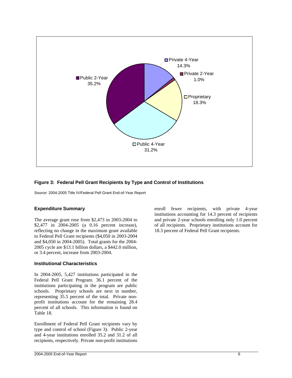

# **Figure 3: Federal Pell Grant Recipients by Type and Control of Institutions**

Source: 2004-2005 Title IV/Federal Pell Grant End-of-Year Report

# **Expenditure Summary**

The average grant rose from \$2,473 in 2003-2004 to \$2,477 in 2004-2005 (a 0.16 percent increase), reflecting no change in the maximum grant available to Federal Pell Grant recipients (\$4,050 in 2003-2004 and \$4,050 in 2004-2005). Total grants for the 2004- 2005 cycle are \$13.1 billion dollars, a \$442.0 million, or 3.4 percent, increase from 2003-2004.

### **Institutional Characteristics**

In 2004-2005, 5,427 institutions participated in the Federal Pell Grant Program. 36.1 percent of the institutions participating in the program are public schools. Proprietary schools are next in number, representing 35.5 percent of the total. Private nonprofit institutions account for the remaining 28.4 percent of all schools. This information is found on Table 18.

Enrollment of Federal Pell Grant recipients vary by type and control of school (Figure 3). Public 2-year and 4-year institutions enrolled 35.2 and 31.2 of all recipients, respectively. Private non-profit institutions

enroll fewer recipients, with private 4-year institutions accounting for 14.3 percent of recipients and private 2-year schools enrolling only 1.0 percent of all recipients. Proprietary institutions account for 18.3 percent of Federal Pell Grant recipients.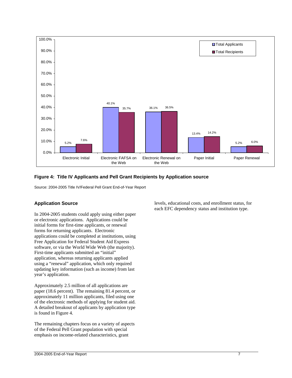

# **Figure 4: Title IV Applicants and Pell Grant Recipients by Application source**

Source: 2004-2005 Title IV/Federal Pell Grant End-of-Year Report

# **Application Source**

In 2004-2005 students could apply using either paper or electronic applications. Applications could be initial forms for first-time applicants, or renewal forms for returning applicants. Electronic applications could be completed at institutions, using Free Application for Federal Student Aid Express software, or via the World Wide Web (the majority). First-time applicants submitted an "initial" application, whereas returning applicants applied using a "renewal" application, which only required updating key information (such as income) from last year's application.

Approximately 2.5 million of all applications are paper (18.6 percent). The remaining 81.4 percent, or approximately 11 million applicants, filed using one of the electronic methods of applying for student aid. A detailed breakout of applicants by application type is found in Figure 4.

The remaining chapters focus on a variety of aspects of the Federal Pell Grant population with special emphasis on income-related characteristics, grant

levels, educational costs, and enrollment status, for each EFC dependency status and institution type.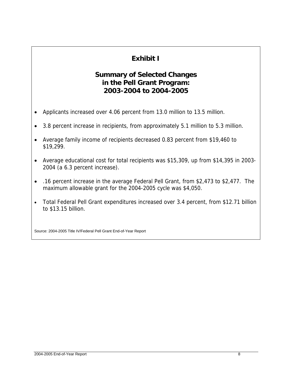# **Exhibit I**

# **Summary of Selected Changes in the Pell Grant Program: 2003-2004 to 2004-2005**

- Applicants increased over 4.06 percent from 13.0 million to 13.5 million.
- 3.8 percent increase in recipients, from approximately 5.1 million to 5.3 million.
- Average family income of recipients decreased 0.83 percent from \$19,460 to \$19,299.
- Average educational cost for total recipients was \$15,309, up from \$14,395 in 2003- 2004 (a 6.3 percent increase).
- .16 percent increase in the average Federal Pell Grant, from \$2,473 to \$2,477. The maximum allowable grant for the 2004-2005 cycle was \$4,050.
- Total Federal Pell Grant expenditures increased over 3.4 percent, from \$12.71 billion to \$13.15 billion.

Source: 2004-2005 Title IV/Federal Pell Grant End-of-Year Report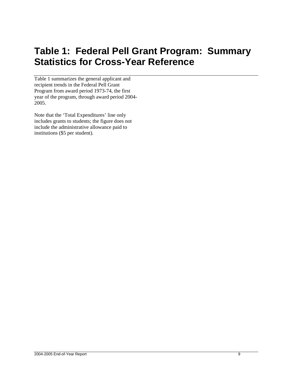# **Table 1: Federal Pell Grant Program: Summary Statistics for Cross-Year Reference**

Table 1 summarizes the general applicant and recipient trends in the Federal Pell Grant Program from award period 1973-74, the first year of the program, through award period 2004- 2005.

Note that the 'Total Expenditures' line only includes grants to students; the figure does not include the administrative allowance paid to institutions (\$5 per student).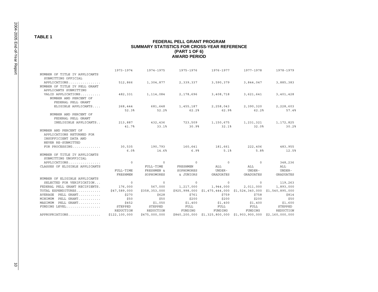#### **FEDERAL PELL GRANT PROGRAM SUMMARY STATISTICS FOR CROSS-YEAR REFERENCE (PART 1 OF 6) AWARD PERIOD**

|                                                                             | 1973-1974        | 1974-1975                   | 1975-1976       | 1976-1977                                                          | 1977-1978           | 1978-1979            |
|-----------------------------------------------------------------------------|------------------|-----------------------------|-----------------|--------------------------------------------------------------------|---------------------|----------------------|
| NUMBER OF TITLE IV APPLICANTS                                               |                  |                             |                 |                                                                    |                     |                      |
| SUBMITTING OFFICIAL                                                         |                  |                             |                 |                                                                    |                     |                      |
| APPLICATIONS                                                                |                  | 512,866 1,304,877 2,339,337 |                 |                                                                    | 3,590,379 3,844,047 | 3,885,383            |
| NUMBER OF TITLE IV PELL GRANT                                               |                  |                             |                 |                                                                    |                     |                      |
| APPLICANTS SUBMITTING                                                       |                  |                             |                 |                                                                    |                     |                      |
| VALID APPLICATIONS<br>NUMBER AND PERCENT OF                                 | 482,331          | 1, 114, 084 2, 178, 696     |                 | 3,408,718                                                          | 3,621,641           | 3,401,428            |
| FEDERAL PELL GRANT                                                          |                  |                             |                 |                                                                    |                     |                      |
| ELIGIBLE APPLICANTS 268,444 681,648 1,455,187                               |                  |                             |                 | 2,258,043                                                          | 2,390,320           | 2,228,603            |
|                                                                             | 52.3%            | 52.2%                       | 62.2%           | 62.9%                                                              | 62.2%               | 57.4%                |
| NUMBER AND PERCENT OF                                                       |                  |                             |                 |                                                                    |                     |                      |
| FEDERAL PELL GRANT                                                          |                  |                             |                 |                                                                    |                     |                      |
| INELIGIBLE APPLICANTS 213,887 432,436 723,509 1,150,675 1,231,321 1,172,825 |                  |                             |                 |                                                                    |                     |                      |
|                                                                             | 41.7%            | 33.1%                       | 30.9%           | 32.1%                                                              | 32.0%               | 30.2%                |
| NUMBER AND PERCENT OF                                                       |                  |                             |                 |                                                                    |                     |                      |
| APPLICATIONS RETURNED FOR                                                   |                  |                             |                 |                                                                    |                     |                      |
| INSUFFICIENT DATA AND                                                       |                  |                             |                 |                                                                    |                     |                      |
| NEVER RE-SUBMITTED                                                          |                  |                             |                 |                                                                    |                     |                      |
| FOR PROCESSING                                                              | 6.0%             |                             |                 | $30,535$ $190,793$ $160,641$ $181,661$ $222,406$ $483,955$<br>5.1% |                     |                      |
| NUMBER OF TITLE IV APPLICANTS                                               |                  | 14.6%                       | 6.9%            |                                                                    | 5.8%                | 12.5%                |
| SUBMITTING UNOFFICIAL                                                       |                  |                             |                 |                                                                    |                     |                      |
| APPLICATIONS                                                                | $\circ$          | $\circ$                     | $\circ$         | $\sim$ 0                                                           | $\Omega$            | 348,236              |
| CLASSES OF ELIGIBLE APPLICANTS                                              |                  | FULL-TIME                   | FRESHMEN        | ALL                                                                | ALL                 | ALL                  |
|                                                                             | FULL-TIME        | FRESHMEN &                  | SOPHOMORES      | UNDER-                                                             | UNDER-              | UNDER-               |
|                                                                             | FRESHMEN         | SOPHOMORES                  | & JUNIORS       | GRADUATES                                                          | GRADUATES           | <b>GRADUATES</b>     |
| NUMBER OF ELIGIBLE APPLICANTS                                               |                  |                             |                 |                                                                    |                     |                      |
| SELECTED FOR VERIFICATION                                                   | $\sim$ 0         | $\circ$                     | $\circ$         | $\overline{0}$                                                     |                     | $0 \t 119,263$       |
| FEDERAL PELL GRANT RECIPIENTS.                                              |                  |                             |                 | $176,000$ 567,000 $1,217,000$ $1,944,000$                          |                     | 2,011,000 1,893,000  |
| TOTAL EXPENDITURES                                                          | \$47,589,000     | \$358,353,000               |                 | \$925,998,000 \$1,475,444,000 \$1,524,340,000 \$1,540,895,000      |                     |                      |
| PELL GRANT<br>AVERAGE                                                       | \$270            | \$628                       | \$761           | \$759                                                              | \$758               | \$814                |
| PELL GRANT<br>MINIMUM                                                       | \$50             | \$50                        | \$200           | \$200                                                              | \$200               | \$50                 |
| MAXIMUM PELL GRANT<br>$FUNDING$ LEVEL                                       | \$452<br>STEPPED | \$1,050                     | \$1,400<br>FULL | \$1,400<br>FULL                                                    | \$1,400<br>FULL     | \$1,600              |
|                                                                             | REDUCTION        | STEPPED<br>REDUCTION        | FUNDING         | FUNDING                                                            | FUNDING             | STEPPED<br>REDUCTION |
| APPROPRIATIONS                                                              | \$122,100,000    | \$475,000,000               |                 | \$840,200,000 \$1,325,800,000 \$1,903,900,000 \$2,160,000,000      |                     |                      |
|                                                                             |                  |                             |                 |                                                                    |                     |                      |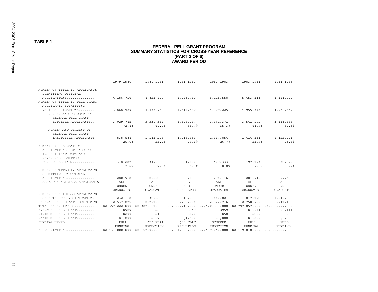$\overline{\phantom{a}}$ 

**TABLE 1** 

#### **FEDERAL PELL GRANT PROGRAM SUMMARY STATISTICS FOR CROSS-YEAR REFERENCE (PART 2 OF 6) AWARD PERIOD**

|                                                                                                                    | 1979-1980 | 1980-1981 | 1981-1982                                                         | 1982-1983 | 1983-1984                        | 1984-1985                                        |
|--------------------------------------------------------------------------------------------------------------------|-----------|-----------|-------------------------------------------------------------------|-----------|----------------------------------|--------------------------------------------------|
| NUMBER OF TITLE IV APPLICANTS<br>SUBMITTING OFFICIAL                                                               |           |           |                                                                   |           |                                  |                                                  |
| APPLICATIONS<br>NUMBER OF TITLE IV PELL GRANT<br>APPLICANTS SUBMITTING                                             |           |           | 4, 186, 716 4, 825, 420 4, 945, 760                               |           | 5, 118, 558 5, 453, 548          | 5,514,029                                        |
| VALID APPLICATIONS 3,868,429 4,475,762 4,614,590<br>NUMBER AND PERCENT OF<br>FEDERAL PELL GRANT                    |           |           |                                                                   | 4,709,225 | 4,955,775                        | 4,981,357                                        |
| ELIGIBLE APPLICANTS 3,029,745 3,330,534 3,398,237                                                                  | 72.4%     |           | $69.0%$ 68.7%                                                     | 65.3%     | 3, 341, 371 3, 541, 191<br>64.9% | 3,558,386<br>64.5%                               |
| NUMBER AND PERCENT OF<br>FEDERAL PELL GRANT                                                                        |           |           |                                                                   |           |                                  |                                                  |
| INELIGIBLE APPLICANTS 838,684 1,145,228 1,216,353 1,367,854 1,414,584 1,422,971                                    |           |           |                                                                   |           |                                  | $20.0$ $23.7$ $23.7$ $24.6$ $26.7$ $25.9$ $25.8$ |
| NUMBER AND PERCENT OF<br>APPLICATIONS RETURNED FOR<br>INSUFFICIENT DATA AND<br>NEVER RE-SUBMITTED                  |           |           |                                                                   |           |                                  |                                                  |
| FOR PROCESSING                                                                                                     |           |           | $318,287$ $349,658$ $331,170$ $409,333$ $497,773$                 |           |                                  | 532,672                                          |
|                                                                                                                    | 7.6%      | 7.2%      | 6.7%                                                              | 8.0%      | 9.1%                             | 9.7%                                             |
| NUMBER OF TITLE IV APPLICANTS<br>SUBMITTING UNOFFICIAL                                                             |           |           |                                                                   |           |                                  |                                                  |
| APPLICATIONS                                                                                                       |           |           |                                                                   |           |                                  |                                                  |
| CLASSES OF ELIGIBLE APPLICANTS                                                                                     | ALL       | ALL       | ALL                                                               | ALL       | ALL                              | ALL                                              |
|                                                                                                                    | UNDER-    | UNDER-    | UNDER-                                                            |           | UNDER- UNDER-                    | UNDER-                                           |
|                                                                                                                    | GRADUATES | GRADUATES | GRADUATES                                                         | GRADUATES | GRADUATES                        | <b>GRADUATES</b>                                 |
| NUMBER OF ELIGIBLE APPLICANTS                                                                                      |           |           |                                                                   |           |                                  |                                                  |
| SELECTED FOR VERIFICATION                                                                                          |           |           | $232,118$ $320,852$ $313,791$ $1,660,021$ $1,047,792$ $1,046,080$ |           |                                  |                                                  |
| FEDERAL PELL GRANT RECIPIENTS. 2,537,875 2,707,932 2,709,076 2,522,746 2,758,906 2,747,100                         |           |           |                                                                   |           |                                  |                                                  |
| TOTAL EXPENDITURES \$2,357,222,000 \$2,387,117,000 \$2,299,718,000 \$2,420,517,000 \$2,797,057,000 \$3,052,999,052 |           |           |                                                                   |           |                                  |                                                  |
| AVERAGE PELL GRANT                                                                                                 | \$929     | \$882     | \$849                                                             |           | \$959 \$1,014                    | \$1,111                                          |
| PELL GRANT<br>MINIMUM                                                                                              | \$200     | \$150     |                                                                   | \$50      | \$200                            | \$200                                            |
| MAXIMUM PELL GRANT                                                                                                 | \$1,800   |           |                                                                   |           | \$1,800                          | \$1,900                                          |
| FUNDING LEVEL                                                                                                      | FULL      |           |                                                                   |           | FULL                             | FULL                                             |
|                                                                                                                    | FUNDING   |           |                                                                   | REDUCTION | FUNDING                          | FUNDING                                          |
| APPROPRIATIONS\$2,431,000,000 \$2,157,000,000 \$2,604,000,000 \$2,419,040,000 \$2,419,040,000 \$2,800,000,000      |           |           |                                                                   |           |                                  |                                                  |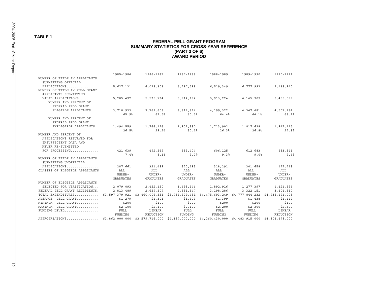#### **TABLE 1**

#### **FEDERAL PELL GRANT PROGRAM SUMMARY STATISTICS FOR CROSS-YEAR REFERENCE (PART 3 OF 6) AWARD PERIOD**

|                                                                                                                    |           |                 | 1985-1986 1986-1987 1987-1988                               |                         | 1988-1989 1989-1990                 | 1990-1991        |
|--------------------------------------------------------------------------------------------------------------------|-----------|-----------------|-------------------------------------------------------------|-------------------------|-------------------------------------|------------------|
| NUMBER OF TITLE IV APPLICANTS                                                                                      |           |                 |                                                             |                         |                                     |                  |
| SUBMITTING OFFICIAL                                                                                                |           |                 |                                                             |                         |                                     |                  |
| APPLICATIONS                                                                                                       |           |                 | 5,627,131 6,028,303 6,297,598 6,519,349 6,777,992 7,138,940 |                         |                                     |                  |
| NUMBER OF TITLE IV PELL GRANT                                                                                      |           |                 |                                                             |                         |                                     |                  |
| APPLICANTS SUBMITTING                                                                                              |           |                 |                                                             |                         |                                     |                  |
| VALID APPLICATIONS                                                                                                 | 5,205,492 |                 | 5,535,734 5,714,194                                         |                         | 5,913,224 6,165,309                 | 6,455,099        |
| NUMBER AND PERCENT OF                                                                                              |           |                 |                                                             |                         |                                     |                  |
| FEDERAL PELL GRANT                                                                                                 |           |                 |                                                             |                         |                                     |                  |
| ELIGIBLE APPLICANTS 3,710,933 3,769,608 3,812,814 4,199,322 4,347,681 4,507,984                                    |           |                 |                                                             |                         |                                     |                  |
|                                                                                                                    | 65.9%     | 62.5%           | 60.5%                                                       | 64.4%                   | 64.1%                               | 63.1%            |
| NUMBER AND PERCENT OF                                                                                              |           |                 |                                                             |                         |                                     |                  |
| FEDERAL PELL GRANT                                                                                                 |           |                 |                                                             |                         |                                     |                  |
| INELIGIBLE APPLICANTS 1,494,559 1,766,126 1,901,380 1,713,902 1,817,628 1,947,115                                  |           |                 |                                                             |                         |                                     |                  |
|                                                                                                                    | 26.5%     | 29.2%           | 30.1%                                                       | 26.3%                   | 26.8%                               | 27.3%            |
| NUMBER AND PERCENT OF                                                                                              |           |                 |                                                             |                         |                                     |                  |
| APPLICATIONS RETURNED FOR                                                                                          |           |                 |                                                             |                         |                                     |                  |
| INSUFFICIENT DATA AND                                                                                              |           |                 |                                                             |                         |                                     |                  |
| NEVER RE-SUBMITTED                                                                                                 |           |                 |                                                             |                         |                                     |                  |
| FOR PROCESSING                                                                                                     |           |                 | 421,639 492,569 583,404 606,125 612,683 683,841             |                         |                                     |                  |
|                                                                                                                    | 7.4%      | 8.1%            | 9.2%                                                        | 9.3%                    | 9.0%                                | 9.6%             |
| NUMBER OF TITLE IV APPLICANTS<br>SUBMITTING UNOFFICIAL                                                             |           |                 |                                                             |                         |                                     |                  |
| APPLICATIONS                                                                                                       |           | 287,661 321,489 |                                                             | 320,193 318,291 301,658 |                                     | 177,718          |
| CLASSES OF ELIGIBLE APPLICANTS                                                                                     | ALL       | ALL             | ALL                                                         | ALL                     | ALL                                 | ALL              |
|                                                                                                                    | UNDER-    | UNDER-          | UNDER-                                                      | UNDER-                  | UNDER-                              | UNDER-           |
|                                                                                                                    | GRADUATES | GRADUATES       | GRADUATES                                                   | GRADUATES               | GRADUATES                           | <b>GRADUATES</b> |
| NUMBER OF ELIGIBLE APPLICANTS                                                                                      |           |                 |                                                             |                         |                                     |                  |
| SELECTED FOR VERIFICATION                                                                                          |           |                 | 2,079,093 2,452,150 1,698,146 1,892,916 1,277,397 1,421,596 |                         |                                     |                  |
| FEDERAL PELL GRANT RECIPIENTS.                                                                                     |           |                 | 2,813,489 2,659,507 2,881,547                               |                         | 3, 198, 286 3, 322, 151 3, 404, 810 |                  |
| TOTAL EXPENDITURES \$3,597,379,921 \$3,460,006,551 \$3,754,329,481 \$4,475,693,249 \$4,777,844,232 \$4,935,191,005 |           |                 |                                                             |                         |                                     |                  |
| AVERAGE PELL GRANT                                                                                                 | \$1,279   | \$1,301         | $$1,303$ $$1,399$ $$1,438$                                  |                         |                                     | \$1,449          |
| MINIMUM PELL GRANT                                                                                                 | \$200     | \$100           | \$200                                                       | \$200                   | \$200                               | \$100            |
| MAXIMUM PELL GRANT                                                                                                 | \$2,100   | \$2,100         | \$2,100                                                     | \$2,200                 | \$2,300                             | \$2,300          |
| $FUNDING$ LEVEL                                                                                                    | FULL      | LINEAR          | FULL                                                        | FULL                    | FULL                                | LINEAR           |
|                                                                                                                    | FUNDING   | REDUCTION       | FUNDING                                                     | FUNDING                 | FUNDING                             | REDUCTION        |
| APPROPRIATIONS\$3,862,000,000 \$3,579,716,000 \$4,187,000,000 \$4,260,430,000 \$4,483,915,000 \$4,804,478,000      |           |                 |                                                             |                         |                                     |                  |

 $\vec{z}$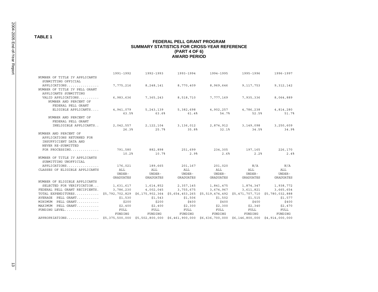#### **TABLE 1**

#### **FEDERAL PELL GRANT PROGRAM SUMMARY STATISTICS FOR CROSS-YEAR REFERENCE (PART 4 OF 6) AWARD PERIOD**

|                                                                                                                    | 1991-1992 | 1992-1993           | 1993-1994                     | 1994-1995                                                   | 1995-1996           | 1996-1997        |
|--------------------------------------------------------------------------------------------------------------------|-----------|---------------------|-------------------------------|-------------------------------------------------------------|---------------------|------------------|
| NUMBER OF TITLE IV APPLICANTS                                                                                      |           |                     |                               |                                                             |                     |                  |
| SUBMITTING OFFICIAL                                                                                                |           |                     |                               |                                                             |                     |                  |
| APPLICATIONS                                                                                                       |           |                     | 7,775,216 8,248,141 8,770,409 |                                                             | 8,969,646 9,117,753 | 9,312,142        |
| NUMBER OF TITLE IV PELL GRANT                                                                                      |           |                     |                               |                                                             |                     |                  |
| APPLICANTS SUBMITTING                                                                                              |           |                     |                               |                                                             |                     |                  |
| VALID APPLICATIONS                                                                                                 | 6,983,636 |                     | 7,365,243 8,518,710           | 7,777,169                                                   | 7,935,336           | 8,064,889        |
| NUMBER AND PERCENT OF                                                                                              |           |                     |                               |                                                             |                     |                  |
| FEDERAL PELL GRANT                                                                                                 |           |                     |                               |                                                             |                     |                  |
| ELIGIBLE APPLICANTS 4,941,079                                                                                      |           |                     |                               | 5, 243, 139 5, 382, 698 4, 902, 257 4, 786, 238 4, 814, 280 |                     |                  |
|                                                                                                                    | 63.5%     | 63.6%               | 61.4%                         | 54.7%                                                       | 52.5%               | 51.7%            |
| NUMBER AND PERCENT OF                                                                                              |           |                     |                               |                                                             |                     |                  |
| FEDERAL PELL GRANT                                                                                                 |           |                     |                               |                                                             |                     |                  |
| INELIGIBLE APPLICANTS 2,042,557 2,122,104 3,136,012 2,874,912 3,149,098 3,250,609                                  |           |                     |                               |                                                             |                     |                  |
| NUMBER AND PERCENT OF                                                                                              | 26.3%     | 25.7%               | 35.8%                         | 32.1%                                                       | 34.5%               | 34.9%            |
| APPLICATIONS RETURNED FOR                                                                                          |           |                     |                               |                                                             |                     |                  |
| INSUFFICIENT DATA AND                                                                                              |           |                     |                               |                                                             |                     |                  |
| NEVER RE-SUBMITTED                                                                                                 |           |                     |                               |                                                             |                     |                  |
| FOR PROCESSING                                                                                                     |           |                     |                               | 791,580 882,898 251,699 234,305 197,165                     |                     | 226,170          |
|                                                                                                                    | 10.2%     | 10.7%               | 2.9 <sup>8</sup>              | 2.6%                                                        | 2.2%                | 2.4%             |
| NUMBER OF TITLE IV APPLICANTS                                                                                      |           |                     |                               |                                                             |                     |                  |
| SUBMITTING UNOFFICIAL                                                                                              |           |                     |                               |                                                             |                     |                  |
| APPLICATIONS                                                                                                       | 176,021   | 189,665             | 201,167                       | 201,020                                                     | N/A                 | N/A              |
| CLASSES OF ELIGIBLE APPLICANTS                                                                                     | ALL       | ALL                 | ALL                           | ALL                                                         | ALL                 | ALL              |
|                                                                                                                    | UNDER-    | UNDER-              | UNDER-                        | UNDER-                                                      | UNDER-              | UNDER-           |
|                                                                                                                    | GRADUATES | GRADUATES           | GRADUATES                     | GRADUATES                                                   | GRADUATES           | <b>GRADUATES</b> |
| NUMBER OF ELIGIBLE APPLICANTS                                                                                      |           |                     |                               |                                                             |                     |                  |
| SELECTED FOR VERIFICATION                                                                                          |           | 1,631,617 1,614,852 |                               | 2, 357, 145 1, 841, 475 1, 874, 347 1, 938, 772             |                     |                  |
| FEDERAL PELL GRANT RECIPIENTS.                                                                                     | 3,786,230 |                     |                               | 4,002,045 3,755,675 3,674,967 3,611,821                     |                     | 3,665,654        |
| TOTAL EXPENDITURES \$5,792,702,829 \$6,175,902,364 \$5,654,453,265 \$5,519,474,492 \$5,471,707,710 \$5,780,032,888 |           |                     |                               |                                                             |                     |                  |
| AVERAGE PELL GRANT                                                                                                 | \$1,530   | \$1,543             | \$1,506                       | \$1,502                                                     | \$1,515             | \$1,577          |
| MINIMUM PELL GRANT                                                                                                 | \$200     | \$200               | \$400                         | \$400                                                       | \$400               | \$400            |
| MAXIMUM PELL GRANT                                                                                                 | \$2,400   | \$2,400             | \$2,300                       | \$2,300                                                     | \$2,340             | \$2,470          |
| $FUNDING$ LEVEL                                                                                                    | FULL      | FULL                | FULL                          | FULL                                                        | FULL                | FULL             |
|                                                                                                                    | FUNDING   | FUNDING             | FUNDING                       | FUNDING                                                     | FUNDING             | FUNDING          |
| APPROPRIATIONS \$5,375,500,000 \$5,502,800,000 \$6,461,900,000 \$6,636,700,000 \$6,146,800,000 \$4,914,000,000     |           |                     |                               |                                                             |                     |                  |

 $\vec{3}$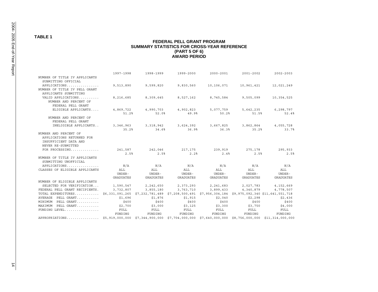#### **TABLE 1**

#### **FEDERAL PELL GRANT PROGRAM SUMMARY STATISTICS FOR CROSS-YEAR REFERENCE (PART 5 OF 6) AWARD PERIOD**

|                                                                                                                     | 1997-1998 | 1998-1999        | 1999-2000                               | 2000-2001   | $2001 - 2002$ | $2002 - 2003$                              |
|---------------------------------------------------------------------------------------------------------------------|-----------|------------------|-----------------------------------------|-------------|---------------|--------------------------------------------|
| NUMBER OF TITLE IV APPLICANTS<br>SUBMITTING OFFICIAL                                                                |           |                  |                                         |             |               |                                            |
| APPLICATIONS                                                                                                        | 9,513,890 |                  | 9,599,820 9,830,560                     |             |               | 10, 106, 071   10, 961, 421   12, 021, 249 |
| NUMBER OF TITLE IV PELL GRANT<br>APPLICANTS SUBMITTING                                                              |           |                  |                                         |             |               |                                            |
| VALID APPLICATIONS                                                                                                  | 8,216,685 |                  | 8,309,645 8,527,162                     | 8,745,584   | 9,505,099     | 10,354,525                                 |
| NUMBER AND PERCENT OF<br>FEDERAL PELL GRANT                                                                         |           |                  |                                         |             |               |                                            |
| ELIGIBLE APPLICANTS 4,869,722 4,990,703 4,902,823                                                                   |           |                  |                                         | 5,077,759   |               | 5,642,235 6,298,797                        |
|                                                                                                                     | 51.2%     | 52.0%            | 49.9%                                   | 50.2%       | 51.5%         | 52.4%                                      |
| NUMBER AND PERCENT OF                                                                                               |           |                  |                                         |             |               |                                            |
| FEDERAL PELL GRANT                                                                                                  |           |                  |                                         |             |               |                                            |
| INELIGIBLE APPLICANTS 3,346,963 3,318,942 3,624,392 3,667,825 3,862,864 4,055,728                                   |           |                  |                                         |             |               |                                            |
|                                                                                                                     | 35.2%     | 34.6%            | 36.9%                                   | 36.3%       | 35.2%         | 33.7%                                      |
| NUMBER AND PERCENT OF                                                                                               |           |                  |                                         |             |               |                                            |
| APPLICATIONS RETURNED FOR                                                                                           |           |                  |                                         |             |               |                                            |
| INSUFFICIENT DATA AND<br>NEVER RE-SUBMITTED                                                                         |           |                  |                                         |             |               |                                            |
| FOR PROCESSING                                                                                                      |           |                  | 241,587 242,046 217,175 239,919 275,178 |             |               | 295,933                                    |
|                                                                                                                     | 2.5%      | 2.5%             | 2.2%                                    | 2.4%        | 2.5%          | 2.5%                                       |
| NUMBER OF TITLE IV APPLICANTS                                                                                       |           |                  |                                         |             |               |                                            |
| SUBMITTING UNOFFICIAL                                                                                               |           |                  |                                         |             |               |                                            |
| APPLICATIONS                                                                                                        | N/A       | N/A              | N/A                                     | N/A         | N/A           | N/A                                        |
| CLASSES OF ELIGIBLE APPLICANTS                                                                                      | ALL       | ALL              | ALL                                     | ALL         | ALL           | ALL                                        |
|                                                                                                                     | UNDER-    | UNDER-           | UNDER-                                  | UNDER-      | UNDER-        | UNDER-                                     |
|                                                                                                                     | GRADUATES | <b>GRADUATES</b> | GRADUATES                               | GRADUATES   | GRADUATES     | <b>GRADUATES</b>                           |
| NUMBER OF ELIGIBLE APPLICANTS                                                                                       |           |                  |                                         |             |               |                                            |
| SELECTED FOR VERIFICATION                                                                                           | 1,590,547 | 2,242,650        | 2,373,293                               | 2, 241, 683 | 2,027,783     | 4,152,669                                  |
| FEDERAL PELL GRANT RECIPIENTS.                                                                                      | 3,732,807 | 3,855,180        | 3,763,710                               | 3,899,433   |               | 4,340,879 4,778,507                        |
| TOTAL EXPENDITURES \$6,331,091,265 \$7,232,781,489 \$7,208,500,491 \$7,956,304,184 \$9,975,092,340 \$11,641,551,718 |           |                  |                                         |             |               |                                            |
| AVERAGE PELL GRANT                                                                                                  | \$1,696   | \$1,876          | \$1,915                                 | \$2,040     | \$2,298       | \$2,436                                    |
| MINIMUM PELL GRANT                                                                                                  | \$400     | \$400            | \$400                                   | \$400       | \$400         | \$400                                      |
| PELL GRANT<br>MAXIMUM                                                                                               | \$2,700   | \$3,000          | \$3,125                                 | \$3,300     | \$3,750       | \$4,000                                    |
| FUNDING LEVEL                                                                                                       | FULL      | FULL             | FULL                                    | FULL        | FULL          | FULL                                       |
|                                                                                                                     | FUNDING   | FUNDING          | FUNDING                                 | FUNDING     | FUNDING       | FUNDING                                    |
| APPROPRIATIONS\$5,919,000,000 \$7,344,900,000 \$7,704,000,000 \$7,640,000,000 \$8,756,000,000 \$11,314,000,000      |           |                  |                                         |             |               |                                            |

 $\frac{1}{4}$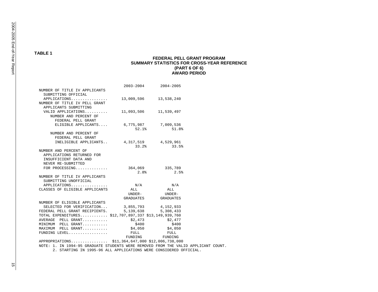$\frac{1}{2}$ 

#### **TABLE 1**

#### **FEDERAL PELL GRANT PROGRAM SUMMARY STATISTICS FOR CROSS-YEAR REFERENCE (PART 6 OF 6) AWARD PERIOD**

|                                                      | 2003-2004 | $2004 - 2005$                     |
|------------------------------------------------------|-----------|-----------------------------------|
| NUMBER OF TITLE IV APPLICANTS                        |           |                                   |
| SUBMITTING OFFICIAL                                  |           |                                   |
| APPLICATIONS                                         |           | 13,009,596 13,538,240             |
| NUMBER OF TITLE IV PELL GRANT                        |           |                                   |
| APPLICANTS SUBMITTING                                |           |                                   |
| VALID APPLICATIONS                                   |           | 11,093,506 11,539,497             |
| NUMBER AND PERCENT OF                                |           |                                   |
| FEDERAL PELL GRANT                                   |           |                                   |
| ELIGIBLE APPLICANTS 6,775,987 7,009,536              |           |                                   |
|                                                      | 52.1%     | 51.8%                             |
| NUMBER AND PERCENT OF                                |           |                                   |
| FEDERAL PELL GRANT                                   |           |                                   |
|                                                      |           |                                   |
| INELIGIBLE APPLICANTS 4,317,519 4,529,961            |           |                                   |
|                                                      | 33.2%     | 33.5%                             |
| NUMBER AND PERCENT OF                                |           |                                   |
| APPLICATIONS RETURNED FOR                            |           |                                   |
| INSUFFICIENT DATA AND                                |           |                                   |
| NEVER RE-SUBMITTED                                   |           |                                   |
| FOR PROCESSING                                       |           | 364,069 335,789                   |
|                                                      | 2.8%      | 2.5%                              |
| NUMBER OF TITLE IV APPLICANTS                        |           |                                   |
| SUBMITTING UNOFFICIAL                                |           |                                   |
| APPLICATIONS                                         | N/A       | N/A                               |
| CLASSES OF ELIGIBLE APPLICANTS                       | ALL       | ALL                               |
|                                                      |           | UNDER- UNDER-                     |
|                                                      |           | GRADUATES GRADUATES               |
| NUMBER OF ELIGIBLE APPLICANTS                        |           |                                   |
| SELECTED FOR VERIFICATION 3,855,793 4,152,933        |           |                                   |
| FEDERAL PELL GRANT RECIPIENTS.                       |           | 5, 139, 638 5, 308, 433           |
| TOTAL EXPENDITURES \$12,707,897,337 \$13,149,939,760 |           |                                   |
| AVERAGE PELL GRANT                                   | \$2,473   | \$2,477                           |
| MINIMUM PELL GRANT                                   | \$400     | \$400                             |
| MAXIMUM PELL GRANT                                   | \$4,050   | \$4,050                           |
| FUNDING LEVEL                                        | FULL      | FULL                              |
|                                                      | FUNDING   | FUNDING                           |
| APPROPRIATIONS                                       |           | \$11,364,647,000 \$12,006,738,000 |

NOTE: 1. IN 1994-95 GRADUATE STUDENTS WERE REMOVED FROM THE VALID APPLICANT COUNT.

2. STARTING IN 1995-96 ALL APPLICATIONS WERE CONSIDERED OFFICIAL.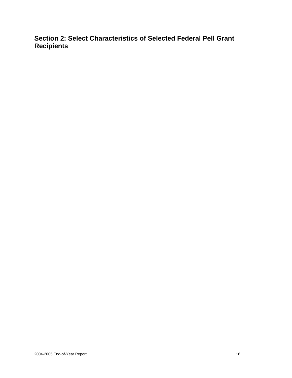**Section 2: Select Characteristics of Selected Federal Pell Grant Recipients**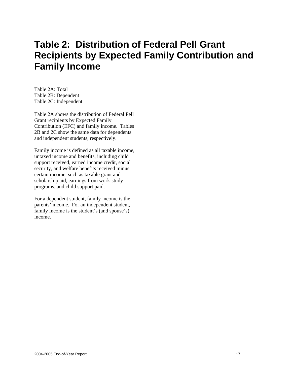# **Table 2: Distribution of Federal Pell Grant Recipients by Expected Family Contribution and Family Income**

Table 2A: Total Table 2B: Dependent Table 2C: Independent

Table 2A shows the distribution of Federal Pell Grant recipients by Expected Family Contribution (EFC) and family income. Tables 2B and 2C show the same data for dependents and independent students, respectively.

Family income is defined as all taxable income, untaxed income and benefits, including child support received, earned income credit, social security, and welfare benefits received minus certain income, such as taxable grant and scholarship aid, earnings from work-study programs, and child support paid.

For a dependent student, family income is the parents' income. For an independent student, family income is the student's (and spouse's) income.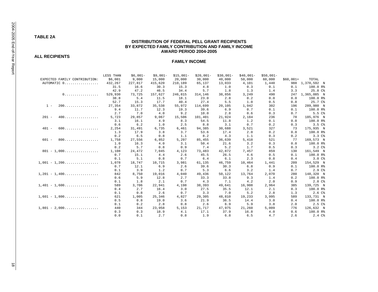### **TABLE 2A**

#### **DISTRIBUTION OF FEDERAL PELL GRANT RECIPIENTS BY EXPECTED FAMILY CONTRIBUTION AND FAMILY INCOME AWARD PERIOD 2004-2005**

**ALL RECIPIENTS** 

|                               | LESS THAN | $$6,001-$ | $$9.001-$ | $$15,001-$ | $$20,001-$ | $$30.001-$ | $$40.001-$ | $$50,001-$ |            |                   |
|-------------------------------|-----------|-----------|-----------|------------|------------|------------|------------|------------|------------|-------------------|
| EXPECTED FAMILY CONTRIBUTION: | \$6,001   | 9,000     | 15,000    | 20,000     | 30,000     | 40,000     | 50,000     | 60,000     | $$60.001+$ | TOTAL             |
| AUTOMATIC 0                   | 432,267   | 227,817   | 415,620   | 210,189    | 65,137     | 13,033     | 4,101      | 1,440      | 988        | 1,370,592 N       |
|                               | 31.5      | 16.6      | 30.3      | 15.3       | 4.8        | 1.0        | 0.3        | 0.1        | 0.1        | 100.0 R%          |
|                               | 42.9      | 47.2      | 46.5      | 34.4       | 5.7        | 1.8        | 1.3        | 1.4        | 3.3        | 25.8 C%           |
| 0.                            | 529,930   | 73,725    | 157,627   | 246,815    | 314,146    | 38,856     | 3,249      | 490        | 247        | 1,365,085 N       |
|                               | 38.8      | 5.4       | 11.5      | 18.1       | 23.0       | 2.8        | 0.2        | 0.0        | 0.0        | 100.0 R%          |
|                               | 52.7      | 15.3      | 17.7      | 40.4       | 27.4       | 5.5        | 1.0        | 0.5        | 0.8        | 25.7C             |
| $1 -$                         | 27,354    | 33,872    | 35,538    | 55,972     | 114,699    | 20,105     | 1,942      | 302        | 196        | 289,980 N         |
|                               | 9.4       | 11.7      | 12.3      | 19.3       | 39.6       | 6.9        | 0.7        | 0.1        | 0.1        | 100.0 R%          |
|                               | 2.7       | 7.0       | 4.0       | 9.2        | 10.0       | 2.8        | 0.6        | 0.3        | 0.7        | 5.5 C%            |
| $201 -$<br>400.               | 5,723     | 29,857    | 9,067     | 15,506     | 101,401    | 21,924     | 2,184      | 236        | 78         | 185,976 N         |
|                               | 3.1       | 16.1      | 4.9       | 8.3        | 54.5       | 11.8       | 1.2        | 0.1        | 0.0        | 100.0 R%          |
|                               | 0.6       | 6.2       | 1.0       | 2.5        | 8.8        | 3.1        | 0.7        | 0.2        | 0.3        | 3.5C <sup>8</sup> |
| $401 -$<br>600                | 2,254     | 31,491    | 6,735     | 6,461      | 94,385     | 30,688     | 3,521      | 327        | 73         | 175,935 N         |
|                               | 1.3       | 17.9      | 3.8       | 3.7        | 53.6       | 17.4       | 2.0        | 0.2        | 0.0        | 100.0 R%          |
|                               | 0.2       | 6.5       | 0.8       | 1.1        | 8.2        | 4.3        | 1.1        | 0.3        | 0.2        | 3.3C <sup>8</sup> |
| $601 -$<br>800                | 1,758     | 27,556    | 6,852     | 5,297      | 85,455     | 36,639     | 5,418      | 521        | 77         | 169,573 N         |
|                               | 1.0       | 16.3      | 4.0       | 3.1        | 50.4       | 21.6       | 3.2        | 0.3        | 0.0        | 100.0 R%          |
|                               | 0.2       | 5.7       | 0.8       | 0.9        | 7.4        | 5.2        | 1.7        | 0.5        | 0.3        | $3.2C$ %          |
| $801 - 1.000$                 | 1,108     | 24,472    | 7,045     | 4,123      | 73,483     | 42,872     | 7,457      | 859        | 130        | 161,549 N         |
|                               | 0.7       | 15.1      | 4.4       | 2.6        | 45.5       | 26.5       | 4.6        | 0.5        | 0.1        | 100.0 R%          |
|                               | 0.1       | 5.1       | 0.8       | 0.7        | 6.4        | 6.1        | 2.3        | 0.8        | 0.4        | 3.0C              |
| $1,001 - 1,200$               | 1,078     | 18,747    | 10,715    | 3,981      | 61,135     | 46,759     | 10,464     | 1,441      | 209        | 154,529 N         |
|                               | 0.7       | 12.1      | 6.9       | 2.6        | 39.6       | 30.3       | 6.8        | 0.9        | 0.1        | 100.0 R%          |
|                               | 0.1       | 3.9       | 1.2       | 0.7        | 5.3        | 6.6        | 3.2        | 1.4        | 0.7        | 2.9C%             |
| $1,201 - 1,400$               | 842       | 8,750     | 19,016    | 4,040      | 49,436     | 50,122     | 13,764     | 2,070      | 280        | 148,320 N         |
|                               | 0.6       | 5.9       | 12.8      | 2.7        | 33.3       | 33.8       | 9.3        | 1.4        | 0.2        | 100.0 R%          |
|                               | 0.1       | 1.8       | 2.1       | 0.7        | 4.3        | 7.1        | 4.2        | 2.0        | 0.9        | 2.8C%             |
| $1,401 - 1,600$               | 589       | 3,706     | 22,941    | 4,198      | 38,393     | 49,641     | 16,908     | 2,964      | 385        | 139,725 N         |
|                               | 0.4       | 2.7       | 16.4      | 3.0        | 27.5       | 35.5       | 12.1       | 2.1        | 0.3        | 100.0 R%          |
|                               | 0.1       | 0.8       | 2.6       | 0.7        | 3.3        | 7.0        | 5.2        | 2.8        | 1.3        | 2.6C%             |
| $1,601 - 1,800$               | 621       | 1,005     | 25,346    | 4,827      | 29,305     | 48,810     | 19,233     | 3,995      | 589        | 133,731 N         |
|                               | 0.5       | 0.8       | 19.0      | 3.6        | 21.9       | 36.5       | 14.4       | 3.0        | 0.4        | 100.0 R%          |
|                               | 0.1       | 0.2       | 2.8       | 0.8        | 2.6        | 6.9        | 5.9        | 3.8        | 2.0        | 2.5C%             |
| $1,801 - 2,000$               | 440       | 344       | 23,958    | 5,153      | 21,717     | 47,975     | 21,260     | 5,009      | 776        | 126,632 N         |
|                               | 0.3       | 0.3       | 18.9      | 4.1        | 17.1       | 37.9       | 16.8       | 4.0        | 0.6        | 100.0 R%          |
|                               | 0.0       | 0.1       | 2.7       | 0.8        | 1.9        | 6.8        | 6.5        | 4.7        | 2.6        | 2.4C <sup>8</sup> |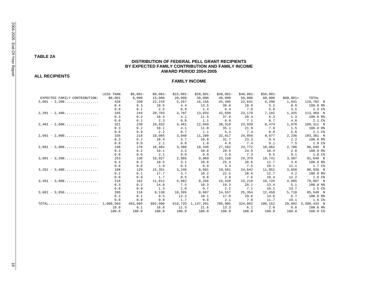#### **DISTRIBUTION OF FEDERAL PELL GRANT RECIPIENTS BY EXPECTED FAMILY CONTRIBUTION AND FAMILY INCOME AWARD PERIOD 2004-2005**

#### **ALL RECIPIENTS**

#### **FAMILY INCOME**

|                                                                | LESS THAN | $$6,001-$ | $$9,001-$ | $$15,001-$ | $$20,001-$ | $$30,001-$ | $$40,001-$ | $$50,001-$ |            |                   |
|----------------------------------------------------------------|-----------|-----------|-----------|------------|------------|------------|------------|------------|------------|-------------------|
| EXPECTED FAMILY CONTRIBUTION:                                  | \$6.001   | 9,000     | 15,000    | 20,000     | 30,000     | 40,000     | 50,000     | 60,000     | $$60,001+$ | TOTAL             |
| $2,001 - 2,200$                                                | 428       | 330       | 22,218    | 5,267      | 16,156     | 45,495     | 22,641     | 6,206      | 1,041      | 119,782 N         |
|                                                                | 0.4       | 0.3       | 18.5      | 4.4        | 13.5       | 38.0       | 18.9       | 5.2        | 0.9        | 100.0 R%          |
|                                                                | 0.0       | 0.1       | 2.5       | 0.9        | 1.4        | 6.4        | 7.0        | 5.8        | 3.5        | 2.3C8             |
| $2,201 - 2,400$                                                | 345       | 244       | 20,783    | 4,707      | 13,034     | 42,650     | 23,179     | 7,102      | 1,425      | 113,469 N         |
|                                                                | 0.3       | 0.2       | 18.3      | 4.1        | 11.5       | 37.6       | 20.4       | 6.3        | 1.3        | 100.0 R%          |
|                                                                | 0.0       | 0.1       | 2.3       | 0.8        | 1.1        | 6.0        | 7.1        | 6.7        | 4.8        | 2.1 C%            |
| $2,401 - 2,600 \ldots \ldots \ldots \ldots \ldots$             | 321       | 238       | 19,832    | 4,461      | 12,049     | 38,319     | 23,939     | 8,474      | 1,678      | 109,311 N         |
|                                                                | 0.3       | 0.2       | 18.1      | 4.1        | 11.0       | 35.1       | 21.9       | 7.8        | 1.5        | 100.0 R%          |
|                                                                | 0.0       | 0.0       | 2.2       | 0.7        | 1.1        | 5.4        | 7.4        | 8.0        | 5.6        | 2.1 C%            |
| $2,601 - 2,800$                                                | 335       | 218       | 18,985    | 3,848      | 11,209     | 32,817     | 24,056     | 9,677      | 2,236      | 103,381 N         |
|                                                                | 0.3       | 0.2       | 18.4      | 3.7        | 10.8       | 31.7       | 23.3       | 9.4        | 2.2        | 100.0 R%          |
|                                                                | 0.0       | 0.0       | 2.1       | 0.6        | 1.0        | 4.6        | 7.4        | 9.1        | 7.5        | 1.9 <sup>c</sup>  |
| $2.801 - 3.000$                                                | 248       | 178       | 18,484    | 3,380      | 10,448     | 27,562     | 23,772     | 10,062     | 2,706      | 96,840 N          |
|                                                                | 0.3       | 0.2       | 19.1      | 3.5        | 10.8       | 28.5       | 24.5       | 10.4       | 2.8        | 100.0 R%          |
|                                                                | 0.0       | 0.0       | 2.1       | 0.6        | 0.9        | 3.9        | 7.3        | 9.5        | 9.1        | 1.8 C%            |
| $3,001 - 3,200$                                                | 253       | 138       | 16,927    | 2,885      | 9,869      | 23,150     | 24,379     | 10,741     | 3,307      | 91,649 N          |
|                                                                | 0.3       | 0.2       | 18.5      | 3.1        | 10.8       | 25.3       | 26.6       | 11.7       | 3.6        | 100.0 R%          |
|                                                                | 0.0       | 0.0       | 1.9       | 0.5        | 0.9        | 3.3        | 7.5        | 10.1       | 11.1       | 1.7 C%            |
| $3.201 - 3.400$                                                | 188       | 129       | 15,351    | 3,246      | 8,881      | 19,591     | 24,842     | 11,052     | 3,658      | 86,938 N          |
|                                                                | 0.2       | 0.1       | 17.7      | 3.7        | 10.2       | 22.5       | 28.6       | 12.7       | 4.2        | 100.0 R%          |
|                                                                | 0.0       | 0.0       | 1.7       | 0.5        | 0.8        | 2.8        | 7.6        | 10.4       | 12.2       | 1.6C%             |
| $3,401 - 3,600$                                                | 216       | 162       | 11,812    | 5,982      | 8,256      | 15,420     | 23,219     | 10,725     | 4,095      | 79,887 N          |
|                                                                | 0.3       | 0.2       | 14.8      | 7.5        | 10.3       | 19.3       | 29.1       | 13.4       | 5.1        | 100.0 R%          |
|                                                                | 0.0       | 0.0       | 1.3       | 1.0        | 0.7        | 2.2        | 7.1        | 10.1       | 13.7       | 1.5C <sub>8</sub> |
| $3,601 - 3,850$                                                | 205       | 116       | 8,138     | 10,395     | 8,607      | 14,557     | 25,354     | 12,459     | 5,718      | 85,549 N          |
|                                                                | 0.2       | 0.1       | 9.5       | 12.2       | 10.1       | 17.0       | 29.6       | 14.6       | 6.7        | 100.0 R%          |
|                                                                | 0.0       | 0.0       | 0.9       | 1.7        | 0.8        | 2.1        | 7.8        | 11.7       | 19.1       | 1.6C%             |
| $\text{TOTAL}\ldots\ldots\ldots\ldots\ldots\ldots\ldots\ldots$ | 1,006,503 | 483,095   | 892,990   | 610,733    | 1,147,201  | 706,985    | 324,882    | 106,152    | 29,892     | 5,308,433 N       |
|                                                                | 19.0      | 9.1       | 16.8      | 11.5       | 21.6       | 13.3       | 6.1        | 2.0        | 0.6        | 100.0 R%          |
|                                                                | 100.0     | 100.0     | 100.0     | 100.0      | 100.0      | 100.0      | 100.0      | 100.0      | 100.0      | 100.0 C%          |

 $61$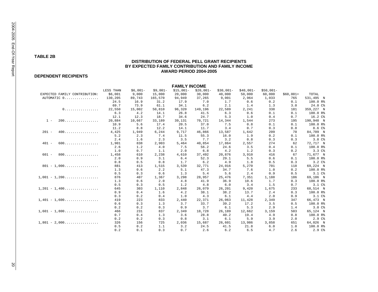#### **DISTRIBUTION OF FEDERAL PELL GRANT RECIPIENTS BY EXPECTED FAMILY CONTRIBUTION AND FAMILY INCOME AWARD PERIOD 2004-2005**

#### **DEPENDENT RECIPIENTS**

|                                                    |           |           |           | <b>FAMILY INCOME</b> |            |            |            |            |            |                   |
|----------------------------------------------------|-----------|-----------|-----------|----------------------|------------|------------|------------|------------|------------|-------------------|
|                                                    | LESS THAN | $$6,001-$ | $$9.001-$ | $$15,001-$           | $$20,001-$ | $$30,001-$ | $$40,001-$ | $$50,001-$ |            |                   |
| EXPECTED FAMILY CONTRIBUTION:                      | \$6,001   | 9,000     | 15,000    | 20,000               | 30,000     | 40,000     | 50,000     | 60,000     | $$60,001+$ | TOTAL             |
| AUTOMATIC 0                                        | 130,205   | 89,743    | 165,570   | 94,949               | 37,265     | 9,001      | 2,964      | 1,033      | 765        | 531,495 N         |
|                                                    | 24.5      | 16.9      | 31.2      | 17.9                 | 7.0        | 1.7        | 0.6        | 0.2        | 0.1        | 100.0 R%          |
|                                                    | 69.7      | 73.9      | 61.1      | 34.1                 | 6.2        | 2.1        | 1.4        | 1.3        | 3.0        | 24.0 C%           |
| 0.                                                 | 22,550    | 15,002    | 50,810    | 96,320               | 149,196    | 22,589     | 2,241      | 338        | 181        | 359,227 N         |
|                                                    | 6.3       | 4.2       | 14.1      | 26.8                 | 41.5       | 6.3        | 0.6        | 0.1        | 0.1        | 100.0 R%          |
|                                                    | 12.1      | 12.3      | 18.7      | 34.6                 | 24.7       | 5.3        | 1.0        | 0.4        | 0.7        | 16.2 C%           |
| 200<br>$1 -$                                       | 20,884    | 10,667    | 33,189    | 39,131               | 70,721     | 14,344     | 1,544      | 273        | 195        | 190,948 N         |
|                                                    | 10.9      | 5.6       | 17.4      | 20.5                 | 37.0       | 7.5        | 0.8        | 0.1        | 0.1        | 100.0 R%          |
|                                                    | 11.2      | 8.8       | 12.2      | 14.1                 | 11.7       | 3.4        | 0.7        | 0.3        | 0.8        | 8.6 C%            |
| $201 -$<br>400.                                    | 4,425     | 1,949     | 6,244     | 9,717                | 46,866     | 13,587     | 1,642      | 209        | 70         | 84,709 N          |
|                                                    | 5.2       | 2.3       | 7.4       | 11.5                 | 55.3       | 16.0       | 1.9        | 0.2        | 0.1        | 100.0 R%          |
|                                                    | 2.4       | 1.6       | 2.3       | 3.5                  | 7.7        | 3.2        | 0.8        | 0.3        | 0.3        | 3.8C <sup>8</sup> |
| $401 -$<br>600.                                    | 1,901     | 838       | 2,903     | 5,464                | 40,854     | 17,864     | 2,557      | 274        | 62         | 72,717 N          |
|                                                    | 2.6       | 1.2       | 4.0       | 7.5                  | 56.2       | 24.6       | 3.5        | 0.4        | 0.1        | 100.0 R%          |
|                                                    | 1.0       | 0.7       | 1.1       | 2.0                  | 6.8        | 4.2        | 1.2        | 0.3        | 0.2        | 3.3C <sup>8</sup> |
| $601 -$<br>800.                                    | 1,458     | 610       | 2,238     | 4,610                | 37,492     | 20,876     | 3,910      | 416        | 67         | 71,677 N          |
|                                                    | 2.0       | 0.9       | 3.1       | 6.4                  | 52.3       | 29.1       | 5.5        | 0.6        | 0.1        | 100.0 R%          |
|                                                    | 0.8       | 0.5       | 0.8       | 1.7                  | 6.2        | 4.9        | 1.8        | 0.5        | 0.3        | $3.2C$ %          |
| $801 - 1,000$                                      | 881       | 413       | 1,515     | 3,539                | 32,771     | 24,016     | 5,270      | 701        | 118        | 69,224 N          |
|                                                    | 1.3       | 0.6       | 2.2       | 5.1                  | 47.3       | 34.7       | 7.6        | 1.0        | 0.2        | 100.0 R%          |
|                                                    | 0.5       | 0.3       | 0.6       | 1.3                  | 5.4        | 5.6        | 2.4        | 0.9        | 0.5        | 3.1 <sup>c</sup>  |
| $1,001 - 1,200 \ldots \ldots \ldots \ldots \ldots$ | 876       | 407       | 1,367     | 3,298                | 28,957     | 25,476     | 7,351      | 1,188      | 186        | 69,106 N          |
|                                                    | 1.3       | 0.6       | 2.0       | 4.8                  | 41.9       | 36.9       | 10.6       | 1.7        | 0.3        | 100.0 R%          |
|                                                    | 0.5       | 0.3       | 0.5       | 1.2                  | 4.8        | 6.0        | 3.4        | 1.5        | 0.7        | 3.1 <sup>c</sup>  |
| $1,201 - 1,400$                                    | 645       | 303       | 1,110     | 2,848                | 26,079     | 26,201     | 9,420      | 1,675      | 233        | 68,514 N          |
|                                                    | 0.9       | 0.4       | 1.6       | 4.2                  | 38.1       | 38.2       | 13.7       | 2.4        | 0.3        | 100.0 R%          |
|                                                    | 0.3       | 0.2       | 0.4       | 1.0                  | 4.3        | 6.1        | 4.4        | 2.0        | 0.9        | 3.1 C%            |
| $1.401 - 1.600$                                    | 419       | 223       | 833       | 2,440                | 22,371     | 26,063     | 11,428     | 2,349      | 347        | 66,473 N          |
|                                                    | 0.6       | 0.3       | 1.3       | 3.7                  | 33.7       | 39.2       | 17.2       | 3.5        | 0.5        | 100.0 R%          |
|                                                    | 0.2       | 0.2       | 0.3       | 0.9                  | 3.7        | 6.1        | 5.3        | 2.9        | 1.4        | 3.0C%             |
| $1,601 - 1,800$                                    | 466       | 231       | 837       | 2,349                | 18,728     | 26,189     | 12,662     | 3,159      | 503        | 65,124 N          |
|                                                    | 0.7       | 0.4       | 1.3       | 3.6                  | 28.8       | 40.2       | 19.4       | 4.9        | 0.8        | 100.0 R%          |
|                                                    | 0.2       | 0.2       | 0.3       | 0.8                  | 3.1        | 6.1        | 5.9        | 3.9        | 2.0        | 2.9C%             |
| $1,801 - 2,000$                                    | 326       | 156       | 725       | 2,036                | 15,687     | 26,601     | 13,986     | 3,858      | 651        | 64,026 N          |
|                                                    | 0.5       | 0.2       | 1.1       | 3.2                  | 24.5       | 41.5       | 21.8       | 6.0        | 1.0        | 100.0 R%          |
|                                                    | 0.2       | 0.1       | 0.3       | 0.7                  | 2.6        | 6.2        | 6.5        | 4.7        | 2.6        | 2.9C <sub>8</sub> |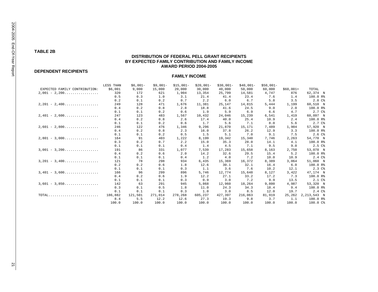**TABLE 2B** 

### **DISTRIBUTION OF FEDERAL PELL GRANT RECIPIENTS BY EXPECTED FAMILY CONTRIBUTION AND FAMILY INCOME AWARD PERIOD 2004-2005**

#### **DEPENDENT RECIPIENTS**

|                                                    | LESS THAN | $$6,001-$ | $$9,001-$ | $$15,001-$ | $$20,001-$ | $$30,001-$ | $$40,001-$ | $$50,001-$ |            |                   |
|----------------------------------------------------|-----------|-----------|-----------|------------|------------|------------|------------|------------|------------|-------------------|
| EXPECTED FAMILY CONTRIBUTION:                      | \$6,001   | 9,000     | 15,000    | 20,000     | 30,000     | 40,000     | 50,000     | 60,000     | $$60,001+$ | TOTAL             |
| $2,001 - 2,200$                                    | 320       | 172       | 621       | 1,904      | 13,354     | 25,799     | 14,581     | 4,747      | 876        | 62,374 N          |
|                                                    | 0.5       | 0.3       | 1.0       | 3.1        | 21.4       | 41.4       | 23.4       | 7.6        | 1.4        | 100.0 R%          |
|                                                    | 0.2       | 0.1       | 0.2       | 0.7        | 2.2        | 6.0        | 6.7        | 5.8        | 3.5        | 2.8C <sup>8</sup> |
| $2,201 - 2,400$                                    | 249       | 128       | 471       | 1,676      | 11,381     | 25,147     | 14,815     | 5,444      | 1,199      | 60,510 N          |
|                                                    | 0.4       | 0.2       | 0.8       | 2.8        | 18.8       | 41.6       | 24.5       | 9.0        | 2.0        | 100.0 R%          |
|                                                    | 0.1       | 0.1       | 0.2       | 0.6        | 1.9        | 5.9        | 6.9        | 6.6        | 4.7        | 2.7 C%            |
| $2,401 - 2,600 \ldots \ldots \ldots \ldots \ldots$ | 247       | 123       | 483       | 1,567      | 10,432     | 24,046     | 15,239     | 6,541      | 1,419      | 60,097 N          |
|                                                    | 0.4       | 0.2       | 0.8       | 2.6        | 17.4       | 40.0       | 25.4       | 10.9       | 2.4        | 100.0 R%          |
|                                                    | 0.1       | 0.1       | 0.2       | 0.6        | 1.7        | 5.6        | 7.1        | 8.0        | 5.6        | 2.7 C%            |
| $2,601 - 2,800$                                    | 246       | 122       | 476       | 1,346      | 9,296      | 21,870     | 15,171     | 7,489      | 1,904      | 57,920 N          |
|                                                    | 0.4       | 0.2       | 0.8       | 2.3        | 16.0       | 37.8       | 26.2       | 12.9       | 3.3        | 100.0 R%          |
|                                                    | 0.1       | 0.1       | 0.2       | 0.5        | 1.5        | 5.1        | 7.0        | 9.1        | 7.5        | 2.6C%             |
| $2,801 - 3,000 \ldots \ldots \ldots \ldots \ldots$ | 164       | 91        | 403       | 1,222      | 8,199      | 19,342     | 15,340     | 7,746      | 2,263      | 54,770 N          |
|                                                    | 0.3       | 0.2       | 0.7       | 2.2        | 15.0       | 35.3       | 28.0       | 14.1       | 4.1        | 100.0 R%          |
|                                                    | 0.1       | 0.1       | 0.1       | 0.4        | 1.4        | 4.5        | 7.1        | 9.5        | 9.0        | 2.5C <sup>8</sup> |
| $3,001 - 3,200$                                    | 191       | 86        | 331       | 1,077      | 7,539      | 17,283     | 15,658     | 8,163      | 2,750      | 53,078 N          |
|                                                    | 0.4       | 0.2       | 0.6       | 2.0        | 14.2       | 32.6       | 29.5       | 15.4       | 5.2        | 100.0 R%          |
|                                                    | 0.1       | 0.1       | 0.1       | 0.4        | 1.2        | 4.0        | 7.2        | 10.0       | 10.9       | 2.4C%             |
| $3,201 - 3,400$                                    | 121       | 78        | 298       | 934        | 6,435      | 15,369     | 16,372     | 8,389      | 3,064      | 51,060 N          |
|                                                    | 0.2       | 0.2       | 0.6       | 1.8        | 12.6       | 30.1       | 32.1       | 16.4       | 6.0        | 100.0 R%          |
|                                                    | 0.1       | 0.1       | 0.1       | 0.3        | 1.1        | 3.6        | 7.6        | 10.2       | 12.1       | 2.3C8             |
| $3,401 - 3,600$                                    | 166       | 96        | 299       | 896        | 5,746      | 12,774     | 15,648     | 8,127      | 3,422      | 47,174 N          |
|                                                    | 0.4       | 0.2       | 0.6       | 1.9        | 12.2       | 27.1       | 33.2       | 17.2       | 7.3        | 100.0 R%          |
|                                                    | 0.1       | 0.1       | 0.1       | 0.3        | 0.9        | 3.0        | 7.2        | 9.9        | 13.5       | 2.1 <sup>c</sup>  |
| $3,601 - 3,850$                                    | 142       | 63        | 291       | 945        | 5,868      | 12,960     | 18,264     | 9,800      | 4,987      | 53,320 N          |
|                                                    | 0.3       | 0.1       | 0.5       | 1.8        | 11.0       | 24.3       | 34.3       | 18.4       | 9.4        | 100.0 R%          |
|                                                    | 0.1       | 0.1       | 0.1       | 0.3        | 1.0        | 3.0        | 8.5        | 12.0       | 19.7       | 2.4 C%            |
| TOTAL                                              | 186,882   | 121,501   | 271,014   | 278,268    | 605,237    | 427,397    | 216,063    | 81,919     | 25,262     | 2,213,543 N       |
|                                                    | 8.4       | 5.5       | 12.2      | 12.6       | 27.3       | 19.3       | 9.8        | 3.7        | 1.1        | 100.0 R%          |
|                                                    | 100.0     | 100.0     | 100.0     | 100.0      | 100.0      | 100.0      | 100.0      | 100.0      | 100.0      | 100.0 C%          |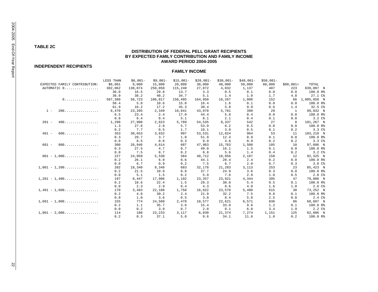#### **TABLE 2C**

### **DISTRIBUTION OF FEDERAL PELL GRANT RECIPIENTS BY EXPECTED FAMILY CONTRIBUTION AND FAMILY INCOME AWARD PERIOD 2004-2005**

#### **INDEPENDENT RECIPIENTS**

|                               | LESS THAN | $$6,001-$ | $$9,001-$ | $$15,001-$ | $$20,001-$ | $$30,001-$ | $$40,001-$ | $$50,001-$ |                |                   |
|-------------------------------|-----------|-----------|-----------|------------|------------|------------|------------|------------|----------------|-------------------|
| EXPECTED FAMILY CONTRIBUTION: | \$6,001   | 9,000     | 15,000    | 20,000     | 30,000     | 40,000     | 50,000     | 60,000     | $$60,001+$     | TOTAL             |
| AUTOMATIC 0                   | 302,062   | 138,074   | 250,050   | 115,240    | 27,872     | 4,032      | 1,137      | 407        | 223            | 839,097 N         |
|                               | 36.0      | 16.5      | 29.8      | 13.7       | 3.3        | 0.5        | 0.1        | 0.0        | 0.0            | 100.0 R%          |
|                               | 36.9      | 38.2      | 40.2      | 34.7       | 5.1        | 1.4        | 1.0        | 1.7        | 4.8            | 27.1 C%           |
| 0.                            | 507,380   | 58,723    | 106,817   | 150,495    | 164,950    | 16,267     | 1,008      | 152        | 66             | 1,005,858 N       |
|                               | 50.4      | 5.8       | 10.6      | 15.0       | 16.4       | 1.6        | 0.1        | 0.0        | 0.0            | 100.0 R%          |
|                               | 61.9      | 16.2      | 17.2      | 45.3       | 30.4       | 5.8        | 0.9        | 0.6        | 1.4            | 32.5 C%           |
| 200.<br>$1 -$                 | 6,470     | 23,205    | 2,349     | 16,841     | 43,978     | 5,761      | 398        | 29         | $\overline{1}$ | 99,032 N          |
|                               | 6.5       | 23.4      | 2.4       | 17.0       | 44.4       | 5.8        | 0.4        | 0.0        | 0.0            | 100.0 R%          |
|                               | 0.8       | 6.4       | 0.4       | 5.1        | 8.1        | 2.1        | 0.4        | 0.1        | 0.0            | $3.2C$ %          |
| $201 -$<br>400.               | 1,298     | 27,908    | 2,823     | 5,789      | 54,535     | 8,337      | 542        | 27         | 8              | 101,267 N         |
|                               | 1.3       | 27.6      | 2.8       | 5.7        | 53.9       | 8.2        | 0.5        | 0.0        | 0.0            | 100.0 R%          |
|                               | 0.2       | 7.7       | 0.5       | 1.7        | 10.1       | 3.0        | 0.5        | 0.1        | 0.2            | 3.3C <sub>8</sub> |
| $401 -$<br>600                | 353       | 30,653    | 3,832     | 997        | 53,531     | 12,824     | 964        | 53         | 11             | 103,218 N         |
|                               | 0.3       | 29.7      | 3.7       | 1.0        | 51.9       | 12.4       | 0.9        | 0.1        | 0.0            | 100.0 R%          |
|                               | 0.0       | 8.5       | 0.6       | 0.3        | 9.9        | 4.6        | 0.9        | 0.2        | 0.2            | 3.3C <sup>8</sup> |
| $601 -$<br>800.               | 300       | 26,946    | 4,614     | 687        | 47,963     | 15,763     | 1,508      | 105        | 10             | 97,896 N          |
|                               | 0.3       | 27.5      | 4.7       | 0.7        | 49.0       | 16.1       | 1.5        | 0.1        | 0.0            | 100.0 R%          |
|                               | 0.0       | 7.5       | 0.7       | 0.2        | 8.8        | 5.6        | 1.4        | 0.4        | 0.2            | 3.2C <sup>8</sup> |
| $801 - 1,000$                 | 227       | 24,059    | 5,530     | 584        | 40,712     | 18,856     | 2,187      | 158        | 12             | 92,325 N          |
|                               | 0.2       | 26.1      | 6.0       | 0.6        | 44.1       | 20.4       | 2.4        | 0.2        | 0.0            | 100.0 R%          |
|                               | 0.0       | 6.7       | 0.9       | 0.2        | 7.5        | 6.7        | 2.0        | 0.7        | 0.3            | 3.0C%             |
| $1,001 - 1,200$               | 202       | 18,340    | 9,348     | 683        | 32,178     | 21,283     | 3,113      | 253        | 23             | 85,423 N          |
|                               | 0.2       | 21.5      | 10.9      | 0.8        | 37.7       | 24.9       | 3.6        | 0.3        | 0.0            | 100.0 R%          |
|                               | 0.0       | 5.1       | 1.5       | 0.2        | 5.9        | 7.6        | 2.9        | 1.0        | 0.5            | 2.8C%             |
| $1,201 - 1,400$               | 197       | 8,447     | 17,906    | 1,192      | 23,357     | 23,921     | 4,344      | 395        | 47             | 79,806 N          |
|                               | 0.2       | 10.6      | 22.4      | 1.5        | 29.3       | 30.0       | 5.4        | 0.5        | 0.1            | 100.0 R%          |
|                               | 0.0       | 2.3       | 2.9       | 0.4        | 4.3        | 8.6        | 4.0        | 1.6        | 1.0            | 2.6C%             |
| $1.401 - 1.600$               | 170       | 3,483     | 22,108    | 1,758      | 16,022     | 23,578     | 5,480      | 615        | 38             | 73,252 N          |
|                               | 0.2       | 4.8       | 30.2      | 2.4        | 21.9       | 32.2       | 7.5        | 0.8        | 0.1            | 100.0 R%          |
|                               | 0.0       | 1.0       | 3.6       | 0.5        | 3.0        | 8.4        | 5.0        | 2.5        | 0.8            | 2.4C%             |
| $1,601 - 1,800$               | 155       | 774       | 24,509    | 2,478      | 10,577     | 22,621     | 6,571      | 836        | 86             | 68,607 N          |
|                               | 0.2       | 1.1       | 35.7      | 3.6        | 15.4       | 33.0       | 9.6        | 1.2        | 0.1            | 100.0 R%          |
|                               | 0.0       | 0.2       | 3.9       | 0.7        | 2.0        | 8.1        | 6.0        | 3.4        | 1.9            | 2.2C              |
| $1.801 - 2.000$               | 114       | 188       | 23,233    | 3,117      | 6,030      | 21,374     | 7,274      | 1,151      | 125            | 62,606 N          |
|                               | 0.2       | 0.3       | 37.1      | 5.0        | 9.6        | 34.1       | 11.6       | 1.8        | 0.2            | 100.0 R%          |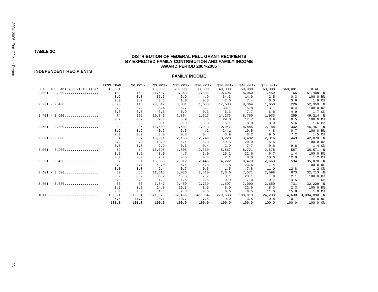**TABLE 2C** 

### **DISTRIBUTION OF FEDERAL PELL GRANT RECIPIENTS BY EXPECTED FAMILY CONTRIBUTION AND FAMILY INCOME AWARD PERIOD 2004-2005**

#### **INDEPENDENT RECIPIENTS**

|                                                    | LESS THAN | $$6,001-$ | $$9.001-$ | $$15.001-$ | $$20,001-$ | $$30.001-$ | $$40.001-$ | $$50,001-$ |            |                   |
|----------------------------------------------------|-----------|-----------|-----------|------------|------------|------------|------------|------------|------------|-------------------|
| EXPECTED FAMILY CONTRIBUTION:                      | \$6.001   | 9,000     | 15,000    | 20,000     | 30,000     | 40,000     | 50,000     | 60,000     | $$60.001+$ | TOTAL             |
| $2,001 - 2,200$                                    | 108       | 158       | 21,597    | 3,363      | 2,802      | 19,696     | 8,060      | 1,459      | 165        | 57,408 N          |
|                                                    | 0.2       | 0.3       | 37.6      | 5.9        | 4.9        | 34.3       | 14.0       | 2.5        | 0.3        | 100.0 R%          |
|                                                    | 0.0       | 0.0       | 3.5       | 1.0        | 0.5        | 7.0        | 7.4        | 6.0        | 3.6        | 1.9C <sup>8</sup> |
| $2,201 - 2,400$                                    | 96        | 116       | 20,312    | 3,031      | 1,653      | 17,503     | 8,364      | 1,658      | 226        | 52,959 N          |
|                                                    | 0.2       | 0.2       | 38.4      | 5.7        | 3.1        | 33.1       | 15.8       | 3.1        | 0.4        | 100.0 R%          |
|                                                    | 0.0       | 0.0       | 3.3       | 0.9        | 0.3        | 6.3        | 7.7        | 6.8        | 4.9        | 1.7 C%            |
| $2,401 - 2,600$                                    | 74        | 115       | 19,349    | 2,894      | 1,617      | 14,273     | 8,700      | 1,933      | 259        | 49,214 N          |
|                                                    | 0.2       | 0.2       | 39.3      | 5.9        | 3.3        | 29.0       | 17.7       | 3.9        | 0.5        | 100.0 R%          |
|                                                    | 0.0       | 0.0       | 3.1       | 0.9        | 0.3        | 5.1        | 8.0        | 8.0        | 5.6        | 1.6C <sup>8</sup> |
| $2,601 - 2,800 \ldots \ldots \ldots \ldots \ldots$ | 89        | 96        | 18,509    | 2,502      | 1,913      | 10,947     | 8,885      | 2,188      | 332        | 45,461 N          |
|                                                    | 0.2       | 0.2       | 40.7      | 5.5        | 4.2        | 24.1       | 19.5       | 4.8        | 0.7        | 100.0 R%          |
|                                                    | 0.0       | 0.0       | 3.0       | 0.8        | 0.4        | 3.9        | 8.2        | 9.0        | 7.2        | 1.5 C%            |
| $2,801 - 3,000 \ldots \ldots \ldots \ldots \ldots$ | 84        | 87        | 18,081    | 2,158      | 2,249      | 8,220      | 8,432      | 2,316      | 443        | 42,070 N          |
|                                                    | 0.2       | 0.2       | 43.0      | 5.1        | 5.3        | 19.5       | 20.0       | 5.5        | 1.1        | 100.0 R%          |
|                                                    | 0.0       | 0.0       | 2.9       | 0.6        | 0.4        | 2.9        | 7.7        | 9.6        | 9.6        | 1.4 <sup>c</sup>  |
| $3,001 - 3,200 \ldots \ldots \ldots \ldots \ldots$ | 62        | 52        | 16,596    | 1,808      | 2,330      | 5,867      | 8,721      | 2,578      | 557        | 38,571 N          |
|                                                    | 0.2       | 0.1       | 43.0      | 4.7        | 6.0        | 15.2       | 22.6       | 6.7        | 1.4        | 100.0 R%          |
|                                                    | 0.0       | 0.0       | 2.7       | 0.5        | 0.4        | 2.1        | 8.0        | 10.6       | 12.0       | 1.2C <sup>8</sup> |
| $3,201 - 3,400$                                    | 67        | 51        | 15,053    | 2,312      | 2,446      | 4,222      | 8,470      | 2,663      | 594        | 35,878 N          |
|                                                    | 0.2       | 0.1       | 42.0      | 6.4        | 6.8        | 11.8       | 23.6       | 7.4        | 1.7        | 100.0 R%          |
|                                                    | 0.0       | 0.0       | 2.4       | 0.7        | 0.5        | 1.5        | 7.8        | 11.0       | 12.8       | 1.2C <sup>8</sup> |
| $3,401 - 3,600$                                    | 50        | 66        | 11,513    | 5,086      | 2,510      | 2,646      | 7,571      | 2,598      | 673        | 32,713 N          |
|                                                    | 0.2       | 0.2       | 35.2      | 15.5       | 7.7        | 8.1        | 23.1       | 7.9        | 2.1        | 100.0 R%          |
|                                                    | 0.0       | 0.0       | 1.9       | 1.5        | 0.5        | 0.9        | 7.0        | 10.7       | 14.5       | 1.1 C%            |
| $3,601 - 3,850$                                    | 63        | 53        | 7,847     | 9,450      | 2,739      | 1,597      | 7,090      | 2,659      | 731        | 32,229 N          |
|                                                    | 0.2       | 0.2       | 24.3      | 29.3       | 8.5        | 5.0        | 22.0       | 8.3        | 2.3        | 100.0 R%          |
|                                                    | 0.0       | 0.0       | 1.3       | 2.8        | 0.5        | 0.6        | 6.5        | 11.0       | 15.8       | 1.0C%             |
| TOTAL                                              | 819,621   | 361,594   | 621,976   | 332,465    | 541,964    | 279,588    | 108,819    | 24,233     | 4,630      | 3,094,890 N       |
|                                                    | 26.5      | 11.7      | 20.1      | 10.7       | 17.5       | 9.0        | 3.5        | 0.8        | 0.1        | 100.0 R%          |
|                                                    | 100.0     | 100.0     | 100.0     | 100.0      | 100.0      | 100.0      | 100.0      | 100.0      | 100.0      | 100.0 C%          |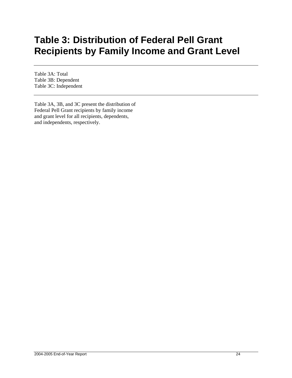# **Table 3: Distribution of Federal Pell Grant Recipients by Family Income and Grant Level**

Table 3A: Total Table 3B: Dependent Table 3C: Independent

Table 3A, 3B, and 3C present the distribution of Federal Pell Grant recipients by family income and grant level for all recipients, dependents, and independents, respectively.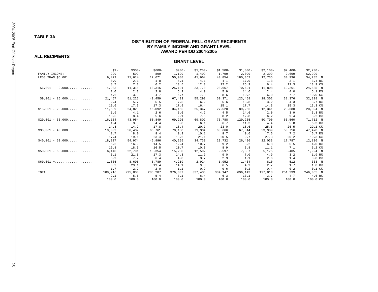#### **TABLE 3A**

#### **DISTRIBUTION OF FEDERAL PELL GRANT RECIPIENTS BY FAMILY INCOME AND GRANT LEVEL AWARD PERIOD 2004-2005**

#### **ALL RECIPIENTS**

|                                                                              | $$1-$   | $$300-$ | $$600-$ | $$900-$ | $$1,200-$ | $$1,500-$ | $$1,800-$ | $$2,100-$ | $$2,400-$ | $$2,700-$          |
|------------------------------------------------------------------------------|---------|---------|---------|---------|-----------|-----------|-----------|-----------|-----------|--------------------|
| FAMILY INCOME:                                                               | 299     | 599     | 899     | 1,199   | 1,499     | 1,799     | 2,099     | 2,399     | 2,699     | \$2,999            |
| LESS THAN \$6,001                                                            | 9,479   | 21,614  | 17,671  | 50,988  | 41,664    | 40,854    | 180,362   | 12,735    | 30,936    | 34,285 N           |
|                                                                              | 0.9     | 2.1     | 1.8     | 5.1     | 4.1       | 4.1       | 17.9      | 1.3       | 3.1       | 3.4 R              |
|                                                                              | 8.7     | 7.3     | 6.2     | 13.5    | 12.3      | 12.2      | 25.9      | 6.4       | 12.3      | 13.9 C%            |
| $$6,001 -$<br>9,000                                                          | 4,983   | 11,315  | 13,316  | 25,121  | 23,770    | 28,667    | 70,691    | 11,808    | 19,261    | 24,535 N           |
|                                                                              | 1.0     | 2.3     | 2.8     | 5.2     | 4.9       | 5.9       | 14.6      | 2.4       | 4.0       | 5.1 R%             |
|                                                                              | 4.6     | 3.8     | 4.7     | 6.7     | 7.0       | 8.6       | 10.2      | 6.0       | 7.7       | 10.0 C%            |
| $$9,001 - 15,000$                                                            | 21,457  | 51,225  | 49,459  | 67,403  | 55,293    | 50,371    | 123,458   | 28,302    | 38,376    | 32,828 N           |
|                                                                              | 2.4     | 5.7     | 5.5     | 7.5     | 6.2       | 5.6       | 13.8      | 3.2       | 4.3       | 3.7 R              |
|                                                                              | 19.6    | 17.3    | 17.3    | 17.9    | 16.4      | 15.1      | 17.7      | 14.3      | 15.3      | 13.3 C%            |
| $$15,001 - 20,000$                                                           | 11,509  | 24,828  | 16,092  | 34,165  | 25,347    | 27,520    | 89,266    | 12,341    | 23,680    | 20,094 N           |
|                                                                              | 1.9     | 4.1     | 2.6     | 5.6     | 4.2       | 4.5       | 14.6      | 2.0       | 3.9       | 3.3 R <sup>8</sup> |
|                                                                              | 10.5    | 8.4     | 5.6     | 9.1     | 7.5       | 8.2       | 12.8      | 6.2       | 9.4       | 8.2 C%             |
| $$20.001 - 30.000$                                                           | 16,154  | 43,954  | 50,849  | 69,296  | 69,802    | 76,788    | 129,205   | 50,700    | 66,560    | 71,712 N           |
|                                                                              | 1.4     | 3.8     | 4.4     | 6.0     | 6.1       | 6.7       | 11.3      | 4.4       | 5.8       | 6.3 R              |
|                                                                              | 14.8    | 14.9    | 17.8    | 18.4    | 20.7      | 23.0      | 18.6      | 25.6      | 26.5      | $29.1$ $C8$        |
| $$30,001 - 40,000$                                                           | 19,002  | 56,407  | 66,761  | 70,160  | 71,304    | 68,666    | 67,814    | 53,909    | 50,716    | 47,478 N           |
|                                                                              | 2.7     | 8.0     | 9.4     | 9.9     | 10.1      | 9.7       | 9.6       | 7.6       | 7.2       | 6.7 R%             |
|                                                                              | 17.4    | 19.1    | 23.4    | 18.6    | 21.1      | 20.5      | 9.7       | 27.3      | 20.2      | 19.3 C%            |
| $$40,001 - 50,000$                                                           | 18,327  | 54,974  | 46,996  | 40,255  | 34,739    | 29.732    | 26,496    | 22,033    | 17,787    | 12,836 N           |
|                                                                              | 5.6     | 16.9    | 14.5    | 12.4    | 10.7      | 9.2       | 8.2       | 6.8       | 5.5       | 4.0 R%             |
|                                                                              | 16.8    | 18.6    | 16.5    | 10.7    | 10.3      | 8.9       | 3.8       | 11.1      | 7.1       | 5.2 C%             |
| $$50,001 - 60,000$                                                           | 6,440   | 22,791  | 18,354  | 15,200  | 12,592    | 9,597     | 7,387     | 5,175     | 3,405     | 1,994 N            |
|                                                                              | 6.1     | 21.5    | 17.3    | 14.3    | 11.9      | 9.0       | 7.0       | 4.9       | 3.2       | 1.9 R%             |
|                                                                              | 5.9     | 7.7     | 6.4     | 4.0     | 3.7       | 2.9       | 1.1       | 2.6       | 1.4       | 0.8C <sup>8</sup>  |
| $$60,001$ +                                                                  | 1,865   | 8,695   | 5,789   | 4,219   | 2,924     | 1,952     | 1,464     | 810       | 512       | 303 N              |
|                                                                              | 6.2     | 29.1    | 19.4    | 14.1    | 9.8       | 6.5       | 4.9       | 2.7       | 1.7       | 1.0 R <sup>8</sup> |
|                                                                              | 1.7     | 2.9     | 2.0     | 1.1     | 0.9       | 0.6       | 0.2       | 0.4       | 0.2       | 0.1C <sup>8</sup>  |
| $\texttt{TOTAL} \dots \dots \dots \dots \dots \dots \dots \dots \dots \dots$ | 109,216 | 295,803 | 285,287 | 376,807 | 337,435   | 334,147   | 696,143   | 197,813   | 251,233   | 246,065 N          |
|                                                                              | 2.1     | 5.6     | 5.4     | 7.1     | 6.4       | 6.3       | 13.1      | 3.7       | 4.7       | 4.6 R%             |
|                                                                              | 100.0   | 100.0   | 100.0   | 100.0   | 100.0     | 100.0     | 100.0     | 100.0     | 100.0     | 100.0 C%           |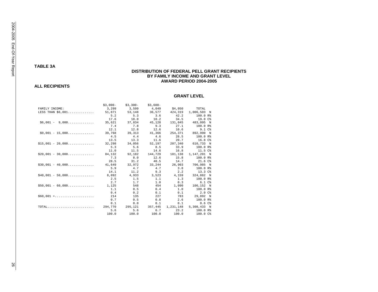#### **TABLE 3A**

#### **DISTRIBUTION OF FEDERAL PELL GRANT RECIPIENTS BY FAMILY INCOME AND GRANT LEVEL AWARD PERIOD 2004-2005**

#### **ALL RECIPIENTS**

|                          | $$3,000-$ | $$3,300-$         | $$3,600-$       |           |                     |
|--------------------------|-----------|-------------------|-----------------|-----------|---------------------|
| FAMILY INCOME:           |           | 3,299 3,599 4,049 |                 | \$4,050   | TOTAL               |
| LESS THAN \$6,001 51,871 |           | 53,148            | 36,577          | 424,319   | 1,006,503 N         |
|                          | 5.2       | 5.3               | 3.6             | 42.2      | 100.0 R%            |
|                          | 17.6      | 18.0              | 10.2            | 34.5      | 19.0 C%             |
| $$6,001 - 9,000$         | 35,621    | 37,834            | 45,128          | 131,045   | 483,095 N           |
|                          | 7.4       | 7.8               | 9.3             | 27.1      | 100.0 R%            |
|                          | 12.1      | 12.8              | 12.6            | 10.6      | 9.1 <sup>c</sup>    |
| $$9,001 - 15,000$        | 39,768    | 39,313            | 41,366          | 254,371   | 892,990 N           |
|                          | 4.5       | 4.4               | 4.6             | 28.5      | 100.0 R%            |
|                          | 13.5      | 13.3              | 11.6            | 20.7      | 16.8 C%             |
| $$15,001 - 20,000$       | 32,298    | 34,056            | 52,197          | 207,340   | 610,733 N           |
|                          | 5.3       | 5.6               | 8.5             | 33.9      | 100.0 R%            |
|                          | 11.0      | 11.5              | 14.6            | 16.8      | 11.5 C%             |
| $$20,001 - 30,000$       | 84,132    | 92,182            | 144,729         | 181,138   | 1,147,201 N         |
|                          | 7.3       | 8.0               | 12.6            | 15.8      | 100.0 R%            |
|                          | 28.5      | 31.2              | 40.5            | 14.7      | 21.6 C%             |
| $$30,001 - 40,000$       | 41,649    | 32,972            | 33,244          | 26,903    | 706,985 N           |
|                          | 5.9       | 4.7               | 4.7             | 3.8       | 100.0 R%            |
|                          | 14.1      | 11.2              | 9.3             | 2.2       | 13.3 C%             |
| $$40,001 - 50,000$       | 8,092     | 4,933             | 3,523           | 4,159     | 324,882 N           |
|                          | 2.5       | 1.5               | 1.1             | 1.3       | $100.0 R$ %         |
|                          | 2.7       | 1.7               | 1.0             | 0.3       | 6.1 C%              |
| $$50,001 - 60,000$       | 1,125     | 548               | 454             | 1,090     | 106,152 N           |
|                          | 1.1       | 0.5               | 0.4             | 1.0       | 100.0 R%            |
|                          | 0.4       | 0.2               | 0.1             | 0.1       | 2.0C                |
| $$60,001$ +              | 214       | 135               | 227             | 783       | 29.892 N            |
|                          | 0.7       | 0.5               | 0.8             | 2.6       | 100.0 R%            |
|                          | 0.1       | 0.0               | 0.1             | 0.1       | $0.6 \, \text{C}$ & |
| $\texttt{TOTAL}$         | 294,770   |                   | 295,121 357,445 | 1,231,148 | 5,308,433 N         |
|                          | 5.6       | 5.6               | 6.7             | 23.2      | 100.0 R%            |
|                          | 100.0     | 100.0             | 100.0           | 100.0     | 100.0 C%            |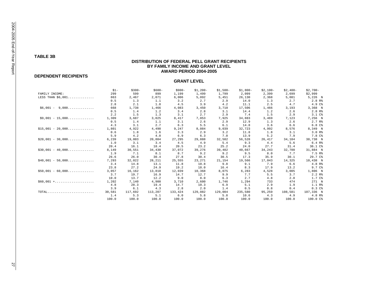#### **DISTRIBUTION OF FEDERAL PELL GRANT RECIPIENTS BY FAMILY INCOME AND GRANT LEVEL AWARD PERIOD 2004-2005**

#### **DEPENDENT RECIPIENTS**

|                                                                        | $$1-$  | $$300-$ | $$600-$ | $$900-$ | $$1,200-$ | $$1,500-$ | $$1,800-$ | $$2,100-$ | $$2,400-$ | $$2,700-$            |
|------------------------------------------------------------------------|--------|---------|---------|---------|-----------|-----------|-----------|-----------|-----------|----------------------|
| FAMILY INCOME:                                                         | 299    | 599     | 899     | 1,199   | 1,499     | 1,799     | 2,099     | 2,399     | 2,699     | \$2,999              |
| LESS THAN \$6,001                                                      | 863    | 2,467   | 2,071   | 6,006   | 5,092     | 5,451     | 26,130    | 2,368     | 5,081     | 5,226 N              |
|                                                                        | 0.5    | 1.3     | 1.1     | 3.2     | 2.7       | 2.9       | 14.0      | 1.3       | 2.7       | 2.8 R                |
|                                                                        | 2.8    | 2.1     | 1.8     | 4.5     | 3.9       | 4.2       | 11.1      | 2.5       | 4.7       | 4.9 C%               |
| $$6,001 -$<br>9,000                                                    | 668    | 1,738   | 1,466   | 4,083   | 3,450     | 3,710     | 17,506    | 1,466     | 3,193     | 3,368 N              |
|                                                                        | 0.5    | 1.4     | 1.2     | 3.4     | 2.8       | 3.1       | 14.4      | 1.2       | 2.6       | 2.8 R                |
|                                                                        | 2.2    | 1.5     | 1.3     | 3.1     | 2.7       | 2.9       | 7.4       | 1.5       | 2.9       | 3.1 C%               |
| $$9.001 - 15.000$                                                      | 1,309  | 3,687   | 3,025   | 8,417   | 7,053     | 7,925     | 34,883    | 3,469     | 7,123     | 7,256 N              |
|                                                                        | 0.5    | 1.4     | 1.1     | 3.1     | 2.6       | 2.9       | 12.9      | 1.3       | 2.6       | $2.7 R$ <sup>8</sup> |
|                                                                        | 4.3    | 3.1     | 2.7     | 6.3     | 5.5       | 6.1       | 14.8      | 3.6       | 6.6       | 6.8C <sup>8</sup>    |
| $$15,001 - 20,000 \ldots \ldots \ldots \ldots$                         | 1,801  | 4,922   | 4,490   | 9,247   | 8,084     | 9,039     | 32,723    | 4,992     | 8,576     | 8,349 N              |
|                                                                        | 0.6    | 1.8     | 1.6     | 3.3     | 2.9       | 3.2       | 11.8      | 1.8       | 3.1       | 3.0 R                |
|                                                                        | 5.9    | 4.2     | 4.0     | 6.9     | 6.3       | 7.0       | 13.9      | 5.2       | 7.9       | 7.8 C%               |
| $$20,001 - 30,000$                                                     | 6,239  | 19,003  | 20,804  | 27,295  | 29,888    | 32,502    | 56,528    | 26,417    | 34,104    | 38,738 N             |
|                                                                        | 1.0    | 3.1     | 3.4     | 4.5     | 4.9       | 5.4       | 9.3       | 4.4       | 5.6       | 6.4 R                |
|                                                                        | 20.4   | 16.1    | 18.4    | 20.5    | 23.2      | 25.2      | 24.0      | 27.7      | 31.4      | 36.1 C%              |
| $$30,001 - 40,000$                                                     | 8,149  | 30,551  | 34,430  | 37.072  | 39,276    | 39,402    | 40.667    | 34,243    | 32,700    | 31,884 N             |
|                                                                        | 1.9    | 7.1     | 8.1     | 8.7     | 9.2       | 9.2       | 9.5       | 8.0       | 7.7       | 7.5 R%               |
|                                                                        | 26.6   | 26.0    | 30.4    | 27.8    | 30.4      | 30.5      | 17.3      | 35.9      | 30.1      | 29.7 C%              |
| $$40,001 - 50,000$                                                     | 7,293  | 32,022  | 28,211  | 25,555  | 23,271    | 21,154    | 19,566    | 17,043    | 14,325    | 10,438 N             |
|                                                                        | 3.4    | 14.8    | 13.1    | 11.8    | 10.8      | 9.8       | 9.1       | 7.9       | 6.6       | 4.8 R%               |
|                                                                        | 23.8   | 27.2    | 24.9    | 19.2    | 18.0      | 16.4      | 8.3       | 17.9      | 13.2      | 9.7 C%               |
| $$50,001 - 60,000$                                                     | 3,057  | 16,162  | 13,810  | 12,039  | 10,368    | 8,075     | 6,283     | 4,528     | 3,005     | 1,806 N              |
|                                                                        | 3.7    | 19.7    | 16.9    | 14.7    | 12.7      | 9.9       | 7.7       | 5.5       | 3.7       | 2.2 R                |
|                                                                        | 10.0   | 13.7    | 12.2    | 9.0     | 8.0       | 6.3       | 2.7       | 4.8       | 2.8       | 1.7 <sup>c</sup>     |
| $$60,001 + \ldots + \ldots + \ldots + \ldots$                          | 1,202  | 7,140   | 4,900   | 3,710   | 2,600     | 1.746     | 1,294     | 733       | 474       | 271 N                |
|                                                                        | 4.8    | 28.3    | 19.4    | 14.7    | 10.3      | 6.9       | 5.1       | 2.9       | 1.9       | 1.1 R%               |
|                                                                        | 3.9    | 6.1     | 4.3     | 2.8     | 2.0       | 1.4       | 0.5       | 0.8       | 0.4       | 0.3C <sup>8</sup>    |
| $\texttt{TOTAL} \dots \dots \dots \dots \dots \dots \dots \dots \dots$ | 30,581 | 117,692 | 113,207 | 133,424 | 129,082   | 129,004   | 235,580   | 95,259    | 108,581   | 107,336 N            |
|                                                                        | 1.4    | 5.3     | 5.1     | 6.0     | 5.8       | 5.8       | 10.6      | 4.3       | 4.9       | 4.8 R%               |
|                                                                        | 100.0  | 100.0   | 100.0   | 100.0   | 100.0     | 100.0     | 100.0     | 100.0     | 100.0     | 100.0 C%             |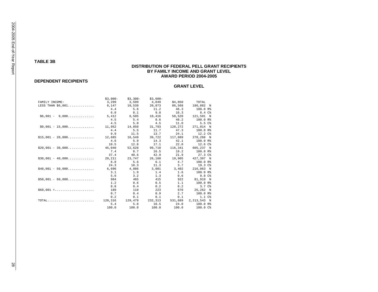#### **TABLE 3B**

#### **DISTRIBUTION OF FEDERAL PELL GRANT RECIPIENTS BY FAMILY INCOME AND GRANT LEVEL AWARD PERIOD 2004-2005**

#### **DEPENDENT RECIPIENTS**

|                    | $$3.000-$ | $$3,300-$   | $$3.600-$ |         |                    |
|--------------------|-----------|-------------|-----------|---------|--------------------|
| FAMILY INCOME:     | 3,299     | 3,599 4,049 |           | \$4,050 | TOTAL              |
| LESS THAN \$6,001  | 8,147     | 10,539      | 20,873    | 86,568  | 186,882 N          |
|                    | 4.4       | 5.6         | 11.2      | 46.3    | 100.0 R%           |
|                    | 6.8       | 8.1         | 9.0       | 16.3    | $8.4 \text{ }C\$   |
| $$6,001 - 9,000$   | 5,412     | 6,505       | 10,416    | 58,520  | 121,501 N          |
|                    | 4.5       | 5.4         | 8.6       | 48.2    | 100.0 R%           |
|                    | 4.5       | 5.0         | 4.5       | 11.0    | 5.5 C%             |
| $$9,001 - 15,000$  | 11,952    | 14,850      | 31,793    | 128,272 | 271,014 N          |
|                    | 4.4       | 5.5         | 11.7      | 47.3    | 100.0 R%           |
|                    | 9.9       | 11.5        | 13.7      | 24.1    | 12.2C              |
| $$15,001 - 20,000$ | 12,685    | 16,549      | 39,722    | 117,089 | 278,268 N          |
|                    | 4.6       | 5.9         | 14.3      | 42.1    | 100.0 R%           |
|                    | 10.5      | 12.8        | 17.1      | 22.0    | 12.6C              |
| $$20.001 - 30.000$ | 45,040    | 52,628      | 99,710    | 116,341 | 605,237 N          |
|                    | 7.4       | 8.7         | 16.5      | 19.2    | 100.0 R%           |
|                    | 37.4      | 40.6        | 42.9      | 21.9    | 27.3C              |
| $$30,001 - 40,000$ | 29,211    | 23,747      | 26,160    | 19,905  | 427,397 N          |
|                    | 6.8       | 5.6         | 6.1       | 4.7     | 100.0 R%           |
|                    | 24.3      | 18.3        | 11.3      | 3.7     | 19.3C <sub>8</sub> |
| $$40,001 - 50,000$ | 6,696     | 4,086       | 3,001     | 3,402   | 216,063 N          |
|                    | 3.1       | 1.9         | 1.4       | 1.6     | 100.0 R%           |
|                    | 5.6       | 3.2         | 1.3       | 0.6     | $9.8$ $C_{8}$      |
| $$50,001 - 60,000$ | 984       | 465         | 415       | 922     | 81,919 N           |
|                    | 1.2       | 0.6         | 0.5       | 1.1     | 100.0 R%           |
|                    | 0.8       | 0.4         | 0.2       | 0.2     | 3.7 C &            |
| $$60,001$ +        | 189       | 110         | 223       | 670     | 25.262 N           |
|                    | 0.7       | 0.4         | 0.9       | 2.7     | 100.0 R%           |
|                    | 0.2       | 0.1         | 0.1       | 0.1     | 1.1 <sup>c</sup>   |
| $\texttt{TOTAL}$   | 120,316   | 129,479     | 232,313   | 531,689 | 2,213,543 N        |
|                    | 5.4       | 5.8         | 10.5      | 24.0    | 100.0 R%           |
|                    | 100.0     | 100.0       | 100.0     | 100.0   | 100.0 C%           |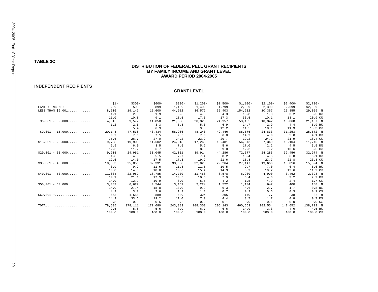#### **TABLE 3C**

#### **DISTRIBUTION OF FEDERAL PELL GRANT RECIPIENTS BY FAMILY INCOME AND GRANT LEVEL AWARD PERIOD 2004-2005**

#### **INDEPENDENT RECIPIENTS**

#### **GRANT LEVEL**

|                     | $$1-$  | $$300-$ | $$600-$ | $$900-$ | $$1,200-$ | $$1,500-$ | $$1,800-$ | $$2,100-$ | $$2,400-$ | $$2,700-$          |
|---------------------|--------|---------|---------|---------|-----------|-----------|-----------|-----------|-----------|--------------------|
| FAMILY INCOME:      | 299    | 599     | 899     | 1,199   | 1,499     | 1,799     | 2,099     | 2,399     | 2,699     | \$2,999            |
| LESS THAN \$6,001   | 8,616  | 19,147  | 15,600  | 44,982  | 36,572    | 35,403    | 154,232   | 10,367    | 25,855    | 29,059 N           |
|                     | 1.1    | 2.3     | 1.9     | 5.5     | 4.5       | 4.3       | 18.8      | 1.3       | 3.2       | 3.5 R <sup>8</sup> |
|                     | 11.0   | 10.8    | 9.1     | 18.5    | 17.6      | 17.3      | 33.5      | 10.1      | 18.1      | 20.9C              |
| $$6.001 -$<br>9,000 | 4,315  | 9.577   | 11,850  | 21,038  | 20,320    | 24,957    | 53,185    | 10,342    | 16,068    | $21,167$ N         |
|                     | 1.2    | 2.6     | 3.3     | 5.8     | 5.6       | 6.9       | 14.7      | 2.9       | 4.4       | 5.9 R%             |
|                     | 5.5    | 5.4     | 6.9     | 8.6     | 9.8       | 12.2      | 11.5      | 10.1      | 11.3      | 15.3 C%            |
| $$9,001 - 15,000$   | 20,148 | 47,538  | 46,434  | 58,986  | 48,240    | 42,446    | 88,575    | 24,833    | 31,253    | 25,572 N           |
|                     | 3.2    | 7.6     | 7.5     | 9.5     | 7.8       | 6.8       | 14.2      | 4.0       | 5.0       | 4.1 R%             |
|                     | 25.6   | 26.7    | 27.0    | 24.2    | 23.2      | 20.7      | 19.2      | 24.2      | 21.9      | 18.4 C%            |
| $$15.001 - 20.000$  | 9,708  | 19,906  | 11,602  | 24,918  | 17,263    | 18,481    | 56,543    | 7,349     | 15,104    | 11,745 N           |
|                     | 2.9    | 6.0     | 3.5     | 7.5     | 5.2       | 5.6       | 17.0      | 2.2       | 4.5       | 3.5 R              |
|                     | 12.3   | 11.2    | 6.7     | 10.2    | 8.3       | 9.0       | 12.3      | 7.2       | 10.6      | 8.5 C%             |
| $$20,001 - 30,000$  | 9,915  | 24,951  | 30,045  | 42,001  | 39,914    | 44,286    | 72,677    | 24,283    | 32,456    | 32,974 N           |
|                     | 1.8    | 4.6     | 5.5     | 7.7     | 7.4       | 8.2       | 13.4      | 4.5       | 6.0       | 6.1 R              |
|                     | 12.6   | 14.0    | 17.5    | 17.3    | 19.2      | 21.6      | 15.8      | 23.7      | 22.8      | 23.8 C%            |
| $$30.001 - 40.000$  | 10,853 | 25,856  | 32,331  | 33,088  | 32,028    | 29,264    | 27,147    | 19,666    | 18,016    | 15,594 N           |
|                     | 3.9    | 9.2     | 11.6    | 11.8    | 11.5      | 10.5      | 9.7       | 7.0       | 6.4       | 5.6 R%             |
|                     | 13.8   | 14.5    | 18.8    | 13.6    | 15.4      | 14.3      | 5.9       | 19.2      | 12.6      | 11.2 C%            |
| $$40,001 - 50,000$  | 11,034 | 22,952  | 18,785  | 14,700  | 11,468    | 8,578     | 6,930     | 4,990     | 3,462     | 2,398 N            |
|                     | 10.1   | 21.1    | 17.3    | 13.5    | 10.5      | 7.9       | 6.4       | 4.6       | 3.2       | 2.2 R              |
|                     | 14.0   | 12.9    | 10.9    | 6.0     | 5.5       | 4.2       | 1.5       | 4.9       | 2.4       | 1.7 C%             |
| $$50.001 - 60.000$  | 3,383  | 6.629   | 4.544   | 3,161   | 2,224     | 1.522     | 1,104     | 647       | 400       | 188 N              |
|                     | 14.0   | 27.4    | 18.8    | 13.0    | 9.2       | 6.3       | 4.6       | 2.7       | 1.7       | 0.8 R              |
|                     | 4.3    | 3.7     | 2.6     | 1.3     | 1.1       | 0.7       | 0.2       | 0.6       | 0.3       | 0.1 <sup>c</sup>   |
| $$60,001$ +         | 663    | 1,555   | 889     | 509     | 324       | 206       | 170       | 77        | 38        | 32 N               |
|                     | 14.3   | 33.6    | 19.2    | 11.0    | 7.0       | 4.4       | 3.7       | 1.7       | 0.8       | $0.7 R$ %          |
|                     | 0.8    | 0.9     | 0.5     | 0.2     | 0.2       | 0.1       | 0.0       | 0.1       | 0.0       | 0.0C               |
| TOTAL               | 78,635 | 178,111 | 172,080 | 243,383 | 208,353   | 205,143   | 460,563   | 102,554   | 142,652   | 138,729 N          |
|                     | 2.5    | 5.8     | 5.6     | 7.9     | 6.7       | 6.6       | 14.9      | 3.3       | 4.6       | 4.5 R%             |
|                     | 100.0  | 100.0   | 100.0   | 100.0   | 100.0     | 100.0     | 100.0     | 100.0     | 100.0     | 100.0 C%           |

59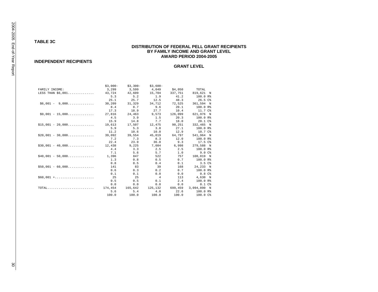#### **TABLE 3C**

#### **DISTRIBUTION OF FEDERAL PELL GRANT RECIPIENTS BY FAMILY INCOME AND GRANT LEVEL AWARD PERIOD 2004-2005**

#### **INDEPENDENT RECIPIENTS**

|                    | $$3.000-$            | $$3,300-$   | $$3.600-$      |         |                     |
|--------------------|----------------------|-------------|----------------|---------|---------------------|
| FAMILY INCOME:     | 3,299                | 3,599 4,049 |                | \$4,050 | TOTAL               |
| LESS THAN \$6,001  | 43,724 42,609 15,704 |             |                | 337,751 | 819,621 N           |
|                    | 5.3                  | 5.2         | 1.9            | 41.2    | 100.0 R%            |
|                    | 25.1                 | 25.7        | 12.5           | 48.3    | 26.5 C%             |
| $$6,001 - 9,000$   | 30,209               | 31,329      | 34,712         | 72,525  | 361,594 N           |
|                    | 8.4                  | 8.7         | 9.6            | 20.1    | 100.0 R%            |
|                    | 17.3                 | 18.9        | 27.7           | 10.4    | 11.7 C%             |
| $$9,001 - 15,000$  | 27,816               | 24,463      | 9,573          | 126,099 | 621,976 N           |
|                    | 4.5                  | 3.9         | 1.5            | 20.3    | 100.0 R%            |
|                    | 15.9                 | 14.8        | 7.7            | 18.0    | 20.1C <sup>8</sup>  |
| $$15,001 - 20,000$ | 19,613               | 17,507      | 12,475         | 90,251  | 332,465 N           |
|                    | 5.9                  | 5.3         | 3.8            | 27.1    | 100.0 R%            |
|                    | 11.2                 | 10.6        | 10.0           | 12.9    | 10.7 C%             |
| $$20,001 - 30,000$ | 39,092               | 39,554      | 45,019         | 64.797  | 541,964 N           |
|                    | 7.2                  | 7.3         | 8.3            | 12.0    | 100.0 R%            |
|                    | 22.4                 | 23.9        | 36.0           | 9.3     | 17.5 C%             |
| $$30,001 - 40,000$ | 12,438               | 9,225       | 7,084          | 6,998   | 279,588 N           |
|                    | 4.4                  | 3.3         | 2.5            | 2.5     | 100.0 R%            |
|                    | 7.1                  | 5.6         | 5.7            | 1.0     | $9.0 \, \text{C}$ & |
| $$40,001 - 50,000$ | 1,396                | 847         | 522            | 757     | 108,819 N           |
|                    | 1.3                  | 0.8         | 0.5            | 0.7     | 100.0 R%            |
|                    | 0.8                  | 0.5         | 0.4            | 0.1     | 3.5C                |
| $$50,001 - 60,000$ | 141                  | 83          | 39             | 168     | 24,233 N            |
|                    | 0.6                  | 0.3         | 0.2            | 0.7     | $100.0 R$ %         |
|                    | 0.1                  | 0.1         | 0.0            | 0.0     | $0.8 \, \text{C}$ & |
| $$60,001$ +        | 25                   | 25          | $\overline{4}$ | 113     | 4,630 N             |
|                    | 0.5                  | 0.5         | 0.1            | 2.4     | 100.0 R%            |
|                    | 0.0                  | 0.0         | 0.0            | 0.0     | $0.1 \, \text{C}$ & |
| $\texttt{TOTAL}$   | 174,454              | 165,642     | 125,132        | 699,459 | 3,094,890 N         |
|                    | 5.6                  | 5.4         | 4.0            | 22.6    | 100.0 R%            |
|                    | 100.0                | 100.0       | 100.0          | 100.0   | 100.0C              |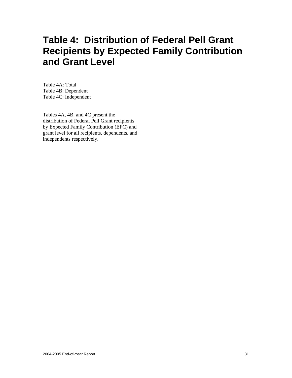# **Table 4: Distribution of Federal Pell Grant Recipients by Expected Family Contribution and Grant Level**

Table 4A: Total Table 4B: Dependent Table 4C: Independent

Tables 4A, 4B, and 4C present the distribution of Federal Pell Grant recipients by Expected Family Contribution (EFC) and grant level for all recipients, dependents, and independents respectively.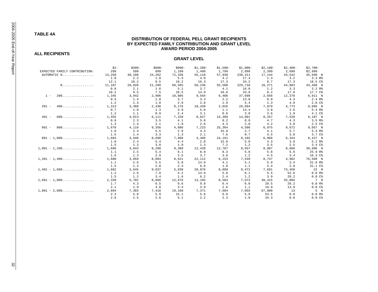# **TABLE 4A**

#### **DISTRIBUTION OF FEDERAL PELL GRANT RECIPIENTS BY EXPECTED FAMILY CONTRIBUTION AND GRANT LEVEL AWARD PERIOD 2004-2005**

#### **ALL RECIPIENTS**

|                                                    | $$1-$  | $$300-$ | $$600-$ | $$900-$ | $$1,200-$ | $$1.500-$ | $$1.800-$ | $$2,100-$ | $$2.400-$ | $$2,700-$          |
|----------------------------------------------------|--------|---------|---------|---------|-----------|-----------|-----------|-----------|-----------|--------------------|
| EXPECTED FAMILY CONTRIBUTION:                      | 299    | 599     | 899     | 1,199   | 1,499     | 1,799     | 2,099     | 2,399     | 2,699     | \$2,999            |
| AUTOMATIC 0                                        | 13,258 | 30,108  | 24,262  | 72,336  | 55,118    | 57,930    | 238,311   | 17,144    | 43,542    | 45,560 N           |
|                                                    | 1.0    | 2.2     | 1.8     | 5.3     | 4.0       | 4.2       | 17.4      | 1.3       | 3.2       | 3.3 R <sup>8</sup> |
|                                                    | 12.1   | 10.2    | 8.5     | 19.2    | 16.3      | 17.3      | 34.2      | 8.7       | 17.3      | 18.5 C%            |
| 0.                                                 | 11,107 | 28,020  | 21,299  | 69,565  | 50,236    | 55,508    | 229,710   | 16,271    | 44,883    | 43,468 N           |
|                                                    | 0.8    | 2.1     | 1.6     | 5.1     | 3.7       | 4.1       | 16.8      | 1.2       | 3.3       | 3.2 R              |
|                                                    | 10.2   | 9.5     | 7.5     | 18.5    | 14.9      | 16.6      | 33.0      | 8.2       | 17.9      | 17.7 C%            |
| 200<br>$1 -$                                       | 1,345  | 3,942   | 2,906   | 10,805  | 9,564     | 6,406     | 37,698    | 2,656     | 12,378    | 6,911 N            |
|                                                    | 0.5    | 1.4     | 1.0     | 3.7     | 3.3       | 2.2       | 13.0      | 0.9       | 4.3       | 2.4 R              |
|                                                    | 1.2    | 1.3     | 1.0     | 2.9     | 2.8       | 1.9       | 5.4       | 1.3       | 4.9       | 2.8C%              |
| $201 -$<br>400.                                    | 1,313  | 3,368   | 2.438   | 9,176   | 10,420    | 2,026     | 26,694    | 7,079     | 4,773     | 9,995 N            |
|                                                    | 0.7    | 1.8     | 1.3     | 4.9     | 5.6       | 1.1       | 14.4      | 3.8       | 2.6       | 5.4 R%             |
|                                                    | 1.2    | 1.1     | 0.9     | 2.4     | 3.1       | 0.6       | 3.8       | 3.6       | 1.9       | 4.1 C%             |
| $401 -$                                            | 1,455  | 4,013   | 6.111   | 7,158   | 8,827     | 14,360    | 14,091    | 8,257     | 7,520     | 6,107 N            |
|                                                    | 0.8    | 2.3     | 3.5     | 4.1     | 5.0       | 8.2       | 8.0       | 4.7       | 4.3       | 3.5 R              |
|                                                    | 1.3    | 1.4     | 2.1     | 1.9     | 2.6       | 4.3       | 2.0       | 4.2       | 3.0       | 2.5C%              |
| 800<br>$601 -$                                     | 1,678  | 4,119   | 9,356   | 4,886   | 7.223     | 25,364    | 4,586     | 6,975     | 9,672     | 9,057 N            |
|                                                    | 1.0    | 2.4     | 5.5     | 2.9     | 4.3       | 15.0      | 2.7       | 4.1       | 5.7       | 5.3 R%             |
|                                                    | 1.5    | 1.4     | 3.3     | 1.3     | 2.1       | 7.6       | 0.7       | 3.5       | 3.8       | 3.7C <sub>8</sub>  |
| $801 - 1.000$                                      | 1,683  | 3,948   | 8,690   | 7,088   | 4.466     | 24,191    | 8,102     | 6,868     | 6,344     | 8,427 N            |
|                                                    | 1.0    | 2.4     | 5.4     | 4.4     | 2.8       | 15.0      | 5.0       | 4.3       | 3.9       | 5.2 R%             |
|                                                    | 1.5    | 1.3     | 3.0     | 1.9     | 1.3       | 7.2       | 1.2       | 3.5       | 2.5       | 3.4C%              |
| $1.001 - 1.200$                                    | 1,696  | 3,843   | 8,280   | 9,389   | 12,420    | 12,787    | 8,657     | 8,887     | 8,660     | 39,996 N           |
|                                                    | 1.1    | 2.5     | 5.4     | 6.1     | 8.0       | 8.3       | 5.6       | 5.8       | 5.6       | 25.9 R%            |
|                                                    | 1.6    | 1.3     | 2.9     | 2.5     | 3.7       | 3.8       | 1.2       | 4.5       | 3.4       | 16.3 C%            |
| $1,201 - 1,400$                                    | 1,680  | 3,859   | 8,084   | 8,621   | 22,112    | 6,153     | 7,549     | 8,747     | 4,982     | 76,509 N           |
|                                                    | 1.1    | 2.6     | 5.5     | 5.8     | 14.9      | 4.1       | 5.1       | 5.9       | 3.4       | 51.6 R%            |
|                                                    | 1.5    | 1.3     | 2.8     | 2.3     | 6.6       | 1.8       | 1.1       | 4.4       | 2.0       | 31.1 C%            |
| $1.401 - 1.600$                                    | 1,682  | 3.645   | 9.837   | 5,938   | 20,876    | 8,099     | 8,472     | 7,691     | 73,458    | 22 N               |
|                                                    | 1.2    | 2.6     | 7.0     | 4.2     | 14.9      | 5.8       | 6.1       | 5.5       | 52.6      | 0.0 R              |
|                                                    | 1.5    | 1.2     | 3.4     | 1.6     | 6.2       | 2.4       | 1.2       | 3.9       | 29.2      | $0.0 C$ %          |
| $1,601 - 1,800 \ldots \ldots \ldots \ldots$        | 2,339  | 5,702   | 8,668   | 12,876  | 13,165    | 8,583     | 7,972     | 39,415    | 35,004    | 7 N                |
|                                                    | 1.7    | 4.3     | 6.5     | 9.6     | 9.8       | 6.4       | 6.0       | 29.5      | 26.2      | 0.0 R              |
|                                                    | 2.1    | 1.9     | 3.0     | 3.4     | 3.9       | 2.6       | 1.1       | 19.9      | 13.9      | $0.0 C$ %          |
| $1,801 - 2,000 \ldots \ldots \ldots \ldots \ldots$ | 2,894  | 7,303   | 7,418   | 19,160  | 7,371     | 7,604     | 7,055     | 67,808    | 13        | 5 N                |
|                                                    | 2.3    | 5.8     | 5.9     | 15.1    | 5.8       | 6.0       | 5.6       | 53.5      | 0.0       | 0.0 R              |
|                                                    | 2.6    | 2.5     | 2.6     | 5.1     | 2.2       | 2.3       | 1.0       | 34.3      | 0.0       | 0.0C               |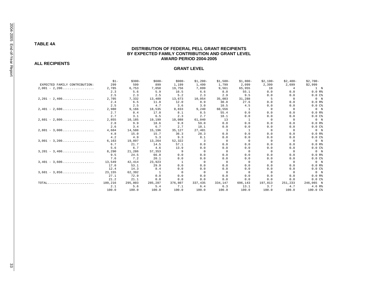#### **TABLE 4A**

#### **DISTRIBUTION OF FEDERAL PELL GRANT RECIPIENTS BY EXPECTED FAMILY CONTRIBUTION AND GRANT LEVEL AWARD PERIOD 2004-2005**

#### **ALL RECIPIENTS**

|                                                    | $$1-$   | $$300-$ | $$600-$      | $$900-$  | $$1,200-$ | $$1,500-$ | $$1,800-$ | $$2,100-$ | $$2,400-$ | $$2,700-$ |
|----------------------------------------------------|---------|---------|--------------|----------|-----------|-----------|-----------|-----------|-----------|-----------|
| EXPECTED FAMILY CONTRIBUTION:                      | 299     | 599     | 899          | 1,199    | 1,499     | 1,799     | 2,099     | 2,399     | 2,699     | \$2,999   |
| $2,001 - 2,200$                                    | 2,785   | 6,753   | 7.058        | 19,756   | 7.899     | 9,561     | 65,955    | 10        | 4         | $1 \tN$   |
|                                                    | 2.3     | 5.6     | 5.9          | 16.5     | 6.6       | 8.0       | 55.1      | 0.0       | 0.0       | 0.0 R     |
|                                                    | 2.5     | 2.3     | 2.5          | 5.2      | 2.3       | 2.9       | 9.5       | 0.0       | 0.0       | 0.0C      |
| $2,201 - 2,400 \ldots \ldots \ldots \ldots \ldots$ | 2,705   | 7.332   | 13,409       | 13,673   | 10,054    | 35,003    | 31,288    | .5        | $\Omega$  | 0 N       |
|                                                    | 2.4     | 6.5     | 11.8         | 12.0     | 8.9       | 30.8      | 27.6      | 0.0       | 0.0       | 0.0 R     |
|                                                    | 2.5     | 2.5     | 4.7          | 3.6      | 3.0       | 10.5      | 4.5       | 0.0       | 0.0       | 0.0C      |
| $2,401 - 2,600$                                    | 2,980   | 9,166   | 18,535       | 8,833    | 9,240     | 60,556    |           | $\Omega$  | $\Omega$  | 0 N       |
|                                                    | 2.7     | 8.4     | 17.0         | 8.1      | 8.5       | 55.4      | 0.0       | 0.0       | 0.0       | 0.0 R     |
|                                                    | 2.7     | 3.1     | 6.5          | 2.3      | 2.7       | 18.1      | 0.0       | 0.0       | 0.0       | 0.0C      |
| $2,601 - 2,800$                                    | 2,855   | 10,185  | 19,199       | 10,088   | 61,040    | 13        |           | $\Omega$  | $\Omega$  | 0 N       |
|                                                    | 2.8     | 9.9     | 18.6         | 9.8      | 59.0      | 0.0       | 0.0       | 0.0       | 0.0       | 0.0 R     |
|                                                    | 2.6     | 3.4     | 6.7          | 2.7      | 18.1      | 0.0       | 0.0       | 0.0       | 0.0       | 0.0C      |
| $2.801 - 3.000$                                    | 4,604   | 14,508  | 15,196       | 35,127   | 27,401    | 3         |           | $\Omega$  | $\Omega$  | 0 N       |
|                                                    | 4.8     | 15.0    | 15.7         | 36.3     | 28.3      | 0.0       | 0.0       | 0.0       | 0.0       | 0.0 R     |
|                                                    | 4.2     | 4.9     | 5.3          | 9.3      | 8.1       | 0.0       | 0.0       | 0.0       | 0.0       | 0.0C      |
| $3,001 - 3,200$                                    | 6,163   | 19,897  | 13,264       | 52,322   |           | $\Omega$  | $\Omega$  | $\Omega$  |           | 0 N       |
|                                                    | 6.7     | 21.7    | 14.5         | 57.1     | 0.0       | 0.0       | 0.0       | 0.0       | 0.0       | 0.0 R     |
|                                                    | 5.6     | 6.7     | 4.6          | 13.9     | 0.0       | 0.0       | 0.0       | 0.0       | 0.0       | 0.0C      |
| $3,201 - 3,400$                                    | 8,290   | 21,286  | 57,353       | 9        | $\Omega$  | $\Omega$  | $\Omega$  | $\Omega$  | $\Omega$  | 0 N       |
|                                                    | 9.5     | 24.5    | 66.0         | 0.0      | 0.0       | 0.0       | 0.0       | 0.0       | 0.0       | 0.0 R     |
|                                                    | 7.6     | 7.2     | 20.1         | 0.0      | 0.0       | 0.0       | 0.0       | 0.0       | 0.0       | 0.0C      |
| $3,401 - 3,600 \ldots \ldots \ldots \ldots \ldots$ | 13,549  | 42,414  | 23,923       | -1       | $\Omega$  | $\Omega$  | $\Omega$  | $\Omega$  |           | 0 N       |
|                                                    | 17.0    | 53.1    | 29.9         | 0.0      | 0.0       | 0.0       | 0.0       | 0.0       | 0.0       | 0.0 R     |
|                                                    | 12.4    | 14.3    | 8.4          | 0.0      | 0.0       | 0.0       | 0.0       | 0.0       | 0.0       | 0.0C      |
| $3,601 - 3,850$                                    | 23,155  | 62,392  | $\mathbf{1}$ | $\Omega$ | $\Omega$  | $\Omega$  | $\Omega$  | $\Omega$  | $\Omega$  | 0 N       |
|                                                    | 27.1    | 72.9    | 0.0          | 0.0      | 0.0       | 0.0       | 0.0       | 0.0       | 0.0       | 0.0 R     |
|                                                    | 21.2    | 21.1    | 0.0          | 0.0      | 0.0       | 0.0       | 0.0       | 0.0       | 0.0       | 0.0C      |
| TOTAL                                              | 109,216 | 295,803 | 285,287      | 376,807  | 337,435   | 334,147   | 696,143   | 197,813   | 251,233   | 246,065 N |
|                                                    | 2.1     | 5.6     | 5.4          | 7.1      | 6.4       | 6.3       | 13.1      | 3.7       | 4.7       | 4.6 R%    |
|                                                    | 100.0   | 100.0   | 100.0        | 100.0    | 100.0     | 100.0     | 100.0     | 100.0     | 100.0     | 100.0 C%  |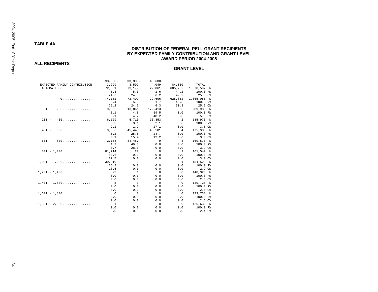**ALL RECIPIENTS** 

|                               | $$3,000-$      | $$3,300-$      | $$3,600-$                |                          |                               |
|-------------------------------|----------------|----------------|--------------------------|--------------------------|-------------------------------|
| EXPECTED FAMILY CONTRIBUTION: | 3,299 3,599    |                | 4,049                    | \$4,050                  | TOTAL                         |
| AUTOMATIC 0                   | 72,501         | 73,179         | 22,061                   | 605,282                  | 1,370,592 N                   |
|                               | 5.3            | 5.3            | 1.6                      | 44.2                     | 100.0 R%                      |
|                               | 24.6           | 24.8           | 6.2                      | 49.2                     | 25.8 C%                       |
| 0.                            | 74,151         | 72,409         | 22,606                   | 625,852                  | 1,365,085 N                   |
|                               | 5.4            | 5.3            | 1.7                      | 45.8                     | 100.0 R%                      |
|                               | 25.2           | 24.5           | 6.3                      | 50.8                     | 25.7 C%                       |
| $1 - 200$                     | 9,092          | 13,861         | 172,413                  | $\overline{\phantom{a}}$ | 289,980 N                     |
|                               | 3.1            | 4.8            | 59.5                     | 0.0                      | 100.0 R%                      |
|                               | 3.1            | 4.7            | 48.2                     | 0.0                      | 5.5 C%                        |
| $201 - 400$                   | 6,129          | 5,710          | 96,853                   | $\overline{2}$           | 185,976 N                     |
|                               | 3.3            | 3.1            | 52.1                     | 0.0                      | 100.0 R%                      |
|                               | 2.1            | 1.9            | 27.1                     | 0.0                      | 3.5C <sup>8</sup>             |
| $401 - 600$                   | 9,086          | 45,445         | 43,501                   | $\overline{4}$           | 175,935 N                     |
|                               | 5.2            | 25.8           | 24.7                     | 0.0                      | 100.0 R%                      |
|                               | 3.1            | 15.4           | 12.2                     | 0.0                      | 3.3C%                         |
| $601 - 800$                   | 2,158          | 84,487         | 9                        | $\overline{\mathbf{3}}$  | 169,573 N                     |
|                               | 1.3            | 49.8           | 0.0                      | 0.0                      | 100.0 R%                      |
|                               | 0.7            | 28.6           | 0.0                      | 0.0                      | $3.2 \text{ }C\text{*}$       |
| $801 - 1.000$                 | 81,714         | 27             | $\overline{0}$           | $\overline{1}$           | 161,549 N                     |
|                               | 50.6           | 0.0            | 0.0                      | 0.0                      | 100.0 R%                      |
|                               | 27.7           | 0.0            | 0.0                      | 0.0                      | $3.0 \text{ } \text{ }^\circ$ |
| $1.001 - 1.200$               | 39,910         | $\overline{2}$ | $\overline{1}$           | $\overline{1}$           | 154,529 N                     |
|                               | 25.8           | 0.0            | 0.0                      | 0.0                      | 100.0 R%                      |
|                               | 13.5           | 0.0            | 0.0                      | 0.0                      | 2.9 C &                       |
| $1.201 - 1.400$               | 23             | $\overline{1}$ | $\overline{0}$           | $\overline{0}$           | 148,320 N                     |
|                               | 0.0            | 0.0            | 0.0                      | 0.0                      | 100.0 R%                      |
|                               | 0.0            | 0.0            | 0.0                      | 0.0                      | $2.8$ $C8$                    |
| $1,401 - 1,600$               | $-5$           | $\Omega$       | $\overline{0}$           | $\overline{0}$           | 139,725 N                     |
|                               | 0.0            | 0.0            | 0.0                      | 0.0                      | 100.0 R%                      |
|                               | 0.0            | 0.0            | 0.0                      | 0.0                      | 2.6C                          |
| $1,601 - 1,800$               | $\overline{0}$ | $\Omega$       | $\overline{\phantom{0}}$ | $\overline{0}$           | 133,731 N                     |
|                               | 0.0            | 0.0            | 0.0                      | 0.0                      | 100.0 R%                      |
|                               | 0.0            | 0.0            | 0.0                      | 0.0                      | 2.5 C &                       |
| $1.801 - 2.000$               | $\overline{1}$ | $\overline{0}$ | $\overline{\phantom{0}}$ | $\overline{0}$           | 126,632 N                     |
|                               | 0.0            | 0.0            | 0.0                      | 0.0                      | 100.0 R%                      |
|                               | 0.0            | 0.0            | 0.0                      | 0.0                      | 2.4C <sup>8</sup>             |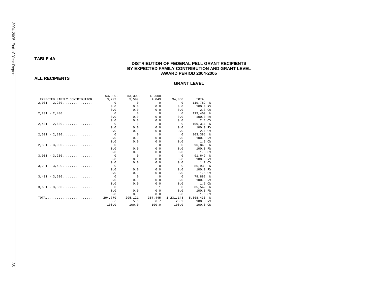#### **ALL RECIPIENTS**

|                                                                  | $$3.000-$      | $$3,300-$      | $$3.600-$                |                |                   |
|------------------------------------------------------------------|----------------|----------------|--------------------------|----------------|-------------------|
| EXPECTED FAMILY CONTRIBUTION:                                    | 3,299          | 3,599 4,049    |                          | \$4,050        | TOTAL             |
| $2,001 - 2,200 \ldots \ldots \ldots \ldots \ldots$               | $\overline{0}$ | $\overline{0}$ | $\overline{0}$           | $\overline{0}$ | 119,782 N         |
|                                                                  | 0.0            | 0.0            | 0.0                      | 0.0            | 100.0 R%          |
|                                                                  | 0.0            | 0.0            | 0.0                      | 0.0            | 2.3 C &           |
| $2,201 - 2,400$                                                  | $\overline{0}$ | $\bigcirc$     | $\overline{0}$           | $\overline{0}$ | 113,469 N         |
|                                                                  | 0.0            | 0.0            | 0.0                      | 0.0            | 100.0 R%          |
|                                                                  | 0.0            | 0.0            | 0.0                      | 0.0            | 2.1C <sup>8</sup> |
| $2,401 - 2,600$                                                  | $\overline{0}$ | $\sim$ 0       | $\overline{0}$           | $\overline{0}$ | 109,311 N         |
|                                                                  | 0.0            | 0.0            | 0.0                      | 0.0            | 100.0 R%          |
|                                                                  | 0.0            | 0.0            | 0.0                      | 0.0            | 2.1 <sup>c</sup>  |
| $2,601 - 2,800$                                                  | $\overline{0}$ | $\bigcirc$     | $\overline{\phantom{0}}$ | $\overline{0}$ | 103,381 N         |
|                                                                  | 0.0            | 0.0            | 0.0                      | 0.0            | 100.0 R%          |
|                                                                  | 0.0            | 0.0            | 0.0                      | 0.0            | 1.9C%             |
| $2.801 - 3.000$                                                  | $\overline{0}$ | $\bigcirc$     | $\overline{0}$           | $\overline{0}$ | 96,840 N          |
|                                                                  | 0.0            | 0.0            | 0.0                      | 0.0            | 100.0 R%          |
|                                                                  | 0.0            | 0.0            | 0.0                      | 0.0            | 1.8C <sup>8</sup> |
| $3,001 - 3,200$                                                  | $\overline{0}$ | $\bigcirc$     | $\overline{0}$           | $\overline{0}$ | 91,649 N          |
|                                                                  | 0.0            | 0.0            | 0.0                      | 0.0            | 100.0 R%          |
|                                                                  | 0.0            | 0.0            | 0.0                      | 0.0            | 1.7 C%            |
| $3,201 - 3,400$                                                  | $\Omega$       | $\Omega$       | $\overline{0}$           | $\Omega$       | 86,938 N          |
|                                                                  | 0.0            | 0.0            | 0.0                      | 0.0            | 100.0 R%          |
|                                                                  | 0.0            | 0.0            | 0.0                      | 0.0            | 1.6C <sup>8</sup> |
| $3,401 - 3,600$                                                  | $\overline{0}$ | $\bigcirc$     | $\overline{0}$           | $\overline{0}$ | 79.887 N          |
|                                                                  | 0.0            | 0.0            | 0.0                      | 0.0            | 100.0 R%          |
|                                                                  | 0.0            | 0.0            | 0.0                      | 0.0            | 1.5C <sup>8</sup> |
| $3,601 - 3,850$                                                  | $\overline{0}$ | $\Omega$       | $\overline{1}$           | $\circ$        | 85.549 N          |
|                                                                  | 0.0            | 0.0            | 0.0                      | 0.0            | 100.0 R%          |
|                                                                  | 0.0            | 0.0            | 0.0                      | 0.0            | 1.6C <sup>8</sup> |
| $\texttt{TOTAL} \dots \dots \dots \dots \dots \dots \dots \dots$ | 294,770        | 295,121        | 357.445                  | 1,231,148      | 5,308,433 N       |
|                                                                  | 5.6            | 5.6            | 6.7                      | 23.2           | 100.0 R%          |
|                                                                  | 100.0          | 100.0          | 100.0                    | 100.0          | 100.0 C%          |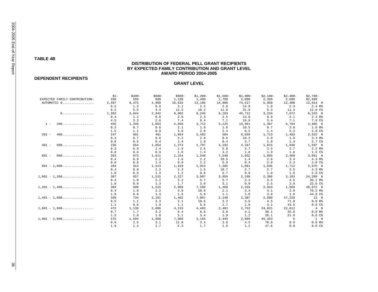#### **DEPENDENT RECIPIENTS**

|                                                    | $$1-$ | $$300-$ | $$600-$ | $$900-$ | $$1,200-$ | $$1,500-$ | $$1,800-$ | $$2,100-$ | $$2,400-$ | $$2,700-$          |
|----------------------------------------------------|-------|---------|---------|---------|-----------|-----------|-----------|-----------|-----------|--------------------|
| EXPECTED FAMILY CONTRIBUTION:                      | 299   | 599     | 899     | 1,199   | 1,499     | 1,799     | 2,099     | 2,399     | 2,699     | \$2,999            |
| AUTOMATIC 0                                        | 2,497 | 6,475   | 4,969   | 16,632  | 13,166    | 14,986    | 74,517    | 5,058     | 12,400    | 12,914 N           |
|                                                    | 0.5   | 1.2     | 0.9     | 3.1     | 2.5       | 2.8       | 14.0      | 1.0       | 2.3       | 2.4 R              |
|                                                    | 8.2   | 5.5     | 4.4     | 12.5    | 10.2      | 11.6      | 31.6      | 5.3       | 11.4      | 12.0 C%            |
| 0.                                                 | 1,362 | 3,844   | 2,942   | 9,902   | 8,249     | 9,103     | 46,712    | 3,234     | 7,672     | 8,533 N            |
|                                                    | 0.4   | 1.1     | 0.8     | 2.8     | 2.3       | 2.5       | 13.0      | 0.9       | 2.1       | 2.4 R              |
|                                                    | 4.5   | 3.3     | 2.6     | 7.4     | 6.4       | 7.1       | 19.8      | 3.4       | 7.1       | 7.9 C%             |
| 200<br>$1 -$                                       | 455   | 1,346   | 1,053   | 4,058   | 3,713     | 3,125     | 19,961    | 1,307     | 5,784     | 2,985 N            |
|                                                    | 0.2   | 0.7     | 0.6     | 2.1     | 1.9       | 1.6       | 10.5      | 0.7       | 3.0       | 1.6 R%             |
|                                                    | 1.5   | 1.1     | 0.9     | 3.0     | 2.9       | 2.4       | 8.5       | 1.4       | 5.3       | 2.8C               |
| $201 -$<br>400.                                    | 247   | 601     | 491     | 1,854   | 2,462     | 504       | 8,659     | 1,713     | 1,483     | 2,922 N            |
|                                                    | 0.3   | 0.7     | 0.6     | 2.2     | 2.9       | 0.6       | 10.2      | 2.0       | 1.8       | 3.4 R              |
|                                                    | 0.8   | 0.5     | 0.4     | 1.4     | 1.9       | 0.4       | 3.7       | 1.8       | 1.4       | 2.7 C%             |
| $401 -$<br>600.                                    | 236   | 654     | 1,054   | 1,374   | 1,797     | 4,192     | 4,167     | 1,815     | 1,949     | 1,597 N            |
|                                                    | 0.3   | 0.9     | 1.4     | 1.9     | 2.5       | 5.8       | 5.7       | 2.5       | 2.7       | 2.2 R              |
|                                                    | 0.8   | 0.6     | 0.9     | 1.0     | 1.4       | 3.2       | 1.8       | 1.9       | 1.8       | 1.5C <sup>8</sup>  |
| $601 -$<br>800.                                    | 263   | 673     | 1,611   | 1,154   | 1,548     | 7,548     | 1,032     | 1,895     | 2,469     | 3,051 N            |
|                                                    | 0.4   | 0.9     | 2.2     | 1.6     | 2.2       | 10.5      | 1.4       | 2.6       | 3.4       | 4.3 R%             |
|                                                    | 0.9   | 0.6     | 1.4     | 0.9     | 1.2       | 5.9       | 0.4       | 2.0       | 2.3       | 2.8C%              |
| $801 - 1,000$                                      | 294   | 614     | 1,513   | 1,619   | 1,013     | 7,385     | 1,861     | 1,836     | 1,712     | 2,975 N            |
|                                                    | 0.4   | 0.9     | 2.2     | 2.3     | 1.5       | 10.7      | 2.7       | 2.7       | 2.5       | 4.3 R%             |
|                                                    | 1.0   | 0.5     | 1.3     | 1.2     | 0.8       | 5.7       | 0.8       | 1.9       | 1.6       | 2.8C <sup>8</sup>  |
| $1,001 - 1,200$                                    | 307   | 657     | 1,515   | 2,227   | 3,907     | 3,959     | 2,199     | 2,386     | 3,103     | 24,269 N           |
|                                                    | 0.4   | 1.0     | 2.2     | 3.2     | 5.7       | 5.7       | 3.2       | 3.5       | 4.5       | 35.1 R%            |
|                                                    | 1.0   | 0.6     | 1.3     | 1.7     | 3.0       | 3.1       | 0.9       | 2.5       | 2.9       | 22.6 C%            |
| $1,201 - 1,400$                                    | 303   | 690     | 1,515   | 2,069   | 7,266     | 1,469     | 2,318     | 2,843     | 1,959     | 48,072 N           |
|                                                    | 0.4   | 1.0     | 2.2     | 3.0     | 10.6      | 2.1       | 3.4       | 4.1       | 2.9       | 70.2 R%            |
|                                                    | 1.0   | 0.6     | 1.3     | 1.6     | 5.6       | 1.1       | 1.0       | 3.0       | 1.8       | 44.8 C%            |
| $1,401 - 1,600$                                    | 339   | 734     | 2,161   | 1,402   | 7,067     | 2,148     | 2,387     | 2,990     | 47,229    | 13 N               |
|                                                    | 0.5   | 1.1     | 3.3     | 2.1     | 10.6      | 3.2       | 3.6       | 4.5       | 71.0      | 0.0 R              |
|                                                    | 1.1   | 0.6     | 1.9     | 1.1     | 5.5       | 1.7       | 1.0       | 3.1       | 43.5      | 0.0C               |
| $1,601 - 1,800$                                    | 472   | 1,138   | 2,086   | 4,153   | 4,403     | 2,482     | 2,753     | 24,821    | 22,812    | 4 N                |
|                                                    | 0.7   | 1.7     | 3.2     | 6.4     | 6.8       | 3.8       | 4.2       | 38.1      | 35.0      | 0.0 R              |
|                                                    | 1.5   | 1.0     | 1.8     | 3.1     | 3.4       | 1.9       | 1.2       | 26.1      | 21.0      | 0.0C               |
| $1,801 - 2,000 \ldots \ldots \ldots \ldots \ldots$ | 575   | 1,594   | 1,968   | 7,060   | 2,155     | 2,445     | 2,869     | 45,353    | 6         | $1 \tN$            |
|                                                    | 0.9   | 2.5     | 3.1     | 11.0    | 3.4       | 3.8       | 4.5       | 70.8      | 0.0       | 0.0 R              |
|                                                    | 1.9   | 1.4     | 1.7     | 5.3     | 1.7       | 1.9       | 1.2       | 47.6      | 0.0       | 0.0 C <sup>8</sup> |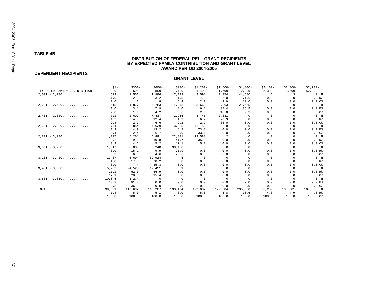#### **DEPENDENT RECIPIENTS**

|                                                                              | $$1-$  | $$300-$ | $$600-$    | $$900-$        | $$1,200-$ | $$1.500-$ | $$1.800-$ | $$2,100-$      | $$2.400-$ | $$2,700-$      |
|------------------------------------------------------------------------------|--------|---------|------------|----------------|-----------|-----------|-----------|----------------|-----------|----------------|
| EXPECTED FAMILY CONTRIBUTION:                                                | 299    | 599     | 899        | 1,199          | 1,499     | 1,799     | 2,099     | 2,399          | 2,699     | \$2,999        |
| $2,001 - 2,200 \ldots \ldots \ldots \ldots \ldots$                           | 623    | 1,552   | 1,986      | 7,179          | 2,591     | 3,754     | 44,680    | -6             | 3         | 0 <sub>N</sub> |
|                                                                              | 1.0    | 2.5     | 3.2        | 11.5           | 4.2       | 6.0       | 71.6      | 0.0            | 0.0       | 0.0 R          |
|                                                                              | 2.0    | 1.3     | 1.8        | 5.4            | 2.0       | 2.9       | 19.0      | 0.0            | 0.0       | 0.0C           |
| $2,201 - 2,400$                                                              | 615    | 1,877   | 4,783      | 4,843          | 3,662     | 23,263    | 21,465    | $\overline{2}$ | $\Omega$  | 0 N            |
|                                                                              | 1.0    | 3.1     | 7.9        | 8.0            | 6.1       | 38.4      | 35.5      | 0.0            | 0.0       | 0.0 R          |
|                                                                              | 2.0    | 1.6     | 4.2        | 3.6            | 2.8       | 18.0      | 9.1       | 0.0            | 0.0       | $0.0 C$ %      |
| $2,401 - 2,600$                                                              | 721    | 2,607   | 7,437      | 2,956          | 3,745     | 42,631    | $\Omega$  | $\Omega$       | $\Omega$  | 0 N            |
|                                                                              | 1.2    | 4.3     | 12.4       | 4.9            | 6.2       | 70.9      | 0.0       | 0.0            | 0.0       | 0.0 R          |
|                                                                              | 2.4    | 2.2     | 6.6        | 2.2            | 2.9       | 33.0      | 0.0       | 0.0            | 0.0       | 0.0C           |
| $2,601 - 2,800$                                                              | 744    | 2,854   | 7,639      | 3,925          | 42,750    | 8         | $\Omega$  | $\Omega$       | $\Omega$  | 0 N            |
|                                                                              | 1.3    | 4.9     | 13.2       | 6.8            | 73.8      | 0.0       | 0.0       | 0.0            | 0.0       | 0.0 R          |
|                                                                              | 2.4    | 2.4     | 6.7        | 2.9            | 33.1      | 0.0       | 0.0       | 0.0            | 0.0       | $0.0 C$ %      |
| $2,801 - 3,000$                                                              | 1,197  | 5,261   | 5,891      | 22,831         | 19,588    | 2         | $\Omega$  | $\Omega$       | $\Omega$  | 0 N            |
|                                                                              | 2.2    | 9.6     | 10.8       | 41.7           | 35.8      | 0.0       | 0.0       | 0.0            | 0.0       | 0.0 R          |
|                                                                              | 3.9    | 4.5     | 5.2        | 17.1           | 15.2      | 0.0       | 0.0       | 0.0            | 0.0       | 0.0C           |
| $3.001 - 3.200$                                                              | 1,617  | 8,033   | 5,248      | 38,180         | $\Omega$  | $\Omega$  | $\Omega$  | $\Omega$       | $\Omega$  | 0 N            |
|                                                                              | 3.0    | 15.1    | 9.9        | 71.9           | 0.0       | 0.0       | 0.0       | 0.0            | 0.0       | 0.0 R          |
|                                                                              | 5.3    | 6.8     | 4.6        | 28.6           | 0.0       | 0.0       | 0.0       | 0.0            | 0.0       | 0.0C           |
| $3,201 - 3,400$                                                              | 2,437  | 8,694   | 39,924     | 5              | $\Omega$  | $\Omega$  | $\Omega$  | $\Omega$       | $\Omega$  | 0 N            |
|                                                                              | 4.8    | 17.0    | 78.2       | 0.0            | 0.0       | 0.0       | 0.0       | 0.0            | 0.0       | $0.0 R$ %      |
|                                                                              | 8.0    | 7.4     | 35.3       | 0.0            | 0.0       | 0.0       | 0.0       | 0.0            | 0.0       | 0.0C           |
| $3.401 - 3.600$                                                              | 5,232  | 24,520  | 17,421     | $\overline{1}$ | $\Omega$  | $\Omega$  | $\Omega$  | $\Omega$       | $\Omega$  | 0 N            |
|                                                                              | 11.1   | 52.0    | 36.9       | 0.0            | 0.0       | 0.0       | 0.0       | 0.0            | 0.0       | 0.0 R          |
|                                                                              | 17.1   | 20.8    | 15.4       | 0.0            | 0.0       | 0.0       | 0.0       | 0.0            | 0.0       | 0.0C           |
| $3,601 - 3,850$                                                              | 10,045 | 43,274  | $^{\circ}$ | $\Omega$       | $\Omega$  | $\Omega$  | $\Omega$  | $\Omega$       | $\Omega$  | 0 N            |
|                                                                              | 18.8   | 81.2    | 0.0        | 0.0            | 0.0       | 0.0       | 0.0       | 0.0            | 0.0       | 0.0 R          |
|                                                                              | 32.8   | 36.8    | 0.0        | 0.0            | 0.0       | 0.0       | 0.0       | 0.0            | 0.0       | 0.0C           |
| $\texttt{TOTAL} \dots \dots \dots \dots \dots \dots \dots \dots \dots \dots$ | 30,581 | 117,692 | 113,207    | 133,424        | 129,082   | 129,004   | 235,580   | 95,259         | 108,581   | 107,336 N      |
|                                                                              | 1.4    | 5.3     | 5.1        | 6.0            | 5.8       | 5.8       | 10.6      | 4.3            | 4.9       | 4.8 R%         |
|                                                                              | 100.0  | 100.0   | 100.0      | 100.0          | 100.0     | 100.0     | 100.0     | 100.0          | 100.0     | 100.0 C%       |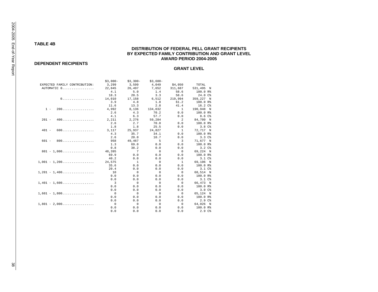#### **DEPENDENT RECIPIENTS**

|                               | $$3,000-$               | $$3,300-$       | $$3,600-$      |                |                   |
|-------------------------------|-------------------------|-----------------|----------------|----------------|-------------------|
| EXPECTED FAMILY CONTRIBUTION: | 3,299                   | 3,599           | 4,049          | \$4,050        | TOTAL             |
| AUTOMATIC 0                   | 22,045                  | 26,497          | 7,652          | 311,687        | 531,495 N         |
|                               | 4.1                     | 5.0             | 1.4            | 58.6           | 100.0 R%          |
|                               | 18.3                    | 20.5            | 3.3            | 58.6           | 24.0 C%           |
| 0.                            | 14,010                  | 17,158          | 6,512          | 219,994        | 359,227 N         |
|                               | 3.9                     | 4.8             | 1.8            | 61.2           | 100.0 R%          |
|                               | 11.6                    | 13.3            | 2.8            | 41.4           | 16.2C             |
| $1 - 200$                     | 4,992                   | 8,136           | 134,032        | $\overline{1}$ | 190,948 N         |
|                               | 2.6                     | 4.3             | 70.2           | 0.0            | 100.0 R%          |
|                               | 4.1                     | 6.3             | 57.7           | 0.0            | 8.6C <sup>8</sup> |
| $201 - 400$                   | 2,211                   | 2,276           | 59,284         | $\overline{a}$ | 84,709 N          |
|                               | 2.6                     | 2.7             | 70.0           | 0.0            | 100.0 R%          |
|                               | 1.8                     | 1.8             | 25.5           | 0.0            | $3.8\,C$ %        |
| $401 - 600$                   | 3,117                   | 25,937          | 24,827         | $\overline{1}$ | 72,717 N          |
|                               | 4.3                     | 35.7            | 34.1           | 0.0            | 100.0 R%          |
|                               | 2.6                     | 20.0            | 10.7           | 0.0            | 3.3C <sup>8</sup> |
| $601 - 800$                   | 958                     | 49,467          | 5              | 3              | 71,677 N          |
|                               | 1.3                     | 69.0            | 0.0            | 0.0            | 100.0 R%          |
|                               | 0.8                     | 38.2            | 0.0            | 0.0            | 3.2C <sub>8</sub> |
| $801 - 1.000$                 | 48,395                  | $7\overline{ }$ | $\mathbf 0$    | $\overline{0}$ | 69,224 N          |
|                               | 69.9                    | 0.0             | 0.0            | 0.0            | 100.0 R%          |
|                               | 40.2                    | 0.0             | 0.0            | 0.0            | 3.1 C%            |
| $1.001 - 1.200$               | 24,575                  | $\overline{1}$  | $\Omega$       | $\overline{1}$ | 69,106 N          |
|                               | 35.6                    | 0.0             | 0.0            | 0.0            | $100.0 R$ %       |
|                               | 20.4                    | 0.0             | 0.0            | 0.0            | 3.1 <sup>c</sup>  |
| $1,201 - 1,400$               | $\overline{10}$         | $\overline{0}$  | $\Omega$       | $\overline{0}$ | 68,514 N          |
|                               | 0.0                     | 0.0             | 0.0            | 0.0            | 100.0 R%          |
|                               | 0.0                     | 0.0             | 0.0            | 0.0            | $3.1\,C$ %        |
| $1,401 - 1,600$               | $\overline{\mathbf{3}}$ | $\bigcirc$      | $\Omega$       | $\overline{0}$ | 66,473 N          |
|                               | 0.0                     | 0.0             | 0.0            | 0.0            | 100.0 R%          |
|                               | 0.0                     | 0.0             | 0.0            | 0.0            | 3.0C              |
| $1,601 - 1,800$               | $\overline{0}$          | $\circ$         | $\Omega$       | $\Omega$       | 65,124 N          |
|                               | 0.0                     | 0.0             | 0.0            | 0.0            | 100.0 R%          |
|                               | 0.0                     | 0.0             | 0.0            | 0.0            | 2.9C              |
| $1,801 - 2,000$               | $\overline{0}$          | $\overline{0}$  | $\overline{0}$ | $\overline{0}$ | 64,026 N          |
|                               | 0.0                     | 0.0             | 0.0            | 0.0            | $100.0 R$ %       |
|                               | 0.0                     | 0.0             | 0.0            | 0.0            | 2.9C <sup>8</sup> |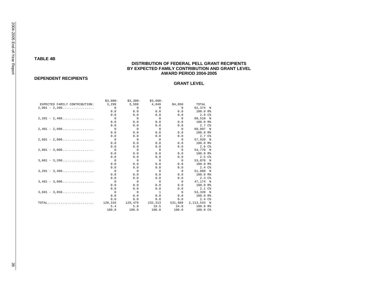#### **DEPENDENT RECIPIENTS**

|                                                    | $$3.000-$         | $$3.300-$                | $$3.600-$      |                |                    |
|----------------------------------------------------|-------------------|--------------------------|----------------|----------------|--------------------|
| EXPECTED FAMILY CONTRIBUTION:                      | 3,299 3,599 4,049 |                          |                | \$4,050        | TOTAL              |
| $2,001 - 2,200$                                    | $\sim$ 0          | $\overline{0}$           | $\overline{0}$ | $\sim$ 0       | 62,374 N           |
|                                                    | 0.0               | 0.0                      | 0.0            | 0.0            | $100.0 R$ %        |
|                                                    | 0.0               | 0.0                      | 0.0            | 0.0            | $2.8$ $C_{8}$      |
| $2.201 - 2.400$                                    | $\overline{0}$    | $\overline{0}$           | $\overline{0}$ | $\overline{0}$ | 60,510 N           |
|                                                    | 0.0               | 0.0                      | 0.0            | 0.0            | $100.0 R$ %        |
|                                                    | 0.0               | 0.0                      | 0.0            | 0.0            | 2.7 C%             |
| $2.401 - 2.600$                                    | $\overline{0}$    | $\overline{0}$           | $\overline{0}$ | $\overline{0}$ | 60.097 N           |
|                                                    | 0.0               | 0.0                      | 0.0            | 0.0            | $100.0 R$ %        |
|                                                    | 0.0               | 0.0                      | 0.0            | 0.0            | 2.7C <sub>8</sub>  |
| $2,601 - 2,800$                                    | $\overline{0}$    | $\overline{\phantom{0}}$ | $\overline{0}$ | $\overline{0}$ | 57.920 N           |
|                                                    | 0.0               | 0.0                      | 0.0            | 0.0            | $100.0 R$ %        |
|                                                    | 0.0               | 0.0                      | 0.0            | 0.0            | 2.6C               |
| $2.801 - 3.000$                                    | $\overline{0}$    | $\overline{0}$           | $\overline{0}$ | $\overline{0}$ | 54.770 N           |
|                                                    | 0.0               | 0.0                      | 0.0            | 0.0            | 100.0 R%           |
|                                                    | 0.0               | 0.0                      | 0.0            | 0.0            | 2.5C <sup>8</sup>  |
| $3,001 - 3,200$                                    | $\overline{0}$    | $\overline{0}$           | $\overline{0}$ | $\overline{0}$ | 53,078 N           |
|                                                    | 0.0               | 0.0                      | 0.0            | 0.0            | 100.0 R%           |
|                                                    | 0.0               | 0.0                      | 0.0            | 0.0            | $2.4C\$            |
| $3.201 - 3.400$                                    | $\overline{0}$    | $\overline{0}$           | $\overline{0}$ | $\overline{0}$ | 51,060 N           |
|                                                    | 0.0               | 0.0                      | 0.0            | 0.0            | 100.0 R%           |
|                                                    | 0.0               | 0.0                      | 0.0            | 0.0            | 2.3C <sub>8</sub>  |
| $3,401 - 3,600 \ldots \ldots \ldots \ldots \ldots$ | $\overline{0}$    | $\overline{0}$           | $\overline{0}$ | $\overline{0}$ | 47,174 N           |
|                                                    | 0.0               | 0.0                      | 0.0            | 0.0            | 100.0 R%           |
|                                                    | 0.0               | 0.0                      | 0.0            | 0.0            | $2.1 \text{ } C^*$ |
| $3,601 - 3,850$                                    | $\overline{0}$    | $\Omega$                 | $\overline{1}$ | $\overline{0}$ | 53,320 N           |
|                                                    | 0.0               | 0.0                      | 0.0            | 0.0            | 100.0 R%           |
|                                                    | 0.0               | 0.0                      | 0.0            | 0.0            | 2.4C <sup>8</sup>  |
| $TOTAL$                                            | 120,316           | 129,479                  | 232,313        | 531,689        | 2,213,543 N        |
|                                                    | 5.4               | 5.8                      | 10.5           | 24.0           | 100.0 R%           |
|                                                    | 100.0             | 100.0                    | 100.0          | 100.0          | 100.0 C%           |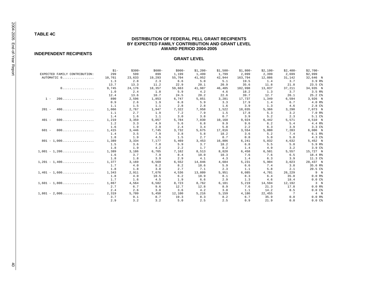## **INDEPENDENT RECIPIENTS**

#### **GRANT LEVEL**

|                                                    | $$1-$  | $$300-$ | $$600-$ | $$900-$ | $$1,200-$ | $$1,500-$ | $$1,800-$ | $$2,100-$ | $$2,400-$ | $$2,700-$          |
|----------------------------------------------------|--------|---------|---------|---------|-----------|-----------|-----------|-----------|-----------|--------------------|
| EXPECTED FAMILY CONTRIBUTION:                      | 299    | 599     | 899     | 1,199   | 1,499     | 1,799     | 2,099     | 2,399     | 2,699     | \$2,999            |
| AUTOMATIC 0                                        | 10,761 | 23,633  | 19,293  | 55,704  | 41,952    | 42,944    | 163,794   | 12,086    | 31,142    | 32,646 N           |
|                                                    | 1.3    | 2.8     | 2.3     | 6.6     | 5.0       | 5.1       | 19.5      | 1.4       | 3.7       | 3.9 R <sup>8</sup> |
|                                                    | 13.7   | 13.3    | 11.2    | 22.9    | 20.1      | 20.9      | 35.6      | 11.8      | 21.8      | 23.5 C%            |
| 0.                                                 | 9,745  | 24,176  | 18,357  | 59,663  | 41,987    | 46,405    | 182,998   | 13,037    | 37,211    | 34,935 N           |
|                                                    | 1.0    | 2.4     | 1.8     | 5.9     | 4.2       | 4.6       | 18.2      | 1.3       | 3.7       | 3.5 R <sup>8</sup> |
|                                                    | 12.4   | 13.6    | 10.7    | 24.5    | 20.2      | 22.6      | 39.7      | 12.7      | 26.1      | 25.2 C%            |
| 200<br>$1 -$                                       | 890    | 2,596   | 1,853   | 6,747   | 5,851     | 3,281     | 17,737    | 1,349     | 6,594     | 3,926 N            |
|                                                    | 0.9    | 2.6     | 1.9     | 6.8     | 5.9       | 3.3       | 17.9      | 1.4       | 6.7       | 4.0 R%             |
|                                                    | 1.1    | 1.5     | 1.1     | 2.8     | 2.8       | 1.6       | 3.9       | 1.3       | 4.6       | 2.8C               |
| 400.<br>$201 -$                                    | 1,066  | 2,767   | 1,947   | 7,322   | 7,958     | 1,522     | 18,035    | 5,366     | 3,290     | 7,073 N            |
|                                                    | 1.1    | 2.7     | 1.9     | 7.2     | 7.9       | 1.5       | 17.8      | 5.3       | 3.2       | 7.0 R%             |
|                                                    | 1.4    | 1.6     | 1.1     | 3.0     | 3.8       | 0.7       | 3.9       | 5.2       | 2.3       | 5.1 C%             |
| 600.<br>$401 -$                                    | 1,219  | 3,359   | 5,057   | 5,784   | 7,030     | 10,168    | 9,924     | 6,442     | 5,571     | 4,510 N            |
|                                                    | 1.2    | 3.3     | 4.9     | 5.6     | 6.8       | 9.9       | 9.6       | 6.2       | 5.4       | 4.4 R%             |
|                                                    | 1.6    | 1.9     | 2.9     | 2.4     | 3.4       | 5.0       | 2.2       | 6.3       | 3.9       | 3.3C <sup>8</sup>  |
| 800.<br>$601 -$                                    | 1,415  | 3,446   | 7,745   | 3,732   | 5,675     | 17,816    | 3,554     | 5,080     | 7,203     | $6,006$ N          |
|                                                    | 1.4    | 3.5     | 7.9     | 3.8     | 5.8       | 18.2      | 3.6       | 5.2       | 7.4       | 6.1 R%             |
|                                                    | 1.8    | 1.9     | 4.5     | 1.5     | 2.7       | 8.7       | 0.8       | 5.0       | 5.0       | 4.3 C%             |
| $801 - 1,000$                                      | 1,389  | 3,334   | 7,177   | 5,469   | 3,453     | 16,806    | 6,241     | 5,032     | 4,632     | 5,452 N            |
|                                                    | 1.5    | 3.6     | 7.8     | 5.9     | 3.7       | 18.2      | 6.8       | 5.5       | 5.0       | 5.9 R%             |
|                                                    | 1.8    | 1.9     | 4.2     | 2.2     | 1.7       | 8.2       | 1.4       | 4.9       | 3.2       | 3.9C%              |
| $1,001 - 1,200$                                    | 1,389  | 3,186   | 6,765   | 7,162   | 8,513     | 8,828     | 6,458     | 6,501     | 5,557     | 15,727 N           |
|                                                    | 1.6    | 3.7     | 7.9     | 8.4     | 10.0      | 10.3      | 7.6       | 7.6       | 6.5       | 18.4 R%            |
|                                                    | 1.8    | 1.8     | 3.9     | 2.9     | 4.1       | 4.3       | 1.4       | 6.3       | 3.9       | 11.3 C%            |
| $1,201 - 1,400 \ldots \ldots \ldots \ldots \ldots$ | 1,377  | 3,169   | 6,569   | 6,552   | 14,846    | 4,684     | 5,231     | 5,904     | 3,023     | 28,437 N           |
|                                                    | 1.7    | 4.0     | 8.2     | 8.2     | 18.6      | 5.9       | 6.6       | 7.4       | 3.8       | 35.6 R%            |
|                                                    | 1.8    | 1.8     | 3.8     | 2.7     | 7.1       | 2.3       | 1.1       | 5.8       | 2.1       | 20.5 C%            |
| $1,401 - 1,600 \ldots \ldots \ldots \ldots \ldots$ | 1,343  | 2,911   | 7,676   | 4,536   | 13,809    | 5,951     | 6,085     | 4,701     | 26,229    | 9 N                |
|                                                    | 1.8    | 4.0     | 10.5    | 6.2     | 18.9      | 8.1       | 8.3       | 6.4       | 35.8      | 0.0 R              |
|                                                    | 1.7    | 1.6     | 4.5     | 1.9     | 6.6       | 2.9       | 1.3       | 4.6       | 18.4      | 0.0C               |
| $1.601 - 1.800$                                    | 1,867  | 4.564   | 6,582   | 8,723   | 8,762     | 6,101     | 5,219     | 14,594    | 12,192    | 3 N                |
|                                                    | 2.7    | 6.7     | 9.6     | 12.7    | 12.8      | 8.9       | 7.6       | 21.3      | 17.8      | 0.0 R              |
|                                                    | 2.4    | 2.6     | 3.8     | 3.6     | 4.2       | 3.0       | 1.1       | 14.2      | 8.5       | $0.0 C$ %          |
| $1,801 - 2,000 \ldots \ldots \ldots \ldots \ldots$ | 2,319  | 5,709   | 5,450   | 12,100  | 5,216     | 5,159     | 4,186     | 22,455    | 7         | 4 N                |
|                                                    | 3.7    | 9.1     | 8.7     | 19.3    | 8.3       | 8.2       | 6.7       | 35.9      | 0.0       | $0.0 R$ %          |
|                                                    | 2.9    | 3.2     | 3.2     | 5.0     | 2.5       | 2.5       | 0.9       | 21.9      | 0.0       | 0.0C <sup>8</sup>  |

 $40$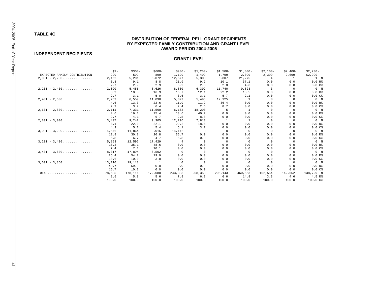# **TABLE 4C**

# **DISTRIBUTION OF FEDERAL PELL GRANT RECIPIENTS BY EXPECTED FAMILY CONTRIBUTION AND GRANT LEVEL AWARD PERIOD 2004-2005**

#### **INDEPENDENT RECIPIENTS**

#### **GRANT LEVEL**

|                               | $$1-$  | $$300-$ | $$600-$      | $$900-$  | $$1,200-$ | $$1,500-$ | $$1,800-$ | $$2,100-$      | $$2,400-$ | $$2,700-$       |
|-------------------------------|--------|---------|--------------|----------|-----------|-----------|-----------|----------------|-----------|-----------------|
| EXPECTED FAMILY CONTRIBUTION: | 299    | 599     | 899          | 1,199    | 1,499     | 1,799     | 2,099     | 2,399          | 2,699     | \$2,999         |
| $2,001 - 2,200$               | 2,162  | 5,201   | 5,072        | 12,577   | 5,308     | 5,807     | 21,275    | $\overline{4}$ | -1        | $1 \, \text{N}$ |
|                               | 3.8    | 9.1     | 8.8          | 21.9     | 9.2       | 10.1      | 37.1      | 0.0            | 0.0       | 0.0 R           |
|                               | 2.7    | 2.9     | 2.9          | 5.2      | 2.5       | 2.8       | 4.6       | 0.0            | 0.0       | $0.0 C$ %       |
| $2,201 - 2,400$               | 2,090  | 5,455   | 8,626        | 8,830    | 6,392     | 11,740    | 9,823     | 3              | $\Omega$  | 0 N             |
|                               | 3.9    | 10.3    | 16.3         | 16.7     | 12.1      | 22.2      | 18.5      | 0.0            | 0.0       | 0.0 R           |
|                               | 2.7    | 3.1     | 5.0          | 3.6      | 3.1       | 5.7       | 2.1       | 0.0            | 0.0       | 0.0C            |
| $2,401 - 2,600$               | 2,259  | 6,559   | 11,098       | 5,877    | 5,495     | 17,925    |           | $\Omega$       | $\Omega$  | 0 N             |
|                               | 4.6    | 13.3    | 22.6         | 11.9     | 11.2      | 36.4      | 0.0       | 0.0            | 0.0       | $0.0 R$ %       |
|                               | 2.9    | 3.7     | 6.4          | 2.4      | 2.6       | 8.7       | 0.0       | 0.0            | 0.0       | 0.0C            |
| $2,601 - 2,800$               | 2,111  | 7.331   | 11,560       | 6,163    | 18,290    | 5         |           | $\Omega$       | $\Omega$  | 0 N             |
|                               | 4.6    | 16.1    | 25.4         | 13.6     | 40.2      | 0.0       | 0.0       | 0.0            | 0.0       | 0.0 R           |
|                               | 2.7    | 4.1     | 6.7          | 2.5      | 8.8       | 0.0       | 0.0       | 0.0            | 0.0       | 0.0C            |
| $2.801 - 3.000$               | 3,407  | 9,247   | 9,305        | 12,296   | 7,813     | 1         |           | $\Omega$       | $\Omega$  | 0 N             |
|                               | 8.1    | 22.0    | 22.1         | 29.2     | 18.6      | 0.0       | 0.0       | 0.0            | 0.0       | 0.0 R           |
|                               | 4.3    | 5.2     | 5.4          | 5.1      | 3.7       | 0.0       | 0.0       | 0.0            | 0.0       | 0.0C            |
| $3.001 - 3.200$               | 4,546  | 11,864  | 8,016        | 14,142   | 3         | $\Omega$  | $\Omega$  | $\Omega$       | $\Omega$  | 0 N             |
|                               | 11.8   | 30.8    | 20.8         | 36.7     | 0.0       | 0.0       | 0.0       | 0.0            | 0.0       | 0.0 R           |
|                               | 5.8    | 6.7     | 4.7          | 5.8      | 0.0       | 0.0       | 0.0       | 0.0            | 0.0       | $0.0 C$ %       |
| $3,201 - 3,400$               | 5,853  | 12,592  | 17,429       | 4        | $\Omega$  | $\Omega$  | $\Omega$  | $\Omega$       | $\Omega$  | 0 N             |
|                               | 16.3   | 35.1    | 48.6         | 0.0      | 0.0       | 0.0       | 0.0       | 0.0            | 0.0       | $0.0 R$ %       |
|                               | 7.4    | 7.1     | 10.1         | 0.0      | 0.0       | 0.0       | 0.0       | 0.0            | 0.0       | 0.0C            |
| $3,401 - 3,600$               | 8,317  | 17,894  | 6,502        | $\Omega$ | $\Omega$  | $\Omega$  | $\Omega$  | $\Omega$       | $\Omega$  | 0 N             |
|                               | 25.4   | 54.7    | 19.9         | 0.0      | 0.0       | 0.0       | 0.0       | 0.0            | 0.0       | 0.0 R           |
|                               | 10.6   | 10.0    | 3.8          | 0.0      | 0.0       | 0.0       | 0.0       | 0.0            | 0.0       | 0.0C            |
| $3,601 - 3,850$               | 13,110 | 19,118  | <sup>1</sup> | $\Omega$ | $\Omega$  | $\Omega$  | $\Omega$  | $\Omega$       | $\Omega$  | 0 N             |
|                               | 40.7   | 59.3    | 0.0          | 0.0      | 0.0       | 0.0       | 0.0       | 0.0            | 0.0       | $0.0 R$ %       |
|                               | 16.7   | 10.7    | 0.0          | 0.0      | 0.0       | 0.0       | 0.0       | 0.0            | 0.0       | 0.0C            |
| TOTAL                         | 78,635 | 178,111 | 172,080      | 243,383  | 208,353   | 205,143   | 460,563   | 102,554        | 142,652   | 138,729 N       |
|                               | 2.5    | 5.8     | 5.6          | 7.9      | 6.7       | 6.6       | 14.9      | 3.3            | 4.6       | 4.5 R%          |
|                               | 100.0  | 100.0   | 100.0        | 100.0    | 100.0     | 100.0     | 100.0     | 100.0          | 100.0     | 100.0 C%        |

 $41$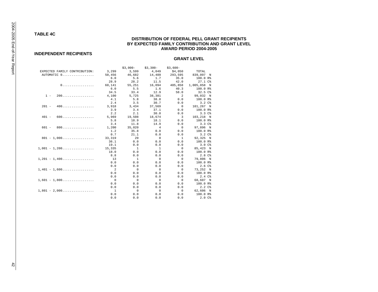# **INDEPENDENT RECIPIENTS**

|                               |                |                          | $$3.000 - $3.300 - $3.600 -$ |                |                   |
|-------------------------------|----------------|--------------------------|------------------------------|----------------|-------------------|
| EXPECTED FAMILY CONTRIBUTION: | 3,299          | $3,599$ $4,049$ $54,050$ |                              |                | TOTAL             |
| AUTOMATIC 0                   | 50,456         | 46,682                   | 14,409                       | 293,595        | 839,097 N         |
|                               | 6.0            | 5.6                      | 1.7                          | 35.0           | $100.0 R$ %       |
|                               | 28.9           | 28.2                     | 11.5                         | 42.0           | $27.1C$ $8$       |
| 0.                            | 60,141         | 55,251                   | 16,094 405,858               |                | 1,005,858 N       |
|                               | 6.0            | 5.5                      | 1.6                          | 40.3           | $100.0 R$ %       |
|                               | 34.5           | 33.4                     | 12.9                         | 58.0           | 32.5 C%           |
| $1 - 200$                     | 4,100          | 5,725                    | 38,381                       | 2              | 99,032 N          |
|                               | 4.1            | 5.8                      | 38.8                         | 0.0            | 100.0 R%          |
|                               | 2.4            | 3.5                      | 30.7                         | 0.0            | 3.2C <sub>6</sub> |
| $201 - 400$                   | 3,918          | 3,434                    | 37,569                       | $\Omega$       | 101,267 N         |
|                               | 3.9            | 3.4                      | 37.1                         | 0.0            | 100.0 R%          |
|                               | 2.2            | 2.1                      | 30.0                         | 0.0            | 3.3C <sub>6</sub> |
| $401 - 600$                   | 5,969          | 19,508                   | 18,674                       | $\overline{3}$ | 103,218 N         |
|                               | 5.8            | 18.9                     | 18.1                         | 0.0            | 100.0 R%          |
|                               | 3.4            | 11.8                     | 14.9                         | 0.0            | 3.3C <sup>8</sup> |
| $601 - 800$                   | 1,200          | 35,020                   | $\overline{4}$               | $\Omega$       | 97,896 N          |
|                               | 1.2            | 35.8                     | 0.0                          | 0.0            | 100.0 R%          |
|                               | 0.7            | 21.1                     | 0.0                          | 0.0            | 3.2C <sup>8</sup> |
| $801 - 1.000$                 | 33, 319        | 20                       | $\overline{0}$               | $\mathbf{1}$   | 92,325 N          |
|                               | 36.1           | 0.0                      | 0.0                          | 0.0            | 100.0 R%          |
|                               | 19.1           | 0.0                      | 0.0                          | 0.0            | 3.0C%             |
| $1.001 - 1.200$               | 15,335         | $\overline{1}$           | $-1$                         | $\Omega$       | 85,423 N          |
|                               | 18.0           | 0.0                      | 0.0                          | 0.0            | 100.0 R%          |
|                               | 8.8            | 0.0                      | 0.0                          | 0.0            | 2.8C <sub>8</sub> |
| $1,201 - 1,400$               | 13             | $\mathbf{1}$             | $\overline{0}$               | $\Omega$       | 79,806 N          |
|                               | 0.0            | 0.0                      | 0.0                          | 0.0            | 100.0 R%          |
|                               | 0.0            | 0.0                      | 0.0                          | 0.0            | $2.6C\$           |
| $1.401 - 1.600$               | $\overline{2}$ | $\mathbf 0$              | $\overline{0}$               | $\Omega$       | 73.252 N          |
|                               | 0.0            | 0.0                      | 0.0                          | 0.0            | 100.0 R%          |
|                               | 0.0            | 0.0                      | 0.0                          | 0.0            | $2.4$ $C8$        |
| $1.601 - 1.800$               | $\overline{0}$ | $\Omega$                 | $\overline{0}$               | $\Omega$       | 68,607 N          |
|                               | 0.0            | 0.0                      | 0.0                          | 0.0            | 100.0 R%          |
|                               | 0.0            | 0.0                      | 0.0                          | 0.0            | 2.2C              |
| $1,801 - 2,000$               | $\overline{1}$ | $\overline{0}$           | $\overline{\phantom{0}}$     | $\mathbf 0$    | 62,606 N          |
|                               | 0.0            | 0.0                      | 0.0                          | 0.0            | 100.0 R%          |
|                               | 0.0            | 0.0                      | 0.0                          | 0.0            | 2.0 C%            |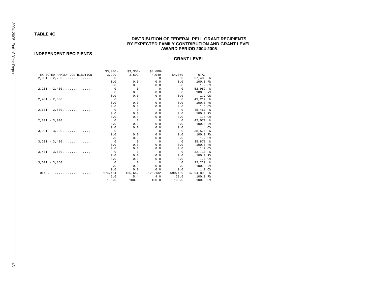# **TABLE 4C**

# **DISTRIBUTION OF FEDERAL PELL GRANT RECIPIENTS BY EXPECTED FAMILY CONTRIBUTION AND GRANT LEVEL AWARD PERIOD 2004-2005**

# **INDEPENDENT RECIPIENTS**

|                                                    | $$3.000-$      | $$3,300-$      | $$3,600-$      |                |                     |  |
|----------------------------------------------------|----------------|----------------|----------------|----------------|---------------------|--|
| EXPECTED FAMILY CONTRIBUTION:                      | 3,299          | 3,599          | 4,049          |                | \$4,050 TOTAL       |  |
| $2,001 - 2,200$                                    | $\sim$ 0       | $\overline{0}$ | $\overline{0}$ | $\sim$ 0       | 57,408 N            |  |
|                                                    | 0.0            | 0.0            | 0.0            | 0.0            | 100.0 R%            |  |
|                                                    | 0.0            | 0.0            | 0.0            | 0.0            | 1.9 <sup>c</sup>    |  |
| $2,201 - 2,400 \ldots \ldots \ldots \ldots \ldots$ | $\overline{0}$ | $\overline{0}$ | $\overline{0}$ | $\Omega$       | 52,959 N            |  |
|                                                    | 0.0            | 0.0            | 0.0            | 0.0            | $100.0 R$ %         |  |
|                                                    | 0.0            | 0.0            | 0.0            | 0.0            | 1.7 C%              |  |
| $2.401 - 2.600$                                    | $\overline{0}$ | $\overline{0}$ | $\overline{0}$ | $\overline{0}$ | 49,214 N            |  |
|                                                    | 0.0            | 0.0            | 0.0            | 0.0            | $100.0 R$ %         |  |
|                                                    | 0.0            | 0.0            | 0.0            | 0.0            | 1.6C <sup>8</sup>   |  |
| $2.601 - 2.800$                                    | $\overline{0}$ | $\overline{0}$ | $\sim$ 0       | $\overline{0}$ | 45,461 N            |  |
|                                                    | 0.0            | 0.0            | 0.0            | 0.0            | $100.0 R$ %         |  |
|                                                    | 0.0            | 0.0            | 0.0            | 0.0            | 1.5C <sup>8</sup>   |  |
| $2.801 - 3.000$                                    | $\overline{0}$ | $\overline{0}$ | $\overline{0}$ | $\overline{0}$ | 42.070 N            |  |
|                                                    | 0.0            | 0.0            | 0.0            | 0.0            | $100.0 R$ %         |  |
|                                                    | 0.0            | 0.0            | 0.0            | 0.0            | 1.4 <sup>c</sup>    |  |
| $3.001 - 3.200$                                    | $\overline{0}$ | $\overline{0}$ | $\sim$ 0       | $\Omega$       | 38,571 N            |  |
|                                                    | 0.0            | 0.0            | 0.0            | 0.0            | $100.0 R$ %         |  |
|                                                    | 0.0            | 0.0            | 0.0            | 0.0            | 1.2 <sup>c</sup>    |  |
| $3.201 - 3.400$                                    | $\overline{0}$ | $\overline{0}$ | $\overline{0}$ | $\Omega$       | 35,878 N            |  |
|                                                    | 0.0            | 0.0            | 0.0            | 0.0            | $100.0 R$ %         |  |
|                                                    | 0.0            | 0.0            | 0.0            | 0.0            | 1.2 <sup>c</sup>    |  |
| $3.401 - 3.600$                                    | $\overline{0}$ | $\overline{0}$ | $\overline{0}$ | $\overline{0}$ | 32,713 N            |  |
|                                                    | 0.0            | 0.0            | 0.0            | 0.0            | 100.0 R%            |  |
|                                                    | 0.0            | 0.0            | 0.0            | 0.0            | 1.1 <sup>c</sup>    |  |
| $3.601 - 3.850$                                    | $\overline{0}$ | $\overline{0}$ | $\overline{0}$ | $\overline{0}$ | 32,229 N            |  |
|                                                    | 0.0            | 0.0            | 0.0            | 0.0            | $100.0 R$ %         |  |
|                                                    | 0.0            | 0.0            | 0.0            | 0.0            | 1.0 <sup>c</sup>    |  |
| TOTAL                                              | 174,454        | 165,642        | 125,132        |                | 699,459 3,094,890 N |  |
|                                                    | 5.6            | 5.4            | 4.0            | 22.6           | $100.0 R$ %         |  |
|                                                    | 100.0          | 100.0          | 100.0          | 100.0          | 100.0 C%            |  |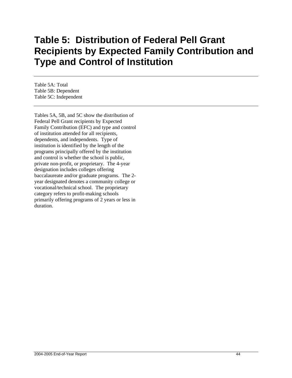# **Table 5: Distribution of Federal Pell Grant Recipients by Expected Family Contribution and Type and Control of Institution**

Table 5A: Total Table 5B: Dependent Table 5C: Independent

Tables 5A, 5B, and 5C show the distribution of Federal Pell Grant recipients by Expected Family Contribution (EFC) and type and control of institution attended for all recipients, dependents, and independents. Type of institution is identified by the length of the programs principally offered by the institution and control is whether the school is public, private non-profit, or proprietary. The 4-year designation includes colleges offering baccalaureate and/or graduate programs. The 2 year designated denotes a community college or vocational/technical school. The proprietary category refers to profit-making schools primarily offering programs of 2 years or less in duration.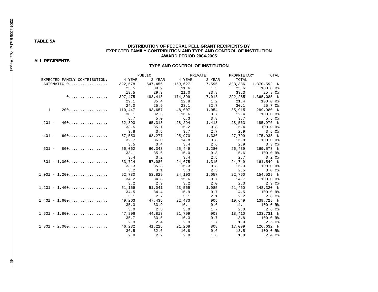# **TABLE 5A**

# **DISTRIBUTION OF FEDERAL PELL GRANT RECIPIENTS BY EXPECTED FAMILY CONTRIBUTION AND TYPE AND CONTROL OF INSTITUTION AWARD PERIOD 2004-2005**

**ALL RECIPIENTS** 

# **TYPE AND CONTROL OF INSTITUTION**

|                                                    |         | PUBLIC  |         | PRIVATE                | PROPRIETARY | TOTAL             |
|----------------------------------------------------|---------|---------|---------|------------------------|-------------|-------------------|
| EXPECTED FAMILY CONTRIBUTION:                      | 4 YEAR  | 2 YEAR  | 4 YEAR  | 2 YEAR                 | TOTAL       |                   |
| AUTOMATIC 0                                        | 322,578 | 547,456 |         | 159,627 17,595 323,336 |             | 1,370,592 N       |
|                                                    | 23.5    | 39.9    | 11.6    | 1.3                    | 23.6        | 100.0 R%          |
|                                                    | 19.5    | 29.3    | 21.0    | 33.8                   | 33.3        | 25.8C             |
| 0.                                                 | 397,475 | 483,413 | 174,899 | 17,013                 | 292,285     | 1,365,085 N       |
|                                                    | 29.1    | 35.4    | 12.8    | 1.2                    | 21.4        | 100.0 R%          |
|                                                    | 24.0    | 25.9    | 23.1    | 32.7                   | 30.1        | 25.7 C%           |
| $1 - 200$                                          | 110,447 | 93,657  | 48,007  | 1,954                  | 35,915      | 289,980 N         |
|                                                    | 38.1    | 32.3    | 16.6    | 0.7                    | 12.4        | 100.0 R%          |
|                                                    | 6.7     | 5.0     | 6.3     | 3.8                    | 3.7         | 5.5C <sub>8</sub> |
| $201 - 400$                                        | 62,393  | 65,313  | 28,294  | 1,413                  | 28,563      | 185,976 N         |
|                                                    | 33.5    | 35.1    | 15.2    | 0.8                    | 15.4        | 100.0 R%          |
|                                                    | 3.8     | 3.5     | 3.7     | 2.7                    | 2.9         | 3.5C <sub>8</sub> |
| 600.<br>$401 -$                                    | 57,553  | 63,277  | 25,970  | 1,336                  | 27,799      | 175,935 N         |
|                                                    | 32.7    | 36.0    | 14.8    | 0.8                    | 15.8        | $100.0 R$ %       |
|                                                    | 3.5     | 3.4     | 3.4     | 2.6                    | 2.9         | 3.3C <sub>6</sub> |
| $601 - 800$                                        | 56,062  | 60,343  | 25,449  | 1,280                  | 26,439      | 169,573 N         |
|                                                    | 33.1    | 35.6    | 15.0    | 0.8                    | 15.6        | 100.0 R%          |
|                                                    | 3.4     | 3.2     | 3.4     | 2.5                    | 2.7         | 3.2C <sub>6</sub> |
| $801 - 1,000$                                      | 53,724  | 57,086  | 24,675  | 1,315                  | 24,749      | 161,549 N         |
|                                                    | 33.3    | 35.3    | 15.3    | 0.8                    | 15.3        | $100.0 R$ %       |
|                                                    | 3.2     | 3.1     | 3.3     | 2.5                    | 2.5         | $3.0C$ %          |
| $1,001 - 1,200 \ldots \ldots \ldots \ldots \ldots$ | 52,780  | 53,829  | 24,103  | 1,057                  | 22,760      | 154,529 N         |
|                                                    | 34.2    | 34.8    | 15.6    | 0.7                    | 14.7        | 100.0 R%          |
|                                                    | 3.2     | 2.9     | 3.2     | 2.0                    | 2.3         | 2.9C              |
| $1,201 - 1,400$                                    | 51,169  | 51,041  | 23,565  | 1,085                  | 21,460      | 148,320 N         |
|                                                    | 34.5    | 34.4    | 15.9    | 0.7                    | 14.5        | 100.0 R%          |
|                                                    | 3.1     | 2.7     | 3.1     | 2.1                    | 2.2         | $2.8$ $C_{8}$     |
| $1,401 - 1,600 \ldots \ldots \ldots \ldots \ldots$ | 49,263  | 47,435  | 22,473  | 905                    | 19,649      | 139,725 N         |
|                                                    | 35.3    | 33.9    | 16.1    | 0.6                    | 14.1        | 100.0 R%          |
|                                                    | 3.0     | 2.5     | 3.0     | 1.7                    | 2.0         | $2.6C\$           |
| $1,601 - 1,800 \ldots \ldots \ldots \qquad 47,806$ |         | 44,813  | 21,799  | 903                    | 18,410      | 133,731 N         |
|                                                    | 35.7    | 33.5    | 16.3    | 0.7                    | 13.8        | 100.0 R%          |
|                                                    | 2.9     | 2.4     | 2.9     | 1.7                    | 1.9         | 2.5C <sub>8</sub> |
| $1.801 - 2.000$                                    | 46,232  | 41,225  | 21,268  | 808                    | 17,099      | 126,632 N         |
|                                                    | 36.5    | 32.6    | 16.8    | 0.6                    | 13.5        | 100.0 R%          |
|                                                    | 2.8     | 2.2     | 2.8     | 1.6                    | 1.8         | 2.4C              |

2004-2005 End-of-Year Report 2004-2005 End-of-Year Report 45 Alexander 45 Alexander 45 Alexander 45 Alexander 45 Alexander 45 Alex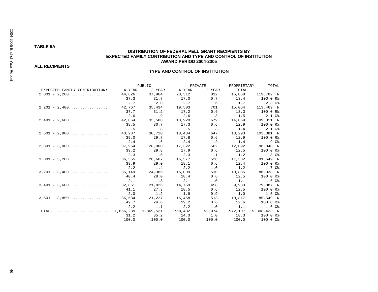#### **TABLE 5A**

# **DISTRIBUTION OF FEDERAL PELL GRANT RECIPIENTS BY EXPECTED FAMILY CONTRIBUTION AND TYPE AND CONTROL OF INSTITUTION AWARD PERIOD 2004-2005**

#### **ALL RECIPIENTS**

|                                                                        |           | PUBLIC    |         | PRIVATE | PROPRIETARY | TOTAL             |
|------------------------------------------------------------------------|-----------|-----------|---------|---------|-------------|-------------------|
| EXPECTED FAMILY CONTRIBUTION:                                          | 4 YEAR    | 2 YEAR    | 4 YEAR  | 2 YEAR  | TOTAL       |                   |
| $2,001 - 2,200$                                                        | 44,626    | 37,964    | 20,312  | 812     | 16,068      | 119,782 N         |
|                                                                        | 37.3      | 31.7      | 17.0    | 0.7     | 13.4        | 100.0 R%          |
|                                                                        | 2.7       | 2.0       | 2.7     | 1.6     | 1.7         | 2.3C <sub>6</sub> |
| $2,201 - 2,400$                                                        | 42,767    | 35,434    | 19,503  | 701     | 15,064      | 113,469 N         |
|                                                                        | 37.7      | 31.2      | 17.2    | 0.6     | 13.3        | 100.0 R%          |
|                                                                        | 2.6       | 1.9       | 2.6     | 1.3     | 1.5         | 2.1 <sup>c</sup>  |
| $2,401 - 2,600 \ldots \ldots \ldots \ldots \ldots$                     | 42,064    | 33,580    | 18,929  | 679     | 14,059      | 109,311 N         |
|                                                                        | 38.5      | 30.7      | 17.3    | 0.6     | 12.9        | 100.0 R%          |
|                                                                        | 2.5       | 1.8       | 2.5     | 1.3     | 1.4         | 2.1 <sup>c</sup>  |
| $2,601 - 2,800$                                                        | 40,287    | 30,720    | 18,434  | 647     | 13,293      | 103,381 N         |
|                                                                        | 39.0      | 29.7      | 17.8    | 0.6     | 12.9        | $100.0 R$ %       |
|                                                                        | 2.4       | 1.6       | 2.4     | 1.2     | 1.4         | 1.9 <sup>c</sup>  |
| $2.801 - 3.000$                                                        | 37,964    | 28,900    | 17,322  | 562     | 12,092      | 96,840 N          |
|                                                                        | 39.2      | 29.8      | 17.9    | 0.6     | 12.5        | $100.0 R$ %       |
|                                                                        | 2.3       | 1.5       | 2.3     | 1.1     | 1.2         | 1.8 <sup>c</sup>  |
| $3,001 - 3,200$                                                        | 36,555    | 26,607    | 16,577  | 528     | 11,382      | 91,649 N          |
|                                                                        | 39.9      | 29.0      | 18.1    | 0.6     | 12.4        | 100.0 R%          |
|                                                                        | 2.2       | 1.4       | 2.2     | 1.0     | 1.2         | 1.7C <sub>8</sub> |
| $3,201 - 3,400$                                                        | 35,149    | 24,385    | 16,009  | 510     | 10,885      | 86,938 N          |
|                                                                        | 40.4      | 28.0      | 18.4    | 0.6     | 12.5        | $100.0 R$ %       |
|                                                                        | 2.1       | 1.3       | 2.1     | 1.0     | 1.1         | 1.6C <sub>8</sub> |
| $3,401 - 3,600$                                                        | 32,861    | 21,826    | 14,759  | 458     | 9,983       | 79,887 N          |
|                                                                        | 41.1      | 27.3      | 18.5    | 0.6     | 12.5        | 100.0 R%          |
|                                                                        | 2.0       | 1.2       | 1.9     | 0.9     | 1.0         | 1.5 <sup>c</sup>  |
| $3,601 - 3,850$                                                        | 36,534    | 21,227    | 16,458  | 513     | 10,817      | 85,549 N          |
|                                                                        | 42.7      | 24.8      | 19.2    | 0.6     | 12.6        | 100.0 R%          |
|                                                                        | 2.2       | 1.1       | 2.2     | 1.0     | 1.1         | 1.6C <sub>8</sub> |
| $\texttt{TOTAL} \dots \dots \dots \dots \dots \dots \dots \dots \dots$ | 1,656,289 | 1,869,531 | 758,432 | 52,074  | 972,107     | 5,308,433 N       |
|                                                                        | 31.2      | 35.2      | 14.3    | 1.0     | 18.3        | 100.0 R%          |
|                                                                        | 100.0     | 100.0     | 100.0   | 100.0   | 100.0       | 100.0 C%          |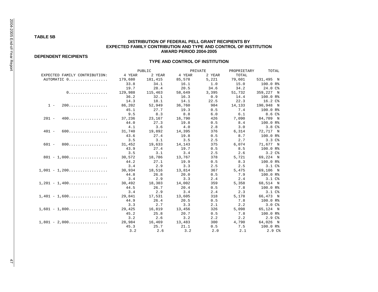# **DISTRIBUTION OF FEDERAL PELL GRANT RECIPIENTS BY EXPECTED FAMILY CONTRIBUTION AND TYPE AND CONTROL OF INSTITUTION AWARD PERIOD 2004-2005**

**DEPENDENT RECIPIENTS** 

## **TYPE AND CONTROL OF INSTITUTION**

|                                                    |               | PUBLIC  | PRIVATE       |        | PROPRIETARY  | TOTAL                |
|----------------------------------------------------|---------------|---------|---------------|--------|--------------|----------------------|
| EXPECTED FAMILY CONTRIBUTION:                      | 4 YEAR        |         | 2 YEAR 4 YEAR | 2 YEAR | TOTAL        |                      |
| AUTOMATIC 0                                        | 179,680       | 181,415 | 85,578        | 5,221  | 79,601       | 531,495 N            |
|                                                    | 33.8          | 34.1    | 16.1          | 1.0    | 15.0         | 100.0 R%             |
|                                                    | 19.7          | 28.4    | 20.5          | 34.6   | 34.2         | 24.0 C%              |
| 0.                                                 | 129,988       | 115,463 | 58,649        |        | 3,395 51,732 | 359,227 N            |
|                                                    | 36.2          | 32.1    | 16.3          | 0.9    | 14.4         | 100.0 R%             |
|                                                    | 14.3          | 18.1    | 14.1          | 22.5   | 22.3         | 16.2 C%              |
| $1 - 200$                                          | 86,202        | 52,949  | 36,760        | 904    | 14,133       | 190,948 N            |
|                                                    | 45.1          | 27.7    | 19.3          | 0.5    | 7.4          | 100.0 R%             |
|                                                    | 9.5           | 8.3     | 8.8           | 6.0    | 6.1          | $8.6C$ %             |
| $201 - 400$                                        | 37,236        | 23,167  | 16,790        | 426    | 7,090        | 84,709 N             |
|                                                    | 44.0          | 27.3    | 19.8          | 0.5    | 8.4          | 100.0 R <sup>8</sup> |
|                                                    | 4.1           | 3.6     | 4.0           | 2.8    | 3.0          | 3.8C <sub>6</sub>    |
| $401 - 600$                                        | 31,740        | 19,892  | 14,395        | 376    | 6,314        | 72,717 N             |
|                                                    | 43.6          | 27.4    | 19.8          | 0.5    | 8.7          | $100.0 R$ %          |
|                                                    | 3.5           | 3.1     | 3.5           | 2.5    | 2.7          | 3.3C <sub>8</sub>    |
| $601 - 800$                                        | 31,452        | 19,633  | 14,143        | 375    | 6,074        | 71,677 N             |
|                                                    | 43.9          | 27.4    | 19.7          | 0.5    | 8.5          | 100.0 R <sup>8</sup> |
|                                                    | 3.5           | 3.1     | 3.4           | 2.5    | 2.6          | 3.2C <sup>8</sup>    |
| $801 - 1,000$                                      | 30,572        | 18,786  | 13,767        | 378    | 5,721        | 69,224 N             |
|                                                    | 44.2          | 27.1    | 19.9          | 0.5    | 8.3          | $100.0 R$ %          |
|                                                    | 3.4           | 2.9     | 3.3           | 2.5    | 2.5          | 3.1 <sup>c</sup>     |
| $1,001 - 1,200$                                    | 30,934        | 18,516  | 13,814        | 367    | 5,475        | 69,106 N             |
|                                                    | 44.8          | 26.8    | 20.0          | 0.5    | 7.9          | $100.0 R$ %          |
|                                                    | 3.4           | 2.9     | 3.3           | 2.4    | 2.4          | 3.1 <sup>c</sup>     |
| $1,201 - 1,400$                                    | 30,492        | 18,303  | 14,002        | 359    | 5,358        | 68,514 N             |
|                                                    | 44.5          | 26.7    | 20.4          | 0.5    | 7.8          | 100.0 R%             |
|                                                    | 3.4           | 2.9     | 3.4           | 2.4    | 2.3          | 3.1 <sup>c</sup>     |
| $1,401 - 1,600$                                    | 29,841        | 17,531  | 13,605        | 318    | 5,178        | 66,473 N             |
|                                                    | 44.9          | 26.4    | 20.5          | 0.5    | 7.8          | $100.0 R$ %          |
|                                                    | 3.3           | 2.7     | 3.3           | 2.1    | 2.2          | 3.0C <sub>8</sub>    |
| $1,601 - 1,800$                                    | 29,425        | 16,819  | 13,456        | 326 32 | 5,098        | 65,124 N             |
|                                                    | 45.2          | 25.8    | 20.7          |        | $0.5$ 7.8    | 100.0 R%             |
|                                                    | 3.2           | 2.6     | 3.2           | 2.2    | 2.2          | 2.9C%                |
| $1,801 - 2,000 \ldots \ldots \ldots \ldots \ldots$ | 28,984 16,469 |         | 13,483        |        | 300 4,790    | 64,026 N             |
|                                                    | 45.3          | 25.7    | 21.1          | 0.5    | 7.5          | 100.0 R%             |
|                                                    |               | 3.2 2.6 | $3.2$ 2.0     |        | 2.1          | 2.9C <sup>8</sup>    |

 $47$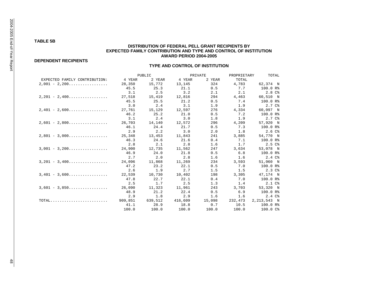## **TABLE 5B**

# **DISTRIBUTION OF FEDERAL PELL GRANT RECIPIENTS BY EXPECTED FAMILY CONTRIBUTION AND TYPE AND CONTROL OF INSTITUTION AWARD PERIOD 2004-2005**

**DEPENDENT RECIPIENTS** 

|                                                                  | PUBLIC  |         |               | PRIVATE | PROPRIETARY | TOTAL             |
|------------------------------------------------------------------|---------|---------|---------------|---------|-------------|-------------------|
| EXPECTED FAMILY CONTRIBUTION:                                    | 4 YEAR  |         | 2 YEAR 4 YEAR | 2 YEAR  | TOTAL       |                   |
| $2,001 - 2,200$                                                  | 28,350  | 15,772  | 13,145        | 324     | 4,783       | 62,374 N          |
|                                                                  | 45.5    | 25.3    | 21.1          | 0.5     | 7.7         | 100.0 R%          |
|                                                                  | 3.1     | 2.5     | 3.2           | 2.1     | 2.1         | 2.8C <sub>8</sub> |
| $2,201 - 2,400 \ldots \ldots \ldots \ldots$                      | 27,518  | 15,419  | 12,816        | 294     | 4,463       | 60,510 N          |
|                                                                  | 45.5    | 25.5    | 21.2          | 0.5     | 7.4         | 100.0 R%          |
|                                                                  | 3.0     | 2.4     | 3.1           | 1.9     | 1.9         | 2.7C              |
| $2,401 - 2,600 \ldots \ldots \ldots \ldots \ldots$               | 27,761  | 15,129  | 12,597        | 276     | 4,334       | 60,097 N          |
|                                                                  | 46.2    | 25.2    | 21.0          | 0.5     | 7.2         | 100.0 R%          |
|                                                                  | 3.1     | 2.4     | 3.0           | 1.8     | 1.9         | 2.7C <sub>8</sub> |
| $2,601 - 2,800$                                                  | 26,703  | 14,140  | 12,572        | 296     | 4,209       | 57,920 N          |
|                                                                  | 46.1    | 24.4    | 21.7          | 0.5     | 7.3         | 100.0 R%          |
|                                                                  | 2.9     | 2.2     | 3.0           | 2.0     | 1.8         | 2.6C%             |
| $2.801 - 3.000$                                                  | 25,348  | 13,453  | 11,843        | 241     | 3,885       | 54,770 N          |
|                                                                  | 46.3    | 24.6    | 21.6          | 0.4     | 7.1         | 100.0 R%          |
|                                                                  | 2.8     | 2.1     | 2.8           | 1.6     | 1.7         | 2.5C <sub>8</sub> |
| $3,001 - 3,200$                                                  | 24,900  | 12,735  | 11,562        | 247     | 3,634       | 53,078 N          |
|                                                                  | 46.9    | 24.0    | 21.8          | 0.5     | 6.8         | 100.0 R%          |
|                                                                  | 2.7     | 2.0     | 2.8           | 1.6     | 1.6         | 2.4C8             |
| $3,201 - 3,400$                                                  | 24,096  | 11,868  | 11,269        | 234     | 3,593       | 51,060 N          |
|                                                                  | 47.2    | 23.2    | 22.1          | 0.5     | 7.0         | $100.0 R$ %       |
|                                                                  | 2.6     | 1.9     | 2.7           | 1.5     | 1.5         | 2.3C              |
| $3,401 - 3,600$                                                  | 22,539  | 10,730  | 10,402        | 198     | 3,305       | 47,174 N          |
|                                                                  | 47.8    | 22.7    | 22.1          | 0.4     | 7.0         | 100.0 R%          |
|                                                                  | 2.5     | 1.7     | 2.5           | 1.3     | 1.4         | 2.1 <sup>c</sup>  |
| $3,601 - 3,850$                                                  | 26,090  | 11,323  | 11,961        | 243     | 3,703       | 53,320 N          |
|                                                                  | 48.9    | 21.2    | 22.4          | 0.5     | 6.9         | $100.0 R$ %       |
|                                                                  | 2.9     | 1.8     | 2.9           | 1.6     | 1.6         | 2.4C <sub>8</sub> |
| $\texttt{TOTAL} \dots \dots \dots \dots \dots \dots \dots \dots$ | 909,851 | 639,512 | 416,609       | 15,098  | 232,473     | 2,213,543 N       |
|                                                                  | 41.1    | 28.9    | 18.8          | 0.7     | 10.5        | $100.0 R$ %       |
|                                                                  | 100.0   | 100.0   | 100.0         | 100.0   | 100.0       | 100.0 C%          |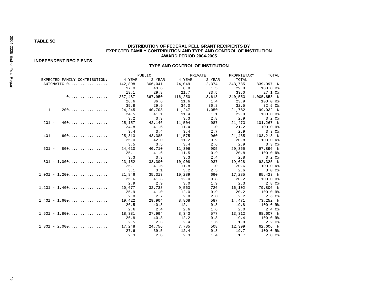# **DISTRIBUTION OF FEDERAL PELL GRANT RECIPIENTS BY EXPECTED FAMILY CONTRIBUTION AND TYPE AND CONTROL OF INSTITUTION AWARD PERIOD 2004-2005**

**INDEPENDENT RECIPIENTS** 

**TABLE 5C** 

|                                                           |         | PUBLIC  |               | PRIVATE | PROPRIETARY | TOTAL             |
|-----------------------------------------------------------|---------|---------|---------------|---------|-------------|-------------------|
| EXPECTED FAMILY CONTRIBUTION:                             | 4 YEAR  |         | 2 YEAR 4 YEAR | 2 YEAR  | TOTAL       |                   |
| AUTOMATIC 0                                               | 142,898 | 366,041 | 74,049 12,374 |         | 243,735     | 839,097 N         |
|                                                           | 17.0    | 43.6    | 8.8           | 1.5     | 29.0        | 100.0 R%          |
|                                                           | 19.1    | 29.8    | 21.7          | 33.5    | 33.0        | 27.1 C%           |
| 0.                                                        | 267,487 | 367,950 | 116,250       | 13,618  | 240,553     | 1,005,858 N       |
|                                                           | 26.6    | 36.6    | 11.6          | 1.4     | 23.9        | 100.0 R%          |
|                                                           | 35.8    | 29.9    | 34.0          | 36.8    | 32.5        | 32.5 C%           |
| $1 - 200$                                                 | 24,245  | 40,708  | 11,247        | 1,050   | 21,782      | 99,032 N          |
|                                                           | 24.5    | 41.1    | 11.4          | 1.1     | 22.0        | $100.0 R$ %       |
|                                                           | 3.2     | 3.3     | 3.3           | 2.8     | 2.9         | 3.2C <sup>8</sup> |
| $201 - 400$                                               | 25,157  | 42,146  | 11,504        | 987     | 21,473      | 101,267 N         |
|                                                           | 24.8    | 41.6    | 11.4          | 1.0     | 21.2        | 100.0 R%          |
|                                                           | 3.4     | 3.4     | 3.4           | 2.7     | 2.9         | 3.3C <sup>o</sup> |
| 600<br>$401 -$                                            | 25,813  | 43,385  | 11,575        | 960     | 21,485      | 103,218 N         |
|                                                           | 25.0    | 42.0    | 11.2          | 0.9     | 20.8        | 100.0 R%          |
|                                                           | 3.5     | 3.5     | 3.4           | 2.6     | 2.9         | 3.3C <sub>8</sub> |
| $601 - 800$                                               | 24,610  | 40,710  | 11,306        | 905     | 20,365      | 97,896 N          |
|                                                           | 25.1    | 41.6    | 11.5          | 0.9     | 20.8        | $100.0 R$ %       |
|                                                           | 3.3     | 3.3     | 3.3           | 2.4     | 2.8         | $3.2C$ %          |
| $801 - 1,000$                                             | 23,152  | 38,300  | 10,908        | 937     | 19,028      | 92,325 N          |
|                                                           | 25.1    | 41.5    | 11.8          | 1.0     | 20.6        | 100.0 R%          |
|                                                           | 3.1     | 3.1     | 3.2           | 2.5     | 2.6         | 3.0C              |
| $1,001 - 1,200 \ldots \ldots \ldots \ldots$               | 21,846  | 35,313  | 10,289        | 690     | 17,285      | 85,423 N          |
|                                                           | 25.6    | 41.3    | 12.0          | 0.8     | 20.2        | 100.0 R%          |
|                                                           | 2.9     | 2.9     | 3.0           | 1.9     | 2.3         | 2.8C <sub>6</sub> |
| $1,201 - 1,400$                                           | 20,677  | 32,738  | 9,563         | 726     | 16,102      | 79,806 N          |
|                                                           | 25.9    | 41.0    | 12.0          | 0.9     | 20.2        | 100.0 R%          |
|                                                           | 2.8     | 2.7     | 2.8           | 2.0     | 2.2         | $2.6C$ $8$        |
| $1,401 - 1,600$                                           | 19,422  | 29,904  | 8,868         | 587     | 14,471      | 73,252 N          |
|                                                           | 26.5    | 40.8    | 12.1          | 0.8     | 19.8        | 100.0 R%          |
|                                                           | 2.6     | 2.4     | 2.6           | 1.6     | 2.0         | 2.4C%             |
| $1,601 - 1,800 \ldots \ldots \ldots \ldots \ldots 18,381$ |         | 27,994  | 8,343         | 577     | 13,312      | 68,607 N          |
|                                                           | 26.8    | 40.8    | 12.2          | 0.8     | 19.4        | $100.0 R$ %       |
|                                                           | 2.5     | 2.3     | 2.4           | 1.6     | 1.8         | $2.2C$ %          |
| $1,801 - 2,000 \ldots \ldots \ldots \ldots \ldots$        | 17,248  | 24,756  | 7,785         | 508     | 12,309      | 62,606 N          |
|                                                           | 27.6    | 39.5    | 12.4          | 0.8     | 19.7        | $100.0 R$ %       |
|                                                           | 2.3     | 2.0     | 2.3           | 1.4     | 1.7         | $2.0C$ %          |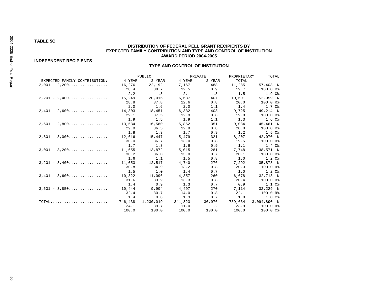# **DISTRIBUTION OF FEDERAL PELL GRANT RECIPIENTS BY EXPECTED FAMILY CONTRIBUTION AND TYPE AND CONTROL OF INSTITUTION AWARD PERIOD 2004-2005**

**INDEPENDENT RECIPIENTS** 

**TABLE 5C** 

|                                                                  | PUBLIC  |           |         | PRIVATE | PROPRIETARY | TOTAL             |
|------------------------------------------------------------------|---------|-----------|---------|---------|-------------|-------------------|
| EXPECTED FAMILY CONTRIBUTION:                                    | 4 YEAR  | 2 YEAR    | 4 YEAR  | 2 YEAR  | TOTAL       |                   |
| $2,001 - 2,200$                                                  | 16,276  | 22,192    | 7,167   | 488     | 11,285      | 57,408 N          |
|                                                                  | 28.4    | 38.7      | 12.5    | 0.9     | 19.7        | $100.0 R$ %       |
|                                                                  | 2.2     | 1.8       | 2.1     | 1.3     | 1.5         | 1.9C <sub>8</sub> |
| $2,201 - 2,400$                                                  | 15,249  | 20,015    | 6,687   | 407     | 10,601      | 52,959 N          |
|                                                                  | 28.8    | 37.8      | 12.6    | 0.8     | 20.0        | 100.0 R%          |
|                                                                  | 2.0     | 1.6       | 2.0     | 1.1     | 1.4         | 1.7 C%            |
| $2,401 - 2,600$                                                  | 14,303  | 18,451    | 6,332   | 403     | 9,725       | 49,214 N          |
|                                                                  | 29.1    | 37.5      | 12.9    | 0.8     | 19.8        | 100.0 R%          |
|                                                                  | 1.9     | 1.5       | 1.9     | 1.1     | 1.3         | 1.6C <sup>8</sup> |
| $2,601 - 2,800$                                                  | 13,584  | 16,580    | 5,862   | 351     | 9,084       | 45,461 N          |
|                                                                  | 29.9    | 36.5      | 12.9    | 0.8     | 20.0        | $100.0 R$ %       |
|                                                                  | 1.8     | 1.3       | 1.7     | 0.9     | 1.2         | 1.5C <sup>o</sup> |
| $2,801 - 3,000 \ldots \ldots \ldots \ldots \ldots$               | 12,616  | 15,447    | 5,479   | 321     | 8,207       | 42,070 N          |
|                                                                  | 30.0    | 36.7      | 13.0    | 0.8     | 19.5        | 100.0 R%          |
|                                                                  | 1.7     | 1.3       | 1.6     | 0.9     | 1.1         | 1.4C <sup>8</sup> |
| $3,001 - 3,200$                                                  | 11,655  | 13,872    | 5,015   | 281     | 7,748       | 38,571 N          |
|                                                                  | 30.2    | 36.0      | 13.0    | 0.7     | 20.1        | $100.0$ R%        |
|                                                                  | 1.6     | 1.1       | 1.5     | 0.8     | 1.0         | 1.2 <sup>c</sup>  |
| $3,201 - 3,400$                                                  | 11,053  | 12,517    | 4,740   | 276     | 7,292       | 35,878 N          |
|                                                                  | 30.8    | 34.9      | 13.2    | 0.8     | 20.3        | 100.0 R%          |
|                                                                  | 1.5     | 1.0       | 1.4     | 0.7     | 1.0         | 1.2 <sub>c</sub>  |
| $3,401 - 3,600$                                                  | 10,322  | 11,096    | 4,357   | 260     | 6,678       | 32,713 N          |
|                                                                  | 31.6    | 33.9      | 13.3    | 0.8     | 20.4        | 100.0 R%          |
|                                                                  | 1.4     | 0.9       | 1.3     | 0.7     | 0.9         | $1.1$ $C8$        |
| $3,601 - 3,850$                                                  | 10,444  | 9,904     | 4,497   | 270     | 7,114       | 32,229 N          |
|                                                                  | 32.4    | 30.7      | 14.0    | 0.8     | 22.1        | 100.0 R%          |
|                                                                  | 1.4     | 0.8       | 1.3     | 0.7     | 1.0         | 1.0 <sup>c</sup>  |
| $\texttt{TOTAL} \dots \dots \dots \dots \dots \dots \dots \dots$ | 746,438 | 1,230,019 | 341,823 | 36,976  | 739,634     | 3,094,890 N       |
|                                                                  | 24.1    | 39.7      | 11.0    | 1.2     | 23.9        | $100.0 R$ %       |
|                                                                  | 100.0   | 100.0     | 100.0   | 100.0   | 100.0       | 100.0 C%          |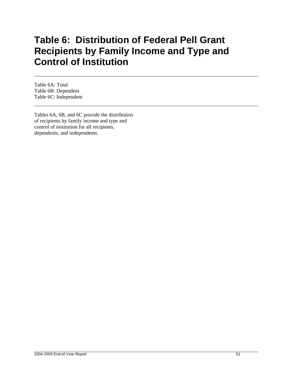# **Table 6: Distribution of Federal Pell Grant Recipients by Family Income and Type and Control of Institution**

Table 6A: Total Table 6B: Dependent Table 6C: Independent

Tables 6A, 6B, and 6C provide the distribution of recipients by family income and type and control of institution for all recipients, dependents, and independents.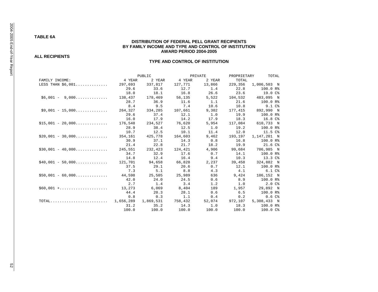### **TABLE 6A**

## **DISTRIBUTION OF FEDERAL PELL GRANT RECIPIENTS BY FAMILY INCOME AND TYPE AND CONTROL OF INSTITUTION AWARD PERIOD 2004-2005**

#### **ALL RECIPIENTS**

#### **TYPE AND CONTROL OF INSTITUTION**

|                                                                        |           | PUBLIC    |         | PRIVATE | PROPRIETARY | TOTAL             |
|------------------------------------------------------------------------|-----------|-----------|---------|---------|-------------|-------------------|
| FAMILY INCOME:                                                         | 4 YEAR    | 2 YEAR    | 4 YEAR  | 2 YEAR  | TOTAL       |                   |
| LESS THAN $$6,001$                                                     | 297,693   | 337,817   | 127,771 | 13,866  | 229,356     | 1,006,503 N       |
|                                                                        | 29.6      | 33.6      | 12.7    | 1.4     | 22.8        | 100.0 R%          |
|                                                                        | 18.0      | 18.1      | 16.8    | 26.6    | 23.6        | 19.0 C%           |
| $$6,001 - 9,000$                                                       | 138,437   | 178,469   | 56,135  | 5,522   | 104,532     | 483,095 N         |
|                                                                        | 28.7      | 36.9      | 11.6    | 1.1     | 21.6        | 100.0 R%          |
|                                                                        | 8.4       | 9.5       | 7.4     | 10.6    | 10.8        | 9.1 <sup>c</sup>  |
| $$9,001 - 15,000$                                                      | 264,327   | 334,285   | 107,661 | 9,302   | 177,415     | 892,990 N         |
|                                                                        | 29.6      | 37.4      | 12.1    | 1.0     | 19.9        | 100.0 R%          |
|                                                                        | 16.0      | 17.9      | 14.2    | 17.9    | 18.3        | 16.8 C%           |
| $$15,001 - 20,000$                                                     | 176,548   | 234,527   | 76,620  | 5,954   | 117,084     | 610,733 N         |
|                                                                        | 28.9      | 38.4      | 12.5    | 1.0     | 19.2        | 100.0 R%          |
|                                                                        | 10.7      | 12.5      | 10.1    | 11.4    | 12.0        | 11.5 C%           |
| $$20,001 - 30,000 \ldots \ldots \ldots \ldots 354,161$                 |           | 425,778   | 164,603 | 9,462   | 193,197     | 1,147,201 N       |
|                                                                        | 30.9      | 37.1      | 14.3    | 0.8     | 16.8        | 100.0 R%          |
|                                                                        | 21.4      | 22.8      | 21.7    | 18.2    | 19.9        | 21.6C             |
| $$30,001 - 40,000$                                                     | 245,551   | 232,423   | 124,421 | 4,906   | 99,684      | 706,985 N         |
|                                                                        | 34.7      | 32.9      | 17.6    | 0.7     | 14.1        | 100.0 R%          |
|                                                                        | 14.8      | 12.4      | 16.4    | 9.4     | 10.3        | 13.3 C%           |
| $$40,001 - 50,000$ 121,701                                             |           | 94,658    | 66,828  | 2,237   | 39,458      | 324,882 N         |
|                                                                        | 37.5      | 29.1      | 20.6    | 0.7     | 12.1        | $100.0 R$ %       |
|                                                                        | 7.3       | 5.1       | 8.8     | 4.3     | 4.1         | $6.1C$ %          |
| $$50,001 - 60,000$                                                     | 44,598    | 25,505    | 25,989  | 636     | 9,424       | 106,152 N         |
|                                                                        | 42.0      | 24.0      | 24.5    | 0.6     | 8.9         | 100.0 R%          |
|                                                                        | 2.7       | 1.4       | 3.4     | 1.2     | 1.0         | 2.0C%             |
| $$60,001$ + 13,273                                                     |           | 6,069     | 8,404   | 189     | 1,957       | 29,892 N          |
|                                                                        | 44.4      | 20.3      | 28.1    | 0.6     | 6.5         | 100.0 R%          |
|                                                                        | 0.8       | 0.3       | 1.1     | 0.4     | 0.2         | 0.6C <sup>8</sup> |
| $\texttt{TOTAL} \dots \dots \dots \dots \dots \dots \dots \dots \dots$ | 1,656,289 | 1,869,531 | 758,432 | 52,074  | 972,107     | 5,308,433 N       |
|                                                                        | 31.2      | 35.2      | 14.3    | 1.0     | 18.3        | 100.0 R%          |
|                                                                        | 100.0     | 100.0     | 100.0   | 100.0   | 100.0       | 100.0 C%          |

2004-2005 End-of-Year Report 2004-2005 End-of-Year Report 52

25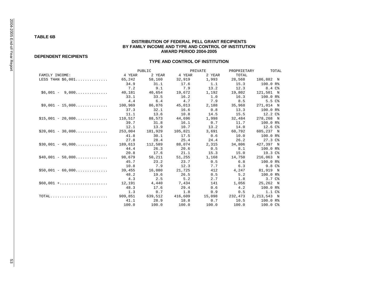## **TABLE 6B**

# **DISTRIBUTION OF FEDERAL PELL GRANT RECIPIENTS BY FAMILY INCOME AND TYPE AND CONTROL OF INSTITUTION AWARD PERIOD 2004-2005**

#### **DEPENDENT RECIPIENTS**

|                    | PUBLIC  |         |         | PRIVATE | PROPRIETARY | TOTAL             |
|--------------------|---------|---------|---------|---------|-------------|-------------------|
| FAMILY INCOME:     | 4 YEAR  | 2 YEAR  | 4 YEAR  | 2 YEAR  | TOTAL       |                   |
| LESS THAN $$6,001$ | 65,242  | 58,160  | 32,919  | 1,993   | 28,568      | 186,882 N         |
|                    | 34.9    | 31.1    | 17.6    | 1.1     | 15.3        | $100.0 R$ %       |
|                    | 7.2     | 9.1     | 7.9     | 13.2    | 12.3        | 8.4 C%            |
| $$6,001 - 9,000$   | 40,181  | 40,654  | 19,672  | 1,192   | 19,802      | 121,501 N         |
|                    | 33.1    | 33.5    | 16.2    | 1.0     | 16.3        | 100.0 R%          |
|                    | 4.4     | 6.4     | 4.7     | 7.9     | 8.5         | 5.5C              |
| $$9,001 - 15,000$  | 100,969 | 86,876  | 45,013  | 2,188   | 35,968      | 271,014 N         |
|                    | 37.3    | 32.1    | 16.6    | 0.8     | 13.3        | 100.0 R%          |
|                    | 11.1    | 13.6    | 10.8    | 14.5    | 15.5        | 12.2C             |
| $$15,001 - 20,000$ | 110,517 | 88,573  | 44,696  | 1,998   | 32,484      | 278,268 N         |
|                    | 39.7    | 31.8    | 16.1    | 0.7     | 11.7        | 100.0 R%          |
|                    | 12.1    | 13.9    | 10.7    | 13.2    | 14.0        | 12.6 C%           |
| $$20,001 - 30,000$ | 253,004 | 181,929 | 105,821 | 3,691   | 60,792      | 605,237 N         |
|                    | 41.8    | 30.1    | 17.5    | 0.6     | 10.0        | 100.0 R%          |
|                    | 27.8    | 28.4    | 25.4    | 24.4    | 26.2        | 27.3C8            |
| $$30,001 - 40,000$ | 189,613 | 112,589 | 88,074  | 2,315   | 34,806      | 427,397 N         |
|                    | 44.4    | 26.3    | 20.6    | 0.5     | 8.1         | 100.0 R%          |
|                    | 20.8    | 17.6    | 21.1    | 15.3    | 15.0        | $19.3C$ %         |
| $$40,001 - 50,000$ | 98,679  | 50,211  | 51,255  | 1,168   | 14,750      | 216,063 N         |
|                    | 45.7    | 23.2    | 23.7    | 0.5     | 6.8         | 100.0 R%          |
|                    | 10.8    | 7.9     | 12.3    | 7.7     | 6.3         | 9.8 <sup>c</sup>  |
| $$50,001 - 60,000$ | 39,455  | 16,080  | 21,725  | 412     | 4,247       | 81,919 N          |
|                    | 48.2    | 19.6    | 26.5    | 0.5     | 5.2         | 100.0 R%          |
|                    | 4.3     | 2.5     | 5.2     | 2.7     | 1.8         | 3.7C <sub>6</sub> |
| $$60,001$ +        | 12,191  | 4,440   | 7,434   | 141     | 1,056       | 25,262 N          |
|                    | 48.3    | 17.6    | 29.4    | 0.6     | 4.2         | 100.0 R%          |
|                    | 1.3     | 0.7     | 1.8     | 0.9     | 0.5         | 1.1 <sup>c</sup>  |
| TOTAL              | 909,851 | 639,512 | 416,609 | 15,098  | 232,473     | 2,213,543 N       |
|                    | 41.1    | 28.9    | 18.8    | 0.7     | 10.5        | 100.0 R%          |
|                    | 100.0   | 100.0   | 100.0   | 100.0   | 100.0       | 100.0 C%          |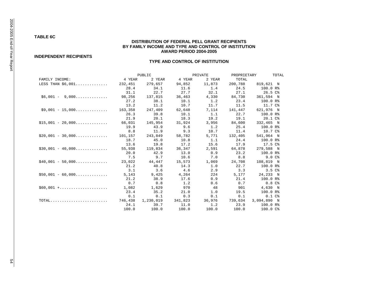#### **TABLE 6C**

# **DISTRIBUTION OF FEDERAL PELL GRANT RECIPIENTS BY FAMILY INCOME AND TYPE AND CONTROL OF INSTITUTION AWARD PERIOD 2004-2005**

#### **INDEPENDENT RECIPIENTS**

|                                                                        | PUBLIC  |           |         | PRIVATE | PROPRIETARY |                   | TOTAL            |
|------------------------------------------------------------------------|---------|-----------|---------|---------|-------------|-------------------|------------------|
| FAMILY INCOME:                                                         | 4 YEAR  | 2 YEAR    | 4 YEAR  | 2 YEAR  | TOTAL       |                   |                  |
| LESS THAN $$6,001$                                                     | 232,451 | 279,657   | 94,852  | 11,873  | 200,788     | 819,621 N         |                  |
|                                                                        | 28.4    | 34.1      | 11.6    | 1.4     | 24.5        | 100.0 R%          |                  |
|                                                                        | 31.1    | 22.7      | 27.7    | 32.1    | 27.1        | 26.5C             |                  |
| $$6.001 - 9.000$                                                       | 98,256  | 137,815   | 36,463  | 4,330   | 84,730      | 361,594 N         |                  |
|                                                                        | 27.2    | 38.1      | 10.1    | 1.2     | 23.4        | 100.0 R%          |                  |
|                                                                        | 13.2    | 11.2      | 10.7    | 11.7    | 11.5        | 11.7 C%           |                  |
| $$9.001 - 15.000$                                                      | 163,358 | 247,409   | 62,648  | 7,114   | 141,447     | 621,976 N         |                  |
|                                                                        | 26.3    | 39.8      | 10.1    | 1.1     | 22.7        | 100.0 R%          |                  |
|                                                                        | 21.9    | 20.1      | 18.3    | 19.2    | 19.1        | 20.1 C%           |                  |
| $$15,001 - 20,000$                                                     | 66,031  | 145,954   | 31,924  | 3,956   | 84,600      | 332,465 N         |                  |
|                                                                        | 19.9    | 43.9      | 9.6     | 1.2     | 25.4        | $100.0 R$ %       |                  |
|                                                                        | 8.8     | 11.9      | 9.3     | 10.7    | 11.4        | 10.7 C%           |                  |
| $$20,001 - 30,000$                                                     | 101,157 | 243,849   | 58,782  | 5,771   | 132,405     | 541,964 N         |                  |
|                                                                        | 18.7    | 45.0      | 10.8    | 1.1     | 24.4        | 100.0 R%          |                  |
|                                                                        | 13.6    | 19.8      | 17.2    | 15.6    | 17.9        | 17.5C             |                  |
| $$30,001 - 40,000$                                                     | 55,938  | 119,834   | 36,347  | 2,591   | 64,878      | 279,588 N         |                  |
|                                                                        | 20.0    | 42.9      | 13.0    | 0.9     | 23.2        | 100.0 R%          |                  |
|                                                                        | 7.5     | 9.7       | 10.6    | 7.0     | 8.8         |                   | 9.0 <sup>c</sup> |
| $$40.001 - 50.000$                                                     | 23,022  | 44,447    | 15,573  | 1,069   | 24,708      | 108,819 N         |                  |
|                                                                        | 21.2    | 40.8      | 14.3    | 1.0     | 22.7        | 100.0 R%          |                  |
|                                                                        | 3.1     | 3.6       | 4.6     | 2.9     | 3.3         | 3.5C <sub>8</sub> |                  |
| $$50.001 - 60.000$                                                     | 5,143   | 9,425     | 4,264   | 224     | 5,177       | 24,233 N          |                  |
|                                                                        | 21.2    | 38.9      | 17.6    | 0.9     | 21.4        | 100.0 R%          |                  |
|                                                                        | 0.7     | 0.8       | 1.2     | 0.6     | 0.7         | $0.8C$ %          |                  |
| $$60,001 + \ldots + \ldots + \ldots + \ldots$                          | 1,082   | 1,629     | 970     | 48      | 901         | 4,630 N           |                  |
|                                                                        | 23.4    | 35.2      | 21.0    | 1.0     | 19.5        | 100.0 R%          |                  |
|                                                                        | 0.1     | 0.1       | 0.3     | 0.1     | 0.1         |                   | $0.1C$ %         |
| $\texttt{TOTAL} \dots \dots \dots \dots \dots \dots \dots \dots \dots$ | 746,438 | 1,230,019 | 341,823 | 36,976  | 739,634     | 3,094,890 N       |                  |
|                                                                        | 24.1    | 39.7      | 11.0    | 1.2     | 23.9        | 100.0 R%          |                  |
|                                                                        | 100.0   | 100.0     | 100.0   | 100.0   | 100.0       | 100.0 C%          |                  |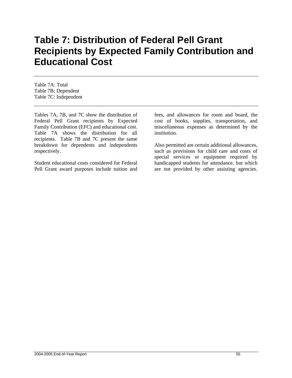# **Table 7: Distribution of Federal Pell Grant Recipients by Expected Family Contribution and Educational Cost**

Table 7A: Total Table 7B: Dependent Table 7C: Independent

Tables 7A, 7B, and 7C show the distribution of Federal Pell Grant recipients by Expected Family Contribution (EFC) and educational cost. Table 7A shows the distribution for all recipients. Table 7B and 7C present the same breakdown for dependents and independents respectively.

Student educational costs considered for Federal Pell Grant award purposes include tuition and fees, and allowances for room and board, the cost of books, supplies, transportation, and miscellaneous expenses as determined by the institution.

Also permitted are certain additional allowances, such as provisions for child care and costs of special services or equipment required by handicapped students for attendance, but which are not provided by other assisting agencies.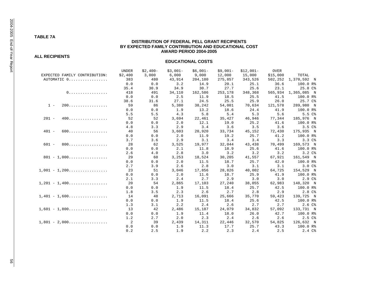# **TABLE 7A**

# **DISTRIBUTION OF FEDERAL PELL GRANT RECIPIENTS BY EXPECTED FAMILY CONTRIBUTION AND EDUCATIONAL COST AWARD PERIOD 2004-2005**

**ALL RECIPIENTS** 

|                                                    | UNDER   | $$2,400-$ | $$3,001-$ | $$6,001-$ | $$9,001-$ | $$12.001-$ | OVER     |                   |
|----------------------------------------------------|---------|-----------|-----------|-----------|-----------|------------|----------|-------------------|
| EXPECTED FAMILY CONTRIBUTION:                      | \$2,400 | 3,000     | 6,000     | 9,000     | 12,000    | 15,000     | \$15,000 | TOTAL             |
| AUTOMATIC 0                                        | 383     | 480       | 43,914    | 204,180   | 275,857   | 343,526    | 502,252  | 1,370,592 N       |
|                                                    | 0.0     | 0.0       | 3.2       | 14.9      | 20.1      | 25.1       | 36.6     | 100.0 R%          |
|                                                    | 35.4    | 30.9      | 34.9      | 30.7      | 27.7      | 25.6       | 23.1     | 25.8 C%           |
| 0.                                                 | 418     | 491       | 34,110    | 162,586   | 253,178   | 348,368    | 565,934  | 1,365,085 N       |
|                                                    | 0.0     | 0.0       | 2.5       | 11.9      | 18.5      | 25.5       | 41.5     | 100.0 R%          |
|                                                    | 38.6    | 31.6      | 27.1      | 24.5      | 25.5      | 25.9       | 26.0     | 25.7 C%           |
| 200<br>$1 -$                                       | 59      | 86        | 5,380     | 38,242    | 54,001    | 70,634     | 121,578  | 289,980 N         |
|                                                    | 0.0     | 0.0       | 1.9       | 13.2      | 18.6      | 24.4       | 41.9     | 100.0 R%          |
|                                                    | 5.5     | 5.5       | 4.3       | 5.8       | 5.4       | 5.3        | 5.6      | 5.5C%             |
| $201 -$<br>400.                                    | 52      | 52        | 3,694     | 22,461    | 35,427    | 46,946     | 77,344   | 185,976 N         |
|                                                    | 0.0     | 0.0       | 2.0       | 12.1      | 19.0      | 25.2       | 41.6     | 100.0 R%          |
|                                                    | 4.8     | 3.3       | 2.9       | 3.4       | 3.6       | 3.5        | 3.6      | 3.5C <sub>8</sub> |
| $401 -$<br>600                                     | 40      | 56        | 3,603     | 20,920    | 33,734    | 45,152     | 72,430   | 175,935 N         |
|                                                    | 0.0     | 0.0       | 2.0       | 11.9      | 19.2      | 25.7       | 41.2     | 100.0 R%          |
|                                                    | 3.7     | 3.6       | 2.9       | 3.1       | 3.4       | 3.4        | 3.3      | 3.3C <sub>6</sub> |
| 800.<br>$601 -$                                    | 28      | 62        | 3,525     | 19,977    | 32,044    | 43,438     | 70,499   | 169,573 N         |
|                                                    | 0.0     | 0.0       | 2.1       | 11.8      | 18.9      | 25.6       | 41.6     | 100.0 R%          |
|                                                    | 2.6     | 4.0       | 2.8       | 3.0       | 3.2       | 3.2        | 3.2      | 3.2C <sub>6</sub> |
| $801 - 1,000$                                      | 29      | 60        | 3,253     | 18,524    | 30,205    | 41,557     | 67,921   | 161,549 N         |
|                                                    | 0.0     | 0.0       | 2.0       | 11.5      | 18.7      | 25.7       | 42.0     | 100.0 R%          |
|                                                    | 2.7     | 3.9       | 2.6       | 2.8       | 3.0       | 3.1        | 3.1      | 3.0C%             |
| $1,001 - 1,200$                                    | 23      | 51        | 3,046     | 17,856    | 28,826    | 40,002     | 64,725   | 154,529 N         |
|                                                    | 0.0     | 0.0       | 2.0       | 11.6      | 18.7      | 25.9       | 41.9     | 100.0 R%          |
|                                                    | 2.1     | 3.3       | 2.4       | 2.7       | 2.9       | 3.0        | 3.0      | 2.9C <sub>6</sub> |
| $1,201 - 1,400 \ldots \ldots \ldots \ldots \ldots$ | 20      | 54        | 2,865     | 17,103    | 27,240    | 38,055     | 62,983   | 148,320 N         |
|                                                    | 0.0     | 0.0       | 1.9       | 11.5      | 18.4      | 25.7       | 42.5     | 100.0 R%          |
|                                                    | 1.8     | 3.5       | 2.3       | 2.6       | 2.7       | 2.8        | 2.9      | 2.8C <sup>8</sup> |
| $1,401 - 1,600 \ldots \ldots \ldots \ldots \ldots$ | 14      | 48        | 2,713     | 16,091    | 25,666    | 35,770     | 59,423   | 139,725 N         |
|                                                    | 0.0     | 0.0       | 1.9       | 11.5      | 18.4      | 25.6       | 42.5     | 100.0 R%          |
|                                                    | 1.3     | 3.1       | 2.2       | 2.4       | 2.6       | 2.7        | 2.7      | 2.6C%             |
| $1,601 - 1,800$                                    | 13      | 42        | 2,486     | 15,187    | 24,079    | 34,832     | 57,092   | 133,731 N         |
|                                                    | 0.0     | 0.0       | 1.9       | 11.4      | 18.0      | 26.0       | 42.7     | 100.0 R%          |
|                                                    | 1.2     | 2.7       | 2.0       | 2.3       | 2.4       | 2.6        | 2.6      | 2.5C%             |
| $1,801 - 2,000 \ldots \ldots \ldots \ldots \ldots$ | 2       | 39        | 2,439     | 14,311    | 22,446    | 32,570     | 54,825   | 126,632 N         |
|                                                    | 0.0     | 0.0       | 1.9       | 11.3      | 17.7      | 25.7       | 43.3     | 100.0 R%          |
|                                                    | 0.2     | 2.5       | 1.9       | 2.2       | 2.3       | 2.4        | 2.5      | 2.4C <sup>8</sup> |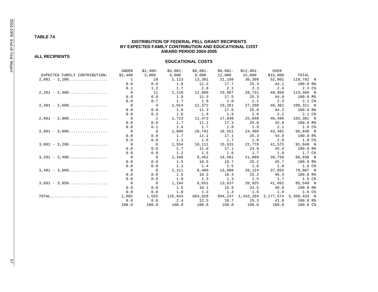# **TABLE 7A**

# **DISTRIBUTION OF FEDERAL PELL GRANT RECIPIENTS BY EXPECTED FAMILY CONTRIBUTION AND EDUCATIONAL COST AWARD PERIOD 2004-2005**

#### **ALL RECIPIENTS**

|                                                                              | UNDER          | $$2,400-$      | $$3,001-$ | $$6,001-$ | $$9,001-$ | $$12,001-$ | OVER      |                   |
|------------------------------------------------------------------------------|----------------|----------------|-----------|-----------|-----------|------------|-----------|-------------------|
| EXPECTED FAMILY CONTRIBUTION:                                                | \$2,400        | 3,000          | 6,000     | 9,000     | 12,000    | 15,000     | \$15,000  | TOTAL             |
| $2,001 - 2,200 \ldots \ldots \ldots$                                         | $\overline{1}$ | 18             | 2,113     | 13,381    | 21,160    | 30,308     | 52,801    | 119,782 N         |
|                                                                              | 0.0            | 0.0            | 1.8       | 11.2      | 17.7      | 25.3       | 44.1      | 100.0 R%          |
|                                                                              | 0.1            | 1.2            | 1.7       | 2.0       | 2.1       | 2.3        | 2.4       | 2.3C <sub>6</sub> |
| $2,201 - 2,400$                                                              | $\overline{0}$ | 11             | 2,110     | 12,800    | 19,867    | 28,731     | 49,950    | 113,469 N         |
|                                                                              | 0.0            | 0.0            | 1.9       | 11.3      | 17.5      | 25.3       | 44.0      | 100.0 R%          |
|                                                                              | 0.0            | 0.7            | 1.7       | 1.9       | 2.0       | 2.1        | 2.3       | 2.1C <sup>8</sup> |
| $2,401 - 2,600 \ldots \ldots \ldots$                                         | $\Omega$       | 4              | 2,014     | 12,372    | 19,261    | 27,298     | 48,362    | 109,311 N         |
|                                                                              | 0.0            | 0.0            | 1.8       | 11.3      | 17.6      | 25.0       | 44.2      | 100.0 R%          |
|                                                                              | 0.0            | 0.3            | 1.6       | 1.9       | 1.9       | 2.0        | 2.2       | 2.1C <sup>8</sup> |
| $2,601 - 2,800$                                                              | $\bigcirc$     | $\overline{1}$ | 1,723     | 11,473    | 17,848    | 25,840     | 46,496    | 103,381 N         |
|                                                                              | 0.0            | 0.0            | 1.7       | 11.1      | 17.3      | 25.0       | 45.0      | 100.0 R%          |
|                                                                              | 0.0            | 0.1            | 1.4       | 1.7       | 1.8       | 1.9        | 2.1       | 1.9 <sup>c</sup>  |
| $2,801 - 3,000$                                                              | $\Omega$       | $\Omega$       | 1,606     | 10,742    | 16,551    | 24,460     | 43,481    | 96,840 N          |
|                                                                              | 0.0            | 0.0            | 1.7       | 11.1      | 17.1      | 25.3       | 44.9      | 100.0 R%          |
|                                                                              | 0.0            | 0.0            | 1.3       | 1.6       | 1.7       | 1.8        | 2.0       | 1.8 C%            |
| $3,001 - 3,200 \ldots \ldots \ldots \ldots \ldots$                           | $\overline{0}$ | $\overline{0}$ | 1,554     | 10,111    | 15,631    | 22,778     | 41,575    | 91,649 N          |
|                                                                              | 0.0            | 0.0            | 1.7       | 11.0      | 17.1      | 24.9       | 45.4      | 100.0 R%          |
|                                                                              | 0.0            | 0.0            | 1.2       | 1.5       | 1.6       | 1.7        | 1.9       | 1.7C <sub>8</sub> |
| $3,201 - 3,400$                                                              | $\Omega$       | $\Omega$       | 1,340     | 9,452     | 14,501    | 21,889     | 39,756    | 86,938 N          |
|                                                                              | 0.0            | 0.0            | 1.5       | 10.9      | 16.7      | 25.2       | 45.7      | 100.0 R%          |
|                                                                              | 0.0            | 0.0            | 1.1       | 1.4       | 1.5       | 1.6        | 1.8       | 1.6C <sup>8</sup> |
| $3,401 - 3,600$                                                              | $\overline{0}$ | $\overline{0}$ | 1,211     | 8,409     | 13,088    | 20,124     | 37,055    | 79,887 N          |
|                                                                              | 0.0            | 0.0            | 1.5       | 10.5      | 16.4      | 25.2       | 46.4      | 100.0 R%          |
|                                                                              | 0.0            | 0.0            | 1.0       | 1.3       | 1.3       | 1.5        | 1.7       | 1.5C <sub>8</sub> |
| $3,601 - 3,850$                                                              | $\Omega$       | $\Omega$       | 1,244     | 8,651     | 13,637    | 20,925     | 41,092    | 85,549 N          |
|                                                                              | 0.0            | 0.0            | 1.5       | 10.1      | 15.9      | 24.5       | 48.0      | 100.0 R%          |
|                                                                              | 0.0            | 0.0            | 1.0       | 1.3       | 1.4       | 1.6        | 1.9       | 1.6 <sup>c</sup>  |
| $\texttt{TOTAL} \dots \dots \dots \dots \dots \dots \dots \dots \dots \dots$ | 1,082          | 1,555          | 125,943   | 664,829   | 994,247   | 1,343,203  | 2,177,574 | 5,308,433 N       |
|                                                                              | 0.0            | 0.0            | 2.4       | 12.5      | 18.7      | 25.3       | 41.0      | 100.0 R%          |
|                                                                              | 100.0          | 100.0          | 100.0     | 100.0     | 100.0     | 100.0      | 100.0     | 100.0 C%          |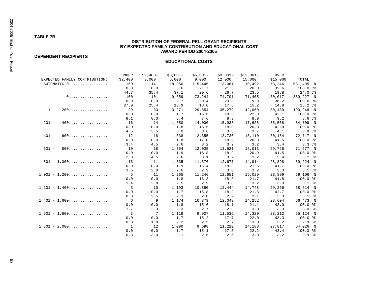# **TABLE 7B**

# **DISTRIBUTION OF FEDERAL PELL GRANT RECIPIENTS BY EXPECTED FAMILY CONTRIBUTION AND EDUCATIONAL COST AWARD PERIOD 2004-2005**

**DEPENDENT RECIPIENTS** 

|                                                    | <b>UNDER</b>   | $$2,400-$ | $$3,001-$ | $$6,001-$ | $$9,001-$ | $$12,001-$ | <b>OVER</b> |                   |
|----------------------------------------------------|----------------|-----------|-----------|-----------|-----------|------------|-------------|-------------------|
| EXPECTED FAMILY CONTRIBUTION:                      | \$2,400        | 3,000     | 6,000     | 9,000     | 12,000    | 15,000     | \$15,000    | TOTAL             |
| AUTOMATIC 0                                        | 160            | 141       | 18,950    | 115,445   | 113,061   | 110,492    | 173,246     | 531,495 N         |
|                                                    | 0.0            | 0.0       | 3.6       | 21.7      | 21.3      | 20.8       | 32.6        | 100.0 R%          |
|                                                    | 44.7           | 35.4      | 37.1      | 29.6      | 26.7      | 23.5       | 19.8        | 24.0 C%           |
| 0.                                                 | 100            | 101       | 9,659     | 73,244    | 74,701    | 71,405     | 130,017     | 359,227 N         |
|                                                    | 0.0            | 0.0       | 2.7       | 20.4      | 20.8      | 19.9       | 36.2        | 100.0 R%          |
|                                                    | 27.9           | 25.4      | 18.9      | 18.8      | 17.6      | 15.2       | 14.8        | 16.2 C%           |
| 200<br>$1 -$                                       | 29             | 33        | 3,271     | 29,854    | 35,272    | 42,050     | 80,439      | 190,948 N         |
|                                                    | 0.0            | 0.0       | 1.7       | 15.6      | 18.5      | 22.0       | 42.1        | 100.0 R%          |
|                                                    | 8.1            | 8.3       | 6.4       | 7.6       | 8.3       | 8.9        | 9.2         | 8.6 C%            |
| 400.<br>$201 -$                                    | 16             | 14        | 1,550     | 14,000    | 15,933    | 17,628     | 35,568      | 84,709 N          |
|                                                    | 0.0            | 0.0       | 1.8       | 16.5      | 18.8      | 20.8       | 42.0        | 100.0 R%          |
|                                                    | 4.5            | 3.5       | 3.0       | 3.6       | 3.8       | 3.7        | 4.1         | 3.8C <sup>8</sup> |
| 600.<br>$401 -$                                    | 12             | 18        | 1,338     | 12,355    | 13,730    | 15,110     | 30,154      | 72,717 N          |
|                                                    | 0.0            | 0.0       | 1.8       | 17.0      | 18.9      | 20.8       | 41.5        | 100.0 R%          |
|                                                    | 3.4            | 4.5       | 2.6       | 3.2       | 3.2       | 3.2        | 3.4         | 3.3C <sup>8</sup> |
| 800.<br>$601 -$                                    | 10             | 18        | 1,354     | 12,035    | 13,521    | 15,013     | 29,726      | 71,677 N          |
|                                                    | 0.0            | 0.0       | 1.9       | 16.8      | 18.9      | 20.9       | 41.5        | 100.0 R%          |
|                                                    | 2.8            | 4.5       | 2.6       | 3.1       | 3.2       | 3.2        | 3.4         | 3.2C <sub>6</sub> |
| $801 - 1,000$                                      | 13             | 11        | 1,335     | 11,376    | 12,677    | 14,914     | 28,898      | 69,224 N          |
|                                                    | 0.0            | 0.0       | 1.9       | 16.4      | 18.3      | 21.5       | 41.7        | 100.0 R%          |
|                                                    | 3.6            | 2.8       | 2.6       | 2.9       | 3.0       | 3.2        | 3.3         | 3.1 <sup>c</sup>  |
| $1,001 - 1,200 \ldots \ldots \ldots \ldots \ldots$ | 5              | - 11      | 1,265     | 11,246    | 12,651    | 15,029     | 28,899      | 69,106 N          |
|                                                    | 0.0            | 0.0       | 1.8       | 16.3      | 18.3      | 21.7       | 41.8        | 100.0 R%          |
|                                                    | 1.4            | 2.8       | 2.5       | 2.9       | 3.0       | 3.2        | 3.3         | 3.1 <sup>c</sup>  |
| $1,201 - 1,400$                                    | 3              | 10        | 1,193     | 10,850    | 12,444    | 14,748     | 29,266      | 68,514 N          |
|                                                    | 0.0            | 0.0       | 1.7       | 15.8      | 18.2      | 21.5       | 42.7        | 100.0 R%          |
|                                                    | 0.8            | 2.5       | 2.3       | 2.8       | 2.9       | 3.1        | 3.3         | 3.1 <sup>c</sup>  |
| $1,401 - 1,600$                                    | 6              | 9         | 1,174     | 10,379    | 12,049    | 14,252     | 28,604      | 66,473 N          |
|                                                    | 0.0            | 0.0       | 1.8       | 15.6      | 18.1      | 21.4       | 43.0        | 100.0 R%          |
|                                                    | 1.7            | 2.3       | 2.3       | 2.7       | 2.8       | 3.0        | 3.3         | 3.0C              |
| $1,601 - 1,800$                                    | $\overline{3}$ | 7         | 1,119     | 9,927     | 11,536    | 14,320     | 28,212      | 65,124 N          |
|                                                    | 0.0            | 0.0       | 1.7       | 15.2      | 17.7      | 22.0       | 43.3        | 100.0 R%          |
|                                                    | 0.8            | 1.8       | 2.2       | 2.5       | 2.7       | 3.0        | 3.2         | 2.9C <sub>8</sub> |
| $1,801 - 2,000 \ldots \ldots \ldots \ldots \ldots$ | $\overline{1}$ | 12        | 1,090     | 9,698     | 11,220    | 14,188     | 27,817      | 64,026 N          |
|                                                    | 0.0            | 0.0       | 1.7       | 15.1      | 17.5      | 22.2       | 43.4        | 100.0 R%          |
|                                                    | 0.3            | 3.0       | 2.1       | 2.5       | 2.6       | 3.0        | 3.2         | 2.9C              |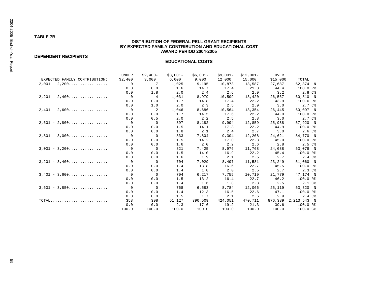# **TABLE 7B**

# **DISTRIBUTION OF FEDERAL PELL GRANT RECIPIENTS BY EXPECTED FAMILY CONTRIBUTION AND EDUCATIONAL COST AWARD PERIOD 2004-2005**

### **DEPENDENT RECIPIENTS**

|                                                                              | UNDER    | $$2,400-$      | $$3,001-$ | $$6,001-$ | \$9,001- | $$12,001-$ | <b>OVER</b> |                   |
|------------------------------------------------------------------------------|----------|----------------|-----------|-----------|----------|------------|-------------|-------------------|
| EXPECTED FAMILY CONTRIBUTION:                                                | \$2,400  | 3,000          | 6,000     | 9,000     | 12,000   | 15,000     | \$15,000    | TOTAL             |
| $2,001 - 2,200 \ldots \ldots \ldots \ldots \ldots$                           | $\Omega$ | 7              | 1,025     | 9,195     | 10,873   | 13,587     | 27,687      | 62,374 N          |
|                                                                              | 0.0      | 0.0            | 1.6       | 14.7      | 17.4     | 21.8       | 44.4        | 100.0 R%          |
|                                                                              | 0.0      | 1.8            | 2.0       | 2.4       | 2.6      | 2.9        | 3.2         | 2.8C <sup>8</sup> |
| $2,201 - 2,400$                                                              | $\Omega$ | $\overline{4}$ | 1,031     | 8,979     | 10,509   | 13,420     | 26,567      | 60,510 N          |
|                                                                              | 0.0      | 0.0            | 1.7       | 14.8      | 17.4     | 22.2       | 43.9        | 100.0 R%          |
|                                                                              | 0.0      | 1.0            | 2.0       | 2.3       | 2.5      | 2.9        | 3.0         | 2.7C <sub>8</sub> |
| $2,401 - 2,600$                                                              | $\Omega$ | 2              | 1,046     | 8,686     | 10,564   | 13,354     | 26,445      | 60,097 N          |
|                                                                              | 0.0      | 0.0            | 1.7       | 14.5      | 17.6     | 22.2       | 44.0        | 100.0 R%          |
|                                                                              | 0.0      | 0.5            | 2.0       | 2.2       | 2.5      | 2.8        | 3.0         | 2.7C              |
| $2,601 - 2,800$                                                              | $\Omega$ | $\overline{0}$ | 897       | 8,182     | 9,994    | 12,859     | 25,988      | 57,920 N          |
|                                                                              | 0.0      | 0.0            | 1.5       | 14.1      | 17.3     | 22.2       | 44.9        | 100.0 R%          |
|                                                                              | 0.0      | 0.0            | 1.8       | 2.1       | 2.4      | 2.7        | 3.0         | 2.6C <sup>8</sup> |
| $2,801 - 3,000$                                                              | $\Omega$ | $\Omega$       | 833       | 7,804     | 9,304    | 12,208     | 24,621      | 54,770 N          |
|                                                                              | 0.0      | 0.0            | 1.5       | 14.2      | 17.0     | 22.3       | 45.0        | 100.0 R%          |
|                                                                              | 0.0      | 0.0            | 1.6       | 2.0       | 2.2      | 2.6        | 2.8         | 2.5C              |
| $3,001 - 3,200$                                                              | $\Omega$ | $\overline{0}$ | 821       | 7,425     | 8,976    | 11,768     | 24,088      | 53,078 N          |
|                                                                              | 0.0      | 0.0            | 1.5       | 14.0      | 16.9     | 22.2       | 45.4        | 100.0 R%          |
|                                                                              | 0.0      | 0.0            | 1.6       | 1.9       | 2.1      | 2.5        | 2.7         | 2.4C <sup>8</sup> |
| $3,201 - 3,400$                                                              | $\Omega$ | $\Omega$       | 704       | 7,029     | 8,497    | 11,581     | 23,249      | 51,060 N          |
|                                                                              | 0.0      | 0.0            | 1.4       | 13.8      | 16.6     | 22.7       | 45.5        | 100.0 R%          |
|                                                                              | 0.0      | 0.0            | 1.4       | 1.8       | 2.0      | 2.5        | 2.7         | 2.3C <sub>8</sub> |
| $3,401 - 3,600$                                                              | $\Omega$ | $\overline{0}$ | 704       | 6,217     | 7,755    | 10,719     | 21,779      | 47,174 N          |
|                                                                              | 0.0      | 0.0            | 1.5       | 13.2      | 16.4     | 22.7       | 46.2        | 100.0 R%          |
|                                                                              | 0.0      | 0.0            | 1.4       | 1.6       | 1.8      | 2.3        | 2.5         | 2.1C <sup>8</sup> |
| $3,601 - 3,850$                                                              | $\Omega$ | $\mathbf 0$    | 768       | 6,583     | 8,784    | 12,066     | 25,119      | 53,320 N          |
|                                                                              | 0.0      | 0.0            | 1.4       | 12.3      | 16.5     | 22.6       | 47.1        | 100.0 R%          |
|                                                                              | 0.0      | 0.0            | 1.5       | 1.7       | 2.1      | 2.6        | 2.9         | 2.4C8             |
| $\texttt{TOTAL} \dots \dots \dots \dots \dots \dots \dots \dots \dots \dots$ | 358      | 398            | 51,127    | 390,509   | 424,051  | 470,711    | 876,389     | 2,213,543 N       |
|                                                                              | 0.0      | 0.0            | 2.3       | 17.6      | 19.2     | 21.3       | 39.6        | 100.0 R%          |
|                                                                              | 100.0    | 100.0          | 100.0     | 100.0     | 100.0    | 100.0      | 100.0       | 100.0 C%          |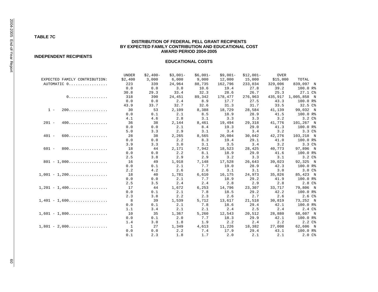# **TABLE 7C**

# **DISTRIBUTION OF FEDERAL PELL GRANT RECIPIENTS BY EXPECTED FAMILY CONTRIBUTION AND EDUCATIONAL COST AWARD PERIOD 2004-2005**

**INDEPENDENT RECIPIENTS** 

|                                                    | <b>UNDER</b>   | $$2,400-$ | $$3,001-$ | $$6,001-$ | $$9,001-$ | $$12,001-$ | <b>OVER</b> |                   |
|----------------------------------------------------|----------------|-----------|-----------|-----------|-----------|------------|-------------|-------------------|
| EXPECTED FAMILY CONTRIBUTION:                      | \$2,400        | 3,000     | 6,000     | 9,000     | 12,000    | 15,000     | \$15,000    | TOTAL             |
| AUTOMATIC 0                                        | 223            | 339       | 24,964    | 88,735    | 162,796   | 233,034    | 329,006     | 839,097 N         |
|                                                    | 0.0            | 0.0       | 3.0       | 10.6      | 19.4      | 27.8       | 39.2        | 100.0 R%          |
|                                                    | 30.8           | 29.3      | 33.4      | 32.3      | 28.6      | 26.7       | 25.3        | 27.1 C%           |
| 0.                                                 | 318            | 390       | 24,451    | 89,342    | 178,477   | 276,963    | 435,917     | 1,005,858 N       |
|                                                    | 0.0            | 0.0       | 2.4       | 8.9       | 17.7      | 27.5       | 43.3        | 100.0 R%          |
|                                                    | 43.9           | 33.7      | 32.7      | 32.6      | 31.3      | 31.7       | 33.5        | 32.5 C%           |
| 200.<br>$1 -$                                      | 30             | 53        | 2,109     | 8,388     | 18,729    | 28,584     | 41,139      | 99,032 N          |
|                                                    | 0.0            | 0.1       | 2.1       | 8.5       | 18.9      | 28.9       | 41.5        | 100.0 R%          |
|                                                    | 4.1            | 4.6       | 2.8       | 3.1       | 3.3       | 3.3        | 3.2         | $3.2C$ %          |
| 400.<br>$201 -$                                    | 36             | 38        | 2,144     | 8,461     | 19,494    | 29,318     | 41,776      | 101,267 N         |
|                                                    | 0.0            | 0.0       | 2.1       | 8.4       | 19.3      | 29.0       | 41.3        | 100.0 R%          |
|                                                    | 5.0            | 3.3       | 2.9       | 3.1       | 3.4       | 3.4        | 3.2         | 3.3C <sup>8</sup> |
| $401 -$<br>600                                     | 28             | 38        | 2,265     | 8,565     | 20,004    | 30,042     | 42,276      | 103,218 N         |
|                                                    | 0.0            | 0.0       | 2.2       | 8.3       | 19.4      | 29.1       | 41.0        | 100.0 R%          |
|                                                    | 3.9            | 3.3       | 3.0       | 3.1       | 3.5       | 3.4        | 3.2         | 3.3C <sub>6</sub> |
| 800<br>$601 -$                                     | 18             | 44        | 2,171     | 7,942     | 18,523    | 28,425     | 40,773      | 97,896 N          |
|                                                    | 0.0            | 0.0       | 2.2       | 8.1       | 18.9      | 29.0       | 41.6        | 100.0 R%          |
|                                                    | 2.5            | 3.8       | 2.9       | 2.9       | 3.2       | 3.3        | 3.1         | 3.2C <sup>8</sup> |
| $801 - 1,000$                                      | 16             | 49        | 1,918     | 7,148     | 17,528    | 26,643     | 39,023      | 92,325 N          |
|                                                    | 0.0            | 0.1       | 2.1       | 7.7       | 19.0      | 28.9       | 42.3        | 100.0 R%          |
|                                                    | 2.2            | 4.2       | 2.6       | 2.6       | 3.1       | 3.1        | 3.0         | 3.0C              |
| $1,001 - 1,200 \ldots \ldots \ldots \ldots \ldots$ | 18             | 40        | 1,781     | 6,610     | 16,175    | 24,973     | 35,826      | 85,423 N          |
|                                                    | 0.0            | 0.0       | 2.1       | 7.7       | 18.9      | 29.2       | 41.9        | 100.0 R%          |
|                                                    | 2.5            | 3.5       | 2.4       | 2.4       | 2.8       | 2.9        | 2.8         | 2.8C <sup>8</sup> |
| $1,201 - 1,400 \ldots \ldots \ldots \ldots \ldots$ | 17             | 44        | 1,672     | 6,253     | 14,796    | 23,307     | 33,717      | 79,806 N          |
|                                                    | 0.0            | 0.1       | 2.1       | 7.8       | 18.5      | 29.2       | 42.2        | 100.0 R%          |
|                                                    | 2.3            | 3.8       | 2.2       | 2.3       | 2.6       | 2.7        | 2.6         | 2.6C <sup>8</sup> |
| $1,401 - 1,600$                                    | 8              | 39        | 1,539     | 5,712     | 13,617    | 21,518     | 30,819      | 73,252 N          |
|                                                    | 0.0            | 0.1       | 2.1       | 7.8       | 18.6      | 29.4       | 42.1        | 100.0 R%          |
|                                                    | 1.1            | 3.4       | 2.1       | 2.1       | 2.4       | 2.5        | 2.4         | 2.4C <sup>8</sup> |
| $1,601 - 1,800 \ldots \ldots \ldots \ldots$        | 10             | 35        | 1,367     | 5,260     | 12,543    | 20,512     | 28,880      | 68,607 N          |
|                                                    | 0.0            | 0.1       | 2.0       | 7.7       | 18.3      | 29.9       | 42.1        | 100.0 R%          |
|                                                    | 1.4            | 3.0       | 1.8       | 1.9       | 2.2       | 2.4        | 2.2         | 2.2C              |
| $1,801 - 2,000 \ldots \ldots \ldots \ldots \ldots$ | $\overline{1}$ | 27        | 1,349     | 4,613     | 11,226    | 18,382     | 27,008      | 62,606 N          |
|                                                    | 0.0            | 0.0       | 2.2       | 7.4       | 17.9      | 29.4       | 43.1        | 100.0 R%          |
|                                                    | 0.1            | 2.3       | 1.8       | 1.7       | 2.0       | 2.1        | 2.1         | 2.0C              |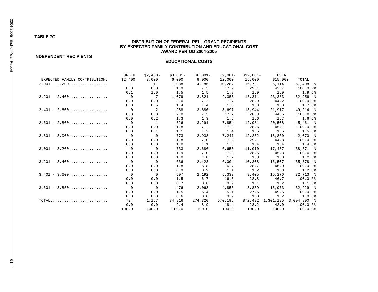# **TABLE 7C**

# **DISTRIBUTION OF FEDERAL PELL GRANT RECIPIENTS BY EXPECTED FAMILY CONTRIBUTION AND EDUCATIONAL COST AWARD PERIOD 2004-2005**

#### **INDEPENDENT RECIPIENTS**

|                                                                        | UNDER        | $$2,400-$                | $$3,001-$ | $$6,001-$ | $$9,001-$ | $$12,001-$ | OVER      |                   |
|------------------------------------------------------------------------|--------------|--------------------------|-----------|-----------|-----------|------------|-----------|-------------------|
| EXPECTED FAMILY CONTRIBUTION:                                          | \$2,400      | 3,000                    | 6,000     | 9,000     | 12,000    | 15,000     | \$15,000  | TOTAL             |
| $2,001 - 2,200$                                                        | $\mathbf{1}$ | -11                      | 1,088     | 4,186     | 10,287    | 16,721     | 25,114    | 57,408 N          |
|                                                                        | 0.0          | 0.0                      | 1.9       | 7.3       | 17.9      | 29.1       | 43.7      | 100.0 R%          |
|                                                                        | 0.1          | 1.0                      | 1.5       | 1.5       | 1.8       | 1.9        | 1.9       | 1.9 <sup>c</sup>  |
| $2,201 - 2,400$                                                        | $\bigcirc$   | 7                        | 1,079     | 3,821     | 9,358     | 15,311     | 23,383    | 52,959 N          |
|                                                                        | 0.0          | 0.0                      | 2.0       | 7.2       | 17.7      | 28.9       | 44.2      | 100.0 R%          |
|                                                                        | 0.0          | 0.6                      | 1.4       | 1.4       | 1.6       | 1.8        | 1.8       | 1.7 C%            |
| $2,401 - 2,600$                                                        | $\Omega$     | 2                        | 968       | 3,686     | 8,697     | 13,944     | 21,917    | 49,214 N          |
|                                                                        | 0.0          | 0.0                      | 2.0       | 7.5       | 17.7      | 28.3       | 44.5      | 100.0 R%          |
|                                                                        | 0.0          | 0.2                      | 1.3       | 1.3       | 1.5       | 1.6        | 1.7       | 1.6C <sup>8</sup> |
| $2,601 - 2,800$                                                        | $\Omega$     | $\overline{1}$           | 826       | 3,291     | 7,854     | 12,981     | 20,508    | 45,461 N          |
|                                                                        | 0.0          | 0.0                      | 1.8       | 7.2       | 17.3      | 28.6       | 45.1      | 100.0 R%          |
|                                                                        | 0.0          | 0.1                      | 1.1       | 1.2       | 1.4       | 1.5        | 1.6       | 1.5C <sub>8</sub> |
| $2,801 - 3,000$                                                        | $\Omega$     | $\Omega$                 | 773       | 2,938     | 7,247     | 12,252     | 18,860    | 42,070 N          |
|                                                                        | 0.0          | 0.0                      | 1.8       | 7.0       | 17.2      | 29.1       | 44.8      | 100.0 R%          |
|                                                                        | 0.0          | 0.0                      | 1.0       | 1.1       | 1.3       | 1.4        | 1.4       | 1.4C <sub>8</sub> |
| $3,001 - 3,200$                                                        | $\Omega$     | $\bigcirc$               | 733       | 2,686     | 6,655     | 11,010     | 17,487    | 38,571 N          |
|                                                                        | 0.0          | 0.0                      | 1.9       | 7.0       | 17.3      | 28.5       | 45.3      | 100.0 R%          |
|                                                                        | 0.0          | 0.0                      | 1.0       | 1.0       | 1.2       | 1.3        | 1.3       | 1.2 <sup>c</sup>  |
| $3,201 - 3,400$                                                        | $\Omega$     | $\mathbf 0$              | 636       | 2,423     | 6,004     | 10,308     | 16,507    | 35,878 N          |
|                                                                        | 0.0          | 0.0                      | 1.8       | 6.8       | 16.7      | 28.7       | 46.0      | 100.0 R%          |
|                                                                        | 0.0          | 0.0                      | 0.9       | 0.9       | 1.1       | 1.2        | 1.3       | 1.2 <sup>c</sup>  |
| $3,401 - 3,600$                                                        | $\Omega$     | $\overline{\phantom{0}}$ | 507       | 2,192     | 5,333     | 9,405      | 15,276    | 32,713 N          |
|                                                                        | 0.0          | 0.0                      | 1.5       | 6.7       | 16.3      | 28.8       | 46.7      | 100.0 R%          |
|                                                                        | 0.0          | 0.0                      | 0.7       | 0.8       | 0.9       | 1.1        | 1.2       | 1.1 C%            |
| $3,601 - 3,850$                                                        | $\mathbf 0$  | $\mathbf 0$              | 476       | 2,068     | 4,853     | 8,859      | 15,973    | 32,229 N          |
|                                                                        | 0.0          | 0.0                      | 1.5       | 6.4       | 15.1      | 27.5       | 49.6      | 100.0 R%          |
|                                                                        | 0.0          | 0.0                      | 0.6       | 0.8       | 0.9       | 1.0        | 1.2       | 1.0 <sup>c</sup>  |
| $\texttt{TOTAL} \dots \dots \dots \dots \dots \dots \dots \dots \dots$ | 724          | 1,157                    | 74,816    | 274,320   | 570,196   | 872,492    | 1,301,185 | 3,094,890 N       |
|                                                                        | 0.0          | 0.0                      | 2.4       | 8.9       | 18.4      | 28.2       | 42.0      | 100.0 R%          |
|                                                                        | 100.0        | 100.0                    | 100.0     | 100.0     | 100.0     | 100.0      | 100.0     | 100.0 C%          |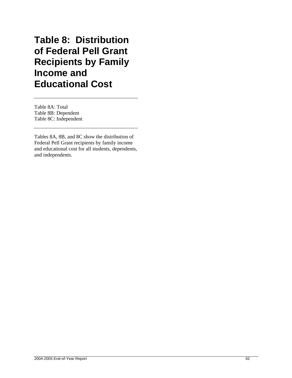# **Table 8: Distribution of Federal Pell Grant Recipients by Family Income and Educational Cost**

Table 8A: Total Table 8B: Dependent Table 8C: Independent

Tables 8A, 8B, and 8C show the distribution of Federal Pell Grant recipients by family income and educational cost for all students, dependents, and independents.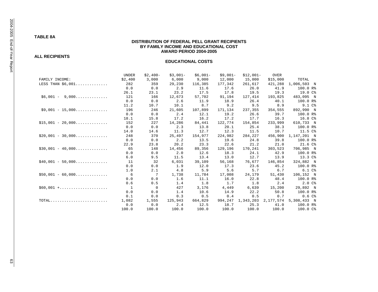# **TABLE 8A**

## **DISTRIBUTION OF FEDERAL PELL GRANT RECIPIENTS BY FAMILY INCOME AND EDUCATIONAL COST AWARD PERIOD 2004-2005**

**ALL RECIPIENTS** 

|                                                                        | UNDER          | $$2,400-$   | $$3,001-$ | $$6,001-$ | $$9,001-$ | $$12,001-$ | OVER      |                    |
|------------------------------------------------------------------------|----------------|-------------|-----------|-----------|-----------|------------|-----------|--------------------|
| FAMILY INCOME:                                                         | \$2,400        | 3,000       | 6,000     | 9,000     | 12,000    | 15,000     | \$15,000  | TOTAL              |
| LESS THAN $$6,001$                                                     | 282            | 359         | 29,230    | 116,385   | 177,342   | 261,617    | 421,288   | 1,006,503 N        |
|                                                                        | 0.0            | 0.0         | 2.9       | 11.6      | 17.6      | 26.0       | 41.9      | 100.0 R%           |
|                                                                        | 26.1           | 23.1        | 23.2      | 17.5      | 17.8      | 19.5       | 19.3      | 19.0 C%            |
| $$6,001 - 9,000$                                                       | 121            | 166         | 12,673    | 57,702    | 91,194    | 127,414    | 193,825   | 483,095 N          |
|                                                                        | 0.0            | 0.0         | 2.6       | 11.9      | 18.9      | 26.4       | 40.1      | 100.0 R%           |
|                                                                        | 11.2           | 10.7        | 10.1      | 8.7       | 9.2       | 9.5        | 8.9       | 9.1 C%             |
| $$9,001 - 15,000$                                                      | 196            | 246         | 21,605    | 107,899   | 171,134   | 237,355    | 354,555   | 892,990 N          |
|                                                                        | 0.0            | 0.0         | 2.4       | 12.1      | 19.2      | 26.6       | 39.7      | 100.0 R%           |
|                                                                        | 18.1           | 15.8        | 17.2      | 16.2      | 17.2      | 17.7       | 16.3      | 16.8C              |
| $$15,001 - 20,000$                                                     | 152            | 227         | 14,286    | 84,441    | 122,774   | 154,854    | 233,999   | 610,733 N          |
|                                                                        | 0.0            | 0.0         | 2.3       | 13.8      | 20.1      | 25.4       | 38.3      | 100.0 R%           |
|                                                                        | 14.0           | 14.6        | 11.3      | 12.7      | 12.3      | 11.5       | 10.7      | 11.5 C%            |
| $$20,001 - 30,000$                                                     | 248            | 370         | 25,497    | 154,977   | 224,982   | 284,227    | 456,900   | 1,147,201 N        |
|                                                                        | 0.0            | 0.0         | 2.2       | 13.5      | 19.6      | 24.8       | 39.8      | 100.0 R%           |
|                                                                        | 22.9           | 23.8        | 20.2      | 23.3      | 22.6      | 21.2       | 21.0      | 21.6C              |
| $$30,001 - 40,000$                                                     | 65             | 148         | 14,456    | 89,356    | 129,196   | 170,241    | 303,523   | 706,985 N          |
|                                                                        | 0.0            | 0.0         | 2.0       | 12.6      | 18.3      | 24.1       | 42.9      | 100.0 R%           |
|                                                                        | 6.0            | 9.5         | 11.5      | 13.4      | 13.0      | 12.7       | 13.9      | 13.3C <sub>8</sub> |
| $$40,001 - 50,000$                                                     | 11             | 32          | 6,031     | 39,109    | 56,168    | 76,677     | 146,854   | 324,882 N          |
|                                                                        | 0.0            | 0.0         | 1.9       | 12.0      | 17.3      | 23.6       | 45.2      | 100.0 R%           |
|                                                                        | 1.0            | 2.1         | 4.8       | 5.9       | 5.6       | 5.7        | 6.7       | $6.1C$ %           |
| $$50,001 - 60,000$                                                     | 6              | 7           | 1,738     | 11,784    | 17,008    | 24,179     | 51,430    | 106,152 N          |
|                                                                        | 0.0            | 0.0         | 1.6       | 11.1      | 16.0      | 22.8       | 48.4      | 100.0 R%           |
|                                                                        | 0.6            | 0.5         | 1.4       | 1.8       | 1.7       | 1.8        | 2.4       | 2.0C               |
| $$60,001 + \ldots + \ldots + \ldots + \ldots$                          | $\overline{1}$ | $\mathbf 0$ | 427       | 3,176     | 4,449     | 6,639      | 15,200    | 29,892 N           |
|                                                                        | 0.0            | 0.0         | 1.4       | 10.6      | 14.9      | 22.2       | 50.8      | 100.0 R%           |
|                                                                        | 0.1            | 0.0         | 0.3       | 0.5       | 0.4       | 0.5        | 0.7       | 0.6C <sup>8</sup>  |
| $\texttt{TOTAL} \dots \dots \dots \dots \dots \dots \dots \dots \dots$ | 1,082          | 1,555       | 125,943   | 664,829   | 994,247   | 1,343,203  | 2,177,574 | 5,308,433 N        |
|                                                                        | 0.0            | 0.0         | 2.4       | 12.5      | 18.7      | 25.3       | 41.0      | 100.0 R%           |
|                                                                        | 100.0          | 100.0       | 100.0     | 100.0     | 100.0     | 100.0      | 100.0     | 100.0 C%           |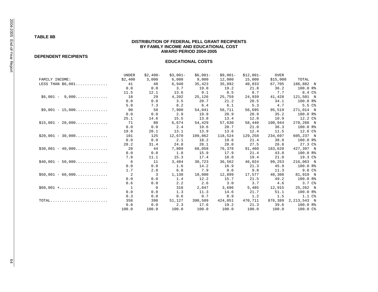# **TABLE 8B**

# **DISTRIBUTION OF FEDERAL PELL GRANT RECIPIENTS BY FAMILY INCOME AND EDUCATIONAL COST AWARD PERIOD 2004-2005**

#### **DEPENDENT RECIPIENTS**

|                                                                        | UNDER   | $$2,400-$      | $$3,001-$ | $$6,001-$ | $$9,001-$ | $$12,001-$ | OVER     |                    |
|------------------------------------------------------------------------|---------|----------------|-----------|-----------|-----------|------------|----------|--------------------|
| FAMILY INCOME:                                                         | \$2,400 | 3,000          | 6,000     | 9,000     | 12,000    | 15,000     | \$15,000 | TOTAL              |
| LESS THAN $$6,001$                                                     | 41      | 48             | 6,940     | 35,423    | 35,892    | 40,833     | 67,705   | 186,882 N          |
|                                                                        | 0.0     | 0.0            | 3.7       | 19.0      | 19.2      | 21.8       | 36.2     | 100.0 R%           |
|                                                                        | 11.5    | 12.1           | 13.6      | 9.1       | 8.5       | 8.7        | 7.7      | 8.4 C%             |
| $$6,001 - 9,000$                                                       | 18      | 29             | 4,202     | 25,126    | 25,759    | 24,939     | 41,428   | 121,501 N          |
|                                                                        | 0.0     | 0.0            | 3.5       | 20.7      | 21.2      | 20.5       | 34.1     | 100.0 R%           |
|                                                                        | 5.0     | 7.3            | 8.2       | 6.4       | 6.1       | 5.3        | 4.7      | 5.5C               |
| $$9,001 - 15,000$                                                      | 90      | 58             | 7,900     | 54,041    | 56,711    | 56,695     | 95,519   | 271,014 N          |
|                                                                        | 0.0     | 0.0            | 2.9       | 19.9      | 20.9      | 20.9       | 35.2     | 100.0 R%           |
|                                                                        | 25.1    | 14.6           | 15.5      | 13.8      | 13.4      | 12.0       | 10.9     | 12.2 C%            |
| $$15,001 - 20,000$                                                     | 71      | 80             | 6,674     | 54,429    | 57,630    | 58,440     | 100,944  | 278,268 N          |
|                                                                        | 0.0     | 0.0            | 2.4       | 19.6      | 20.7      | 21.0       | 36.3     | 100.0 R%           |
|                                                                        | 19.8    | 20.1           | 13.1      | 13.9      | 13.6      | 12.4       | 11.5     | 12.6 C%            |
| $$20,001 - 30,000$                                                     | 101     | 125            | 12,670    | 109,862   | 118,524   | 129,258    | 234,697  | 605,237 N          |
|                                                                        | 0.0     | 0.0            | 2.1       | 18.2      | 19.6      | 21.4       | 38.8     | 100.0 R%           |
|                                                                        | 28.2    | 31.4           | 24.8      | 28.1      | 28.0      | 27.5       | 26.8     | 27.3C8             |
| $$30,001 - 40,000$                                                     | 28      | 44             | 7,809     | 68,058    | 76,378    | 91,460     | 183,620  | 427,397 N          |
|                                                                        | 0.0     | 0.0            | 1.8       | 15.9      | 17.9      | 21.4       | 43.0     | 100.0 R%           |
|                                                                        | 7.8     | 11.1           | 15.3      | 17.4      | 18.0      | 19.4       | 21.0     | 19.3C <sub>8</sub> |
| $$40.001 - 50.000$                                                     | 6       | 11             | 3,484     | 30,723    | 36,562    | 46,024     | 99,253   | 216,063 N          |
|                                                                        | 0.0     | 0.0            | 1.6       | 14.2      | 16.9      | 21.3       | 45.9     | 100.0 R%           |
|                                                                        | 1.7     | 2.8            | 6.8       | 7.9       | 8.6       | 9.8        | 11.3     | 9.8 <sup>c</sup>   |
| $$50,001 - 60,000$                                                     | 2       | $\overline{3}$ | 1,130     | 10,000    | 12,899    | 17,577     | 40,308   | 81,919 N           |
|                                                                        | 0.0     | 0.0            | 1.4       | 12.2      | 15.7      | 21.5       | 49.2     | 100.0 R%           |
|                                                                        | 0.6     | 0.8            | 2.2       | 2.6       | 3.0       | 3.7        | 4.6      | 3.7C <sub>8</sub>  |
| $$60,001 + \ldots + \ldots + \ldots + \ldots$                          | 1       | $\mathbf 0$    | 318       | 2,847     | 3,696     | 5,485      | 12,915   | 25,262 N           |
|                                                                        | 0.0     | 0.0            | 1.3       | 11.3      | 14.6      | 21.7       | 51.1     | 100.0 R%           |
|                                                                        | 0.3     | 0.0            | 0.6       | 0.7       | 0.9       | 1.2        | 1.5      | 1.1 <sup>c</sup>   |
| $\texttt{TOTAL} \dots \dots \dots \dots \dots \dots \dots \dots \dots$ | 358     | 398            | 51,127    | 390,509   | 424,051   | 470,711    | 876,389  | 2,213,543 N        |
|                                                                        | 0.0     | 0.0            | 2.3       | 17.6      | 19.2      | 21.3       | 39.6     | 100.0 R%           |
|                                                                        | 100.0   | 100.0          | 100.0     | 100.0     | 100.0     | 100.0      | 100.0    | 100.0 C%           |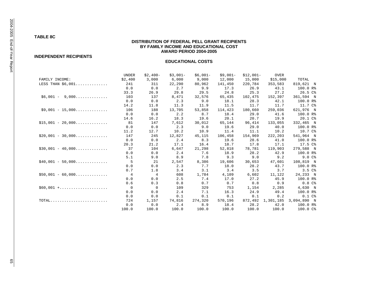# **TABLE 8C**

# **DISTRIBUTION OF FEDERAL PELL GRANT RECIPIENTS BY FAMILY INCOME AND EDUCATIONAL COST AWARD PERIOD 2004-2005**

#### **INDEPENDENT RECIPIENTS**

|                    | <b>UNDER</b>   | $$2,400-$      | $$3,001-$ | $$6,001-$ | $$9,001-$ | $$12,001-$ | <b>OVER</b> |                   |
|--------------------|----------------|----------------|-----------|-----------|-----------|------------|-------------|-------------------|
| FAMILY INCOME:     | \$2,400        | 3,000          | 6,000     | 9,000     | 12,000    | 15,000     | \$15,000    | TOTAL             |
| LESS THAN \$6,001  | 241            | 311            | 22,290    | 80,962    | 141,450   | 220,784    | 353,583     | 819,621 N         |
|                    | 0.0            | 0.0            | 2.7       | 9.9       | 17.3      | 26.9       | 43.1        | 100.0 R%          |
|                    | 33.3           | 26.9           | 29.8      | 29.5      | 24.8      | 25.3       | 27.2        | 26.5C             |
| $$6,001 - 9,000$   | 103            | 137            | 8,471     | 32,576    | 65,435    | 102,475    | 152,397     | 361,594 N         |
|                    | 0.0            | 0.0            | 2.3       | 9.0       | 18.1      | 28.3       | 42.1        | 100.0 R%          |
|                    | 14.2           | 11.8           | 11.3      | 11.9      | 11.5      | 11.7       | 11.7        | 11.7 C%           |
| $$9,001 - 15,000$  | 106            | 188            | 13,705    | 53,858    | 114,423   | 180,660    | 259,036     | 621,976 N         |
|                    | 0.0            | 0.0            | 2.2       | 8.7       | 18.4      | 29.0       | 41.6        | 100.0 R%          |
|                    | 14.6           | 16.2           | 18.3      | 19.6      | 20.1      | 20.7       | 19.9        | 20.1 C%           |
| $$15,001 - 20,000$ | 81             | 147            | 7,612     | 30,012    | 65,144    | 96,414     | 133,055     | 332,465 N         |
|                    | 0.0            | 0.0            | 2.3       | 9.0       | 19.6      | 29.0       | 40.0        | 100.0 R%          |
|                    | 11.2           | 12.7           | 10.2      | 10.9      | 11.4      | 11.1       | 10.2        | 10.7 C%           |
| $$20.001 - 30.000$ | 147            | 245            | 12,827    | 45,115    | 106,458   | 154,969    | 222,203     | 541,964 N         |
|                    | 0.0            | 0.0            | 2.4       | 8.3       | 19.6      | 28.6       | 41.0        | 100.0 R%          |
|                    | 20.3           | 21.2           | 17.1      | 16.4      | 18.7      | 17.8       | 17.1        | 17.5 C%           |
| $$30,001 - 40,000$ | 37             | 104            | 6,647     | 21,298    | 52,818    | 78,781     | 119,903     | 279,588 N         |
|                    | 0.0            | 0.0            | 2.4       | 7.6       | 18.9      | 28.2       | 42.9        | 100.0 R%          |
|                    | 5.1            | 9.0            | 8.9       | 7.8       | 9.3       | 9.0        | 9.2         | 9.0C              |
| $$40,001 - 50,000$ | 5              | 21             | 2,547     | 8,386     | 19,606    | 30,653     | 47,601      | 108,819 N         |
|                    | 0.0            | 0.0            | 2.3       | 7.7       | 18.0      | 28.2       | 43.7        | 100.0 R%          |
|                    | 0.7            | 1.8            | 3.4       | 3.1       | 3.4       | 3.5        | 3.7         | 3.5C <sub>8</sub> |
| $$50,001 - 60,000$ | $\overline{4}$ | $\overline{4}$ | 608       | 1,784     | 4,109     | 6,602      | 11,122      | 24,233 N          |
|                    | 0.0            | 0.0            | 2.5       | 7.4       | 17.0      | 27.2       | 45.9        | 100.0 R%          |
|                    | 0.6            | 0.3            | 0.8       | 0.7       | 0.7       | 0.8        | 0.9         | 0.8C <sup>8</sup> |
| $$60,001 +$        | $\mathbf 0$    | $\mathbf 0$    | 109       | 329       | 753       | 1,154      | 2,285       | 4,630 N           |
|                    | 0.0            | 0.0            | 2.4       | 7.1       | 16.3      | 24.9       | 49.4        | 100.0 R%          |
|                    | 0.0            | 0.0            | 0.1       | 0.1       | 0.1       | 0.1        | 0.2         | 0.1C <sup>8</sup> |
| $\text{TOTAL}$     | 724            | 1,157          | 74,816    | 274,320   | 570,196   | 872,492    | 1,301,185   | 3,094,890 N       |
|                    | 0.0            | 0.0            | 2.4       | 8.9       | 18.4      | 28.2       | 42.0        | 100.0 R%          |
|                    | 100.0          | 100.0          | 100.0     | 100.0     | 100.0     | 100.0      | 100.0       | 100.0C            |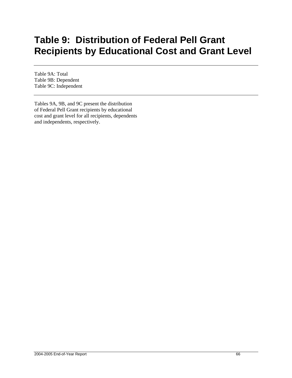# **Table 9: Distribution of Federal Pell Grant Recipients by Educational Cost and Grant Level**

Table 9A: Total Table 9B: Dependent Table 9C: Independent

Tables 9A, 9B, and 9C present the distribution of Federal Pell Grant recipients by educational cost and grant level for all recipients, dependents and independents, respectively.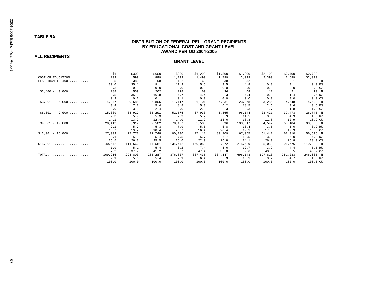# **TABLE 9A**

# **DISTRIBUTION OF FEDERAL PELL GRANT RECIPIENTS BY EDUCATIONAL COST AND GRANT LEVEL AWARD PERIOD 2004-2005**

#### **ALL RECIPIENTS**

|                     | $$1-$   | $$300-$ | $$600-$ | $$900-$ | $$1,200-$ | $$1,500-$ | $$1,800-$ | $$2,100-$ | $$2,400-$ | $$2,700-$          |
|---------------------|---------|---------|---------|---------|-----------|-----------|-----------|-----------|-----------|--------------------|
| COST OF EDUCATION:  | 299     | 599     | 899     | 1,199   | 1,499     | 1,799     | 2,099     | 2,399     | 2,699     | \$2,999            |
| LESS THAN \$2,400   | 325     | 380     | 98      | 122     | 60        | 38        | 52        | 3         |           | $\circ$<br>N       |
|                     | 30.0    | 35.1    | 9.1     | 11.3    | 5.5       | 3.5       | 4.8       | 0.3       | 0.1       | 0.0 R              |
|                     | 0.3     | 0.1     | 0.0     | 0.0     | 0.0       | 0.0       | 0.0       | 0.0       | 0.0       | $0.0 C$ %          |
| $$2,400 -$<br>3,000 | 288     | 559     | 262     | 228     | 69        | 36        | 68        | 12        | 21        | 10 N               |
|                     | 18.5    | 35.9    | 16.8    | 14.7    | 4.4       | 2.3       | 4.4       | 0.8       | 1.4       | 0.6 R              |
|                     | 0.3     | 0.2     | 0.1     | 0.1     | 0.0       | 0.0       | 0.0       | 0.0       | 0.0       | 0.0C               |
| $$3,001 -$<br>6,000 | 4,247   | 9,685   | 6,805   | 11,117  | 6,701     | 7,831     | 23,278    | 3,285     | 4,548     | 4,502 N            |
|                     | 3.4     | 7.7     | 5.4     | 8.8     | 5.3       | 6.2       | 18.5      | 2.6       | 3.6       | 3.6 R              |
|                     | 3.9     | 3.3     | 2.4     | 3.0     | 2.0       | 2.3       | 3.3       | 1.7       | 1.8       | 1.8 C%             |
| $$6,001 -$<br>9,000 | 15,369  | 38,927  | 35,291  | 52,575  | 37,933    | 45,565    | 96,144    | 23,421    | 32,473    | 26,745 N           |
|                     | 2.3     | 5.9     | 5.3     | 7.9     | 5.7       | 6.9       | 14.5      | 3.5       | 4.9       | 4.0 R <sup>8</sup> |
|                     | 14.1    | 13.2    | 12.4    | 14.0    | 11.2      | 13.6      | 13.8      | 11.8      | 12.9      | 10.9 C%            |
| $$9,001 - 12,000$   | 20,412  | 56,917  | 52,502  | 78,187  | 55,503    | 68,096    | 133,017   | 34,592    | 50,104    | 38,330 N           |
|                     | 2.1     | 5.7     | 5.3     | 7.9     | 5.6       | 6.8       | 13.4      | 3.5       | 5.0       | 3.9 R <sup>8</sup> |
|                     | 18.7    | 19.2    | 18.4    | 20.7    | 16.4      | 20.4      | 19.1      | 17.5      | 19.9      | 15.6 C%            |
| $$12,001 - 15,000$  | 27,903  | 77,773  | 72,748  | 100,136 | 77,111    | 89,709    | 167,955   | 51,442    | 67,310    | 56,596 N           |
|                     | 2.1     | 5.8     | 5.4     | 7.5     | 5.7       | 6.7       | 12.5      | 3.8       | 5.0       | 4.2 R              |
|                     | 25.5    | 26.3    | 25.5    | 26.6    | 22.9      | 26.8      | 24.1      | 26.0      | 26.8      | 23.0 C%            |
| $$15,001 +$         | 40,672  | 111,562 | 117,581 | 134,442 | 160,058   | 122,872   | 275,629   | 85,058    | 96,776    | 119,882 N          |
|                     | 1.9     | 5.1     | 5.4     | 6.2     | 7.4       | 5.6       | 12.7      | 3.9       | 4.4       | 5.5 R              |
|                     | 37.2    | 37.7    | 41.2    | 35.7    | 47.4      | 36.8      | 39.6      | 43.0      | 38.5      | 48.7 C%            |
| TOTAL               | 109,216 | 295,803 | 285,287 | 376,807 | 337,435   | 334,147   | 696,143   | 197,813   | 251,233   | 246,065 N          |
|                     | 2.1     | 5.6     | 5.4     | 7.1     | 6.4       | 6.3       | 13.1      | 3.7       | 4.7       | 4.6 R <sup>8</sup> |
|                     | 100.0   | 100.0   | 100.0   | 100.0   | 100.0     | 100.0     | 100.0     | 100.0     | 100.0     | 100.0 C%           |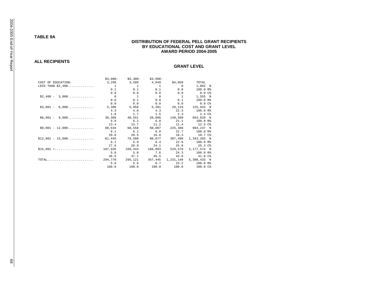# **TABLE 9A**

# **DISTRIBUTION OF FEDERAL PELL GRANT RECIPIENTS BY EDUCATIONAL COST AND GRANT LEVEL AWARD PERIOD 2004-2005**

## **ALL RECIPIENTS**

|                    | $$3,000-$                | $$3,300-$                                                                                                                                                                                                                      | $$3,600-$         |                |                   |  |
|--------------------|--------------------------|--------------------------------------------------------------------------------------------------------------------------------------------------------------------------------------------------------------------------------|-------------------|----------------|-------------------|--|
| COST OF EDUCATION: |                          | 3,299 3,599 4,049                                                                                                                                                                                                              |                   | \$4,050        | TOTAL             |  |
| LESS THAN $$2,400$ |                          | and the contract of the contract of the contract of the contract of the contract of the contract of the contract of the contract of the contract of the contract of the contract of the contract of the contract of the contra | $\sim$ $-1$       | $\sim$ 0       | 1,082 N           |  |
|                    | 0.1                      | 0.1                                                                                                                                                                                                                            | 0.1               | 0.0            | 100.0 R%          |  |
|                    | 0.0                      | 0.0                                                                                                                                                                                                                            | 0.0               | 0.0            | $0.0C$ 8          |  |
| $$2,400 - 3,000$   | $\overline{\phantom{0}}$ | $\overline{1}$                                                                                                                                                                                                                 | $\overline{0}$    | $\overline{1}$ | 1,555 N           |  |
|                    | 0.0                      | 0.1                                                                                                                                                                                                                            | 0.0               | 0.1            | 100.0 R%          |  |
|                    | 0.0                      | 0.0                                                                                                                                                                                                                            | 0.0               | 0.0            | $0.0 C$ %         |  |
| $$3,001 - 6,000$   | 5,386                    | 5,058                                                                                                                                                                                                                          | 5,381             | 28,119         | 125,943 N         |  |
|                    | 4.3                      | 4.0                                                                                                                                                                                                                            | 4.3               | 22.3           | 100.0 R%          |  |
|                    | 1.8                      | 1.7                                                                                                                                                                                                                            | 1.5               | 2.3            | 2.4 C &           |  |
| $$6,001 - 9,000$   | 39,369                   | 40.551                                                                                                                                                                                                                         | 39,886            | 140,580        | 664,829 N         |  |
|                    | 5.9                      | 6.1                                                                                                                                                                                                                            | 6.0               | 21.1           | 100.0 R%          |  |
|                    | 13.4                     | 13.7                                                                                                                                                                                                                           | 11.2              | 11.4           | 12.5 C%           |  |
| $$9,001 - 12,000$  | 60,634                   | 60,558                                                                                                                                                                                                                         | 60,007            |                | 225,388 994,247 N |  |
|                    | 6.1                      | 6.1                                                                                                                                                                                                                            | 6.0               | 22.7           | 100.0 R%          |  |
|                    | 20.6                     | 20.5                                                                                                                                                                                                                           | 16.8              | 18.3           | 18.7 C %          |  |
| $$12,001 - 15,000$ | 81,445                   | 79,508                                                                                                                                                                                                                         | 86.077            | 307,490        | 1,343,203 N       |  |
|                    | 6.1                      | 5.9                                                                                                                                                                                                                            | 6.4               | 22.9           | $100.0 R$ %       |  |
|                    | 27.6                     | 26.9                                                                                                                                                                                                                           | 24.1              | 25.0           | 25.3 C &          |  |
| $$15,001$ +        | 107,935                  | 109,444                                                                                                                                                                                                                        | 166,093           | 529,570        | 2,177,574 N       |  |
|                    | 5.0                      | 5.0                                                                                                                                                                                                                            | 7.6               | 24.3           | 100.0 R%          |  |
|                    | 36.6                     | 37.1                                                                                                                                                                                                                           | 46.5              | 43.0           | 41.0 C%           |  |
| $\texttt{TOTAL}$   | 294,770                  |                                                                                                                                                                                                                                | 295, 121 357, 445 | 1,231,148      | 5,308,433 N       |  |
|                    | 5.6                      | 5.6                                                                                                                                                                                                                            | 6.7               | 23.2           | 100.0 R%          |  |
|                    | 100.0                    | 100.0                                                                                                                                                                                                                          | 100.0             | 100.0          | 100.0 C%          |  |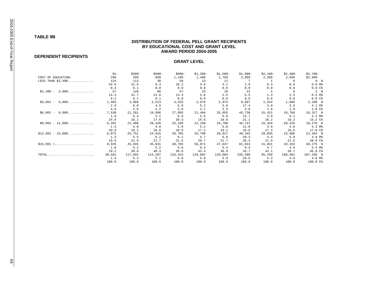## **TABLE 9B**

# **DISTRIBUTION OF FEDERAL PELL GRANT RECIPIENTS BY EDUCATIONAL COST AND GRANT LEVEL AWARD PERIOD 2004-2005**

#### **DEPENDENT RECIPIENTS**

|                                        | $$1-$  | $$300-$ | $$600-$ | $$900-$ | $$1,200-$ | $$1,500-$ | $$1,800-$ | $$2,100-$ | $$2,400-$ | $$2,700-$          |
|----------------------------------------|--------|---------|---------|---------|-----------|-----------|-----------|-----------|-----------|--------------------|
| COST OF EDUCATION:                     | 299    | 599     | 899     | 1,199   | 1,499     | 1,799     | 2,099     | 2,399     | 2,699     | \$2,999            |
| LESS THAN \$2,400                      | 124    | 113     | 30      | 58      | 13        | 11        |           |           | $\Omega$  | $\circ$<br>N       |
|                                        | 34.6   | 31.6    | 8.4     | 16.2    | 3.6       | 3.1       | 2.0       | 0.3       | 0.0       | 0.0 R              |
|                                        | 0.4    | 0.1     | 0.0     | 0.0     | 0.0       | 0.0       | 0.0       | 0.0       | 0.0       | $0.0C$ %           |
| 3,000<br>$$2,400 -$                    | 57     | 126     | 86      | 57      | 23        | 10        | 22        | .5        | -9        | 2 N                |
|                                        | 14.3   | 31.7    | 21.6    | 14.3    | 5.8       | 2.5       | 5.5       | 1.3       | 2.3       | 0.5 R <sup>8</sup> |
|                                        | 0.2    | 0.1     | 0.1     | 0.0     | 0.0       | 0.0       | 0.0       | 0.0       | 0.0       | 0.0C               |
| $$3,001 -$<br>6,000                    | 1,483  | 3,068   | 2,513   | 3,525   | 2,675     | 2,974     | 8,897     | 1,532     | 1,969     | 2,100 N            |
|                                        | 2.9    | 6.0     | 4.9     | 6.9     | 5.2       | 5.8       | 17.4      | 3.0       | 3.9       | 4.1 R%             |
|                                        | 4.8    | 2.6     | 2.2     | 2.6     | 2.1       | 2.3       | 3.8       | 1.6       | 1.8       | 2.0C               |
| $$6,001 -$<br>9,000                    | 7,530  | 21,281  | 19,906  | 27,095  | 21,404    | 25,655    | 49,738    | 15,421    | 19,768    | 16,317 N           |
|                                        | 1.9    | 5.4     | 5.1     | 6.9     | 5.5       | 6.6       | 12.7      | 3.9       | 5.1       | 4.2 R              |
|                                        | 24.6   | 18.1    | 17.6    | 20.3    | 16.6      | 19.9      | 21.1      | 16.2      | 18.2      | 15.2 C%            |
| $$9,001 - 12,000 \ldots \ldots \ldots$ | 6,391  | 21,408  | 20,426  | 25,199  | 22,196    | 24,700    | 46,747    | 16,434    | 20,226    | 18,278 N           |
|                                        | 1.5    | 5.0     | 4.8     | 5.9     | 5.2       | 5.8       | 11.0      | 3.9       | 4.8       | 4.3 R <sup>8</sup> |
|                                        | 20.9   | 18.2    | 18.0    | 18.9    | 17.2      | 19.1      | 19.8      | 17.3      | 18.6      | 17.0 C%            |
| $$12,001 - 15,000$                     | 6,071  | 25,751  | 24,615  | 28,705  | 26,700    | 28,017    | 48,345    | 20,835    | 23,506    | 22,364 N           |
|                                        | 1.3    | 5.5     | 5.2     | 6.1     | 5.7       | 6.0       | 10.3      | 4.4       | 5.0       | 4.8 R <sup>8</sup> |
|                                        | 19.9   | 21.9    | 21.7    | 21.5    | 20.7      | 21.7      | 20.5      | 21.9      | 21.6      | 20.8 C%            |
| $$15,001 +$                            | 8,925  | 45,945  | 45,631  | 48,785  | 56,071    | 47,637    | 81,824    | 41,031    | 43,103    | 48,275 N           |
|                                        | 1.0    | 5.2     | 5.2     | 5.6     | 6.4       | 5.4       | 9.3       | 4.7       | 4.9       | 5.5 R              |
|                                        | 29.2   | 39.0    | 40.3    | 36.6    | 43.4      | 36.9      | 34.7      | 43.1      | 39.7      | 45.0 C%            |
| TOTAL                                  | 30,581 | 117,692 | 113,207 | 133,424 | 129,082   | 129,004   | 235,580   | 95,259    | 108,581   | 107,336 N          |
|                                        | 1.4    | 5.3     | 5.1     | 6.0     | 5.8       | 5.8       | 10.6      | 4.3       | 4.9       | 4.8 R <sup>8</sup> |
|                                        | 100.0  | 100.0   | 100.0   | 100.0   | 100.0     | 100.0     | 100.0     | 100.0     | 100.0     | 100.0 C%           |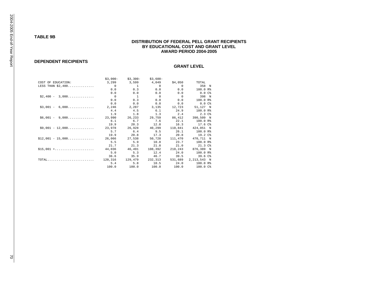2004-2005 End-of-Year Report

## **TABLE 9B**

## **DISTRIBUTION OF FEDERAL PELL GRANT RECIPIENTS BY EDUCATIONAL COST AND GRANT LEVEL AWARD PERIOD 2004-2005**

## **DEPENDENT RECIPIENTS**

|                    | $$3,000-$      | $$3,300-$                       | $$3,600-$      |                          |             |
|--------------------|----------------|---------------------------------|----------------|--------------------------|-------------|
| COST OF EDUCATION: |                | 3,299 3,599 4,049               |                | \$4,050                  | TOTAL       |
| LESS THAN $$2,400$ | $\overline{0}$ | <b>Contract Telephone State</b> | $\sim$ 0       | $\sim$ 0                 | 358 N       |
|                    | 0.0            | 0.3                             | 0.0            | 0.0                      | 100.0 R%    |
|                    | 0.0            | 0.0                             | 0.0            | 0.0                      | $0.0C$ %    |
| $$2,400 - 3,000$   | $\overline{0}$ | $\overline{1}$                  | $\overline{0}$ | $\overline{\phantom{0}}$ | 398 N       |
|                    | 0.0            | 0.3                             | 0.0            | 0.0                      | 100.0 R%    |
|                    | 0.0            | 0.0                             | 0.0            | 0.0                      | $0.0C$ 8    |
| $$3,001 - 6,000$   | 2,246          | 2,287                           | 3,135          | 12,723                   | 51,127 N    |
|                    | 4.4            | 4.5                             | 6.1            | 24.9                     | 100.0 R%    |
|                    | 1.9            | 1.8                             | 1.3            | 2.4                      | 2.3 C%      |
| $$6,001 - 9,000$   | 23,990         | 26,233                          | 29,759         | 86,412                   | 390,509 N   |
|                    | 6.1            | 6.7                             | 7.6            | 22.1                     | 100.0 R%    |
|                    | 19.9           | 20.3                            | 12.8           | 16.3                     | 17.6 C%     |
| $$9,001 - 12,000$  | 23,978         | 26,928                          | 40,299         | 110,841                  | 424,051 N   |
|                    | 5.7            | 6.4                             | 9.5            | 26.1                     | 100.0 R%    |
|                    | 19.9           | 20.8                            | 17.3           | 20.8                     | 19.2 C%     |
| $$12,001 - 15,000$ | 26,066         | 27,538                          | 50,728         | 111,470                  | 470,711 N   |
|                    | 5.5            | 5.9                             | 10.8           | 23.7                     | 100.0 R%    |
|                    | 21.7           | 21.3                            | 21.8           | 21.0                     | 21.3 C%     |
| $$15,001$ +        | 44,036         | 46,491                          | 108,392        | 210,243                  | 876,389 N   |
|                    | 5.0            | 5.3                             | 12.4           | 24.0                     | 100.0 R%    |
|                    | 36.6           | 35.9                            | 46.7           | 39.5                     | 39.6 C%     |
| $\texttt{TOTAL}$   | 120,316        | 129,479                         | 232,313        | 531,689                  | 2,213,543 N |
|                    | 5.4            | 5.8                             | 10.5           | 24.0                     | 100.0 R%    |
|                    | 100.0          | 100.0                           | 100.0          | 100.0                    | 100.0 C%    |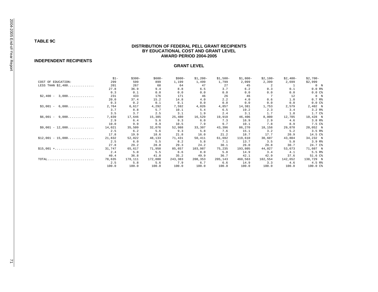### **TABLE 9C**

## **DISTRIBUTION OF FEDERAL PELL GRANT RECIPIENTS BY EDUCATIONAL COST AND GRANT LEVEL AWARD PERIOD 2004-2005**

#### **INDEPENDENT RECIPIENTS**

|                     | $$1-$  | $$300-$ | $$600-$ | $$900-$ | $$1,200-$ | $$1,500-$ | $$1,800-$ | $$2,100-$ | $$2,400-$ | $$2,700-$          |
|---------------------|--------|---------|---------|---------|-----------|-----------|-----------|-----------|-----------|--------------------|
| COST OF EDUCATION:  | 299    | 599     | 899     | 1,199   | 1,499     | 1,799     | 2,099     | 2,399     | 2,699     | \$2,999            |
| LESS THAN \$2,400   | 201    | 267     | 68      | 64      | 47        | 27        | 45        | 2         |           | 0 N                |
|                     | 27.8   | 36.9    | 9.4     | 8.8     | 6.5       | 3.7       | 6.2       | 0.3       | 0.1       | 0.0 R              |
|                     | 0.3    | 0.1     | 0.0     | 0.0     | 0.0       | 0.0       | 0.0       | 0.0       | 0.0       | $0.0C$ %           |
| $$2,400 -$<br>3,000 | 231    | 433     | 176     | 171     | 46        | 26        | 46        |           | 12        | 8 N                |
|                     | 20.0   | 37.4    | 15.2    | 14.8    | 4.0       | 2.2       | 4.0       | 0.6       | 1.0       | 0.7 R <sup>8</sup> |
|                     | 0.3    | 0.2     | 0.1     | 0.1     | 0.0       | 0.0       | 0.0       | 0.0       | 0.0       | 0.0C <sup>8</sup>  |
| $$3,001 -$<br>6,000 | 2,764  | 6,617   | 4,292   | 7,592   | 4,026     | 4,857     | 14,381    | 1,753     | 2,579     | 2,402 N            |
|                     | 3.7    | 8.8     | 5.7     | 10.1    | 5.4       | 6.5       | 19.2      | 2.3       | 3.4       | 3.2 R              |
|                     | 3.5    | 3.7     | 2.5     | 3.1     | 1.9       | 2.4       | 3.1       | 1.7       | 1.8       | 1.7 C%             |
| 9,000<br>$$6,001 -$ | 7,839  | 17,646  | 15,385  | 25,480  | 16,529    | 19,910    | 46,406    | 8,000     | 12,705    | $10,428$ N         |
|                     | 2.9    | 6.4     | 5.6     | 9.3     | 6.0       | 7.3       | 16.9      | 2.9       | 4.6       | 3.8 R              |
|                     | 10.0   | 9.9     | 8.9     | 10.5    | 7.9       | 9.7       | 10.1      | 7.8       | 8.9       | 7.5 C%             |
| $$9,001 - 12,000$   | 14,021 | 35,509  | 32,076  | 52,988  | 33,307    | 43,396    | 86,270    | 18,158    | 29,878    | 20,052 N           |
|                     | 2.5    | 6.2     | 5.6     | 9.3     | 5.8       | 7.6       | 15.1      | 3.2       | 5.2       | 3.5 R <sup>8</sup> |
|                     | 17.8   | 19.9    | 18.6    | 21.8    | 16.0      | 21.2      | 18.7      | 17.7      | 20.9      | 14.5 C%            |
| $$12,001 - 15,000$  | 21,832 | 52,022  | 48,133  | 71,431  | 50,411    | 61,692    | 119,610   | 30,607    | 43,804    | 34,232 N           |
|                     | 2.5    | 6.0     | 5.5     | 8.2     | 5.8       | 7.1       | 13.7      | 3.5       | 5.0       | 3.9 R <sup>8</sup> |
|                     | 27.8   | 29.2    | 28.0    | 29.3    | 24.2      | 30.1      | 26.0      | 29.8      | 30.7      | 24.7 C%            |
| $$15,001 +$         | 31,747 | 65,617  | 71,950  | 85,657  | 103,987   | 75,235    | 193,805   | 44,027    | 53,673    | 71,607 N           |
|                     | 2.4    | 5.0     | 5.5     | 6.6     | 8.0       | 5.8       | 14.9      | 3.4       | 4.1       | 5.5 R%             |
|                     | 40.4   | 36.8    | 41.8    | 35.2    | 49.9      | 36.7      | 42.1      | 42.9      | 37.6      | 51.6 C%            |
| TOTAL               | 78,635 | 178,111 | 172,080 | 243,383 | 208,353   | 205,143   | 460,563   | 102,554   | 142,652   | 138,729 N          |
|                     | 2.5    | 5.8     | 5.6     | 7.9     | 6.7       | 6.6       | 14.9      | 3.3       | 4.6       | 4.5 R <sup>8</sup> |
|                     | 100.0  | 100.0   | 100.0   | 100.0   | 100.0     | 100.0     | 100.0     | 100.0     | 100.0     | 100.0 C%           |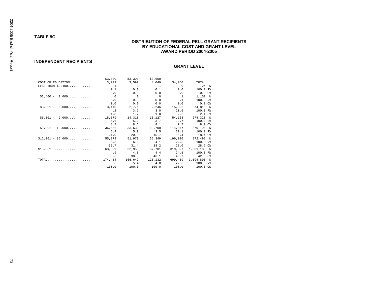## **TABLE 9C**

## **DISTRIBUTION OF FEDERAL PELL GRANT RECIPIENTS BY EDUCATIONAL COST AND GRANT LEVEL AWARD PERIOD 2004-2005**

### **INDEPENDENT RECIPIENTS**

|                                                                        | $$3,000-$      | \$3,300-       | $$3,600-$         |                |             |  |
|------------------------------------------------------------------------|----------------|----------------|-------------------|----------------|-------------|--|
| COST OF EDUCATION:                                                     |                |                | 3,299 3,599 4,049 | \$4,050        | TOTAL       |  |
| LESS THAN $$2,400$                                                     | $\sim$ 1       | $\overline{0}$ | $\sim$ 1          | $\overline{0}$ | 724 N       |  |
|                                                                        | 0.1            | 0.0            | 0.1               | 0.0            | 100.0 R%    |  |
|                                                                        | 0.0            | 0.0            | 0.0               | 0.0            | 0.0C        |  |
| $$2,400 - 3,000$                                                       | $\overline{0}$ | $\overline{0}$ | $\overline{0}$    | $\overline{1}$ | 1,157 N     |  |
|                                                                        | 0.0            | 0.0            | 0.0               | 0.1            | 100.0 R%    |  |
|                                                                        | 0.0            | 0.0            | 0.0               | 0.0            | $0.0C$ 8    |  |
| $$3,001 - 6,000$                                                       | 3,140          | 2.771          | 2,246             | 15,396         | 74,816 N    |  |
|                                                                        | 4.2            | 3.7            | 3.0               | 20.6           | 100.0 R%    |  |
|                                                                        | 1.8            | 1.7            | 1.8               | 2.2            | 2.4 C%      |  |
| $$6,001 - 9,000$                                                       | 15,379         | 14,318         | 10,127            | 54,168         | 274,320 N   |  |
|                                                                        | 5.6            | 5.2            | 3.7               | 19.7           | 100.0 R%    |  |
|                                                                        | 8.8            | 8.6            | 8.1               | 7.7            | 8.9C        |  |
| $$9,001 - 12,000$                                                      | 36,656         | 33,630         | 19,708            | 114,547        | 570,196 N   |  |
|                                                                        | 6.4            | 5.9            | 3.5               | 20.1           | 100.0 R%    |  |
|                                                                        | 21.0           | 20.3           | 15.7              | 16.4           | 18.4 C%     |  |
| $$12,001 - 15,000$                                                     | 55,379         | 51,970         | 35,349            | 196,020        | 872,492 N   |  |
|                                                                        | 6.3            | 6.0            | 4.1               | 22.5           | 100.0 R%    |  |
|                                                                        | 31.7           | 31.4           | 28.2              | 28.0           | 28.2 C%     |  |
| $$15,001$ + 63,899                                                     |                | 62,953         | 57,701            | 319,327        | 1,301,185 N |  |
|                                                                        | 4.9            | 4.8            | 4.4               | 24.5           | 100.0 R%    |  |
|                                                                        | 36.6           | 38.0           | 46.1              | 45.7           | 42.0C8      |  |
| $\texttt{TOTAL} \dots \dots \dots \dots \dots \dots \dots \dots \dots$ | 174,454        | 165,642        | 125,132           | 699,459        | 3,094,890 N |  |
|                                                                        | 5.6            | 5.4            | 4.0               | 22.6           | 100.0 R%    |  |
|                                                                        | 100.0          | 100.0          | 100.0             | 100.0          | 100.0 C%    |  |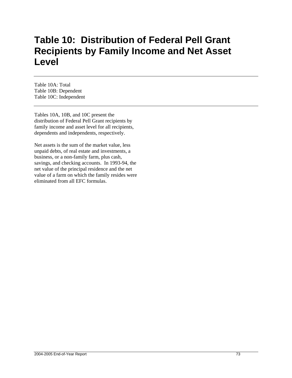## **Table 10: Distribution of Federal Pell Grant Recipients by Family Income and Net Asset Level**

Table 10A: Total Table 10B: Dependent Table 10C: Independent

Tables 10A, 10B, and 10C present the distribution of Federal Pell Grant recipients by family income and asset level for all recipients, dependents and independents, respectively.

Net assets is the sum of the market value, less unpaid debts, of real estate and investments, a business, or a non-family farm, plus cash, savings, and checking accounts. In 1993-94, the net value of the principal residence and the net value of a farm on which the family resides were eliminated from all EFC formulas.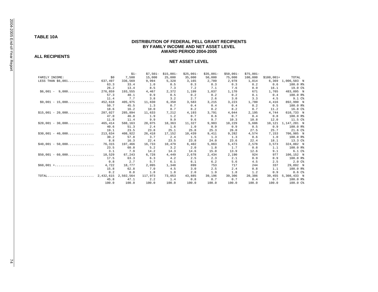## **TABLE 10A**

### **DISTRIBUTION OF FEDERAL PELL GRANT RECIPIENTS BY FAMILY INCOME AND NET ASSET LEVEL AWARD PERIOD 2004-2005**

#### **ALL RECIPIENTS**

#### **NET ASSET LEVEL**

|                                               |           | $$1-$     | $$7,501-$ | $$15,001-$ | $$25,001-$ | $$35,001-$ | $$50,001-$ | $$75,001-$ |             |                    |
|-----------------------------------------------|-----------|-----------|-----------|------------|------------|------------|------------|------------|-------------|--------------------|
| FAMILY INCOME:                                | \$0       | 7,500     | 15,000    | 25,000     | 35,000     | 50,000     | 75,000     | 100,000    | $$100.001+$ | TOTAL              |
| LESS THAN \$6,001                             | 637,497   | 336,569   | 9,994     | 5,328      | 3,165      | 2,789      | 2,978      | 1,814      | 6,369       | 1,006,503 N        |
|                                               | 63.3      | 33.4      | 1.0       | 0.5        | 0.3        | 0.3        | 0.3        | 0.2        | 0.6         | 100.0 R%           |
|                                               | 26.2      | 13.4      | 8.5       | 7.3        | 7.2        | 7.1        | 7.6        | 8.9        | 16.1        | 19.0 C%            |
| $$6,001 -$<br>9,000                           | 276,859   | 193,555   | 4,467     | 2,372      | 1,199      | 1,037      | 1,170      | 671        | 1,765       | 483,095 N          |
|                                               | 57.3      | 40.1      | 0.9       | 0.5        | 0.2        | 0.2        | 0.2        | 0.1        | 0.4         | 100.0 R%           |
|                                               | 11.4      | 7.7       | 3.8       | 3.2        | 2.7        | 2.6        | 3.0        | 3.3        | 4.5         | 9.1 <sup>c</sup>   |
| $$9,001 - 15,000$                             | 452,618   | 405,975   | 11,830    | 6,350      | 3,583      | 3,215      | 3,223      | 1,780      | 4,416       | 892,990 N          |
|                                               | 50.7      | 45.5      | 1.3       | 0.7        | 0.4        | 0.4        | 0.4        | 0.2        | 0.5         | 100.0 R%           |
|                                               | 18.6      | 16.2      | 10.0      | 8.7        | 8.2        | 8.2        | 8.2        | 8.7        | 11.2        | 16.8 C%            |
| $$15,001 - 20,000$                            | 287,027   | 285,894   | 11,633    | 7,212      | 4,193      | 3,791      | 4,044      | 2,195      | 4,744       | 610,733 N          |
|                                               | 47.0      | 46.8      | 1.9       | 1.2        | 0.7        | 0.6        | 0.7        | 0.4        | 0.8         | 100.0 R%           |
|                                               | 11.8      | 11.4      | 9.9       | 9.9        | 9.6        | 9.7        | 10.3       | 10.8       | 12.0        | 11.5 C%            |
| $$20,001 - 30,000$                            | 465,414   | 588,163   | 28,075    | 18,363     | 11,327     | 9,903      | 10,229     | 5,606      | 10,121      | 1,147,201 N        |
|                                               | 40.6      | 51.3      | 2.4       | 1.6        | 1.0        | 0.9        | 0.9        | 0.5        | 0.9         | 100.0 R%           |
|                                               | 19.1      | 23.5      | 23.8      | 25.1       | 25.8       | 25.3       | 26.0       | 27.5       | 25.7        | 21.6 C%            |
| $$30,001 - 40,000$                            | 213,634   | 408,922   | 26,418    | 17,152     | 10,439     | 9,411      | 9,282      | 4,574      | 7,153       | 706,985 N          |
|                                               | 30.2      | 57.8      | 3.7       | 2.4        | 1.5        | 1.3        | 1.3        | 0.6        | 1.0         | 100.0 R%           |
|                                               | 8.8       | 16.3      | 22.4      | 23.5       | 23.8       | 24.0       | 23.6       | 22.4       | 18.1        | 13.3C <sub>8</sub> |
| $$40,001 - 50,000$                            | 76,315    | 197,466   | 16,733    | 10,479     | 6,402      | 5,863      | 5,473      | 2,578      | 3,573       | 324,882 N          |
|                                               | 23.5      | 60.8      | 5.2       | 3.2        | 2.0        | 1.8        | 1.7        | 0.8        | 1.1         | 100.0 R%           |
|                                               | 3.1       | 7.9       | 14.2      | 14.3       | 14.6       | 15.0       | 13.9       | 12.6       | 9.1         | 6.1 C%             |
| $$50,001 - 60,000$                            | 18,529    | 67,243    | 6,728     | 4,449      | 2,678      | 2,434      | 2,190      | 924        | 977         | 106,152 N          |
|                                               | 17.5      | 63.3      | 6.3       | 4.2        | 2.5        | 2.3        | 2.1        | 0.9        | 0.9         | 100.0 R%           |
|                                               | 0.8       | 2.7       | 5.7       | 6.1        | 6.1        | 6.2        | 5.6        | 4.5        | 2.5         | 2.0C               |
| $$60,001 + \ldots + \ldots + \ldots + \ldots$ | 4,722     | 18,777    | 2,095     | 1,348      | 899        | 753        | 717        | 244        | 337         | 29,892 N           |
|                                               | 15.8      | 62.8      | 7.0       | 4.5        | 3.0        | 2.5        | 2.4        | 0.8        | 1.1         | 100.0 R%           |
|                                               | 0.2       | 0.8       | 1.8       | 1.8        | 2.0        | 1.9        | 1.8        | 1.2        | 0.9         | 0.6C%              |
| TOTAL                                         | 2,432,615 | 2,502,564 | 117,973   | 73,053     | 43,885     | 39,196     | 39,306     | 20,386     | 39,455      | 5,308,433 N        |
|                                               | 45.8      | 47.1      | 2.2       | 1.4        | 0.8        | 0.7        | 0.7        | 0.4        | 0.7         | 100.0 R%           |
|                                               | 100.0     | 100.0     | 100.0     | 100.0      | 100.0      | 100.0      | 100.0      | 100.0      | 100.0       | 100.0 C%           |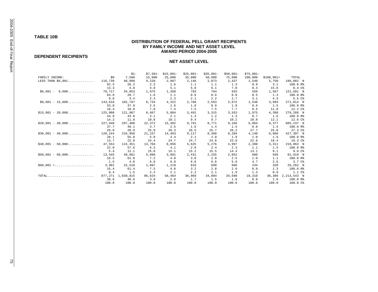**TABLE 10B** 

### **DISTRIBUTION OF FEDERAL PELL GRANT RECIPIENTS BY FAMILY INCOME AND NET ASSET LEVEL AWARD PERIOD 2004-2005**

#### **DEPENDENT RECIPIENTS**

#### **NET ASSET LEVEL**

|                                                                        |         | $$1 -$    | $$7,501-$ | $$15,001-$ | $$25,001-$ | $$35,001-$ | $$50,001-$ | $$75,001-$ |             |             |
|------------------------------------------------------------------------|---------|-----------|-----------|------------|------------|------------|------------|------------|-------------|-------------|
| FAMILY INCOME:                                                         | \$0     | 7,500     | 15,000    | 25,000     | 35,000     | 50,000     | 75,000     | 100,000    | $$100.001+$ | TOTAL       |
| LESS THAN \$6,001                                                      | 116,739 | 48,990    | 4,220     | 2,987      | 2,146      | 2,073      | 2,437      | 1,540      | 5,750       | 186,882 N   |
|                                                                        | 62.5    | 26.2      | 2.3       | 1.6        | 1.1        | 1.1        | 1.3        | 0.8        | 3.1         | 100.0 R%    |
|                                                                        | 13.3    | 4.8       | 4.9       | 5.1        | 5.8        | 6.1        | 7.0        | 8.4        | 15.8        | 8.4 C%      |
| 9,000<br>$$6,001 -$                                                    | 78.717  | 34,853    | 1,975     | 1,350      | 783        | 764        | 933        | 559        | 1,567       | 121,501 N   |
|                                                                        | 64.8    | 28.7      | 1.6       | 1.1        | 0.6        | 0.6        | 0.8        | 0.5        | 1.3         | 100.0 R%    |
|                                                                        | 9.0     | 3.4       | 2.3       | 2.3        | 2.1        | 2.2        | 2.7        | 3.1        | 4.3         | 5.5 C%      |
| $$9,001 - 15,000$                                                      | 143,616 | 102,797   | 6,734     | 4,322      | 2,768      | 2,563      | 2,672      | 1,548      | 3,994       | 271,014 N   |
|                                                                        | 53.0    | 37.9      | 2.5       | 1.6        | 1.0        | 0.9        | 1.0        | 0.6        | 1.5         | 100.0 R%    |
|                                                                        | 16.4    | 10.0      | 7.8       | 7.4        | 7.5        | 7.5        | 7.7        | 8.5        | 11.0        | 12.2 C%     |
| $$15,001 - 20,000$                                                     | 125,008 | 121,987   | 8,667     | 5,884      | 3,491      | 3,315      | 3,553      | 1,975      | 4,388       | 278,268 N   |
|                                                                        | 44.9    | 43.8      | 3.1       | 2.1        | 1.3        | 1.2        | 1.3        | 0.7        | 1.6         | 100.0 R%    |
|                                                                        | 14.2    | 11.8      | 10.0      | 10.1       | 9.4        | 9.7        | 10.2       | 10.8       | 12.1        | 12.6C       |
| $$20.001 - 30.000$                                                     | 227,948 | 297,408   | 22,372    | 15,402     | 9,791      | 8,771      | 9,104      | 5,064      | 9.377       | 605,237 N   |
|                                                                        | 37.7    | 49.1      | 3.7       | 2.5        | 1.6        | 1.4        | 1.5        | 0.8        | 1.5         | 100.0 R%    |
|                                                                        | 26.0    | 28.9      | 25.8      | 26.3       | 26.5       | 25.7       | 26.2       | 27.7       | 25.8        | 27.3 C%     |
| $$30,001 - 40,000$                                                     | 120,244 | 234,958   | 21,157    | 14,463     | 9,117      | 8,368      | 8,284      | 4,140      | 6,666       | 427,397 N   |
|                                                                        | 28.1    | 55.0      | 5.0       | 3.4        | 2.1        | 2.0        | 1.9        | 1.0        | 1.6         | 100.0 R%    |
|                                                                        | 13.7    | 22.8      | 24.4      | 24.7       | 24.7       | 24.6       | 23.9       | 22.6       | 18.4        | 19.3 C%     |
| $$40,001 - 50,000$                                                     | 47,553  | 124,351   | 13,704    | 8,856      | 5,625      | 5,276      | 4,997      | 2,390      | 3,311       | 216,063 N   |
|                                                                        | 22.0    | 57.6      | 6.3       | 4.1        | 2.6        | 2.4        | 2.3        | 1.1        | 1.5         | 100.0 R%    |
|                                                                        | 5.4     | 12.1      | 15.8      | 15.1       | 15.2       | 15.5       | 14.4       | 13.1       | 9.1         | 9.8 C%      |
| $$50,001 - 60,000$                                                     | 13,545  | 49,961    | 5,898     | 3,981      | 2,431      | 2,255      | 2,052      | 860        | 936         | 81,919 N    |
|                                                                        | 16.5    | 61.0      | 7.2       | 4.9        | 3.0        | 2.8        | 2.5        | 1.0        | 1.1         | 100.0 R%    |
|                                                                        | 1.5     | 4.8       | 6.8       | 6.8        | 6.6        | 6.6        | 5.9        | 4.7        | 2.6         | 3.7 C%      |
| $$60,001$ +                                                            | 3,901   | 15,510    | 1,897     | 1,219      | 816        | 699        | 666        | 234        | 320         | 25,262 N    |
|                                                                        | 15.4    | 61.4      | 7.5       | 4.8        | 3.2        | 2.8        | 2.6        | 0.9        | 1.3         | 100.0 R%    |
|                                                                        | 0.4     | 1.5       | 2.2       | 2.1        | 2.2        | 2.1        | 1.9        | 1.3        | 0.9         | 1.1 C%      |
| $\texttt{TOTAL} \dots \dots \dots \dots \dots \dots \dots \dots \dots$ | 877,271 | 1,030,815 | 86,624    | 58,464     | 36,968     | 34,084     | 34,698     | 18,310     | 36,309      | 2,213,543 N |
|                                                                        | 39.6    | 46.6      | 3.9       | 2.6        | 1.7        | 1.5        | 1.6        | 0.8        | 1.6         | 100.0 R%    |
|                                                                        | 100.0   | 100.0     | 100.0     | 100.0      | 100.0      | 100.0      | 100.0      | 100.0      | 100.0       | 100.0 C%    |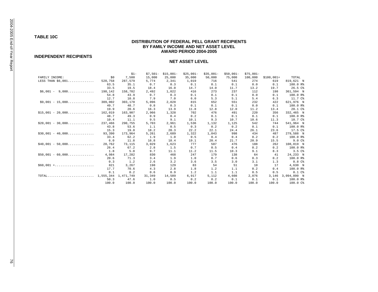**TABLE 10C** 

### **DISTRIBUTION OF FEDERAL PELL GRANT RECIPIENTS BY FAMILY INCOME AND NET ASSET LEVEL AWARD PERIOD 2004-2005**

#### **INDEPENDENT RECIPIENTS**

#### **NET ASSET LEVEL**

|                                                |           | $$1 -$    | $$7,501-$ | $$15,001-$ | $$25,001-$ | $$35,001-$ | $$50,001-$ | $$75,001-$ |             |                   |
|------------------------------------------------|-----------|-----------|-----------|------------|------------|------------|------------|------------|-------------|-------------------|
| FAMILY INCOME:                                 | \$0       | 7,500     | 15,000    | 25,000     | 35,000     | 50,000     | 75,000     | 100,000    | $$100.001+$ | TOTAL             |
| LESS THAN \$6,001                              | 520,758   | 287,579   | 5.774     | 2,341      | 1,019      | 716        | 541        | 274        | 619         | 819,621 N         |
|                                                | 63.5      | 35.1      | 0.7       | 0.3        | 0.1        | 0.1        | 0.1        | 0.0        | 0.1         | 100.0 R%          |
|                                                | 33.5      | 19.5      | 18.4      | 16.0       | 14.7       | 14.0       | 11.7       | 13.2       | 19.7        | 26.5 C%           |
| 9.000<br>$$6.001 -$                            | 198,142   | 158,702   | 2.492     | 1,022      | 416        | 273        | 237        | 112        | 198         | 361,594 N         |
|                                                | 54.8      | 43.9      | 0.7       | 0.3        | 0.1        | 0.1        | 0.1        | 0.0        | 0.1         | 100.0 R%          |
|                                                | 12.7      | 10.8      | 7.9       | 7.0        | 6.0        | 5.3        | 5.1        | 5.4        | 6.3         | 11.7 C%           |
| $$9,001 - 15,000$                              | 309,002   | 303,178   | 5,096     | 2,028      | 815        | 652        | 551        | 232        | 422         | 621,976 N         |
|                                                | 49.7      | 48.7      | 0.8       | 0.3        | 0.1        | 0.1        | 0.1        | 0.0        | 0.1         | 100.0 R%          |
|                                                | 19.9      | 20.6      | 16.3      | 13.9       | 11.8       | 12.8       | 12.0       | 11.2       | 13.4        | 20.1 C%           |
| $$15,001 - 20,000 \ldots \ldots \ldots \ldots$ | 162,019   | 163,907   | 2,966     | 1,328      | 702        | 476        | 491        | 220        | 356         | 332,465 N         |
|                                                | 48.7      | 49.3      | 0.9       | 0.4        | 0.2        | 0.1        | 0.1        | 0.1        | 0.1         | 100.0 R%          |
|                                                | 10.4      | 11.1      | 9.5       | 9.1        | 10.1       | 9.3        | 10.7       | 10.6       | 11.3        | 10.7 C%           |
| $$20.001 - 30.000$                             | 237,466   | 290,755   | 5,703     | 2,961      | 1,536      | 1,132      | 1,125      | 542        | 744         | 541,964 N         |
|                                                | 43.8      | 53.6      | 1.1       | 0.5        | 0.3        | 0.2        | 0.2        | 0.1        | 0.1         | 100.0 R%          |
|                                                | 15.3      | 19.8      | 18.2      | 20.3       | 22.2       | 22.1       | 24.4       | 26.1       | 23.6        | 17.5 C%           |
| $$30,001 - 40,000$                             | 93,390    | 173,964   | 5,261     | 2,689      | 1,322      | 1,043      | 998        | 434        | 487         | 279,588 N         |
|                                                | 33.4      | 62.2      | 1.9       | 1.0        | 0.5        | 0.4        | 0.4        | 0.2        | 0.2         | 100.0 R%          |
|                                                | 6.0       | 11.8      | 16.8      | 18.4       | 19.1       | 20.4       | 21.7       | 20.9       | 15.5        | 9.0 C             |
| $$40,001 - 50,000$                             | 28,762    | 73,115    | 3,029     | 1,623      | 777        | 587        | 476        | 188        | 262         | 108,819 N         |
|                                                | 26.4      | 67.2      | 2.8       | 1.5        | 0.7        | 0.5        | 0.4        | 0.2        | 0.2         | 100.0 R%          |
|                                                | 1.8       | 5.0       | 9.7       | 11.1       | 11.2       | 11.5       | 10.3       | 9.1        | 8.3         | 3.5C <sub>8</sub> |
| $$50.001 - 60.000$                             | 4,984     | 17,282    | 830       | 468        | 247        | 179        | 138        | 64         | 41          | 24,233 N          |
|                                                | 20.6      | 71.3      | 3.4       | 1.9        | 1.0        | 0.7        | 0.6        | 0.3        | 0.2         | 100.0 R%          |
|                                                | 0.3       | 1.2       | 2.6       | 3.2        | 3.6        | 3.5        | 3.0        | 3.1        | 1.3         | 0.8C <sup>8</sup> |
| $$60,001$ +                                    | 821       | 3,267     | 198       | 129        | 83         | 54         | 51         | 10         | 17          | 4,630 N           |
|                                                | 17.7      | 70.6      | 4.3       | 2.8        | 1.8        | 1.2        | 1.1        | 0.2        | 0.4         | 100.0 R%          |
|                                                | 0.1       | 0.2       | 0.6       | 0.9        | 1.2        | 1.1        | 1.1        | 0.5        | 0.5         | 0.1 <sup>c</sup>  |
| TOTAL                                          | 1,555,344 | 1,471,749 | 31,349    | 14,589     | 6,917      | 5,112      | 4,608      | 2,076      | 3,146       | 3,094,890 N       |
|                                                | 50.3      | 47.6      | 1.0       | 0.5        | 0.2        | 0.2        | 0.1        | 0.1        | 0.1         | 100.0 R%          |
|                                                | 100.0     | 100.0     | 100.0     | 100.0      | 100.0      | 100.0      | 100.0      | 100.0      | 100.0       | 100.0 C%          |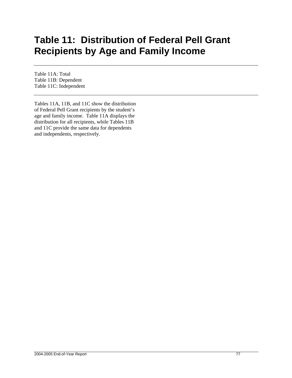## **Table 11: Distribution of Federal Pell Grant Recipients by Age and Family Income**

Table 11A: Total Table 11B: Dependent Table 11C: Independent

Tables 11A, 11B, and 11C show the distribution of Federal Pell Grant recipients by the student's age and family income. Table 11A displays the distribution for all recipients, while Tables 11B and 11C provide the same data for dependents and independents, respectively.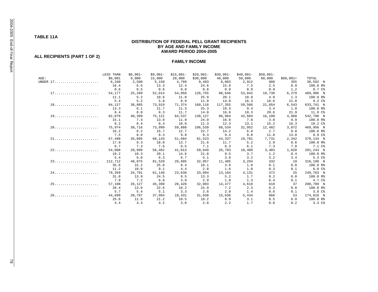### **TABLE 11A**

## **DISTRIBUTION OF FEDERAL PELL GRANT RECIPIENTS BY AGE AND FAMILY INCOME AWARD PERIOD 2004-2005**

## **ALL RECIPIENTS (PART 1 OF 2)**

|          | LESS THAN | $$6,001-$ | $$9,001-$ | $$15,001-$ | $$20,001-$ | $$30,001-$ | $$40,001-$ | $$50,001-$ |            |                   |
|----------|-----------|-----------|-----------|------------|------------|------------|------------|------------|------------|-------------------|
| AGE:     | \$6.001   | 9.000     | 15,000    | 20,000     | \$30.000   | 40,000     | 50,000     | 60,000     | $$60.001+$ | TOTAL             |
| UNDER 17 | 6,340     | 2,500     | 5,150     | 4,789      | 9,483      | 6,083      | 2,912      | 980        | 355        | 38,592 N          |
|          | 16.4      | 6.5       | 13.3      | 12.4       | 24.6       | 15.8       | 7.5        | 2.5        | 0.9        | 100.0 R%          |
|          | 0.6       | 0.5       | 0.6       | 0.8        | 0.8        | 0.9        | 0.9        | 0.9        | 1.2        | 0.7C <sub>8</sub> |
|          | 54,177    | 25,289    | 52,014    | 54,058     | 126,755    | 98,646     | 53,042     | 19,736     | 6,279      | 489,996 N         |
|          | 11.1      | 5.2       | 10.6      | 11.0       | 25.9       | 20.1       | 10.8       | 4.0        | 1.3        | 100.0 R%          |
|          | 5.4       | 5.2       | 5.8       | 8.9        | 11.0       | 14.0       | 16.3       | 18.6       | 21.0       | 9.2 C%            |
|          | 84,127    | 38,885    | 73,919    | 71,374     | 160,118    | 117,355    | 59,566     | 21,854     | 6,543      | 633,741 N         |
|          | 13.3      | 6.1       | 11.7      | 11.3       | 25.3       | 18.5       | 9.4        | 3.4        | 1.0        | 100.0 R%          |
|          | 8.4       | 8.0       | 8.3       | 11.7       | 14.0       | 16.6       | 18.3       | 20.6       | 21.9       | 11.9 C%           |
|          | 82,078    | 40,399    | 75,121    | 64,537     | 130,127    | 86,964     | 42,604     | 16,100     | 4,868      | 542,798 N         |
|          | 15.1      | 7.4       | 13.8      | 11.9       | 24.0       | 16.0       | 7.8        | 3.0        | 0.9        | 100.0 R%          |
|          | 8.2       | 8.4       | 8.4       | 10.6       | 11.3       | 12.3       | 13.1       | 15.2       | 16.3       | 10.2 C%           |
|          | 75,974    | 38,716    | 73,999    | 59,888     | 106,539    | 66,534     | 31,952     | 12,482     | 3,872      | 469,956 N         |
|          | 16.2      | 8.2       | 15.7      | 12.7       | 22.7       | 14.2       | 6.8        | 2.7        | 0.8        | 100.0 R%          |
|          | 7.5       | 8.0       | 8.3       | 9.8        | 9.3        | 9.4        | 9.8        | 11.8       | 13.0       | 8.9 C%            |
|          | 67,498    | 35,095    | 68,143    | 51,684     | 81,523     | 44,337     | 19,781     | 7,731      | 2,342      | 378,134 N         |
|          | 17.9      | 9.3       | 18.0      | 13.7       | 21.6       | 11.7       | 5.2        | 2.0        | 0.6        | 100.0 R%          |
|          | 6.7       | 7.3       | 7.6       | 8.5        | 7.1        | 6.3        | 6.1        | 7.3        | 7.8        | 7.1 C%            |
|          | 54,008    | 28,999    | 56,462    | 41,013     | 59,049     | 26,793     | 10,489     | 3,403      | 1,028      | 281,244 N         |
|          | 19.2      | 10.3      | 20.1      | 14.6       | 21.0       | 9.5        | 3.7        | 1.2        | 0.4        | 100.0 R%          |
|          | 5.4       | 6.0       | 6.3       | 6.7        | 5.1        | 3.8        | 3.2        | 3.2        | 3.4        | 5.3 C%            |
|          | 112,712   | 48,075    | 81,529    | 26,695     | 32,057     | 11,485     | 3,294      | 332        | 19         | 316,198 N         |
|          | 35.6      | 15.2      | 25.8      | 8.4        | 10.1       | 3.6        | 1.0        | 0.1        | 0.0        | 100.0 R%          |
|          | 11.2      | 10.0      | 9.1       | 4.4        | 2.8        | 1.6        | 1.0        | 0.3        | 0.1        | 6.0C%             |
|          | 79,359    | 34,791    | 61,149    | 23,638     | 33,094     | 13,104     | 4,131      | 472        | 25         | 249,763 N         |
|          | 31.8      | 13.9      | 24.5      | 9.5        | 13.3       | 5.2        | 1.7        | 0.2        | 0.0        | 100.0 R%          |
|          | 7.9       | 7.2       | 6.8       | 3.9        | 2.9        | 1.9        | 1.3        | 0.4        | 0.1        | 4.7 C%            |
|          | 57,108    | 26,127    | 45,399    | 20,420     | 32,003     | 14,477     | 4,618      | 610        | 37         | 200,799 N         |
|          | 28.4      | 13.0      | 22.6      | 10.2       | 15.9       | 7.2        | 2.3        | 0.3        | 0.0        | 100.0 R%          |
|          | 5.7       | 5.4       | 5.1       | 3.3        | 2.8        | 2.0        | 1.4        | 0.6        | 0.1        | 3.8C <sup>8</sup> |
|          | 44,699    | 20,797    | 37,064    | 18,431     | 31,838     | 15,636     | 5,434      | 866        | 53         | 174,818 N         |
|          | 25.6      | 11.9      | 21.2      | 10.5       | 18.2       | 8.9        | 3.1        | 0.5        | 0.0        | 100.0 R%          |
|          | 4.4       | 4.3       | 4.2       | 3.0        | 2.8        | 2.2        | 1.7        | 0.8        | 0.2        | 3.3C <sub>8</sub> |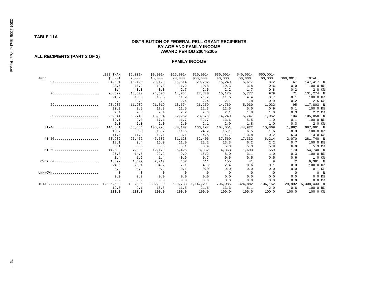### **TABLE 11A**

## **DISTRIBUTION OF FEDERAL PELL GRANT RECIPIENTS BY AGE AND FAMILY INCOME AWARD PERIOD 2004-2005**

## **ALL RECIPIENTS (PART 2 OF 2)**

|                                                            | LESS THAN | $$6,001-$ | $$9.001-$ | $$15,001-$   | $$20,001-$ | $$30,001-$ | $$40.001-$ | $$50.001-$ |            |                    |
|------------------------------------------------------------|-----------|-----------|-----------|--------------|------------|------------|------------|------------|------------|--------------------|
| AGE:                                                       | \$6,001   | 9,000     | 15,000    | 20,000       | \$30,000   | 40,000     | 50,000     | 60,000     | $$60,001+$ | TOTAL              |
|                                                            | 34,601    | 16,125    | 29,120    | 16,514       | 29,252     | 15,249     | 5,617      | 872        | 67         | 147,417 N          |
|                                                            | 23.5      | 10.9      | 19.8      | 11.2         | 19.8       | 10.3       | 3.8        | 0.6        | 0.0        | 100.0 R%           |
|                                                            | 3.4       | 3.3       | 3.3       | 2.7          | 2.5        | 2.2        | 1.7        | 0.8        | 0.2        | 2.8C <sup>8</sup>  |
|                                                            | 28,522    | 13,500    | 24,626    | 14,754       | 27,870     | 15,175     | 5,777      | 979        | 71         | 131,274 N          |
|                                                            | 21.7      | 10.3      | 18.8      | 11.2         | 21.2       | 11.6       | 4.4        | 0.7        | 0.1        | 100.0 R%           |
|                                                            | 2.8       | 2.8       | 2.8       | 2.4          | 2.4        | 2.1        | 1.8        | 0.9        | 0.2        | 2.5C%              |
|                                                            | 23,906    | 11,209    | 21,019    | 13,574       | 26,269     | 14,769     | 5,930      | 1,032      | 95         | 117,803 N          |
|                                                            | 20.3      | 9.5       | 17.8      | 11.5         | 22.3       | 12.5       | 5.0        | 0.9        | 0.1        | 100.0 R%           |
|                                                            | 2.4       | 2.3       | 2.4       | 2.2          | 2.3        | 2.1        | 1.8        | 1.0        | 0.3        | 2.2C <sup>8</sup>  |
|                                                            | 20,041    | 9,740     | 18,004    | 12,252       | 23,878     | 14,240     | 5,747      | 1,052      | 104        | 105,058 N          |
|                                                            | 19.1      | 9.3       | 17.1      | 11.7         | 22.7       | 13.6       | 5.5        | 1.0        | 0.1        | 100.0 R%           |
|                                                            | 2.0       | 2.0       | 2.0       | 2.0          | 2.1        | 2.0        | 1.8        | 1.0        | 0.3        | 2.0C <sub>8</sub>  |
| $31 - 40 \ldots \ldots \ldots \ldots \ldots \ldots \ldots$ | 114,681   | 56,864    | 108,298   | 80,107       | 166,297    | 104,051    | 44,922     | 10,869     | 1,892      | 687,981 N          |
|                                                            | 16.7      | 8.3       | 15.7      | 11.6         | 24.2       | 15.1       | 6.5        | 1.6        | 0.3        | 100.0 R%           |
|                                                            | 11.4      | 11.8      | 12.1      | 13.1         | 14.5       | 14.7       | 13.8       | 10.2       | 6.3        | 13.0 C%            |
|                                                            | 50,982    | 26,452    | 47,587    | 31,128       | 62,406     | 37,569     | 17,332     | 6,214      | 2,070      | 281,740 N          |
|                                                            | 18.1      | 9.4       | 16.9      | 11.0         | 22.2       | 13.3       | 6.2        | 2.2        | 0.7        | 100.0 R%           |
|                                                            | 5.1       | 5.5       | 5.3       | 5.1          | 5.4        | 5.3        | 5.3        | 5.9        | 6.9        | 5.3 C%             |
| $51-60$                                                    | 14,098    | 7,930     | 12,170    | 5,425        | 8,332      | 4,363      | 1,693      | 559        | 170        | 54,740 N           |
|                                                            | 25.8      | 14.5      | 22.2      | 9.9          | 15.2       | 8.0        | 3.1        | 1.0        | 0.3        | 100.0 R%           |
|                                                            | 1.4       | 1.6       | 1.4       | 0.9          | 0.7        | 0.6        | 0.5        | 0.5        | 0.6        | 1.0C <sub>8</sub>  |
| OVER 60                                                    | 1,592     | 1,602     | 2,217     | 452          | 311        | 155        | 41         | q          |            | 6,381 N            |
|                                                            | 24.9      | 25.1      | 34.7      | 7.1          | 4.9        | 2.4        | 0.6        | 0.1        | 0.0        | 100.0 R%           |
|                                                            | 0.2       | 0.3       | 0.2       | 0.1          | 0.0        | 0.0        | 0.0        | 0.0        | 0.0        | 0.1C <sup>8</sup>  |
| UNKNOWN                                                    | $\Omega$  | $\Omega$  | $\Omega$  | $\mathbf{0}$ | 0          | $\Omega$   | $\Omega$   | $\Omega$   | $\Omega$   | 0 N                |
|                                                            | 0.0       | 0.0       | 0.0       | 0.0          | 0.0        | 0.0        | 0.0        | 0.0        | 0.0        | 0.0 R <sup>2</sup> |
|                                                            | 0.0       | 0.0       | 0.0       | 0.0          | 0.0        | 0.0        | 0.0        | 0.0        | 0.0        | 0.0C <sup>3</sup>  |
| TOTAL.                                                     | 1,006,503 | 483,095   | 892,990   | 610,733      | 1,147,201  | 706,985    | 324,882    | 106,152    | 29,892     | 5,308,433 N        |
|                                                            | 19.0      | 9.1       | 16.8      | 11.5         | 21.6       | 13.3       | 6.1        | 2.0        | 0.6        | 100.0 R%           |
|                                                            | 100.0     | 100.0     | 100.0     | 100.0        | 100.0      | 100.0      | 100.0      | 100.0      | 100.0      | 100.0 C%           |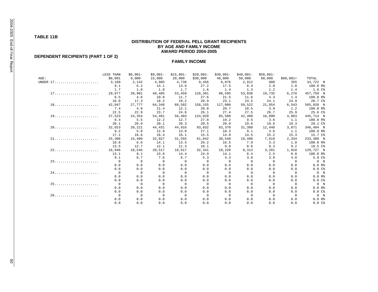**TABLE 11B** 

## **DISTRIBUTION OF FEDERAL PELL GRANT RECIPIENTS BY AGE AND FAMILY INCOME AWARD PERIOD 2004-2005**

## **DEPENDENT RECIPIENTS (PART 1 OF 2)**

|          | LESS THAN   | $$6,001-$   | $$9,001-$    | $$15,001-$  | $$20,001-$  | $$30,001-$ | $$40,001-$  | $$50.001-$  |              |                    |
|----------|-------------|-------------|--------------|-------------|-------------|------------|-------------|-------------|--------------|--------------------|
| AGE:     | \$6.001     | 9.000       | 15,000       | 20,000      | \$30.000    | 40,000     | 50,000      | 60,000      | $$60,001+$   | TOTAL              |
| UNDER 17 | 3,160       | 2,142       | 4,905        | 4,736       | 9,456       | 6,076      | 2,912       | 980         | 355          | 34,722 N           |
|          | 9.1         | 6.2         | 14.1         | 13.6        | 27.2        | 17.5       | 8.4         | 2.8         | 1.0          | 100.0 R%           |
|          | 1.7         | 1.8         | 1.8          | 1.7         | 1.6         | 1.4        | 1.3         | 1.2         | 1.4          | 1.6C <sup>8</sup>  |
|          | 29,877      | 20,981      | 49,405       | 53,459      | 126,391     | 98,595     | 53,038      | 19,735      | 6,278        | 457,759 N          |
|          | 6.5         | 4.6         | 10.8         | 11.7        | 27.6        | 21.5       | 11.6        | 4.3         | 1.4          | 100.0 R%           |
|          | 16.0        | 17.3        | 18.2         | 19.2        | 20.9        | 23.1       | 24.5        | 24.1        | 24.9         | 20.7 C%            |
|          | 42,047      | 27,777      | 64,348       | 68,582      | 158,155     | 117,000    | 59,522      | 21,854      | 6,543        | 565,828 N          |
|          | 7.4         | 4.9         | 11.4         | 12.1        | 28.0        | 20.7       | 10.5        | 3.9         | 1.2          | 100.0 R%           |
|          | 22.5        | 22.9        | 23.7         | 24.6        | 26.1        | 27.4       | 27.5        | 26.7        | 25.9         | 25.6 C%            |
|          | 37,523      | 24,354      | 54,481       | 56,403      | 124,020     | 85,580     | 42,400      | 16,090      | 4,863        | 445,714 N          |
|          | 8.4         | 5.5         | 12.2         | 12.7        | 27.8        | 19.2       | 9.5         | 3.6         | 1.1          | 100.0 R%           |
|          | 20.1        | 20.0        | 20.1         | 20.3        | 20.5        | 20.0       | 19.6        | 19.6        | 19.3         | 20.1 C%            |
|          | 32,023      | 20,221      | 44,431       | 44,916      | 93,832      | 63,370     | 31,380      | 12,440      | 3,871        | 346,484 N          |
|          | 9.2         | 5.8         | 12.8         | 13.0        | 27.1        | 18.3       | 9.1         | 3.6         | 1.1          | 100.0 R%           |
|          | 17.1        | 16.6        | 16.4         | 16.1        | 15.5        | 14.8       | 14.5        | 15.2        | 15.3         | 15.7 C%            |
|          | 25,306      | 15,480      | 32,927       | 31,555      | 61,042      | 38,548     | 18,498      | 7,619       | 2,334        | 233,309 N          |
|          | 10.8        | 6.6         | 14.1         | 13.5        | 26.2        | 16.5       | 7.9         | 3.3         | 1.0          | 100.0 R%           |
|          | 13.5        | 12.7        | 12.1         | 11.3        | 10.1        | 9.0        | 8.6         | 9.3         | 9.2          | 10.5 C%            |
|          | 16,946      | 10,546      | 20,517       | 18,617      | 32,341      | 18,228     | 8,313       | 3,201       | 1,018        | 129,727 N          |
|          | 13.1        | 8.1         | 15.8         | 14.4        | 24.9        | 14.1       | 6.4         | 2.5         | 0.8          | 100.0 R%           |
|          | 9.1         | 8.7         | 7.6          | 6.7         | 5.3         | 4.3        | 3.8         | 3.9         | 4.0          | 5.9 C%             |
|          | $\mathbf 0$ | $\mathbf 0$ | $\mathbf{0}$ | $\mathbf 0$ | 0           | 0          | $\mathbf 0$ | $\mathbf 0$ | $\mathbf{0}$ | 0 N                |
|          | 0.0         | 0.0         | 0.0          | 0.0         | 0.0         | 0.0        | 0.0         | 0.0         | 0.0          | 0.0 R <sup>8</sup> |
|          | 0.0         | 0.0         | 0.0          | 0.0         | 0.0         | 0.0        | 0.0         | 0.0         | 0.0          | $0.0 C$ %          |
|          | $\Omega$    | $\Omega$    | $\Omega$     | $\Omega$    | 0           | $\Omega$   | $\Omega$    | $\Omega$    | $\Omega$     | 0 N                |
|          | 0.0         | 0.0         | 0.0          | 0.0         | 0.0         | 0.0        | 0.0         | 0.0         | 0.0          | 0.0 R <sup>8</sup> |
|          | 0.0         | 0.0         | 0.0          | 0.0         | 0.0         | 0.0        | 0.0         | 0.0         | 0.0          | 0.0C               |
|          | $\Omega$    | $\Omega$    | $\Omega$     | $\Omega$    | 0           | 0          | $^{\circ}$  | $\Omega$    | $\Omega$     | 0 N                |
|          | 0.0         | 0.0         | 0.0          | 0.0         | 0.0         | 0.0        | 0.0         | 0.0         | 0.0          | 0.0 R              |
|          | 0.0         | 0.0         | 0.0          | 0.0         | 0.0         | 0.0        | 0.0         | 0.0         | 0.0          | 0.0C               |
|          | $\mathbf 0$ | $\mathbf 0$ | $\Omega$     | $\mathbf 0$ | $\mathbf 0$ | $\Omega$   | $\mathbf 0$ | $\mathbf 0$ | $\Omega$     | 0 N                |
|          | 0.0         | 0.0         | 0.0          | 0.0         | 0.0         | 0.0        | 0.0         | 0.0         | 0.0          | 0.0 R              |
|          | 0.0         | 0.0         | 0.0          | 0.0         | 0.0         | 0.0        | 0.0         | 0.0         | 0.0          | $0.0 C$ %          |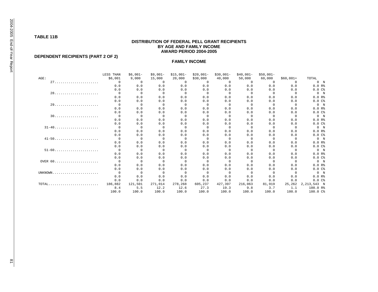### **TABLE 11B**

## **DISTRIBUTION OF FEDERAL PELL GRANT RECIPIENTS BY AGE AND FAMILY INCOME AWARD PERIOD 2004-2005**

## **DEPENDENT RECIPIENTS (PART 2 OF 2)**

|           | LESS THAN | $$6,001-$   | $$9,001-$    | $$15,001-$  | $$20,001-$  | $$30,001-$     | $$40,001-$ | $$50,001-$  |            |                    |
|-----------|-----------|-------------|--------------|-------------|-------------|----------------|------------|-------------|------------|--------------------|
| AGE:      | \$6,001   | 9,000       | 15,000       | 20,000      | \$30,000    | 40,000         | 50,000     | 60,000      | $$60,001+$ | TOTAL              |
|           | 0         | 0           | $\mathbf{0}$ | $\Omega$    | $\mathbf 0$ | $\circ$        | $^{\circ}$ | 0           | $\Omega$   | 0 N                |
|           | 0.0       | 0.0         | 0.0          | 0.0         | 0.0         | 0.0            | 0.0        | 0.0         | 0.0        | $0.0 R$ %          |
|           | 0.0       | 0.0         | 0.0          | 0.0         | 0.0         | 0.0            | 0.0        | 0.0         | 0.0        | 0.0C               |
|           | 0         | $^{\circ}$  | $\Omega$     | $\mathbf 0$ | 0           | $\overline{0}$ | $^{\circ}$ | 0           | $\Omega$   | 0 N                |
|           | 0.0       | 0.0         | 0.0          | 0.0         | 0.0         | 0.0            | 0.0        | 0.0         | 0.0        | 0.0 R              |
|           | 0.0       | 0.0         | 0.0          | 0.0         | 0.0         | 0.0            | 0.0        | 0.0         | 0.0        | 0.0C               |
|           | $\circ$   | $\mathbf 0$ | $\Omega$     | $\mathbf 0$ | 0           | $\Omega$       | $^{\circ}$ | $\mathbf 0$ | $\Omega$   | 0 N                |
|           | 0.0       | 0.0         | 0.0          | 0.0         | 0.0         | 0.0            | 0.0        | 0.0         | 0.0        | 0.0 R <sup>8</sup> |
|           | 0.0       | 0.0         | 0.0          | 0.0         | 0.0         | 0.0            | 0.0        | 0.0         | 0.0        | 0.0C               |
|           | $\Omega$  | $\Omega$    | $\Omega$     | $\Omega$    | 0           | $\Omega$       | $^{\circ}$ | $\Omega$    | $\cap$     | 0 N                |
|           | 0.0       | 0.0         | 0.0          | 0.0         | 0.0         | 0.0            | 0.0        | 0.0         | 0.0        | $0.0 R$ %          |
|           | 0.0       | 0.0         | 0.0          | 0.0         | 0.0         | 0.0            | 0.0        | 0.0         | 0.0        | 0.0C               |
| $31 - 40$ | $\Omega$  | $^{\circ}$  | $\Omega$     | $\mathbf 0$ | 0           | $\Omega$       | $^{\circ}$ | 0           | $\Omega$   | 0 N                |
|           | 0.0       | 0.0         | 0.0          | 0.0         | 0.0         | 0.0            | 0.0        | 0.0         | 0.0        | $0.0 R$ %          |
|           | 0.0       | 0.0         | 0.0          | 0.0         | 0.0         | 0.0            | 0.0        | 0.0         | 0.0        | 0.0C               |
| $41 - 50$ | $\Omega$  | $\Omega$    | $\Omega$     | $\Omega$    | 0           | $\Omega$       | $^{\circ}$ | $\Omega$    | $\Omega$   | 0 N                |
|           | 0.0       | 0.0         | 0.0          | 0.0         | 0.0         | 0.0            | 0.0        | 0.0         | 0.0        | $0.0 R$ %          |
|           | 0.0       | 0.0         | 0.0          | 0.0         | 0.0         | 0.0            | 0.0        | 0.0         | 0.0        | 0.0C               |
| $51-60$   | 0         | $^{\circ}$  | $\Omega$     | $\mathbf 0$ | 0           | $\overline{0}$ | $^{\circ}$ | 0           | $\Omega$   | 0 N                |
|           | 0.0       | 0.0         | 0.0          | 0.0         | 0.0         | 0.0            | 0.0        | 0.0         | 0.0        | 0.0 R              |
|           | 0.0       | 0.0         | 0.0          | 0.0         | 0.0         | 0.0            | 0.0        | 0.0         | 0.0        | 0.0C               |
| OVER 60   | $\Omega$  | $\Omega$    | $\Omega$     | $\Omega$    | 0           | $\Omega$       | $^{\circ}$ | $\Omega$    | $\Omega$   | 0 N                |
|           | 0.0       | 0.0         | 0.0          | 0.0         | 0.0         | 0.0            | 0.0        | 0.0         | 0.0        | $0.0 R$ %          |
|           | 0.0       | 0.0         | 0.0          | 0.0         | 0.0         | 0.0            | 0.0        | 0.0         | 0.0        | 0.0C               |
| UNKNOWN   | $\Omega$  | $\Omega$    | $\Omega$     | $\Omega$    | $\Omega$    | $\Omega$       | $\Omega$   | $\Omega$    | $\cap$     | 0 N                |
|           | 0.0       | 0.0         | 0.0          | 0.0         | 0.0         | 0.0            | 0.0        | 0.0         | 0.0        | $0.0 R$ %          |
|           | 0.0       | 0.0         | 0.0          | 0.0         | 0.0         | 0.0            | 0.0        | 0.0         | 0.0        | 0.0C               |
| TOTAL     | 186,882   | 121,501     | 271,014      | 278,268     | 605,237     | 427,397        | 216,063    | 81,919      | 25,262     | 2,213,543 N        |
|           | 8.4       | 5.5         | 12.2         | 12.6        | 27.3        | 19.3           | 9.8        | 3.7         | 1.1        | 100.0 R%           |
|           | 100.0     | 100.0       | 100.0        | 100.0       | 100.0       | 100.0          | 100.0      | 100.0       | 100.0      | 100.0 C%           |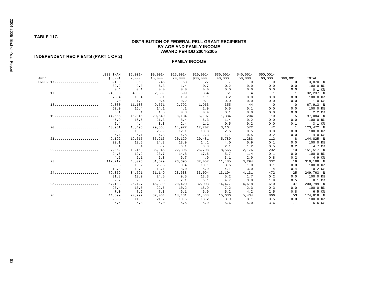**TABLE 11C** 

## **DISTRIBUTION OF FEDERAL PELL GRANT RECIPIENTS BY AGE AND FAMILY INCOME AWARD PERIOD 2004-2005**

## **INDEPENDENT RECIPIENTS (PART 1 OF 2)**

|             | LESS THAN | $$6,001-$ | $$9,001-$ | $$15,001-$ | $$20,001-$ | $$30,001-$ | $$40,001-$     | $$50,001-$ |                |                   |
|-------------|-----------|-----------|-----------|------------|------------|------------|----------------|------------|----------------|-------------------|
| AGE:        | \$6,001   | 9,000     | 15,000    | 20,000     | \$30,000   | 40,000     | 50,000         | 60,000     | $$60,001+$     | TOTAL             |
| UNDER $17.$ | 3,180     | 358       | 245       | 53         | 27         | 7          | $\Omega$       | $^{\circ}$ | $\Omega$       | 3,870 N           |
|             | 82.2      | 9.3       | 6.3       | 1.4        | 0.7        | 0.2        | 0.0            | 0.0        | 0.0            | 100.0 R%          |
|             | 0.4       | 0.1       | 0.0       | 0.0        | 0.0        | 0.0        | 0.0            | 0.0        | 0.0            | 0.1C <sup>8</sup> |
|             | 24,300    | 4,308     | 2,609     | 599        | 364        | 51         | $\overline{4}$ | 1          | 1              | 32,237 N          |
|             | 75.4      | 13.4      | 8.1       | 1.9        | 1.1        | 0.2        | 0.0            | 0.0        | 0.0            | 100.0 R%          |
|             | 3.0       | 1.2       | 0.4       | 0.2        | 0.1        | 0.0        | 0.0            | 0.0        | 0.0            | 1.0C%             |
|             | 42,080    | 11,108    | 9,571     | 2,792      | 1,963      | 355        | 44             | $\Omega$   | $\Omega$       | 67,913 N          |
|             | 62.0      | 16.4      | 14.1      | 4.1        | 2.9        | 0.5        | 0.1            | 0.0        | 0.0            | 100.0 R%          |
|             | 5.1       | 3.1       | 1.5       | 0.8        | 0.4        | 0.1        | 0.0            | 0.0        | 0.0            | 2.2C <sub>6</sub> |
|             | 44,555    | 16,045    | 20,640    | 8,134      | 6,107      | 1,384      | 204            | 10         | -5             | 97,084 N          |
|             | 45.9      | 16.5      | 21.3      | 8.4        | 6.3        | 1.4        | 0.2            | 0.0        | 0.0            | 100.0 R%          |
|             | 5.4       | 4.4       | 3.3       | 2.4        | 1.1        | 0.5        | 0.2            | 0.0        | 0.1            | 3.1 <sup>c</sup>  |
|             | 43,951    | 18,495    | 29,568    | 14,972     | 12,707     | 3,164      | 572            | 42         | $\overline{1}$ | 123,472 N         |
|             | 35.6      | 15.0      | 23.9      | 12.1       | 10.3       | 2.6        | 0.5            | 0.0        | 0.0            | 100.0 R%          |
|             | 5.4       | 5.1       | 4.8       | 4.5        | 2.3        | 1.1        | 0.5            | 0.2        | 0.0            | 4.0 C%            |
|             | 42,192    | 19,615    | 35,216    | 20,129     | 20,481     | 5,789      | 1,283          | 112        | 8              | 144,825 N         |
|             | 29.1      | 13.5      | 24.3      | 13.9       | 14.1       | 4.0        | 0.9            | 0.1        | 0.0            | 100.0 R%          |
|             | 5.1       | 5.4       | 5.7       | 6.1        | 3.8        | 2.1        | 1.2            | 0.5        | 0.2            | 4.7 C%            |
|             | 37,062    | 18,453    | 35,945    | 22,396     | 26,708     | 8,565      | 2,176          | 202        | 10             | 151,517 N         |
|             | 24.5      | 12.2      | 23.7      | 14.8       | 17.6       | 5.7        | 1.4            | 0.1        | 0.0            | 100.0 R%          |
|             | 4.5       | 5.1       | 5.8       | 6.7        | 4.9        | 3.1        | 2.0            | 0.8        | 0.2            | 4.9C <sub>6</sub> |
|             | 112,712   | 48,075    | 81,529    | 26,695     | 32,057     | 11,485     | 3,294          | 332        | 19             | 316,198 N         |
|             | 35.6      | 15.2      | 25.8      | 8.4        | 10.1       | 3.6        | 1.0            | 0.1        | 0.0            | 100.0 R%          |
|             | 13.8      | 13.3      | 13.1      | 8.0        | 5.9        | 4.1        | 3.0            | 1.4        | 0.4            | 10.2 C%           |
|             | 79,359    | 34,791    | 61,149    | 23,638     | 33,094     | 13,104     | 4,131          | 472        | 25             | 249,763 N         |
|             | 31.8      | 13.9      | 24.5      | 9.5        | 13.3       | 5.2        | 1.7            | 0.2        | 0.0            | 100.0 R%          |
|             | 9.7       | 9.6       | 9.8       | 7.1        | 6.1        | 4.7        | 3.8            | 1.9        | 0.5            | 8.1 C%            |
|             | 57,108    | 26,127    | 45,399    | 20,420     | 32,003     | 14,477     | 4,618          | 610        | 37             | 200,799 N         |
|             | 28.4      | 13.0      | 22.6      | 10.2       | 15.9       | 7.2        | 2.3            | 0.3        | 0.0            | 100.0 R%          |
|             | 7.0       | 7.2       | 7.3       | 6.1        | 5.9        | 5.2        | 4.2            | 2.5        | 0.8            | 6.5C%             |
|             | 44,699    | 20,797    | 37,064    | 18,431     | 31,838     | 15,636     | 5,434          | 866        | 53             | 174,818 N         |
|             | 25.6      | 11.9      | 21.2      | 10.5       | 18.2       | 8.9        | 3.1            | 0.5        | 0.0            | 100.0 R%          |
|             | 5.5       | 5.8       | 6.0       | 5.5        | 5.9        | 5.6        | 5.0            | 3.6        | 1.1            | 5.6 C%            |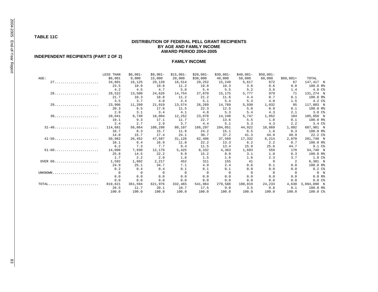### **TABLE 11C**

## **DISTRIBUTION OF FEDERAL PELL GRANT RECIPIENTS BY AGE AND FAMILY INCOME AWARD PERIOD 2004-2005**

## **INDEPENDENT RECIPIENTS (PART 2 OF 2)**

|           | LESS THAN | $$6,001-$ | $$9,001-$ | $$15,001-$ | $$20,001-$ | $$30,001-$ | $$40,001-$ | $$50,001-$ |                |                    |
|-----------|-----------|-----------|-----------|------------|------------|------------|------------|------------|----------------|--------------------|
| AGE:      | \$6.001   | 9,000     | 15,000    | 20,000     | \$30.000   | 40,000     | 50,000     | 60,000     | $$60,001+$     | TOTAL              |
|           | 34,601    | 16,125    | 29,120    | 16,514     | 29,252     | 15,249     | 5,617      | 872        | 67             | 147,417 N          |
|           | 23.5      | 10.9      | 19.8      | 11.2       | 19.8       | 10.3       | 3.8        | 0.6        | 0.0            | 100.0 R%           |
|           | 4.2       | 4.5       | 4.7       | 5.0        | 5.4        | 5.5        | 5.2        | 3.6        | 1.4            | 4.8 C%             |
|           | 28,522    | 13,500    | 24,626    | 14,754     | 27,870     | 15,175     | 5,777      | 979        | 71             | 131,274 N          |
|           | 21.7      | 10.3      | 18.8      | 11.2       | 21.2       | 11.6       | 4.4        | 0.7        | 0.1            | 100.0 R%           |
|           | 3.5       | 3.7       | 4.0       | 4.4        | 5.1        | 5.4        | 5.3        | 4.0        | 1.5            | 4.2 C%             |
|           | 23,906    | 11,209    | 21,019    | 13,574     | 26,269     | 14,769     | 5,930      | 1,032      | 95             | 117,803 N          |
|           | 20.3      | 9.5       | 17.8      | 11.5       | 22.3       | 12.5       | 5.0        | 0.9        | 0.1            | 100.0 R%           |
|           | 2.9       | 3.1       | 3.4       | 4.1        | 4.8        | 5.3        | 5.4        | 4.3        | 2.1            | 3.8C%              |
|           | 20,041    | 9,740     | 18,004    | 12,252     | 23,878     | 14,240     | 5,747      | 1,052      | 104            | 105,058 N          |
|           | 19.1      | 9.3       | 17.1      | 11.7       | 22.7       | 13.6       | 5.5        | 1.0        | 0.1            | 100.0 R%           |
|           | 2.4       | 2.7       | 2.9       | 3.7        | 4.4        | 5.1        | 5.3        | 4.3        | 2.2            | 3.4C <sub>8</sub>  |
| $31 - 40$ | 114,681   | 56,864    | 108,298   | 80,107     | 166,297    | 104,051    | 44,922     | 10,869     | 1,892          | 687,981 N          |
|           | 16.7      | 8.3       | 15.7      | 11.6       | 24.2       | 15.1       | 6.5        | 1.6        | 0.3            | 100.0 R%           |
|           | 14.0      | 15.7      | 17.4      | 24.1       | 30.7       | 37.2       | 41.3       | 44.9       | 40.9           | 22.2 C%            |
|           | 50,982    | 26,452    | 47,587    | 31,128     | 62,406     | 37,569     | 17,332     | 6,214      | 2,070          | 281,740 N          |
|           | 18.1      | 9.4       | 16.9      | 11.0       | 22.2       | 13.3       | 6.2        | 2.2        | 0.7            | 100.0 R%           |
|           | 6.2       | 7.3       | 7.7       | 9.4        | 11.5       | 13.4       | 15.9       | 25.6       | 44.7           | 9.1 <sup>c</sup>   |
| $51-60$   | 14,098    | 7,930     | 12,170    | 5,425      | 8,332      | 4,363      | 1,693      | 559        | 170            | 54,740 N           |
|           | 25.8      | 14.5      | 22.2      | 9.9        | 15.2       | 8.0        | 3.1        | 1.0        | 0.3            | 100.0 R%           |
|           | 1.7       | 2.2       | 2.0       | 1.6        | 1.5        | 1.6        | 1.6        | 2.3        | 3.7            | 1.8 <sup>c</sup>   |
| OVER 60   | 1,592     | 1,602     | 2,217     | 452        | 311        | 155        | 41         | 9          | $\mathfrak{D}$ | 6,381 N            |
|           | 24.9      | 25.1      | 34.7      | 7.1        | 4.9        | 2.4        | 0.6        | 0.1        | 0.0            | 100.0 R%           |
|           | 0.2       | 0.4       | 0.4       | 0.1        | 0.1        | 0.1        | 0.0        | 0.0        | 0.0            | 0.2C <sup>8</sup>  |
| UNKNOWN   | $\Omega$  | $\Omega$  | $\Omega$  | $\Omega$   | 0          | $\Omega$   | $\Omega$   | $\Omega$   | $\Omega$       | 0 N                |
|           | 0.0       | 0.0       | 0.0       | 0.0        | 0.0        | 0.0        | 0.0        | 0.0        | 0.0            | 0.0 R <sup>8</sup> |
|           | 0.0       | 0.0       | 0.0       | 0.0        | 0.0        | 0.0        | 0.0        | 0.0        | 0.0            | $0.0 C$ %          |
| TOTAL     | 819,621   | 361,594   | 621,976   | 332,465    | 541,964    | 279,588    | 108,819    | 24,233     | 4,630          | 3,094,890 N        |
|           | 26.5      | 11.7      | 20.1      | 10.7       | 17.5       | 9.0        | 3.5        | 0.8        | 0.1            | 100.0 R%           |
|           | 100.0     | 100.0     | 100.0     | 100.0      | 100.0      | 100.0      | 100.0      | 100.0      | 100.0          | 100.0 C%           |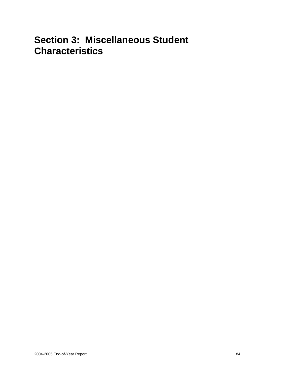## **Section 3: Miscellaneous Student Characteristics**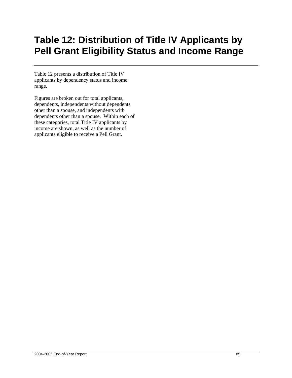## **Table 12: Distribution of Title IV Applicants by Pell Grant Eligibility Status and Income Range**

Table 12 presents a distribution of Title IV applicants by dependency status and income range.

Figures are broken out for total applicants, dependents, independents without dependents other than a spouse, and independents with dependents other than a spouse. Within each of these categories, total Title IV applicants by income are shown, as well as the number of applicants eligible to receive a Pell Grant.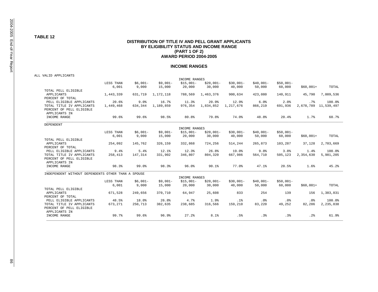#### **TABLE 12**

### **DISTRIBUTION OF TITLE IV AND PELL GRANT APPLICANTS BY ELIGIBILITY STATUS AND INCOME RANGE (PART 1 OF 2) AWARD PERIOD 2004-2005**

#### **INCOME RANGES**

ALL VALID APPLICANTS

|                                                       |           |                    |                     | INCOME RANGES        |                      |                      |                      |                      |            |            |
|-------------------------------------------------------|-----------|--------------------|---------------------|----------------------|----------------------|----------------------|----------------------|----------------------|------------|------------|
|                                                       | LESS THAN | $$6,001-$          | $$9,001-$           | $$15,001-$           | $$20,001-$           | $$30,001-$           | $$40,001-$           | $$50,001-$           |            |            |
|                                                       | 6,001     | 9,000              | 15,000              | 20,000               | 30,000               | 40,000               | 50,000               | 60,000               | $$60,001+$ | TOTAL      |
| TOTAL PELL ELIGIBLE                                   |           |                    |                     |                      |                      |                      |                      |                      |            |            |
| APPLICANTS                                            | 1,443,339 | 631,719            | 1,172,118           | 788,569              | 1,463,376            | 900,634              | 423,080              | 140,911              | 45,790     | 7,009,536  |
| PERCENT OF TOTAL                                      |           |                    |                     |                      |                      |                      |                      |                      |            |            |
| PELL ELIGIBLE APPLICANTS                              | 20.6%     | 9.0%               | 16.7%               | 11.3%                | 20.9%                | 12.9%                | 6.0%                 | 2.0%                 | .7%        | 100.0%     |
| TOTAL TITLE IV APPLICANTS                             | 1,449,468 | 634,344            | 1,189,859           | 976,354              | 1,834,852            | 1,217,676            | 866,219              | 691,936              | 2,678,789  | 11,539,497 |
| PERCENT OF PELL ELIGIBLE                              |           |                    |                     |                      |                      |                      |                      |                      |            |            |
| APPLICANTS IN                                         |           |                    |                     |                      |                      |                      |                      |                      |            |            |
| INCOME RANGE                                          | 99.6%     | 99.6%              | 98.5%               | 80.8%                | 79.8%                | 74.0%                | 48.8%                | 20.4%                | 1.7%       | 60.7%      |
| <b>DEPENDENT</b>                                      |           |                    |                     |                      |                      |                      |                      |                      |            |            |
|                                                       |           |                    |                     | INCOME RANGES        |                      |                      |                      |                      |            |            |
|                                                       | LESS THAN | $$6,001-$          | $$9,001-$           | $$15,001-$           | $$20,001-$           | $$30,001-$           | $$40,001-$           | $$50,001-$           |            |            |
|                                                       | 6,001     | 9,000              | 15,000              | 20,000               | 30,000               | 40,000               | 50,000               | 60,000               | $$60,001+$ | TOTAL      |
| TOTAL PELL ELIGIBLE                                   |           |                    |                     |                      |                      |                      |                      |                      |            |            |
| APPLICANTS                                            | 254,092   | 145,762            | 326,159             | 332,868              | 724,256              | 514,244              | 265,873              | 103,287              | 37,128     | 2,703,669  |
| PERCENT OF TOTAL                                      |           |                    |                     |                      |                      |                      |                      |                      |            |            |
| PELL ELIGIBLE APPLICANTS                              | 9.4%      | 5.4%               | 12.1%               | 12.3%                | 26.8%                | 19.0%                | 9.8%                 | 3.8%                 | 1.4%       | 100.0%     |
| TOTAL TITLE IV APPLICANTS                             | 258,413   | 147,314            | 331,902             | 346,807              | 804,320              | 667,986              | 564,710              | 505,123              | 2,354,630  | 5,981,205  |
| PERCENT OF PELL ELIGIBLE                              |           |                    |                     |                      |                      |                      |                      |                      |            |            |
| APPLICANTS IN                                         |           |                    |                     |                      |                      |                      |                      |                      |            |            |
| INCOME RANGE                                          | 98.3%     | 99.0%              | 98.3%               | 96.0%                | 90.1%                | 77.0%                | 47.1%                | 20.5%                | 1.6%       | 45.2%      |
| INDEPENDENT WITHOUT DEPENDENTS OTHER THAN A SPOUSE    |           |                    |                     |                      |                      |                      |                      |                      |            |            |
|                                                       | LESS THAN |                    |                     | INCOME RANGES        |                      |                      |                      |                      |            |            |
|                                                       | 6,001     | $$6,001-$<br>9,000 | $$9,001-$<br>15,000 | $$15,001-$<br>20,000 | $$20,001-$<br>30,000 | $$30,001-$<br>40,000 | $$40,001-$<br>50,000 | $$50,001-$<br>60,000 | $$60,001+$ | TOTAL      |
| TOTAL PELL ELIGIBLE                                   |           |                    |                     |                      |                      |                      |                      |                      |            |            |
| APPLICANTS                                            | 671,528   | 249,656            | 370,710             | 64,947               | 25,608               | 833                  | 254                  | 139                  | 156        | 1,383,831  |
| PERCENT OF TOTAL                                      |           |                    |                     |                      |                      |                      |                      |                      |            |            |
| PELL ELIGIBLE APPLICANTS                              |           | 18.0%              |                     | 4.7%                 |                      | .1%                  |                      |                      |            | 100.0%     |
|                                                       | 48.5%     |                    | 26.8%               |                      | 1.9%                 |                      | $.0\%$               | $.0\%$               | $.0\%$     |            |
| TOTAL TITLE IV APPLICANTS<br>PERCENT OF PELL ELIGIBLE | 673,271   | 250,713            | 382,635             | 238,685              | 316,566              | 159,210              | 83,220               | 49,252               | 82,286     | 2,235,838  |
| APPLICANTS IN                                         |           |                    |                     |                      |                      |                      |                      |                      |            |            |
| INCOME RANGE                                          | 99.7%     | 99.6%              | 96.9%               | 27.2%                | 8.1%                 | .5%                  | .3%                  | .3%                  | .2%        |            |
|                                                       |           |                    |                     |                      |                      |                      |                      |                      |            | 61.9%      |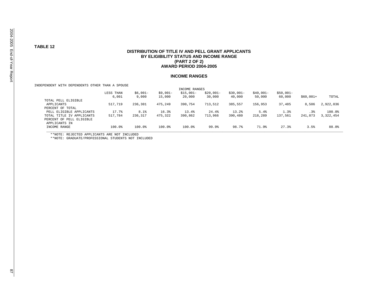**TABLE 12** 

## **DISTRIBUTION OF TITLE IV AND PELL GRANT APPLICANTS BY ELIGIBILITY STATUS AND INCOME RANGE (PART 2 OF 2) AWARD PERIOD 2004-2005**

#### **INCOME RANGES**

#### INDEPENDENT WITH DEPENDENTS OTHER THAN A SPOUSE

|                           |           |           |           | INCOME RANGES |            |            |            |            |            |           |
|---------------------------|-----------|-----------|-----------|---------------|------------|------------|------------|------------|------------|-----------|
|                           | LESS THAN | $$6,001-$ | $$9,001-$ | $$15,001-$    | $$20,001-$ | $$30,001-$ | $$40,001-$ | $$50,001-$ |            |           |
|                           | 6,001     | 9,000     | 15,000    | 20,000        | 30,000     | 40,000     | 50,000     | 60,000     | $$60,001+$ | TOTAL     |
| TOTAL PELL ELIGIBLE       |           |           |           |               |            |            |            |            |            |           |
| APPLICANTS                | 517,719   | 236,301   | 475,249   | 390,754       | 713,512    | 385,557    | 156,953    | 37,485     | 8,506      | 2,922,036 |
| PERCENT OF TOTAL          |           |           |           |               |            |            |            |            |            |           |
| PELL ELIGIBLE APPLICANTS  | 17.7%     | 8.1%      | 16.3%     | 13.4%         | 24.4%      | 13.2%      | 5.4%       | 1.3%       | .3%        | 100.0%    |
| TOTAL TITLE IV APPLICANTS | 517,784   | 236,317   | 475,322   | 390,862       | 713,966    | 390,480    | 218,289    | 137,561    | 241,873    | 3,322,454 |
| PERCENT OF PELL ELIGIBLE  |           |           |           |               |            |            |            |            |            |           |
| APPLICANTS IN             |           |           |           |               |            |            |            |            |            |           |
| INCOME RANGE              | 100.0%    | 100.0%    | 100.0%    | 100.0%        | 99.9%      | 98.7%      | 71.9%      | 27.3%      | 3.5%       | 88.0%     |
|                           |           |           |           |               |            |            |            |            |            |           |

\_\_\_\_\_\_\_\_\_\_\_\_\_\_\_\_\_\_\_\_\_\_\_\_\_\_\_\_\_\_\_\_\_\_\_\_\_\_\_\_\_\_\_\_\_\_\_\_\_\_\_\_\_\_\_\_\_\_\_\_\_\_\_\_\_\_\_\_\_\_\_\_\_\_\_\_\_\_\_\_\_\_\_\_\_\_\_\_\_\_\_\_\_\_\_\_\_\_\_\_\_\_\_\_\_\_\_\_\_\_\_\_\_\_\_\_\_\_\_\_\_\_\_\_\_\_\_\_\_\_\_\_\_\_\_\_\_\_\_\_\_\_\_\_\_\_\_\_ \*\*NOTE: REJECTED APPLICANTS ARE NOT INCLUDED

\*\*NOTE: GRADUATE/PROFESSIONAL STUDENTS NOT INCLUDED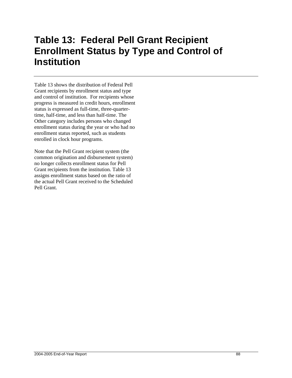## **Table 13: Federal Pell Grant Recipient Enrollment Status by Type and Control of Institution**

Table 13 shows the distribution of Federal Pell Grant recipients by enrollment status and type and control of institution. For recipients whose progress is measured in credit hours, enrollment status is expressed as full-time, three-quartertime, half-time, and less than half-time. The Other category includes persons who changed enrollment status during the year or who had no enrollment status reported, such as students enrolled in clock hour programs.

Note that the Pell Grant recipient system (the common origination and disbursement system) no longer collects enrollment status for Pell Grant recipients from the institution. Table 13 assigns enrollment status based on the ratio of the actual Pell Grant received to the Scheduled Pell Grant.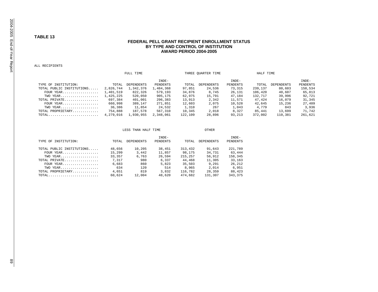## **TABLE 13**

## **FEDERAL PELL GRANT RECIPIENT ENROLLMENT STATUS BY TYPE AND CONTROL OF INSTITUTION AWARD PERIOD 2004-2005**

ALL RECIPIENTS

|                                                                            | FULL TIME |                   |           |         | THREE OUARTER TIME |          |         | HALF TIME         |          |
|----------------------------------------------------------------------------|-----------|-------------------|-----------|---------|--------------------|----------|---------|-------------------|----------|
|                                                                            |           |                   | TNDE-     |         |                    | TNDE-    |         |                   | TNDE-    |
| TYPE OF INSTITUTION:                                                       | TOTAL.    | <b>DEPENDENTS</b> | PENDENTS  | TOTAL   | <b>DEPENDENTS</b>  | PENDENTS | TOTAL.  | <b>DEPENDENTS</b> | PENDENTS |
| TOTAL PUBLIC INSTITUTIONS                                                  | 2,826,744 | 1,342,376         | 1,484,368 | 97,851  | 24,536             | 73,315   | 239,137 | 80,603            | 158,534  |
| FOUR YEAR                                                                  | 1,401,519 | 822,326           | 579,193   | 34,876  | 8,745              | 26,131   | 106,420 | 40,607            | 65,813   |
| TWO YEAR                                                                   | 1,425,225 | 520,050           | 905,175   | 62,975  | 15,791             | 47.184   | 132,717 | 39,996            | 92,721   |
| TOTAL PRIVATE                                                              | 697,384   | 401,001           | 296,383   | 13,913  | 2,342              | 11,571   | 47,424  | 16,079            | 31,345   |
| FOUR YEAR                                                                  | 660,998   | 389,147           | 271,851   | 12,603  | 2,075              | 10,528   | 42,645  | 15,236            | 27,409   |
| TWO YEAR                                                                   | 36,386    | 11,854            | 24,532    | 1,310   | 267                | 1,043    | 4,779   | 843               | 3,936    |
| TOTAL PROPRIETARY                                                          | 754,888   | 187,578           | 567,310   | 10,345  | 2,018              | 8,327    | 85,441  | 13,699            | 71,742   |
| $\text{TOTAL}\ldots\ldots\ldots\ldots\ldots\ldots\ldots\ldots\ldots\ldots$ | 4,279,016 | 1,930,955         | 2,348,061 | 122,109 | 28,896             | 93,213   | 372,002 | 110,381           | 261,621  |

|                                                                        |        | LESS THAN HALF TIME |                          | OTHER   |                   |                          |  |  |
|------------------------------------------------------------------------|--------|---------------------|--------------------------|---------|-------------------|--------------------------|--|--|
| TYPE OF INSTITUTION:                                                   | TOTAL. | DEPENDENTS          | TNDE-<br><b>PENDENTS</b> | TOTAL.  | <b>DEPENDENTS</b> | TNDE-<br><b>PENDENTS</b> |  |  |
| TOTAL PUBLIC INSTITUTIONS                                              | 48,656 | 10,205              | 38,451                   | 313,432 | 91,643            | 221,789                  |  |  |
| FOUR YEAR                                                              | 15,299 | 3,442               | 11,857                   | 98,175  | 34,731            | 63,444                   |  |  |
| TWO YEAR                                                               | 33,357 | 6,763               | 26,594                   | 215,257 | 56,912            | 158,345                  |  |  |
| TOTAL PRIVATE                                                          | 7,317  | 980                 | 6,337                    | 44,468  | 11,305            | 33,163                   |  |  |
| FOUR YEAR                                                              | 6,683  | 860                 | 5,823                    | 35,503  | 9,291             | 26, 212                  |  |  |
| TWO YEAR                                                               | 634    | 120                 | 514                      | 8,965   | 2,014             | 6,951                    |  |  |
| TOTAL PROPRIETARY                                                      | 4,651  | 819                 | 3,832                    | 116,782 | 28.359            | 88,423                   |  |  |
| $\texttt{TOTAL}\ldots\ldots\ldots\ldots\ldots\ldots\ldots\ldots\ldots$ | 60,624 | 12,004              | 48,620                   | 474,682 | 131.307           | 343,375                  |  |  |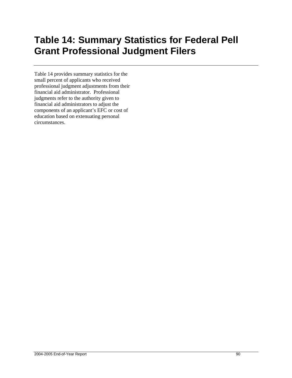## **Table 14: Summary Statistics for Federal Pell Grant Professional Judgment Filers**

Table 14 provides summary statistics for the small percent of applicants who received professional judgment adjustments from their financial aid administrator. Professional judgments refer to the authority given to financial aid administrators to adjust the components of an applicant's EFC or cost of education based on extenuating personal circumstances.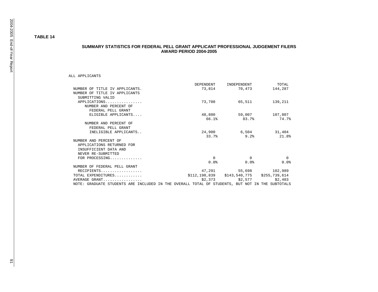## **SUMMARY STATISTICS FOR FEDERAL PELL GRANT APPLICANT PROFESSIONAL JUDGEMENT FILERS AWARD PERIOD 2004-2005**

#### ALL APPLICANTS

|                                                                                                 | DEPENDENT | INDEPENDENT                                  | TOTAL   |
|-------------------------------------------------------------------------------------------------|-----------|----------------------------------------------|---------|
| NUMBER OF TITLE IV APPLICANTS.                                                                  |           | 73,814 70,473                                | 144,287 |
| NUMBER OF TITLE IV APPLICANTS                                                                   |           |                                              |         |
| SUBMITTING VALID                                                                                |           |                                              |         |
| APPLICATIONS                                                                                    | 73,700    | 65,511                                       | 139,211 |
| NUMBER AND PERCENT OF                                                                           |           |                                              |         |
| FEDERAL PELL GRANT                                                                              |           |                                              |         |
| ELIGIBLE APPLICANTS                                                                             |           | 48,800 59,007                                | 107,807 |
|                                                                                                 | 66.1%     | 83.7%                                        | 74.7%   |
| NUMBER AND PERCENT OF                                                                           |           |                                              |         |
|                                                                                                 |           |                                              |         |
| FEDERAL PELL GRANT                                                                              |           |                                              |         |
| INELIGIBLE APPLICANTS                                                                           |           | 24,900 6,504 31,404                          |         |
|                                                                                                 | 33.7%     | 9.2%                                         | 21.8%   |
| NUMBER AND PERCENT OF                                                                           |           |                                              |         |
| APPLICATIONS RETURNED FOR                                                                       |           |                                              |         |
| INSUFFICIENT DATA AND                                                                           |           |                                              |         |
| NEVER RE-SUBMITTED                                                                              |           |                                              |         |
| FOR PROCESSING                                                                                  | $\Omega$  | $\Omega$                                     |         |
|                                                                                                 | $0.0\%$   | $0.0\%$                                      | 0.0%    |
| NUMBER OF FEDERAL PELL GRANT                                                                    |           |                                              |         |
| RECIPIENTS                                                                                      |           | 47,291 55,698                                | 102,989 |
| TOTAL EXPENDITURES                                                                              |           | $$112,198,839$ $$143,540,775$ $$255,739,614$ |         |
| AVERAGE GRANT                                                                                   |           | $$2,373$ $$2,577$                            | \$2,483 |
| NOTE: GRADUATE STUDENTS ARE INCLUDED IN THE OVERALL TOTAL OF STUDENTS, BUT NOT IN THE SUBTOTALS |           |                                              |         |
|                                                                                                 |           |                                              |         |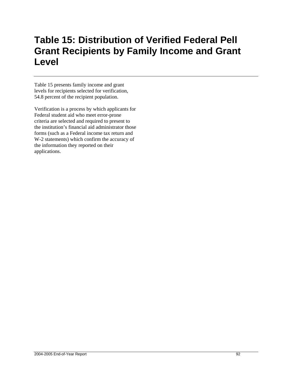## **Table 15: Distribution of Verified Federal Pell Grant Recipients by Family Income and Grant Level**

Table 15 presents family income and grant levels for recipients selected for verification, 54.8 percent of the recipient population.

Verification is a process by which applicants for Federal student aid who meet error-prone criteria are selected and required to present to the institution's financial aid administrator those forms (such as a Federal income tax return and W-2 statements) which confirm the accuracy of the information they reported on their applications.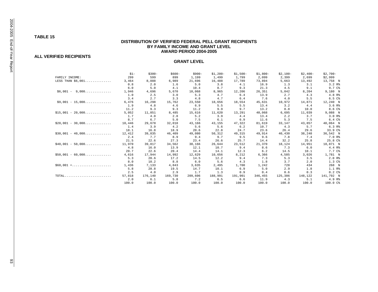## **TABLE 15**

## **DISTRIBUTION OF VERIFIED FEDERAL PELL GRANT RECIPIENTS BY FAMILY INCOME AND GRANT LEVEL AWARD PERIOD 2004-2005**

### **ALL VERIFIED RECIPIENTS**

|                                               | $$1 -$ | $$300-$ | $$600-$ | $$900-$ | $$1,200-$ | $$1,500-$ | $$1,800-$ | $$2,100-$ | $$2,400-$ | $$2,700-$         |
|-----------------------------------------------|--------|---------|---------|---------|-----------|-----------|-----------|-----------|-----------|-------------------|
| FAMILY INCOME:                                | 299    | 599     | 899     | 1,199   | 1,499     | 1,799     | 2,099     | 2,399     | 2,699     | \$2,999           |
| LESS THAN \$6,001                             | 3,464  | 8,888   | 6,989   | 21,696  | 16,488    | 17,789    | 73,894    | 5,663     | 13,492    | 13,758 N          |
|                                               | 0.8    | 2.0     | 1.6     | 5.0     | 3.8       | 4.1       | 16.9      | 1.3       | 3.1       | 3.2 R             |
|                                               | 6.0    | 5.0     | 4.1     | 10.4    | 8.7       | 9.3       | 21.3      | 4.5       | 9.1       | 9.7C <sub>8</sub> |
| $$6,001 -$<br>9,000                           | 1,946  | 4,696   | 5,670   | 10,068  | 8,965     | 12,206    | 26,351    | 5,042     | 8,204     | 9,180 N           |
|                                               | 1.0    | 2.5     | 3.0     | 5.3     | 4.7       | 6.4       | 13.9      | 2.7       | 4.3       | 4.8 R%            |
|                                               | 3.4    | 2.7     | 3.3     | 4.8     | 4.7       | 6.4       | 7.6       | 4.0       | 5.5       | 6.5C%             |
| $$9,001 - 15,000$                             | 6,476  | 16,298  | 15.762  | 23,550  | 18,656    | 18,554    | 45,631    | 10,972    | 14,871    | 12,240 N          |
|                                               | 1.9    | 4.8     | 4.6     | 6.9     | 5.5       | 5.5       | 13.4      | 3.2       | 4.4       | 3.6 R             |
|                                               | 11.2   | 9.3     | 9.3     | 11.2    | 9.9       | 9.7       | 13.2      | 8.8       | 10.0      | 8.6 C%            |
| $$15,001 - 20,000$                            | 5,052  | 11,851  | 8,485   | 15,616  | 11,620    | 13,291    | 40,068    | 6,695     | 11,039    | 9,088 N           |
|                                               | 1.7    | 4.0     | 2.8     | 5.2     | 3.9       | 4.4       | 13.4      | 2.2       | 3.7       | 3.0 R             |
|                                               | 8.7    | 6.7     | 5.0     | 7.5     | 6.1       | 6.9       | 11.6      | 5.3       | 7.5       | 6.4 C%            |
| $$20,001 - 30,000$                            | 10,446 | 29,678  | 32,018  | 43,166  | 43,155    | 47,322    | 81,619    | 33,147    | 43,857    | 48,064 N          |
|                                               | 1.4    | 3.9     | 4.2     | 5.6     | 5.6       | 6.2       | 10.7      | 4.3       | 5.7       | 6.3 R             |
|                                               | 18.1   | 16.8    | 18.9    | 20.6    | 22.8      | 24.7      | 23.6      | 26.4      | 29.6      | 33.9 C%           |
| $$30,001 - 40,000$                            | 12,412 | 39,835  | 46,409  | 49,080  | 50,312    | 49,315    | 49,914    | 40,430    | 38,248    | 36,542 N          |
|                                               | 2.4    | 7.7     | 8.9     | 9.4     | 9.7       | 9.5       | 9.6       | 7.8       | 7.4       | 7.0 R%            |
|                                               | 21.5   | 22.6    | 27.3    | 23.4    | 26.6      | 25.7      | 14.4      | 32.2      | 25.8      | 25.8C             |
| $$40,001 - 50,000$                            | 11,970 | 39,817  | 34,562  | 30,166  | 26,644    | 23,512    | 21,370    | 18,124    | 14,951    | 10,871 N          |
|                                               | 4.8    | 16.0    | 13.9    | 12.1    | 10.7      | 9.4       | 8.6       | 7.3       | 6.0       | 4.4 R%            |
|                                               | 20.7   | 22.6    | 20.4    | 14.4    | 14.1      | 12.3      | 6.2       | 14.5      | 10.1      | 7.7 C%            |
| $$50,001 - 60,000$                            | 4,616  | 17,944  | 14,992  | 12,629  | 10,656    | 8,212     | 6,366     | 4,585     | 3,026     | 1,781 N           |
|                                               | 5.3    | 20.6    | 17.2    | 14.5    | 12.2      | 9.4       | 7.3       | 5.3       | 3.5       | 2.0 R             |
|                                               | 8.0    | 10.2    | 8.8     | 6.0     | 5.6       | 4.3       | 1.8       | 3.7       | 2.0       | 1.3C <sup>8</sup> |
| $$60,001 + \ldots + \ldots + \ldots + \ldots$ | 1,436  | 7.133   | 4,843   | 3,635   | 2,495     | 1,700     | 1,242     | 728       | 434       | 268 N             |
|                                               | 5.8    | 28.8    | 19.5    | 14.7    | 10.1      | 6.9       | 5.0       | 2.9       | 1.8       | 1.1 R%            |
|                                               | 2.5    | 4.0     | 2.9     | 1.7     | 1.3       | 0.9       | 0.4       | 0.6       | 0.3       | 0.2C <sup>8</sup> |
| TOTAL                                         | 57,818 | 176,140 | 169,730 | 209,606 | 188,991   | 191,901   | 346,455   | 125,386   | 148,122   | 141,792 N         |
|                                               | 2.0    | 6.1     | 5.8     | 7.2     | 6.5       | 6.6       | 11.9      | 4.3       | 5.1       | 4.9 R%            |
|                                               | 100.0  | 100.0   | 100.0   | 100.0   | 100.0     | 100.0     | 100.0     | 100.0     | 100.0     | 100.0 C%          |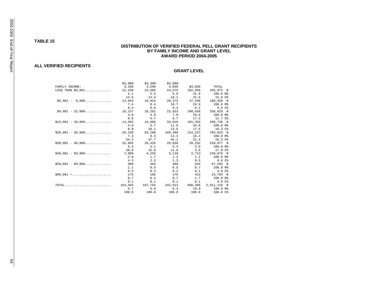**TABLE 15** 

## **DISTRIBUTION OF VERIFIED FEDERAL PELL GRANT RECIPIENTS BY FAMILY INCOME AND GRANT LEVEL AWARD PERIOD 2004-2005**

#### **ALL VERIFIED RECIPIENTS**

|                                                                  | $$3.000-$ | $$3,300-$       | $$3.600-$                 |         |                   |
|------------------------------------------------------------------|-----------|-----------------|---------------------------|---------|-------------------|
| FAMILY INCOME:                                                   |           |                 | 3,299 3,599 4,049 \$4,050 |         | TOTAL             |
| LESS THAN \$6,001 22,438 23,985                                  |           |                 | 24,575                    | 182,856 | 435,975 N         |
|                                                                  | 5.1       | 5.5             | 5.6                       | 41.9    | 100.0 R%          |
|                                                                  | 13.6      | 14.3            | 10.1                      | 31.5    | 15.0 C%           |
| $$6,001 - 9,000$                                                 | 14,043    | 16,024          | 20,275                    | 47,250  | 189,920 N         |
|                                                                  | 7.4       | 8.4             | 10.7                      | 24.9    | 100.0 R%          |
|                                                                  | 8.5       | 9.6             | 8.4                       | 8.1     | 6.5C              |
| $$9,001 - 15,000$                                                | 16,157    | 16,281          | 23,623                    | 100,558 | 339,629 N         |
|                                                                  | 4.8       | 4.8             | 7.0                       | 29.6    | 100.0 R%          |
|                                                                  | 9.8       | 9.7             | 9.7                       | 17.3    | 11.7 C%           |
| $$15,001 - 20,000$                                               | 14,582    | 16,886          | 33,010                    | 101,453 | 298,736 N         |
|                                                                  | 4.9       | 5.7             | 11.0                      | 34.0    | 100.0 R%          |
|                                                                  | 8.9       | 10.1            | 13.6                      | 17.5    | $10.3C$ %         |
| $$20.001 - 30.000$                                               | 56,238    | 63,280          | 109,398                   | 124,237 | 765,625 N         |
|                                                                  | 7.3       | 8.3             | 14.3                      | 16.2    | 100.0 R%          |
|                                                                  | 34.2      | 37.7            | 45.1                      | 21.4    | 26.3C8            |
| $$30,001 - 40,000$                                               | 32,865    | 26,425          | 28,038                    | 20,252  | 520,077 N         |
|                                                                  | 6.3       | 5.1             | 5.4                       | 3.9     | 100.0 R%          |
|                                                                  | 20.0      | 15.8            | 11.6                      | 3.5     | 17.9 C%           |
| $$40,001 - 50,000$                                               | 7,006     | 4,255           | 3,118                     | 2,713   | 249,079 N         |
|                                                                  | 2.8       | 1.7             | 1.3                       | 1.1     | 100.0 R%          |
|                                                                  | 4.3       | 2.5             | 1.3                       | 0.5     | 8.6 C%            |
| $$50,001 - 60,000$                                               | 990       | 463             | 400                       | 634     | 87,294 N          |
|                                                                  | 1.1       | 0.5             | 0.5                       | 0.7     | 100.0 R%          |
|                                                                  | 0.6       | 0.3             | 0.2                       | 0.1     | 3.0C <sub>8</sub> |
| $$60,001$ +                                                      | 175       | 105             | 176                       | 413     | 24,783 N          |
|                                                                  | 0.7       | 0.4             | 0.7                       | 1.7     | 100.0 R%          |
|                                                                  | 0.1       | 0.1             | 0.1                       | 0.1     | 0.9C%             |
| $\texttt{TOTAL} \dots \dots \dots \dots \dots \dots \dots \dots$ | 164,494   | 167,704 242,613 |                           | 580,366 | 2,911,118 N       |
|                                                                  | 5.7       |                 | 5.8 8.3                   | 19.9    | 100.0 R%          |
|                                                                  | 100.0     | 100.0           | 100.0                     | 100.0   | 100.0 C%          |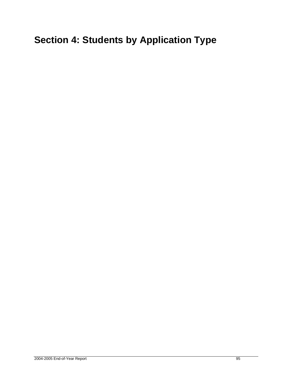# **Section 4: Students by Application Type**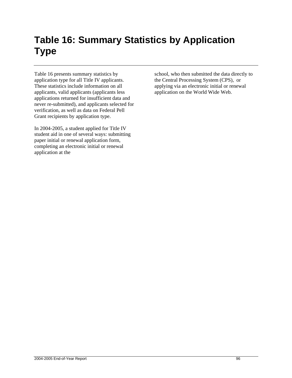## **Table 16: Summary Statistics by Application Type**

Table 16 presents summary statistics by application type for all Title IV applicants. These statistics include information on all applicants, valid applicants (applicants less applications returned for insufficient data and never re-submitted), and applicants selected for verification, as well as data on Federal Pell Grant recipients by application type.

In 2004-2005, a student applied for Title IV student aid in one of several ways: submitting paper initial or renewal application form, completing an electronic initial or renewal application at the

school, who then submitted the data directly to the Central Processing System (CPS), or applying via an electronic initial or renewal application on the World Wide Web.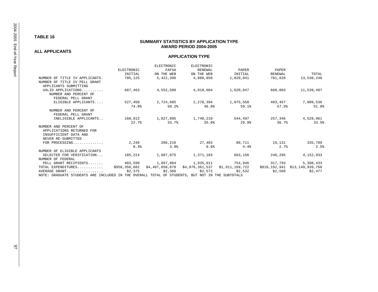#### **TABLE 16**

### **SUMMARY STATISTICS BY APPLICATION TYPE AWARD PERIOD 2004-2005**

**ALL APPLICANTS** 

|                                                                                                   |            | ELECTRONIC                  | ELECTRONIC |                                                                        |         |                                |
|---------------------------------------------------------------------------------------------------|------------|-----------------------------|------------|------------------------------------------------------------------------|---------|--------------------------------|
|                                                                                                   | ELECTRONIC | FAFSA                       | RENEWAL    | PAPER                                                                  | PAPER   |                                |
|                                                                                                   | INITIAL    | ON THE WEB                  | ON THE WEB | INITIAL                                                                | RENEWAL | TOTAL                          |
| NUMBER OF TITLE IV APPLICANTS.<br>NUMBER OF TITLE IV PELL GRANT<br>APPLICANTS SUBMITTING          | 705,125    | 5,422,396                   | 4,888,850  | 1,820,041                                                              | 701,828 | 13,538,240                     |
| VALID APPLICATIONS<br>NUMBER AND PERCENT OF<br>FEDERAL PELL GRANT                                 | 687,463    | 4,552,580                   | 4,018,604  | 1,620,047                                                              | 660,803 | 11,539,497                     |
| ELIGIBLE APPLICANTS                                                                               | 74.8%      | 527,450 2,724,685<br>50.2%  | 46.6%      | 2,278,394 1,075,550 403,457<br>59.1%                                   | 57.5%   | 7,009,536<br>51.8%             |
| NUMBER AND PERCENT OF<br>FEDERAL PELL GRANT                                                       |            |                             |            |                                                                        |         |                                |
| INELIGIBLE APPLICANTS                                                                             |            | 160,013 1,827,895 1,740,210 |            | 544,497                                                                | 257,346 | 4,529,961                      |
|                                                                                                   | 22.7%      | 33.7%                       | 35.6%      | $29.9$ <sup>8</sup>                                                    | 36.7%   | 33.5%                          |
| NUMBER AND PERCENT OF<br>APPLICATIONS RETURNED FOR<br>INSUFFICIENT DATA AND<br>NEVER RE-SUBMITTED |            |                             |            |                                                                        |         |                                |
| FOR PROCESSING                                                                                    | 2,248      | 206,216                     | 27,483     | 80,711                                                                 | 19,131  | 335,789                        |
|                                                                                                   | 0.3%       | 3.8%                        | 0.6%       | 4.4%                                                                   | 2.7%    | 2.5%                           |
| NUMBER OF ELIGIBLE APPLICANTS                                                                     |            |                             |            |                                                                        |         |                                |
| SELECTED FOR VERIFICATION                                                                         | 185,224    | 1,687,075                   | 1,371,183  | 663,156                                                                | 246,295 | 4,152,933                      |
| NUMBER OF FEDERAL                                                                                 |            |                             |            |                                                                        |         |                                |
| PELL GRANT RECIPIENTS                                                                             |            |                             |            | 403,599 1,897,084 1,935,011 754,946                                    | 317,793 | 5,308,433                      |
| TOTAL EXPENDITURES                                                                                |            |                             |            | \$958,356,682    \$4,487,858,878    \$4,976,361,537    \$1,911,169,722 |         | \$816,192,941 \$13,149,939,760 |
| AVERAGE GRANT                                                                                     | \$2,375    | \$2,366                     | \$2,572    | \$2,532                                                                | \$2,568 | \$2,477                        |
| NOTE: GRADUATE STUDENTS ARE INCLUDED IN THE OVERALL TOTAL OF STUDENTS, BUT NOT IN THE SUBTOTALS   |            |                             |            |                                                                        |         |                                |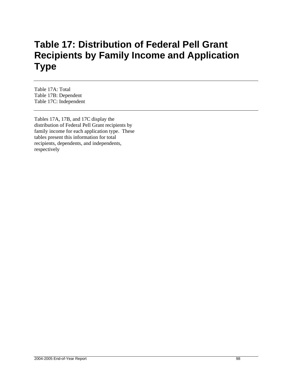## **Table 17: Distribution of Federal Pell Grant Recipients by Family Income and Application Type**

Table 17A: Total Table 17B: Dependent Table 17C: Independent

Tables 17A, 17B, and 17C display the distribution of Federal Pell Grant recipients by family income for each application type. These tables present this information for total recipients, dependents, and independents, respectively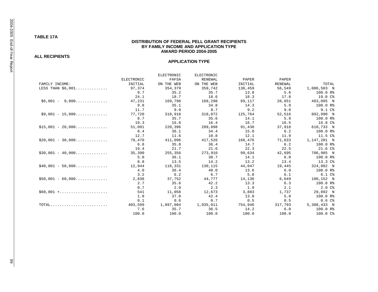## **DISTRIBUTION OF FEDERAL PELL GRANT RECIPIENTS BY FAMILY INCOME AND APPLICATION TYPE AWARD PERIOD 2004-2005**

**ALL RECIPIENTS** 

|                                               |            | ELECTRONIC | ELECTRONIC |         |         |                    |
|-----------------------------------------------|------------|------------|------------|---------|---------|--------------------|
|                                               | ELECTRONIC | FAFSA      | RENEWAL    | PAPER   | PAPER   |                    |
| FAMILY INCOME:                                | INITIAL    | ON THE WEB | ON THE WEB | INITIAL | RENEWAL | TOTAL              |
| LESS THAN \$6,001                             | 97,374     | 354,379    | 359,742    | 138,459 | 56,549  | 1,006,503 N        |
|                                               | 9.7        | 35.2       | 35.7       | 13.8    | 5.6     | 100.0 R%           |
|                                               | 24.1       | 18.7       | 18.6       | 18.3    | 17.8    | 19.0 C%            |
| $$6,001 - 9,000$                              | 47,231     | 169,798    | 168,298    | 69,117  | 28,651  | 483,095 N          |
|                                               | 9.8        | 35.1       | 34.8       | 14.3    | 5.9     | 100.0 R%           |
|                                               | 11.7       | 9.0        | 8.7        | 9.2     | 9.0     | 9.1C <sub>6</sub>  |
| $$9,001 - 15,000$                             | 77,720     | 318,918    | 318,072    | 125,764 | 52,516  | 892,990 N          |
|                                               | 8.7        | 35.7       | 35.6       | 14.1    | 5.9     | 100.0 R%           |
|                                               | 19.3       | 16.8       | 16.4       | 16.7    | 16.5    | 16.8 C%            |
| $$15.001 - 20.000$                            | 51,091     | 220,396    | 209,898    | 91,430  | 37,918  | 610,733 N          |
|                                               | 8.4        | 36.1       | 34.4       | 15.0    | 6.2     | 100.0 R%           |
|                                               | 12.7       | 11.6       | 10.8       | 12.1    | 11.9    | 11.5 C%            |
| $$20,001 - 30,000$                            | 78,470     | 411,096    | 417,526    | 168,476 | 71,633  | 1,147,201 N        |
|                                               | 6.8        | 35.8       | 36.4       | 14.7    | 6.2     | 100.0 R%           |
|                                               | 19.4       | 21.7       | 21.6       | 22.3    | 22.5    | 21.6C              |
| $$30.001 - 40.000$                            | 35,390     | 255,356    | 273,910    | 99,634  | 42,695  | 706,985 N          |
|                                               | 5.0        | 36.1       | 38.7       | 14.1    | 6.0     | 100.0 R%           |
|                                               | 8.8        | 13.5       | 14.2       | 13.2    | 13.4    | 13.3C <sub>8</sub> |
| $$40.001 - 50.000$                            | 12,944     | 118,331    | 130,115    | 44,047  | 19,445  | 324,882 N          |
|                                               | 4.0        | 36.4       | 40.0       | 13.6    | 6.0     | 100.0 R%           |
|                                               | 3.2        | 6.2        | 6.7        | 5.8     | 6.1     | 6.1C <sup>8</sup>  |
| $$50,001 - 60,000$                            | 2,838      | 37,752     | 44,777     | 14,136  | 6,649   | 106,152 N          |
|                                               | 2.7        | 35.6       | 42.2       | 13.3    | 6.3     | 100.0 R%           |
|                                               | 0.7        | 2.0        | 2.3        | 1.9     | 2.1     | 2.0C <sub>8</sub>  |
| $$60,001 + \ldots + \ldots + \ldots + \ldots$ | 541        | 11,058     | 12,673     | 3,883   | 1,737   | 29,892 N           |
|                                               | 1.8        | 37.0       | 42.4       | 13.0    | 5.8     | 100.0 R%           |
|                                               | 0.1        | 0.6        | 0.7        | 0.5     | 0.5     | 0.6C <sup>8</sup>  |
| $TOTAL$                                       | 403,599    | 1,897,084  | 1,935,011  | 754,946 | 317,793 | 5,308,433 N        |
|                                               | 7.6        | 35.7       | 36.5       | 14.2    | 6.0     | 100.0 R%           |
|                                               | 100.0      | 100.0      | 100.0      | 100.0   | 100.0   | 100.0 C%           |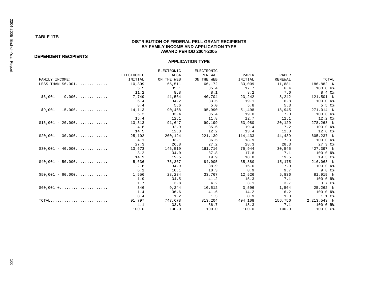## **DISTRIBUTION OF FEDERAL PELL GRANT RECIPIENTS BY FAMILY INCOME AND APPLICATION TYPE AWARD PERIOD 2004-2005**

### **DEPENDENT RECIPIENTS**

|                                                                              |            | ELECTRONIC | ELECTRONIC |         |         |                   |
|------------------------------------------------------------------------------|------------|------------|------------|---------|---------|-------------------|
|                                                                              | ELECTRONIC | FAFSA      | RENEWAL    | PAPER   | PAPER   |                   |
| FAMILY INCOME:                                                               | INITIAL    | ON THE WEB | ON THE WEB | INITIAL | RENEWAL | TOTAL             |
| LESS THAN $$6,001$                                                           | 10,309     | 65,511     | 66,172     | 33,009  | 11,881  | 186,882 N         |
|                                                                              | 5.5        | 35.1       | 35.4       | 17.7    | 6.4     | 100.0 R%          |
|                                                                              | 11.2       | 8.8        | 8.1        | 8.2     | 7.6     | 8.4 C%            |
| $$6,001 - 9,000$                                                             | 7,749      | 41,564     | 40,704     | 23,242  | 8,242   | 121,501 N         |
|                                                                              | 6.4        | 34.2       | 33.5       | 19.1    | 6.8     | 100.0 R%          |
|                                                                              | 8.4        | 5.6        | 5.0        | 5.8     | 5.3     | 5.5C <sup>o</sup> |
| $$9,001 - 15,000$                                                            | 14,113     | 90,468     | 95,990     | 51,498  | 18,945  | 271,014 N         |
|                                                                              | 5.2        | 33.4       | 35.4       | 19.0    | 7.0     | 100.0 R%          |
|                                                                              | 15.4       | 12.1       | 11.8       | 12.7    | 12.1    | 12.2 C%           |
| $$15,001 - 20,000$                                                           | 13,313     | 91,647     | 99,199     | 53,980  | 20,129  | 278,268 N         |
|                                                                              | 4.8        | 32.9       | 35.6       | 19.4    | 7.2     | 100.0 R%          |
|                                                                              | 14.5       | 12.3       | 12.2       | 13.4    | 12.8    | 12.6C             |
| $$20,001 - 30,000$                                                           | 25,102     | 200,124    | 221,139    | 114,433 | 44,439  | 605,237 N         |
|                                                                              | 4.1        | 33.1       | 36.5       | 18.9    | 7.3     | 100.0 R%          |
|                                                                              | 27.3       | 26.8       | 27.2       | 28.3    | 28.3    | 27.3C8            |
| $$30,001 - 40,000$                                                           | 13,673     | 145,519    | 161,716    | 75,944  | 30,545  | 427,397 N         |
|                                                                              | 3.2        | 34.0       | 37.8       | 17.8    | 7.1     | 100.0 R%          |
|                                                                              | 14.9       | 19.5       | 19.9       | 18.8    | 19.5    | 19.3C             |
| $$40,001 - 50,000$                                                           | 5,636      | 75,367     | 84,005     | 35,880  | 15,175  | 216,063 N         |
|                                                                              | 2.6        | 34.9       | 38.9       | 16.6    | 7.0     | 100.0 R%          |
|                                                                              | 6.1        | 10.1       | 10.3       | 8.9     | 9.7     | 9.8 <sup>°</sup>  |
| $$50,001 - 60,000$                                                           | 1,556      | 28,234     | 33,767     | 12,526  | 5,836   | 81,919 N          |
|                                                                              | 1.9        | 34.5       | 41.2       | 15.3    | 7.1     | 100.0 R%          |
|                                                                              | 1.7        | 3.8        | 4.2        | 3.1     | 3.7     | 3.7C <sub>6</sub> |
| $$60,001 + \ldots + \ldots + \ldots + \ldots$                                | 346        | 9,244      | 10,512     | 3,596   | 1,564   | 25,262 N          |
|                                                                              | 1.4        | 36.6       | 41.6       | 14.2    | 6.2     | 100.0 R%          |
|                                                                              | 0.4        | 1.2        | 1.3        | 0.9     | 1.0     | 1.1 <sup>c</sup>  |
| $\texttt{TOTAL}\ldots\ldots\ldots\ldots\ldots\ldots\ldots\ldots\ldots\ldots$ | 91,797     | 747,678    | 813,204    | 404,108 | 156,756 | 2,213,543 N       |
|                                                                              | 4.1        | 33.8       | 36.7       | 18.3    | 7.1     | 100.0 R%          |
|                                                                              | 100.0      | 100.0      | 100.0      | 100.0   | 100.0   | 100.0 C%          |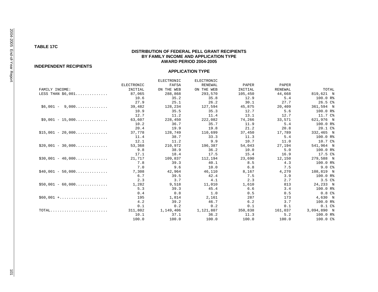#### **TABLE 17C**

## **DISTRIBUTION OF FEDERAL PELL GRANT RECIPIENTS BY FAMILY INCOME AND APPLICATION TYPE AWARD PERIOD 2004-2005**

#### **INDEPENDENT RECIPIENTS**

|                                               |            | ELECTRONIC | ELECTRONIC |         |         |                   |
|-----------------------------------------------|------------|------------|------------|---------|---------|-------------------|
|                                               | ELECTRONIC | FAFSA      | RENEWAL    | PAPER   | PAPER   |                   |
| FAMILY INCOME:                                | INITIAL    | ON THE WEB | ON THE WEB | INITIAL | RENEWAL | TOTAL             |
| LESS THAN $$6,001$                            | 87,065     | 288,868    | 293,570    | 105,450 | 44,668  | 819,621 N         |
|                                               | 10.6       | 35.2       | 35.8       | 12.9    | 5.4     | 100.0 R%          |
|                                               | 27.9       | 25.1       | 26.2       | 30.1    | 27.7    | 26.5C             |
| $$6,001 - 9,000$                              | 39,482     | 128,234    | 127,594    | 45,875  | 20,409  | 361,594 N         |
|                                               | 10.9       | 35.5       | 35.3       | 12.7    | 5.6     | 100.0 R%          |
|                                               | 12.7       | 11.2       | 11.4       | 13.1    | 12.7    | 11.7 C%           |
| $$9,001 - 15,000$                             | 63,607     | 228,450    | 222,082    | 74,266  | 33,571  | 621,976 N         |
|                                               | 10.2       | 36.7       | 35.7       | 11.9    | 5.4     | 100.0 R%          |
|                                               | 20.4       | 19.9       | 19.8       | 21.2    | 20.8    | 20.1 C%           |
| $$15,001 - 20,000$                            | 37,778     | 128,749    | 110,699    | 37,450  | 17,789  | 332,465 N         |
|                                               | 11.4       | 38.7       | 33.3       | 11.3    | 5.4     | 100.0 R%          |
|                                               | 12.1       | 11.2       | 9.9        | 10.7    | 11.0    | 10.7 C%           |
| $$20,001 - 30,000$                            | 53,368     | 210,972    | 196,387    | 54,043  | 27,194  | 541,964 N         |
|                                               | 9.8        | 38.9       | 36.2       | 10.0    | 5.0     | 100.0 R%          |
|                                               | 17.1       | 18.4       | 17.5       | 15.4    | 16.9    | 17.5 C%           |
| $$30,001 - 40,000$                            | 21,717     | 109,837    | 112,194    | 23,690  | 12,150  | 279,588 N         |
|                                               | 7.8        | 39.3       | 40.1       | 8.5     | 4.3     | 100.0 R%          |
|                                               | 7.0        | 9.6        | 10.0       | 6.8     | 7.5     | 9.0 <sup>c</sup>  |
| $$40,001 - 50,000$                            | 7,308      | 42,964     | 46,110     | 8,167   | 4,270   | 108,819 N         |
|                                               | 6.7        | 39.5       | 42.4       | 7.5     | 3.9     | 100.0 R%          |
|                                               | 2.3        | 3.7        | 4.1        | 2.3     | 2.7     | 3.5C <sub>8</sub> |
| $$50,001 - 60,000$                            | 1,282      | 9,518      | 11,010     | 1,610   | 813     | 24,233 N          |
|                                               | 5.3        | 39.3       | 45.4       | 6.6     | 3.4     | 100.0 R%          |
|                                               | 0.4        | 0.8        | 1.0        | 0.5     | 0.5     | 0.8C <sup>8</sup> |
| $$60,001 + \ldots + \ldots + \ldots + \ldots$ | 195        | 1,814      | 2,161      | 287     | 173     | 4,630 N           |
|                                               | 4.2        | 39.2       | 46.7       | 6.2     | 3.7     | 100.0 R%          |
|                                               | 0.1        | 0.2        | 0.2        | 0.1     | 0.1     | 0.1C <sup>8</sup> |
| TOTAL                                         | 311,802    | 1,149,406  | 1,121,807  | 350,838 | 161,037 | 3,094,890 N       |
|                                               | 10.1       | 37.1       | 36.2       | 11.3    | 5.2     | 100.0 R%          |
|                                               | 100.0      | 100.0      | 100.0      | 100.0   | 100.0   | $100.0C$ %        |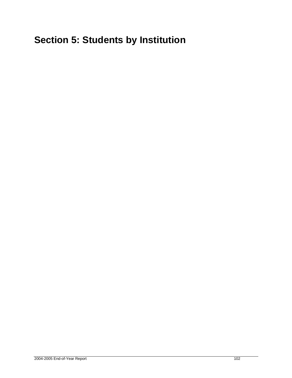# **Section 5: Students by Institution**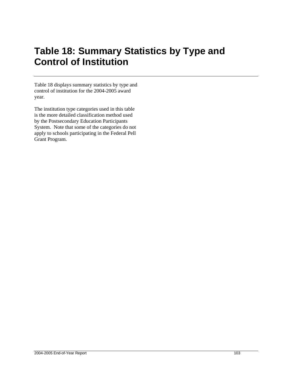## **Table 18: Summary Statistics by Type and Control of Institution**

Table 18 displays summary statistics by type and control of institution for the 2004-2005 award year.

The institution type categories used in this table is the more detailed classification method used by the Postsecondary Education Participants System. Note that some of the categories do not apply to schools participating in the Federal Pell Grant Program.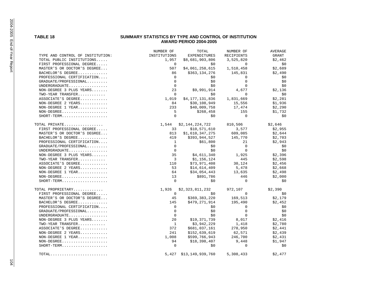## **TABLE 18 SUMMARY STATISTICS BY TYPE AND CONTROL OF INSTITUTION AWARD PERIOD 2004-2005**

|                                                         | NUMBER OF    | TOTAL                  | NUMBER OF   | <b>AVERAGE</b> |
|---------------------------------------------------------|--------------|------------------------|-------------|----------------|
| TYPE AND CONTROL OF INSTITUTION:                        | INSTITUTIONS | <b>EXPENDITURES</b>    | RECIPIENTS  | <b>GRANT</b>   |
| TOTAL PUBLIC INSTITUTIONS                               | 1,957        | \$8,681,903,806        | 3,525,820   | \$2,462        |
| FIRST PROFESSIONAL DEGREE                               | $\Omega$     | \$0                    | $\Omega$    | \$0            |
| MASTER'S OR DOCTOR'S DEGREE                             | 507          | \$4,061,258,615        | 1,510,458   | \$2,689        |
| BACHELOR'S DEGREE                                       | 86           | \$363,134,276          | 145,831     | \$2,490        |
| PROFESSIONAL CERTIFICATION                              | $\Omega$     | \$0                    | $\Omega$    | \$0            |
| GRADUATE/PROFESSIONAL                                   | $\Omega$     | \$0                    | $\Omega$    | \$0            |
|                                                         | $\Omega$     | \$0                    | $\Omega$    | \$0            |
| NON-DEGREE 3 PLUS YEARS                                 | 23           | \$9,991,914            | 4,677       | \$2,136        |
| TWO-YEAR TRANSFER                                       | $\Omega$     | \$0                    | $\Omega$    | \$0            |
| ASSOCIATE'S DEGREE                                      | 1,019        | \$4,177,131,836        | 1,831,669   | \$2,281        |
| NON-DEGREE 2 YEARS                                      | 84           | \$30,108,949           | 15,556      | \$1,936        |
| $NON-DEGREE$ $1$ $YEAR$                                 | 233          | \$40,009,758           | 17,474      | \$2,290        |
| $\text{NON-DEGREE} \dots \dots \dots \dots \dots \dots$ | 5            | \$268,458              | 155         | \$1,732        |
| $SHORT-TERM$                                            | $\Omega$     | \$0                    | $\mathbf 0$ | \$0            |
| TOTAL PRIVATE                                           | 1,544        | \$2,144,224,722        | 810,506     | \$2,646        |
| FIRST PROFESSIONAL DEGREE                               | 33           | \$10,571,610           | 3,577       | \$2,955        |
| MASTER'S OR DOCTOR'S DEGREE                             | 813          | \$1,610,347,275        | 609,085     | \$2,644        |
| BACHELOR'S DEGREE                                       | 419          | \$393,944,527          | 145,770     | \$2,703        |
| PROFESSIONAL CERTIFICATION                              | $\mathbf{1}$ | \$61,800               | 21          | \$2,943        |
| GRADUATE/PROFESSIONAL                                   | $\Omega$     | \$0                    | $\Omega$    | \$0            |
| UNDERGRADUATE                                           | $\Omega$     | \$0                    | $\mathbf 0$ | \$0            |
| NON-DEGREE 3 PLUS YEARS                                 | 35           | \$4,611,340            | 1,925       | \$2,396        |
| TWO-YEAR TRANSFER                                       | 3            | \$1,156,124            | 445         | \$2,598        |
| ASSOCIATE'S DEGREE                                      | 110          | \$73,971,408           | 30,124      | \$2,456        |
| $NON-DEGREE$ 2 YEARS                                    | 53           | \$14,614,409           | 5,478       | \$2,668        |
| NON-DEGREE 1 YEAR                                       | 64           | \$34,054,443           | 13,635      | \$2,498        |
|                                                         | 13           | \$891,786              | 446         | \$2,000        |
| $SHORT-TERM$                                            | $\Omega$     | \$0                    | $\Omega$    | \$0            |
| TOTAL PROPRIETARY                                       | 1,926        | \$2,323,811,232        | 972,107     | \$2,390        |
| FIRST PROFESSIONAL DEGREE                               | $\mathbf 0$  | \$0                    | $\Omega$    | \$0            |
| MASTER'S OR DOCTOR'S DEGREE                             | 45           | \$369,383,220          | 169,513     | \$2,179        |
| BACHELOR'S DEGREE                                       | 145          | \$479,271,914          | 195,490     | \$2,452        |
| PROFESSIONAL CERTIFICATION                              | $\Omega$     | \$0                    | $\mathbf 0$ | \$0            |
| GRADUATE/PROFESSIONAL                                   | $\mathbf 0$  | \$0                    | $\mathbf 0$ | \$0            |
|                                                         | $\Omega$     | \$0\$                  | $\Omega$    | \$0            |
| NON-DEGREE 3 PLUS YEARS                                 | 20           | \$19,371,739           | 8,017       | \$2,416        |
| TWO-YEAR TRANSFER                                       | 1            | \$3,942,229            | 1,418       | \$2,780        |
| ASSOCIATE'S DEGREE                                      | 372          | \$681,037,161          | 278,950     | \$2,441        |
| NON-DEGREE 2 YEARS                                      | 241          | \$152,639,619          | 62,571      | \$2,439        |
| NON-DEGREE 1 YEAR                                       | 1,008        | \$599,766,943          | 246,700     | \$2,431        |
|                                                         | 94           | \$18,398,407           | 9,448       | \$1,947        |
| $SHORT-TERM$                                            | $\Omega$     | \$0                    | $\Omega$    | \$0            |
| $\texttt{TOTAL}$                                        |              | 5,427 \$13,149,939,760 | 5,308,433   | \$2,477        |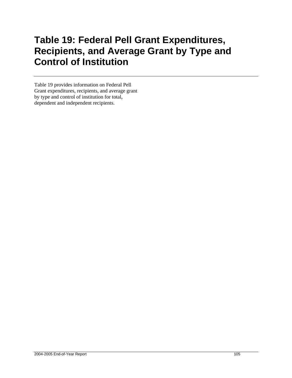## **Table 19: Federal Pell Grant Expenditures, Recipients, and Average Grant by Type and Control of Institution**

Table 19 provides information on Federal Pell Grant expenditures, recipients, and average grant by type and control of institution for total, dependent and independent recipients.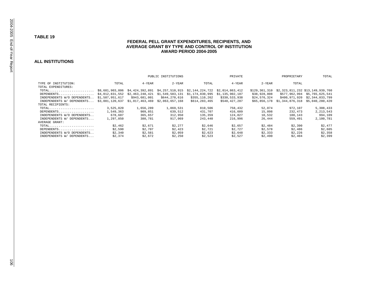**TABLE 19** 

### **FEDERAL PELL GRANT EXPENDITURES, RECIPIENTS, AND AVERAGE GRANT BY TYPE AND CONTROL OF INSTITUTION AWARD PERIOD 2004-2005**

#### **ALL INSTITUTIONS**

|                                                                        |                 |                 | PUBLIC INSTITUTIONS | PRIVATE         |                 |               | PROPRIETARY     | TOTAL                            |
|------------------------------------------------------------------------|-----------------|-----------------|---------------------|-----------------|-----------------|---------------|-----------------|----------------------------------|
| TYPE OF INSTITUTION:                                                   | TOTAL           | $4 - YEAR$      | $2 - YEAR$          | TOTAL           | $4 - YEAR$      | $2 - YEAR$    | TOTAL           |                                  |
| TOTAL EXPENDITURES:                                                    |                 |                 |                     |                 |                 |               |                 |                                  |
| TOTAL                                                                  | \$8,681,903,806 | \$4,424,392,891 | \$4,257,510,915     | \$2,144,224,722 | \$2,014,863,412 | \$129,361,310 |                 | \$2,323,811,232 \$13,149,939,760 |
| DEPENDENTS                                                             | \$4,012,831,552 | \$2,463,248,421 | \$1,549,583,131     | \$1,174,830,995 | \$1,135,902,187 | \$38,928,808  | \$577,962,994   | \$5,765,625,541                  |
| INDEPENDENTS W/O DEPENDENTS                                            | \$1,587,951,617 | \$943,681,001   | \$644,270,616       | \$355,110,262   | \$330,533,938   | \$24,576,324  | \$400,971,920   | \$2,344,033,799                  |
| INDEPENDENTS W/ DEPENDENTS                                             | \$3,081,120,637 | \$1,017,463,469 | \$2,063,657,168     | \$614,283,465   | \$548,427,287   | \$65,856,178  | \$1,344,876,318 | \$5,040,280,420                  |
| TOTAL RECIPIENTS:                                                      |                 |                 |                     |                 |                 |               |                 |                                  |
| $\texttt{TOTAL} \dots \dots \dots \dots \dots \dots \dots \dots \dots$ | 3,525,820       | 1,656,289       | 1,869,531           | 810,506         | 758,432         | 52,074        | 972,107         | 5,308,433                        |
| DEPENDENTS                                                             | 1,549,363       | 909,851         | 639,512             | 431,707         | 416,609         | 15,098        | 232,473         | 2, 213, 543                      |
| INDEPENDENTS W/O DEPENDENTS                                            | 678,607         | 365,657         | 312,950             | 135,359         | 124,827         | 10,532        | 180,143         | 994,109                          |
| INDEPENDENTS W/ DEPENDENTS                                             | 1,297,850       | 380,781         | 917,069             | 243,440         | 216,996         | 26.444        | 559,491         | 2,100,781                        |
| <b>AVERAGE GRANT:</b>                                                  |                 |                 |                     |                 |                 |               |                 |                                  |
| $\texttt{TOTAL} \dots \dots \dots \dots \dots \dots \dots \dots \dots$ | \$2,462         | \$2,671         | \$2.277             | \$2,646         | \$2,657         | \$2,484       | \$2,390         | \$2,477                          |
| DEPENDENTS                                                             | \$2,590         | \$2,707         | \$2,423             | \$2,721         | \$2,727         | \$2,578       | \$2,486         | \$2,605                          |
| INDEPENDENTS W/O DEPENDENTS                                            | \$2,340         | \$2,581         | \$2,059             | \$2,623         | \$2.648         | \$2,333       | \$2,226         | \$2,358                          |
| INDEPENDENTS W/ DEPENDENTS                                             | \$2,374         | \$2,672         | \$2,250             | \$2,523         | \$2,527         | \$2,490       | \$2,404         | \$2,399                          |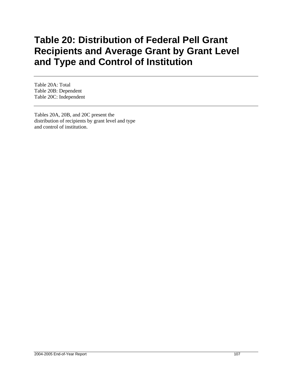## **Table 20: Distribution of Federal Pell Grant Recipients and Average Grant by Grant Level and Type and Control of Institution**

Table 20A: Total Table 20B: Dependent Table 20C: Independent

Tables 20A, 20B, and 20C present the distribution of recipients by grant level and type and control of institution.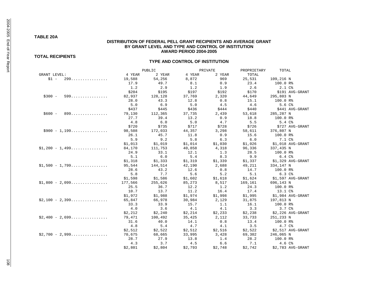#### **TABLE 20A**

#### **DISTRIBUTION OF FEDERAL PELL GRANT RECIPIENTS AND AVERAGE GRANT BY GRANT LEVEL AND TYPE AND CONTROL OF INSTITUTION AWARD PERIOD 2004-2005**

#### **TOTAL RECIPIENTS**

|                                               |         | PUBLIC  |         | PRIVATE | PROPRIETARY | TOTAL                        |
|-----------------------------------------------|---------|---------|---------|---------|-------------|------------------------------|
| GRANT LEVEL:                                  | 4 YEAR  | 2 YEAR  | 4 YEAR  | 2 YEAR  | TOTAL       |                              |
| $$1 -$<br>299                                 | 19,588  | 54,256  | 8,872   | 969     | 25,531      | 109,216 N                    |
|                                               | 17.9    | 49.7    | 8.1     | 0.9     | 23.4        | 100.0 R%                     |
|                                               | 1.2     | 2.9     | 1.2     | 1.9     | 2.6         | $2.1C$ %                     |
|                                               | \$204   | \$195   | \$197   | \$192   | \$170       | \$191 AVG-GRANT              |
| $$300 -$<br>$599 \ldots \ldots \ldots \ldots$ | 82,937  | 128,128 | 37,769  | 2,320   | 44,649      | 295,803 N                    |
|                                               | 28.0    | 43.3    | 12.8    | 0.8     | 15.1        | 100.0 R%                     |
|                                               | 5.0     | 6.9     | 5.0     | 4.5     | 4.6         | 5.6C <sup>o</sup>            |
|                                               | \$437   | \$445   | \$436   | \$444   | \$440       | \$441 AVG-GRANT              |
| 899<br>$$600 -$                               | 79,130  | 112,365 | 37,735  | 2,439   | 53,618      | 285,287 N                    |
|                                               | 27.7    | 39.4    | 13.2    | 0.9     | 18.8        | 100.0 R%                     |
|                                               | 4.8     | 6.0     | 5.0     | 4.7     | 5.5         | $5.4 \, \text{C}$ $\text{*}$ |
|                                               | \$720   | \$735   | \$717   | \$728   | \$726       | \$727 AVG-GRANT              |
| $$900 - 1,199$                                | 98,508  | 172,033 | 44,357  | 3,298   | 58,611      | 376,807 N                    |
|                                               | 26.1    | 45.7    | 11.8    | 0.9     | 15.6        | 100.0 R%                     |
|                                               | 5.9     | 9.2     | 5.8     | 6.3     | 6.0         | 7.1 C%                       |
|                                               | \$1,013 | \$1,019 | \$1,014 | \$1,030 | \$1,026     | \$1,018 AVG-GRANT            |
| $$1,200 - 1,499$                              | 84,170  | 111,753 | 40,858  | 4,318   | 96,336      | 337,435 N                    |
|                                               | 24.9    | 33.1    | 12.1    | 1.3     | 28.5        | 100.0 R%                     |
|                                               | 5.1     | 6.0     | 5.4     | 8.3     | 9.9         | $6.4 \text{ }C_{8}$          |
|                                               | \$1,318 | \$1,333 | \$1,319 | \$1,339 |             | \$1,337 \$1,329 AVG-GRANT    |
| $$1,500 - 1,799$                              | 95,544  | 144,514 | 42,190  | 2,688   | 49,211      | 334,147 N                    |
|                                               | 28.6    | 43.2    | 12.6    | 0.8     | 14.7        | 100.0 R%                     |
|                                               | 5.8     | 7.7     | 5.6     | 5.2     | 5.1         | $6.3C$ %                     |
|                                               | \$1,598 | \$1,586 | \$1,602 | \$1,618 | \$1,624     | \$1,597 AVG-GRANT            |
| $$1,800 - 2,099$                              | 177,566 | 255,626 | 85,273  | 8,517   | 169,161     | 696,143 N                    |
|                                               | 25.5    | 36.7    | 12.2    | 1.2     | 24.3        | 100.0 R%                     |
|                                               | 10.7    | 13.7    | 11.2    | 16.4    | 17.4        | 13.1 C%                      |
|                                               | \$1,972 | \$1,988 | \$1,974 | \$1,998 | \$1,995     | \$1,984 AVG-GRANT            |
| $$2,100 - 2,399$                              | 65,847  | 66,978  | 30,984  | 2,129   | 31,875      | 197,813 N                    |
|                                               | 33.3    | 33.9    | 15.7    | 1.1     | 16.1        | 100.0 R%                     |
|                                               | 4.0     | 3.6     | 4.1     | 4.1     | 3.3         | $3.7C$ %                     |
|                                               | \$2,212 | \$2,240 | \$2,214 | \$2,233 | \$2,238     | \$2,226 AVG-GRANT            |
| $$2,400 - 2,699$                              | 79,471  | 100,492 | 35,425  | 2,112   | 33,733      | 251,233 N                    |
|                                               | 31.6    | 40.0    | 14.1    | 0.8     | 13.4        | 100.0 R%                     |
|                                               | 4.8     | 5.4     | 4.7     | 4.1     | 3.5         | 4.7 C%                       |
|                                               | \$2,512 | \$2,522 | \$2,512 | \$2,516 | \$2,522     | $$2,517 AVG-GRANT246 ACF "$  |
| $$2.700 - 2.999$                              | 70,675  | 68,665  | 33,995  | 3,428   | 69,302      |                              |
|                                               | 28.7    | 27.9    | 13.8    | 1.4     | 28.2        | 100.0 R%                     |
|                                               | 4.3     | 3.7     | 4.5     | 6.6     | 7.1         | $4.6C$ %                     |
|                                               | \$2,801 | \$2,804 | \$2,793 | \$2,748 | \$2,742     | \$2,783 AVG-GRANT            |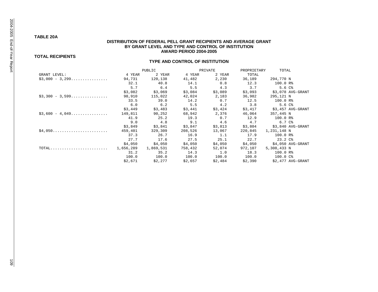#### **TABLE 20A**

#### **DISTRIBUTION OF FEDERAL PELL GRANT RECIPIENTS AND AVERAGE GRANT BY GRANT LEVEL AND TYPE AND CONTROL OF INSTITUTION AWARD PERIOD 2004-2005**

#### **TOTAL RECIPIENTS**

|                                                               |           | PUBLIC    |         | PRIVATE | PROPRIETARY | TOTAL             |
|---------------------------------------------------------------|-----------|-----------|---------|---------|-------------|-------------------|
| GRANT LEVEL:                                                  | 4 YEAR    | 2 YEAR    | 4 YEAR  | 2 YEAR  | TOTAL       |                   |
| $$3,000 - 3,299$                                              | 94,731    | 120,138   | 41,482  | 2,230   | 36,189      | 294,770 N         |
|                                                               | 32.1      | 40.8      | 14.1    | 0.8     | 12.3        | 100.0 R%          |
|                                                               | 5.7       | 6.4       | 5.5     | 4.3     | 3.7         | 5.6 C%            |
|                                                               | \$3,082   | \$3,069   | \$3,084 | \$3,089 | \$3,093     | \$3,078 AVG-GRANT |
| $$3,300 - 3,599$                                              | 98,910    | 115,022   | 42,024  | 2,183   | 36,982      | 295,121 N         |
|                                                               | 33.5      | 39.0      | 14.2    | 0.7     | 12.5        | 100.0 R%          |
|                                                               | 6.0       | 6.2       | 5.5     | 4.2     | 3.8         | 5.6 C%            |
|                                                               | \$3,449   | \$3,483   | \$3,441 | \$3,424 | \$3,417     | \$3,457 AVG-GRANT |
| $$3,600 - 4,049$                                              | 149,811   | 90,252    | 68,942  | 2,376   | 46,064      | 357,445 N         |
|                                                               | 41.9      | 25.2      | 19.3    | 0.7     | 12.9        | 100.0 R%          |
|                                                               | 9.0       | 4.8       | 9.1     | 4.6     | 4.7         | 6.7 C%            |
|                                                               | \$3,849   | \$3,841   | \$3,847 | \$3,813 | \$3,804     | \$3,840 AVG-GRANT |
| $$4,050$                                                      | 459,401   | 329,309   | 208,526 | 13,067  | 220,845     | 1,231,148 N       |
|                                                               | 37.3      | 26.7      | 16.9    | 1.1     | 17.9        | 100.0 R%          |
|                                                               | 27.7      | 17.6      | 27.5    | 25.1    | 22.7        | 23.2C             |
|                                                               | \$4,050   | \$4,050   | \$4,050 | \$4,050 | \$4,050     | \$4,050 AVG-GRANT |
| $\texttt{TOTAL}\dots\dots\dots\dots\dots\dots\dots\dots\dots$ | 1,656,289 | 1,869,531 | 758,432 | 52,074  | 972,107     | 5,308,433 N       |
|                                                               | 31.2      | 35.2      | 14.3    | 1.0     | 18.3        | 100.0 R%          |
|                                                               | 100.0     | 100.0     | 100.0   | 100.0   | 100.0       | 100.0 C%          |
|                                                               | \$2,671   | \$2,277   | \$2,657 | \$2,484 | \$2,390     | \$2,477 AVG-GRANT |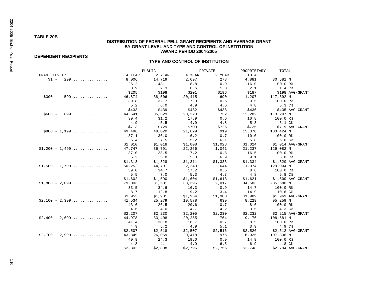#### **TABLE 20B**

#### **DISTRIBUTION OF FEDERAL PELL GRANT RECIPIENTS AND AVERAGE GRANT BY GRANT LEVEL AND TYPE AND CONTROL OF INSTITUTION AWARD PERIOD 2004-2005**

#### **DEPENDENT RECIPIENTS**

|                                             |         | PUBLIC  |         | PRIVATE | PROPRIETARY | TOTAL             |
|---------------------------------------------|---------|---------|---------|---------|-------------|-------------------|
| GRANT LEVEL:                                | 4 YEAR  | 2 YEAR  | 4 YEAR  | 2 YEAR  | TOTAL       |                   |
| $$1 -$<br>$299 \ldots \ldots \ldots \ldots$ | 8,006   | 14,719  | 2,697   | 278     | 4,881       | 30,581 N          |
|                                             | 26.2    | 48.1    | 8.8     | 0.9     | 16.0        | 100.0 R%          |
|                                             | 0.9     | 2.3     | 0.6     | 1.8     | 2.1         | 1.4C <sup>8</sup> |
|                                             | \$205   | \$198   | \$201   | \$196   | \$187       | \$198 AVG-GRANT   |
| $$300 -$<br>599.                            | 46,874  | 38,506  | 20,415  | 690     | 11,207      | 117,692 N         |
|                                             | 39.8    | 32.7    | 17.3    | 0.6     | 9.5         | 100.0 R%          |
|                                             | 5.2     | 6.0     | 4.9     | 4.6     | 4.8         | 5.3C              |
|                                             | \$433   | \$439   | \$432   | \$438   | \$436       | \$435 AVG-GRANT   |
| $$600 -$<br>899                             | 44,641  | 35,329  | 20,223  | 732     | 12,282      | 113,207 N         |
|                                             | 39.4    | 31.2    | 17.9    | 0.6     | 10.8        | 100.0 R%          |
|                                             | 4.9     | 5.5     | 4.9     | 4.8     | 5.3         | 5.1 C%            |
|                                             | \$713   | \$729   | \$709   | \$726   | \$725       | \$719 AVG-GRANT   |
| $$900 - 1,199$                              | 49,486  | 48,020  | 21,629  | 919     | 13,370      | 133,424 N         |
|                                             | 37.1    | 36.0    | 16.2    | 0.7     | 10.0        | 100.0 R%          |
|                                             | 5.4     | 7.5     | 5.2     | 6.1     | 5.8         | 6.0C              |
|                                             | \$1,010 | \$1,018 | \$1,008 | \$1,028 | \$1,024     | \$1,014 AVG-GRANT |
| $$1,200 - 1,499$                            | 47,747  | 36,791  | 22,266  | 1,041   | 21,237      | 129,082 N         |
|                                             | 37.0    | 28.5    | 17.2    | 0.8     | 16.5        | 100.0 R%          |
|                                             | 5.2     | 5.8     | 5.3     | 6.9     | 9.1         | 5.8 C%            |
|                                             | \$1,313 | \$1,328 | \$1,311 | \$1,333 | \$1,334     | \$1,320 AVG-GRANT |
| $$1,500 - 1,799$                            | 50,252  | 44,791  | 22,243  | 644     | 11,074      | 129,004 N         |
|                                             | 39.0    | 34.7    | 17.2    | 0.5     | 8.6         | 100.0 R%          |
|                                             | 5.5     | 7.0     | 5.3     | 4.3     | 4.8         | 5.8 C%            |
|                                             | \$1,602 | \$1,590 | \$1,604 | \$1,613 | \$1,621     | \$1,600 AVG-GRANT |
| $$1,800 - 2,099$                            | 79,003  | 81,581  | 38,396  | 2,017   | 34,583      | 235,580 N         |
|                                             | 33.5    | 34.6    | 16.3    | 0.9     | 14.7        | 100.0 R%          |
|                                             | 8.7     | 12.8    | 9.2     | 13.4    | 14.9        | $10.6C$ %         |
|                                             | \$1,953 | \$1,981 | \$1,954 | \$1,988 | \$1,989     | \$1,969 AVG-GRANT |
| $$2,100 - 2,399$                            | 41,534  | 25,279  | 19,578  | 639     | 8,229       | 95,259 N          |
|                                             | 43.6    | 26.5    | 20.6    | 0.7     | 8.6         | 100.0 R%          |
|                                             | 4.6     | 4.0     | 4.7     | 4.2     | 3.5         | $4.3C\$           |
|                                             | \$2,207 | \$2,230 | \$2,205 | \$2,230 | \$2,232     | \$2,215 AVG-GRANT |
| $$2,400 - 2,699$                            | 44,978  | 33,408  | 20,255  | 764     | 9,176       | 108,581 N         |
|                                             | 41.4    | 30.8    | 18.7    | 0.7     | 8.5         | 100.0 R%          |
|                                             | 4.9     | 5.2     | 4.9     | 5.1     | 3.9         | 4.9C              |
|                                             | \$2,507 | \$2,518 | \$2,507 | \$2,516 | \$2,526     | \$2,512 AVG-GRANT |
| $$2,700 - 2,999$                            | 43,849  | 26,069  | 20,418  | 975     | 16,025      | 107,336 N         |
|                                             | 40.9    | 24.3    | 19.0    | 0.9     | 14.9        | 100.0 R%          |
|                                             | 4.8     | 4.1     | 4.9     | 6.5     | 6.9         | 4.8 <sup>c</sup>  |
|                                             | \$2,802 | \$2,808 | \$2,796 | \$2,755 | \$2,748     | \$2,794 AVG-GRANT |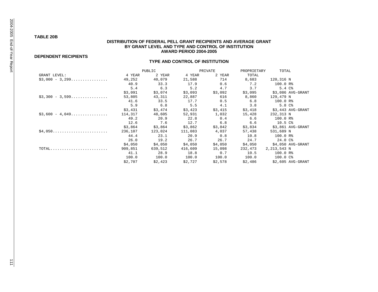#### **TABLE 20B**

#### **DISTRIBUTION OF FEDERAL PELL GRANT RECIPIENTS AND AVERAGE GRANT BY GRANT LEVEL AND TYPE AND CONTROL OF INSTITUTION AWARD PERIOD 2004-2005**

#### **DEPENDENT RECIPIENTS**

|                                                                        |         | PUBLIC  |         | PRIVATE | PROPRIETARY | TOTAL              |
|------------------------------------------------------------------------|---------|---------|---------|---------|-------------|--------------------|
| GRANT LEVEL:                                                           | 4 YEAR  | 2 YEAR  | 4 YEAR  | 2 YEAR  | TOTAL       |                    |
| $$3,000 - 3,299$                                                       | 49,252  | 40,079  | 21,588  | 714     | 8,683       | 120,316 N          |
|                                                                        | 40.9    | 33.3    | 17.9    | 0.6     | 7.2         | 100.0 R%           |
|                                                                        | 5.4     | 6.3     | 5.2     | 4.7     | 3.7         | $5.4 \, C$ $8$     |
|                                                                        | \$3,091 | \$3,074 | \$3,093 | \$3,092 | \$3,095     | \$3,086 AVG-GRANT  |
| $$3,300 - 3,599$                                                       | 53,805  | 43,311  | 22,887  | 616     | 8,860       | 129,479 N          |
|                                                                        | 41.6    | 33.5    | 17.7    | 0.5     | 6.8         | 100.0 R%           |
|                                                                        | 5.9     | 6.8     | 5.5     | 4.1     | 3.8         | 5.8 <sup>c</sup>   |
|                                                                        | \$3,431 | \$3,474 | \$3,423 | \$3,415 | \$3,418     | \$3,443 AVG-GRANT  |
| $$3,600 - 4,049$                                                       | 114,317 | 48,605  | 52,931  | 1,032   | 15,428      | 232,313 N          |
|                                                                        | 49.2    | 20.9    | 22.8    | 0.4     | 6.6         | 100.0 R%           |
|                                                                        | 12.6    | 7.6     | 12.7    | 6.8     | 6.6         | 10.5C <sub>8</sub> |
|                                                                        | \$3,864 | \$3,864 | \$3,862 | \$3,842 | \$3,834     | \$3,861 AVG-GRANT  |
| $$4,050$                                                               | 236,107 | 123,024 | 111,083 | 4,037   | 57,438      | 531,689 N          |
|                                                                        | 44.4    | 23.1    | 20.9    | 0.8     | 10.8        | 100.0 R%           |
|                                                                        | 26.0    | 19.2    | 26.7    | 26.7    | 24.7        | 24.0C              |
|                                                                        | \$4,050 | \$4,050 | \$4,050 | \$4,050 | \$4,050     | \$4,050 AVG-GRANT  |
| $\texttt{TOTAL} \dots \dots \dots \dots \dots \dots \dots \dots \dots$ | 909,851 | 639,512 | 416,609 | 15,098  | 232,473     | 2,213,543 N        |
|                                                                        | 41.1    | 28.9    | 18.8    | 0.7     | 10.5        | 100.0 R%           |
|                                                                        | 100.0   | 100.0   | 100.0   | 100.0   | 100.0       | 100.0 C%           |
|                                                                        | \$2,707 | \$2,423 | \$2,727 | \$2,578 | \$2,486     | \$2,605 AVG-GRANT  |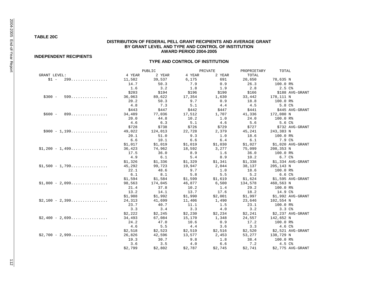#### **TABLE 20C**

#### **DISTRIBUTION OF FEDERAL PELL GRANT RECIPIENTS AND AVERAGE GRANT BY GRANT LEVEL AND TYPE AND CONTROL OF INSTITUTION AWARD PERIOD 2004-2005**

#### **INDEPENDENT RECIPIENTS**

|                  |         | PUBLIC  |         | PRIVATE | PROPRIETARY | TOTAL                |
|------------------|---------|---------|---------|---------|-------------|----------------------|
| GRANT LEVEL:     | 4 YEAR  | 2 YEAR  | 4 YEAR  | 2 YEAR  | TOTAL       |                      |
| $$1 -$<br>299    | 11,582  | 39,537  | 6,175   | 691     | 20,650      | 78,635 N             |
|                  | 14.7    | 50.3    | 7.9     | 0.9     | 26.3        | 100.0 R%             |
|                  | 1.6     | 3.2     | 1.8     | 1.9     | 2.8         | 2.5C                 |
|                  | \$203   | \$194   | \$196   | \$190   | \$166       | \$188 AVG-GRANT      |
| 599<br>$$300 -$  | 36,063  | 89,622  | 17,354  | 1,630   | 33,442      | 178,111 N            |
|                  | 20.2    | 50.3    | 9.7     | 0.9     | 18.8        | $100.0 R$ %          |
|                  | 4.8     | 7.3     | 5.1     | 4.4     | 4.5         | 5.8 <sup>c</sup>     |
|                  | \$443   | \$447   | \$442   | \$447   | \$441       | \$445 AVG-GRANT      |
| $$600 -$<br>899  | 34,489  | 77,036  | 17,512  | 1,707   | 41,336      | 172,080 N            |
|                  | 20.0    | 44.8    | 10.2    | 1.0     | 24.0        | 100.0 R%             |
|                  | 4.6     | 6.3     | 5.1     | 4.6     | 5.6         | 5.6 C%               |
|                  | \$728   | \$738   | \$726   | \$729   | \$727       | \$732 AVG-GRANT      |
| $$900 - 1,199$   | 49,022  | 124,013 | 22,728  | 2,379   | 45,241      | 243,383 N            |
|                  | 20.1    | 51.0    | 9.3     | 1.0     | 18.6        | 100.0 R%             |
|                  | 6.6     | 10.1    | 6.6     | 6.4     | 6.1         | 7.9 C%               |
|                  | \$1,017 | \$1,019 | \$1,019 | \$1,030 | \$1,027     | \$1,020 AVG-GRANT    |
| $$1,200 - 1,499$ | 36,423  | 74,962  | 18,592  | 3,277   | 75,099      | 208,353 N            |
|                  | 17.5    | 36.0    | 8.9     | 1.6     | 36.0        | 100.0 R%             |
|                  | 4.9     | 6.1     | 5.4     | 8.9     | 10.2        | 6.7 C%               |
|                  | \$1,326 | \$1,336 | \$1,329 | \$1,341 | \$1,338     | \$1,334 AVG-GRANT    |
| $$1,500 - 1,799$ | 45,292  | 99,723  | 19,947  | 2,044   | 38,137      | 205,143 N            |
|                  | 22.1    | 48.6    | 9.7     | 1.0     | 18.6        | 100.0 R%             |
|                  | 6.1     | 8.1     | 5.8     | 5.5     | 5.2         | $6.6C$ %             |
|                  | \$1,594 | \$1,584 | \$1,599 | \$1,619 | \$1,624     | \$1,595 AVG-GRANT    |
| $$1,800 - 2,099$ | 98,563  | 174,045 | 46,877  | 6,500   | 134,578     | 460,563 N            |
|                  | 21.4    | 37.8    | 10.2    | 1.4     | 29.2        | 100.0 R%             |
|                  | 13.2    | 14.1    | 13.7    | 17.6    | 18.2        | 14.9 C%              |
|                  | \$1,988 | \$1,992 | \$1,990 | \$2,001 | \$1,997     | \$1,992 AVG-GRANT    |
| $$2,100 - 2,399$ | 24,313  | 41,699  | 11,406  | 1,490   | 23,646      | 102,554 N            |
|                  | 23.7    | 40.7    | 11.1    | 1.5     | 23.1        | 100.0 R <sup>2</sup> |
|                  | 3.3     | 3.4     | 3.3     | 4.0     | 3.2         | 3.3C                 |
|                  | \$2,222 | \$2,245 | \$2,230 | \$2,234 | \$2,241     | \$2,237 AVG-GRANT    |
| $$2,400 - 2,699$ | 34,493  | 67,084  | 15,170  | 1,348   | 24,557      | 142,652 N            |
|                  | 24.2    | 47.0    | 10.6    | 0.9     | 17.2        | 100.0 R%             |
|                  | 4.6     | 5.5     | 4.4     | 3.6     | 3.3         | 4.6C                 |
|                  | \$2,518 | \$2,523 | \$2,519 | \$2,516 | \$2,520     | \$2,521 AVG-GRANT    |
| $$2,700 - 2,999$ | 26,826  | 42,596  | 13,577  | 2,453   | 53,277      | 138,729 N            |
|                  | 19.3    | 30.7    | 9.8     | 1.8     | 38.4        | 100.0 R%             |
|                  | 3.6     | 3.5     | 4.0     | 6.6     | 7.2         | 4.5C%                |
|                  | \$2,799 | \$2,802 | \$2,787 | \$2,745 | \$2,741     | \$2,775 AVG-GRANT    |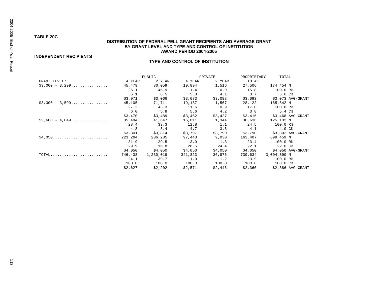#### **TABLE 20C**

#### **DISTRIBUTION OF FEDERAL PELL GRANT RECIPIENTS AND AVERAGE GRANT BY GRANT LEVEL AND TYPE AND CONTROL OF INSTITUTION AWARD PERIOD 2004-2005**

#### **INDEPENDENT RECIPIENTS**

|                                                                        |         | PUBLIC    |         | PRIVATE | PROPRIETARY | TOTAL             |
|------------------------------------------------------------------------|---------|-----------|---------|---------|-------------|-------------------|
| GRANT LEVEL:                                                           | 4 YEAR  | 2 YEAR    | 4 YEAR  | 2 YEAR  | TOTAL       |                   |
| $$3,000 - 3,299$                                                       | 45,479  | 80,059    | 19,894  | 1,516   | 27,506      | 174,454 N         |
|                                                                        | 26.1    | 45.9      | 11.4    | 0.9     | 15.8        | 100.0 R%          |
|                                                                        | 6.1     | 6.5       | 5.8     | 4.1     | 3.7         | 5.6C <sup>8</sup> |
|                                                                        | \$3,071 | \$3,066   | \$3,073 | \$3,088 | \$3,093     | \$3,073 AVG-GRANT |
| $$3,300 - 3,599$                                                       | 45,105  | 71,711    | 19,137  | 1,567   | 28,122      | 165,642 N         |
|                                                                        | 27.2    | 43.3      | 11.6    | 0.9     | 17.0        | 100.0 R%          |
|                                                                        | 6.0     | 5.8       | 5.6     | 4.2     | 3.8         | 5.4C <sup>o</sup> |
|                                                                        | \$3,470 | \$3,489   | \$3,462 | \$3,427 | \$3,416     | \$3,468 AVG-GRANT |
| $$3,600 - 4,049$                                                       | 35,494  | 41,647    | 16,011  | 1,344   | 30,636      | 125,132 N         |
|                                                                        | 28.4    | 33.3      | 12.8    | 1.1     | 24.5        | 100.0 R%          |
|                                                                        | 4.8     | 3.4       | 4.7     | 3.6     | 4.1         | 4.0 <sup>c</sup>  |
|                                                                        | \$3,801 | \$3,814   | \$3,797 | \$3,790 | \$3,790     | \$3,802 AVG-GRANT |
| $$4,050$                                                               | 223,294 | 206,285   | 97,443  | 9,030   | 163,407     | 699,459 N         |
|                                                                        | 31.9    | 29.5      | 13.9    | 1.3     | 23.4        | 100.0 R%          |
|                                                                        | 29.9    | 16.8      | 28.5    | 24.4    | 22.1        | 22.6C             |
|                                                                        | \$4,050 | \$4,050   | \$4,050 | \$4,050 | \$4,050     | \$4,050 AVG-GRANT |
| $\texttt{TOTAL} \dots \dots \dots \dots \dots \dots \dots \dots \dots$ | 746,438 | 1,230,019 | 341,823 | 36,976  | 739,634     | 3,094,890 N       |
|                                                                        | 24.1    | 39.7      | 11.0    | 1.2     | 23.9        | 100.0 R%          |
|                                                                        | 100.0   | 100.0     | 100.0   | 100.0   | 100.0       | 100.0 C%          |
|                                                                        | \$2,627 | \$2,202   | \$2,571 | \$2,446 | \$2,360     | \$2,386 AVG-GRANT |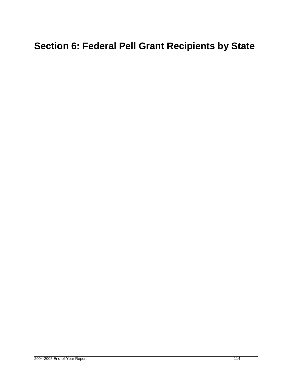# **Section 6: Federal Pell Grant Recipients by State**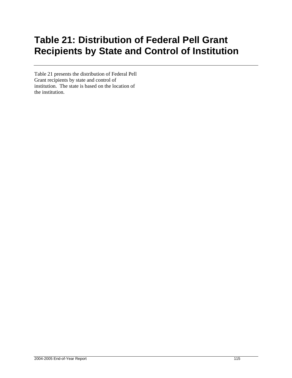## **Table 21: Distribution of Federal Pell Grant Recipients by State and Control of Institution**

Table 21 presents the distribution of Federal Pell Grant recipients by state and control of institution. The state is based on the location of the institution.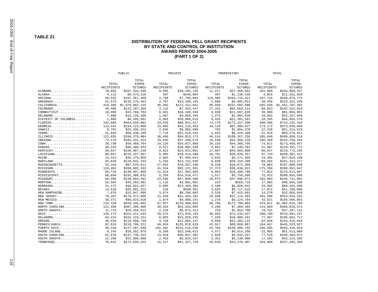#### **DISTRIBUTION OF FEDERAL PELL GRANT RECIPIENTS BY STATE AND CONTROL OF INSTITUTION AWARD PERIOD 2004-2005 (PART 1 OF 2)**

|                                                       |            | PUBLIC          |                   | PRIVATE         |                   | PROPRIETARY     |                   | TOTAL           |
|-------------------------------------------------------|------------|-----------------|-------------------|-----------------|-------------------|-----------------|-------------------|-----------------|
|                                                       |            |                 |                   |                 |                   |                 |                   |                 |
|                                                       | TOTAL      | TOTAL<br>EXPEN- | TOTAL             | TOTAL<br>EXPEN- | TOTAL             | TOTAL<br>EXPEN- | TOTAL             | TOTAL<br>EXPEN- |
|                                                       | RECIPIENTS | <b>DITURES</b>  | <b>RECIPIENTS</b> | <b>DITURES</b>  | <b>RECIPIENTS</b> | <b>DITURES</b>  | <b>RECIPIENTS</b> | <b>DITURES</b>  |
| ALABAMA                                               | 79.856     | \$207,334,640   | 9,995             | \$28,265,135    | 11,217            | \$27,469,562    | 101,068           | \$263,069,337   |
| ALASKA                                                | 4,112      | \$9,573,218     | 207               | \$548,063       | 497               | \$1,130,539     | 4,816             | \$11,251,820    |
| ARIZONA                                               | 69,532     | \$167,367,360   | 2,799             |                 |                   |                 | 187,716           |                 |
| ARKANSAS                                              |            |                 |                   | \$7,796,003     | 115,385           | \$263,716,411   |                   | \$438,879,774   |
| CALIFORNIA                                            | 51,573     | \$135,275,443   | 4,787             | \$13,160,163    | 2,096             | \$4,885,814     | 58,456            | \$153,321,420   |
|                                                       | 419,486    | \$1,079,082,135 | 46,302            | \$121,212,661   | 99,858            | \$251,502,506   | 565,646           | \$1,451,797,302 |
| $COLORADO. \ldots \ldots \ldots \ldots \ldots \ldots$ | 50,460     | \$122,297,269   | 3,132             | \$7,353,447     | 27,331<br>9,930   | \$62,664,213    | 80,923<br>36,399  | \$192,314,929   |
| $DELAWARE$                                            | 19,968     | \$43,766,763    | 6,501             | \$16,340,459    |                   | \$21,697,639    |                   | \$81,804,861    |
| DISTRICT OF COLUMBIA                                  | 7,080      | \$15,126,106    | 1,687             | \$4,056,294     | 1,275             | \$2,984,636     | 10,042            | \$22,167,036    |
|                                                       | 1,886      | \$4,395,562     | 6,983             | \$18,868,615    | 9,426             | \$21,391,101    | 18,295            | \$44,655,278    |
| $FLORIDA$                                             | 192,684    | \$464,026,601   | 33,636            | \$86,841,517    | 74,176            | \$173,257,308   | 300,496           | \$724,125,426   |
| $GEORGIA.$                                            | 113,441    | \$234,123,068   | 15,602            | \$42,116,953    | 44,129            | \$97,409,827    | 173,172           | \$373,649,848   |
| HAWAII                                                | 8,791      | \$22,436,252    | 2,645             | \$6,883,689     | 792               | \$1,894,578     | 12,228            | \$31,214,519    |
|                                                       | 21,854     | \$56,330,100    | 7,710             | \$21,519,343    | 2,054             | \$5,326,168     | 31,618            | \$83,175,611    |
| ILLINOIS                                              | 122,035    | \$286,370,084   | 36,495            | \$94,013,173    | 46,516            | \$109,267,259   | 205,046           | \$489,650,516   |
| $INDIANA$                                             | 72,176     | \$165,531,324   | 15,645            | \$37,268,670    | 18,548            | \$42,958,110    | 106,369           | \$245,758,104   |
| $IOWA$                                                | 39,730     | \$94,460,784    | 14,126            | \$34,637,968    | 20,155            | \$44,360,705    | 74,011            | \$173,459,457   |
| KANSAS                                                | 40.228     | \$96,380,933    | 8.527             | \$20,802,448    | 3,052             | \$7.149.391     | 51,807            | \$124,332,772   |
| KENTUCKY                                              | 59,637     | \$150,987,248   | 9,023             | \$23,921,091    | 17,887            | \$43,863,896    | 86,547            | \$218,772,235   |
| $LOUISIANA.$                                          | 80,047     | \$214,157,567   | 6,995             | \$19,314,488    | 10,701            | \$26,829,357    | 97,743            | \$260,301,412   |
| MAINE                                                 | 14,423     | \$35,378,859    | 2,863             | \$7,466,014     | 2,015             | \$4,171,365     | 19,301            | \$47,016,238    |
| MARYLAND                                              | 55,649     | \$128,031,233   | 5,103             | \$13,122,836    | 8,830             | \$20,159,208    | 69,582            | \$161,313,277   |
| MASSACHUSETTS                                         | 42,344     | \$97,670,811    | 27,492            | \$70,337,430    | 8,228             | \$19,072,389    | 78,064            | \$187,080,630   |
| MICHIGAN                                              | 116,462    | \$268,692,333   | 41,334            | \$92,121,501    | 17,373            | \$38,839,813    | 175,169           | \$399,653,647   |
| MINNESOTA                                             | 56,734     | \$130,997,886   | 11,424            | \$27,303,985    | 8,864             | \$18,209,796    | 77,022            | \$176,511,667   |
| MISSISSIPPI                                           | 68,650     | \$191,388,632   | 5,255             | \$14,510,471    | 1,517             | \$3,756,595     | 75,422            | \$209,655,698   |
| MISSOURI                                              | 59,209     | \$139,854,442   | 24,509            | \$57,890,486    | 18,975            | \$47,996,973    | 102,693           | \$245,741,901   |
| MONTANA                                               | 16,564     | \$43,283,501    | 1,116             | \$3,001,991     | 223               | \$569,716       | 17,903            | \$46,855,208    |
| $NEBRASKA.$                                           | 21,172     | \$45,822,557    | 6,005             | \$14,450,381    | 2,188             | \$5,829,642     | 29,365            | \$66,102,580    |
| $NEVADA$                                              | 14,618     | \$33,851,222    | 229               | \$590,361       | 3,025             | \$6,717,515     | 17,872            | \$41,159,098    |
| NEW HAMPSHIRE                                         | 7,076      | \$15,847,886    | 3,674             | \$8,296,063     | 3,528             | \$7,915,691     | 14,278            | \$32,059,640    |
| NEW JERSEY                                            | 70,297     | \$176,372,808   | 11,449            | \$31,456,101    | 19,840            | \$47,115,383    | 101,586           | \$254,944,292   |
| NEW MEXICO                                            | 39,371     | \$96,633,918    | 1,874             | \$4,808,241     | 1,276             | \$3,124,704     | 42,521            | \$104,566,863   |
| NEW YORK                                              | 214,318    | \$559,345,903   | 97,927            | \$270,968,053   | 66,766            | \$171,709,804   | 379,011           | \$1,002,023,760 |
| NORTH CAROLINA                                        | 121,499    | \$307,200,986   | 20,184            | \$54,325,095    | 3,280             | \$7,489,493     | 144,963           | \$369,015,574   |
| NORTH DAKOTA                                          | 11,714     | \$29,458,912    | 2,234             | \$6,073,413     | 793               | \$1,654,790     | 14,741            | \$37,187,115    |
| OHIO                                                  | 140,273    | \$324,512,544   | 29,573            | \$73,945,156    | 30,943            | \$72,533,547    | 200,789           | \$470,991,247   |
| $OKLAHOMA$                                            | 64,414     | \$162,218,151   | 6.025             | \$15,826,225    | 7,228             | \$18,608,341    | 77.667            | \$196,652,717   |
| $OREGON$                                              | 48,520     | \$119,958,749   | 4,748             | \$12,063,147    | 9,668             | \$22,394,122    | 62,936            | \$154,416,018   |
| PENNSYLVANIA                                          | 92,616     | \$219,786,221   | 49,934            | \$125,878,619   | 41.917            | \$99,869,087    | 184,467           | \$445,533,927   |
| PUERTO RICO                                           | 39,318     | \$127,287,548   | 102,201           | \$315,116,530   | 54,766            | \$150,906,765   | 196,285           | \$593,310,843   |
| RHODE ISLAND                                          | 8,245      | \$18,352,979    | 9,269             | \$23,546,613    | 4,571             | \$9,614,268     | 22,085            | \$51,513,860    |
| SOUTH CAROLINA                                        | 61,870     | \$147,735,324   | 13,610            | \$38,037,401    | 2,049             | \$4,632,247     | 77.529            | \$190,404,972   |
| SOUTH DAKOTA                                          | 12,298     | \$31,060,888    | 2,453             | \$5,923,337     | 2,351             | \$5,130,980     | 17,102            | \$42,115,205    |
| TENNESSEE                                             | 70,831     | \$172,839,223   | 15,417            | \$41,327,720    | 18,620            | \$43,278,407    | 104,868           | \$257,445,350   |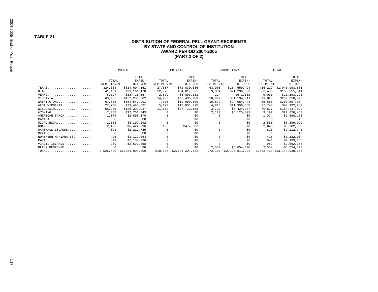#### **DISTRIBUTION OF FEDERAL PELL GRANT RECIPIENTS BY STATE AND CONTROL OF INSTITUTION AWARD PERIOD 2004-2005 (PART 2 OF 2)**

|                                                                        |            | PUBLIC          |            | PRIVATE         |            | PROPRIETARY     |            | TOTAL                           |
|------------------------------------------------------------------------|------------|-----------------|------------|-----------------|------------|-----------------|------------|---------------------------------|
|                                                                        |            | TOTAL           |            | TOTAL           |            | TOTAL           |            | TOTAL                           |
|                                                                        | TOTAL      | EXPEN-          | TOTAL      | EXPEN-          | TOTAL      | EXPEN-          | TOTAL      | EXPEN-                          |
|                                                                        | RECIPIENTS | <b>DITURES</b>  | RECIPIENTS | <b>DITURES</b>  | RECIPIENTS | <b>DITURES</b>  | RECIPIENTS | <b>DITURES</b>                  |
| $TEXAS$                                                                | 324,634    | \$814,604,151   | 27,687     | \$71,830,036    | 63,908     | \$154,559,494   | 416,229    | \$1,040,993,681                 |
|                                                                        | 41,131     | \$99,161,170    | 12,923     | \$34,817,305    | 9,384      | \$21,236,869    | 63,438     | \$155,215,344                   |
| VERMONT                                                                | 6,127      | \$13,728,557    | 2,679      | \$6.893.131     | 224        | \$571,532       | 9,030      | \$21,193,220                    |
| VIRGINIA                                                               | 63,905     | \$152,280,802   | 14,283     | \$36,435,209    | 20,837     | \$51,134,317    | 99,025     | \$239,850,328                   |
| $WASHINGTON.$                                                          | 67,802     | \$164,542,991   | 7,305      | \$19,099,600    | 10,579     | \$24,054,443    | 85,686     | \$207,697,034                   |
| WEST VIRGINIA                                                          | 27,708     | \$73,490,631    | 5,122      | \$13,651,270    | 4,913      | \$11,990,368    | 37,743     | \$99,132,269                    |
| WISCONSIN                                                              | 55,205     | \$128,299,927   | 11,652     | \$27,713,158    | 3,720      | \$8,424,737     | 70,577     | \$164,437,822                   |
| WYOMING                                                                | 7,068      | \$17.701.043    |            | \$0             | 2,129      | \$5,125,421     | 9,197      | \$22,826,464                    |
| AMERICAN SAMOA                                                         | 1,074      | \$2,698,170     |            | \$0             |            | \$0             | 1,074      | \$2,698,170                     |
| CANADA                                                                 | $\Omega$   | \$0             |            | \$0             |            | \$0             |            | SO.                             |
| MICRONESIA                                                             | 2,565      | \$8,199,092     |            | \$0             |            | \$0             | 2,565      | \$8,199,092                     |
| $GUAM$                                                                 | 2,492      | \$6,424,396     | 156        | \$477,663       |            | \$0             | 2,648      | \$6,902,059                     |
| MARSHALL ISLANDS                                                       | 823        | \$2,212,745     |            | \$0             |            | \$0             | 823        | \$2,212,745                     |
| MEXICO                                                                 | $\Omega$   | \$0             |            | \$0             |            | \$0             | $\Omega$   | -SO                             |
| NORTHERN MARIANA IS                                                    | 425        | \$1,122,064     |            | \$0             |            | \$0             | 425        | \$1,122,064                     |
| PALAU                                                                  | 841        | \$2,139,736     |            | \$0             |            | \$0             | 841        | \$2,139,736                     |
| VIRGIN ISLANDS                                                         | 959        | \$2,692,358     |            | \$0             |            |                 | 959        | \$2,692,358                     |
| BLANK RESPONSE                                                         | $\Omega$   | \$0             |            | \$0             | 2,554      | \$5,654,390     | 2,554      | \$5,654,390                     |
| $\texttt{TOTAL} \dots \dots \dots \dots \dots \dots \dots \dots \dots$ | 3,525,820  | \$8,681,903,806 | 810,506    | \$2,144,224,722 | 972,107    | \$2,323,811,232 |            | 5, 308, 433 \$13, 149, 939, 760 |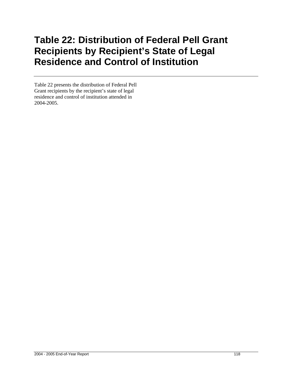### **Table 22: Distribution of Federal Pell Grant Recipients by Recipient's State of Legal Residence and Control of Institution**

Table 22 presents the distribution of Federal Pell Grant recipients by the recipient's state of legal residence and control of institution attended in 2004-2005.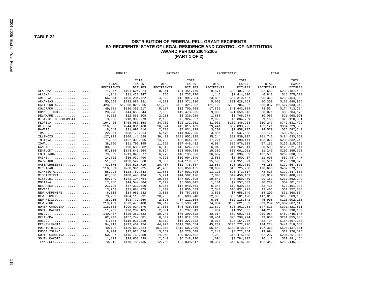**TABLE 22** 

#### **DISTRIBUTION OF FEDERAL PELL GRANT RECIPIENTS BY RECIPIENTS' STATE OF LEGAL RESIDENCE AND CONTROL OF INSTITUTION AWARD PERIOD 2004-2005 (PART 1 OF 2)**

|                                                 | PUBLIC            |                               | PRIVATE        |                 | PROPRIETARY |                 | TOTAL            |                               |
|-------------------------------------------------|-------------------|-------------------------------|----------------|-----------------|-------------|-----------------|------------------|-------------------------------|
|                                                 |                   |                               |                |                 |             |                 |                  |                               |
|                                                 | TOTAL             | TOTAL<br>EXPEN-               | TOTAL          | TOTAL<br>EXPEN- | TOTAL       | TOTAL<br>EXPEN- | TOTAL            | TOTAL<br>EXPEN-               |
|                                                 | <b>RECIPIENTS</b> | <b>DITURES</b>                | RECIPIENTS     | <b>DITURES</b>  | RECIPIENTS  | <b>DITURES</b>  | RECIPIENTS       | <b>DITURES</b>                |
| ALABAMA                                         | 74,277            | \$191,624,824                 | 8.841          | \$24,454,779    | 9,571       | \$22,407,833    | 92.689           | \$238,487,436                 |
| ALASKA                                          | 4,941             | \$11,422,947                  | 756            | \$1,737,776     | 1,146       | \$2,414,890     | 6,843            | \$15,575,613                  |
| $ARIZONA.$                                      | 66,544            | \$160,234,422                 | 4,928          | \$12,901,084    | 23,896      | \$57,319,457    | 95,368           | \$230,454,963                 |
| ARKANSAS                                        | 50,668            | \$132,088,381                 | 4,591          | \$12,371,916    | 5,050       | \$11,628,659    | 60,309           | \$156,088,956                 |
| CALIFORNIA                                      | 423,682           | \$1,090,825,865               | 51,252         | \$136,321,852   | 121,123     | \$300,785,932   | 596,057          | \$1,527,933,649               |
| $COLORADO. \ldots \ldots \ldots \ldots \ldots$  | 49,581            | \$120,369,517                 | 5.117          | \$12,700,708    | 17,836      | \$41,643,089    | 72,534           | \$174,713,314                 |
| CONNECTICUT                                     | 20,278            | \$44,650,244                  | 7,905          | \$19,473,985    | 9,888       | \$21,659,946    | 38,071           | \$85,784,175                  |
| $DELAWARE$                                      | 6,182             | \$12,863,808                  | 2,201          | \$5,339,909     | 1,680       | \$3,765,274     | 10,063           | \$21,968,991                  |
| DISTRICT OF COLUMBIA                            | 3,980             | \$10,309,773                  | 2,185          | \$5,924,057     | 2,995       | \$6,884,751     | 9,160            | \$23,118,581                  |
| $FLORIDA$                                       | 194,426           | \$468,053,158                 | 34,762         | \$92,132,131    | 81,061      | \$189,346,203   | 310,249          | \$749,531,492                 |
| $GEORGIA.$                                      | 116,656           | \$244,081,460                 | 16,024         | \$42,815,181    | 29,441      | \$67,833,225    | 162,121          | \$354,729,866                 |
| HAWAII                                          | 8,644             | \$21,692,414                  | 2,728          | \$7,031,128     | 3,207       | \$7,858,707     | 14,579           | \$36,582,249                  |
| $IDAHO$                                         | 22,841            | \$58,176,914                  | 5,476          | \$14,937,255    | 3,854       | \$9,637,565     | 32,171           | \$82,751,734                  |
| $ILLINOIS, , , , , , , , , , , , , , , , , , .$ | 127,009           | \$300,141,528                 | 39,493         | \$101,952,935   | 35,244      | \$82,539,097    | 201.746          | \$484,633,560                 |
| INDIANA                                         | 71.065            | \$162,390,065                 | 14,733         | \$35,044,542    | 17,224      | \$39,398,141    | 103,022          | \$236,832,748                 |
| $IOWA$                                          | 38,850            | \$91,793,195                  | 11,328         | \$27,446,412    | 6,984       | \$16,976,108    | 57,162           | \$136,215,715                 |
| KANSAS                                          | 38,002            | \$90,635,282                  | 6,542          | \$15,624,251    | 6,049       | \$14,262,311    | 50,593           | \$120,521,844                 |
| KENTUCKY                                        | 57,036            | \$143,843,664                 | 8,824          | \$23,009,738    | 15,389      | \$36,001,921    | 81,249           | \$202,855,323                 |
| $LOUISIANA.$                                    | 79.059            | \$211,046,077                 | 6,779          | \$18,195,906    | 16,667      | \$40,396,069    | 102,505          | \$269,638,052                 |
| MAINE                                           |                   |                               |                | \$10,994,540    | 2,586       | \$5,460,417     |                  |                               |
| MARYLAND                                        | 14,722<br>51,699  | \$36,032,490<br>\$120,527,968 | 4,390<br>9,389 | \$24,119,087    | 15,503      | \$34,951,321    | 21,698<br>76,591 | \$52,487,447<br>\$179,598,376 |
| MASSACHUSETTS                                   | 43,076            | \$99,528,719                  | 20,487         | \$51,775,387    | 12,587      | \$28,353,769    | 76,150           | \$179,657,875                 |
| MICHIGAN                                        |                   |                               | 41,466         | \$92,856,155    | 20.639      |                 | 178,606          |                               |
|                                                 | 116,501           | \$268,991,725                 |                | \$27,591,896    |             | \$45,725,258    |                  | \$407,573,138                 |
| MINNESOTA                                       | 55,923            | \$128,782,343                 | 11,585         |                 | 11,120      | \$23,473,617    | 78,628           | \$179,847,856                 |
| MISSISSIPPI                                     | 67,680            | \$188,440,434                 | 5,241          | \$14,592,176    | 7,093       | \$17,456,189    | 80,014           | \$220,488,799                 |
| MISSOURI                                        | 59,749            | \$141,194,764                 | 19,555         | \$47,507,898    | 19,847      | \$48,859,480    | 99,151           | \$237,562,142                 |
| MONTANA                                         | 17,066            | \$44,544,884                  | 2,122          | \$5,598,442     | 1,101       | \$2,557,809     | 20,289           | \$52,701,135                  |
| NEBRASKA                                        | 21,725            | \$47,311,610                  | 5,365          | \$12,940,551    | 5,346       | \$12,939,232    | 32,436           | \$73,191,393                  |
| $NEVADA$                                        | 13,752            | \$31,684,379                  | 1,109          | \$2,836,583     | 7,540       | \$16,831,271    | 22,401           | \$51,352,233                  |
| NEW HAMPSHIRE                                   | 6,813             | \$14,953,282                  | 3,858          | \$8,757,003     | 3,538       | \$7,658,549     | 14,209           | \$31,368,834                  |
| NEW JERSEY                                      | 73,259            | \$184,113,791                 | 20.755         | \$55,688,248    | 22,996      | \$53,581,120    | 117,010          | \$293,383,159                 |
| NEW MEXICO                                      | 38,216            | \$93,772,260                  | 2,698          | \$7,111,064     | 5,084       | \$12,118,841    | 45,998           | \$113,002,165                 |
| NEW YORK                                        | 219,451           | \$573,475,400                 | 96,917         | \$269,590,242   | 74,834      | \$189,621,503   | 391,202          | \$1,032,687,145               |
| NORTH CAROLINA                                  | 118,503           | \$299,024,870                 | 17,638         | \$46,435,658    | 11,672      | \$26,361,283    | 147,813          | \$371,821,811                 |
| NORTH DAKOTA                                    | 11,282            | \$28,209,105                  | 2,001          | \$5,237,549     | 934         | \$1,951,505     | 14,217           | \$35,398,159                  |
| OHIO                                            | 140,467           | \$325,351,623                 | 30,243         | \$75,390,622    | 38,354      | \$89,003,403    | 209,064          | \$489,745,648                 |
| $OKLAHOMA$                                      | 62,942            | \$157,744,581                 | 6,537          | \$17,012,583    | 10,401      | \$26,298,724    | 79,880           | \$201,055,888                 |
| $OREGON$                                        | 47,564            | \$118,016,019                 | 6,312          | \$16,227,033    | 8,918       | \$20,154,236    | 62,794           | \$154,397,288                 |
| PENNSYLVANIA                                    | 94,012            | \$222,459,454                 | 44,973         | \$112,286,654   | 45,289      | \$106,772,276   | 184,274          | \$441,518,384                 |
| PUERTO RICO                                     | 40,196            | \$129,659,424                 | 101,615        | \$313,607,630   | 55,549      | \$152,870,507   | 197,360          | \$596,137,561                 |
| RHODE ISLAND                                    | 8,094             | \$17,921,526                  | 3,357          | \$8,276,648     | 2,243       | \$4,722,354     | 13,694           | \$30,920,528                  |
| SOUTH $CAROLINA$                                | 60,997            | \$145,762,959                 | 14,048         | \$39,023,402    | 7,252       | \$16,475,455    | 82,297           | \$201,261,816                 |
| SOUTH DAKOTA                                    | 11,899            | \$29,858,499                  | 2,549          | \$6,248,920     | 1,694       | \$3,784,035     | 16,142           | \$39,891,454                  |
| TENNESSEE                                       | 70.216            | \$170,788,436                 | 12,769         | \$33,839,617    | 19,357      | \$45,518,875    | 102,342          | \$250,146,928                 |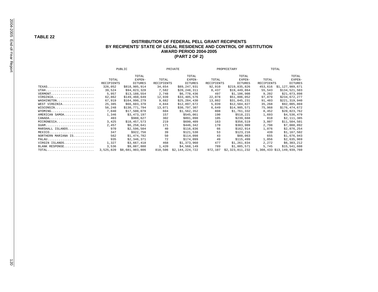#### **TABLE 22**

#### **DISTRIBUTION OF FEDERAL PELL GRANT RECIPIENTS BY RECIPIENTS' STATE OF LEGAL RESIDENCE AND CONTROL OF INSTITUTION AWARD PERIOD 2004-2005 (PART 2 OF 2)**

|                     | PUBLIC     |                 |            | PRIVATE         |            | PROPRIETARY     |            | TOTAL                           |  |
|---------------------|------------|-----------------|------------|-----------------|------------|-----------------|------------|---------------------------------|--|
|                     |            |                 |            |                 |            |                 |            |                                 |  |
|                     |            | TOTAL           |            | TOTAL           |            | TOTAL           |            | TOTAL                           |  |
|                     | TOTAL      | EXPEN-          | TOTAL      | EXPEN-          | TOTAL      | EXPEN-          | TOTAL      | EXPEN-                          |  |
|                     | RECIPIENTS | <b>DITURES</b>  | RECIPIENTS | <b>DITURES</b>  | RECIPIENTS | <b>DITURES</b>  | RECIPIENTS | <b>DITURES</b>                  |  |
| TEXAS               | 326,052    | \$818,905,914   | 34,654     | \$89,247,931    | 92,910     | \$219,835,826   | 453,616    | \$1,127,989,671                 |  |
| UTAH                | 39,524     | \$94.823.328    | 7,582      | \$20.248.311    | 8,437      | \$19.449.864    | 55,543     | \$134,521,503                   |  |
| VERMONT             | 5,957      | \$13,188,554    | 2,748      | \$6,778,436     | 497        | \$1,106,908     | 9,202      | \$21,073,898                    |  |
| $VIRGINIA.$         | 62,862     | \$149,460,649   | 12,939     | \$33,405,576    | 22,078     | \$51,806,052    | 97,879     | \$234,672,277                   |  |
| WASHINGTON          | 67.919     | \$164,990,279   | 9,682      | \$25,284,430    | 13,802     | \$31.045.231    | 91,403     | \$221,319,940                   |  |
| WEST VIRGINIA       | 25,385     | \$66,603,370    | 4,844      | \$12,897,672    | 5,039      | \$12,504,827    | 35,268     | \$92,005,869                    |  |
| WISCONSIN           | 56,248     | \$130,771,794   | 13,071     | \$30,797,307    | 6,649      | \$14.905.571    | 75,968     | \$176,474,672                   |  |
| WYOMING             | 7.040      | \$17,500,078    | 604        | \$1.562.352     | 808        | \$1.761.332     | 8,452      | \$20,823,762                    |  |
| AMERICAN SAMOA      | 1,346      | \$3,473,197     | 157        | \$545,061       | 190        | \$518,221       | 1,693      | \$4,536,479                     |  |
| $CANADA$            | 403        | \$980.627       | 302        | \$891,090       | 105        | \$239,668       | 810        | \$2,111,385                     |  |
| MICRONESIA          | 3,425      | \$10,457,573    | 219        | \$690,409       | 163        | \$356,519       | 3,807      | \$11,504,501                    |  |
| $GUAM$              | 2,457      | \$6,258,641     | 171        | \$446,342       | 170        | \$383,909       | 2,798      | \$7,088,892                     |  |
| MARSHALL ISLANDS    | 970        | \$2,596,504     | 40         | \$116,836       | 66         | \$162,914       | 1,076      | \$2,876,254                     |  |
| $MEXICO.$           | 347        | \$922,756       | 39         | \$121,530       | 53         | \$123,216       | 439        | \$1,167,502                     |  |
| NORTHERN MARIANA IS | 562        | \$1,474,782     | 50         | \$114,098       | 43         | \$88,063        | 655        | \$1,676,943                     |  |
| $PALAU$             | 935        | \$2,346,371     | 72         | \$174,099       | 49         | \$115.499       | 1,056      | \$2,635,969                     |  |
| VIRGIN ISLANDS      | 1,327      | \$3,667,418     | 468        | \$1,373,960     | 477        | \$1,261,834     | 2,272      | \$6,303,212                     |  |
| BLANK RESPONSE      | 3,536      | \$9,087,888     | 1,420      | \$4,568,149     | 789        | \$1,885,571     | 5,745      | \$15,541,608                    |  |
| TOTAL               | 3,525,820  | \$8,681,903,806 | 810,506    | \$2,144,224,722 | 972,107    | \$2,323,811,232 |            | 5, 308, 433 \$13, 149, 939, 760 |  |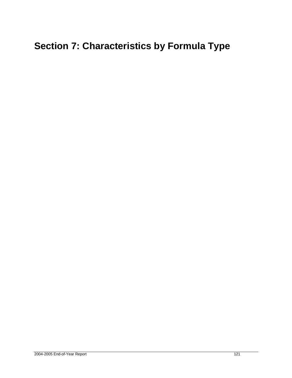# **Section 7: Characteristics by Formula Type**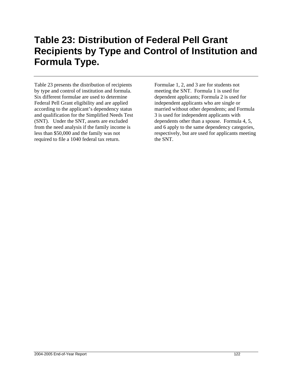## **Table 23: Distribution of Federal Pell Grant Recipients by Type and Control of Institution and Formula Type.**

Table 23 presents the distribution of recipients by type and control of institution and formula. Six different formulae are used to determine Federal Pell Grant eligibility and are applied according to the applicant's dependency status and qualification for the Simplified Needs Test (SNT). Under the SNT, assets are excluded from the need analysis if the family income is less than \$50,000 and the family was not required to file a 1040 federal tax return.

Formulae 1, 2, and 3 are for students not meeting the SNT. Formula 1 is used for dependent applicants; Formula 2 is used for independent applicants who are single or married without other dependents; and Formula 3 is used for independent applicants with dependents other than a spouse. Formula 4, 5, and 6 apply to the same dependency categories, respectively, but are used for applicants meeting the SNT.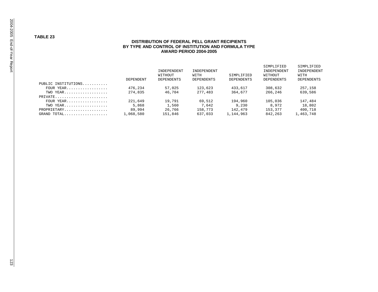#### **TABLE 23**

#### **DISTRIBUTION OF FEDERAL PELL GRANT RECIPIENTS BY TYPE AND CONTROL OF INSTITUTION AND FORMULA TYPE AWARD PERIOD 2004-2005**

|                     | DEPENDENT | INDEPENDENT<br>WITHOUT<br>DEPENDENTS | INDEPENDENT<br>WITH<br>DEPENDENTS | SIMPLIFIED<br>DEPENDENTS | SIMPLIFIED<br>INDEPENDENT<br>WITHOUT<br><b>DEPENDENTS</b> | SIMPLIFIED<br>INDEPENDENT<br>WITH<br>DEPENDENTS |
|---------------------|-----------|--------------------------------------|-----------------------------------|--------------------------|-----------------------------------------------------------|-------------------------------------------------|
| PUBLIC INSTITUTIONS |           |                                      |                                   |                          |                                                           |                                                 |
| FOUR YEAR           | 476,234   | 57,025                               | 123,623                           | 433,617                  | 308,632                                                   | 257,158                                         |
| TWO YEAR            | 274,835   | 46,704                               | 277,483                           | 364,677                  | 266,246                                                   | 639,586                                         |
| PRIVATE             |           |                                      |                                   |                          |                                                           |                                                 |
| FOUR YEAR           | 221,649   | 19,791                               | 69,512                            | 194,960                  | 105,036                                                   | 147,484                                         |
| TWO YEAR            | 5,868     | 1,560                                | 7,642                             | 9,230                    | 8,972                                                     | 18,802                                          |
| PROPRIETARY         | 89,994    | 26,766                               | 158,773                           | 142,479                  | 153,377                                                   | 400,718                                         |
| GRAND TOTAL         | 1,068,580 | 151,846                              | 637,033                           | 1,144,963                | 842,263                                                   | 1,463,748                                       |
|                     |           |                                      |                                   |                          |                                                           |                                                 |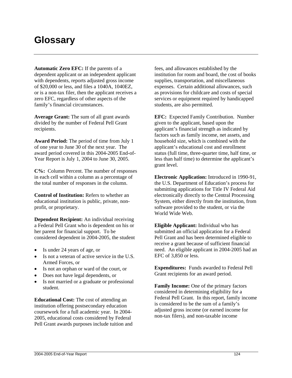### **Glossary**

**Automatic Zero EFC:** If the parents of a dependent applicant or an independent applicant with dependents, reports adjusted gross income of \$20,000 or less, and files a 1040A, 1040EZ, or is a non-tax filer, then the applicant receives a zero EFC, regardless of other aspects of the family's financial circumstances.

**Average Grant:** The sum of all grant awards divided by the number of Federal Pell Grant recipients.

**Award Period:** The period of time from July 1 of one year to June 30 of the next year. The award period covered in this 2004-2005 End-of-Year Report is July 1, 2004 to June 30, 2005.

**C%:** Column Percent. The number of responses in each cell within a column as a percentage of the total number of responses in the column.

**Control of Institution:** Refers to whether an educational institution is public, private, nonprofit, or proprietary.

**Dependent Recipient:** An individual receiving a Federal Pell Grant who is dependent on his or her parent for financial support. To be considered dependent in 2004-2005, the student

- Is under 24 years of age, or
- Is not a veteran of active service in the U.S. Armed Forces, or
- Is not an orphan or ward of the court, or
- Does not have legal dependents, or
- Is not married or a graduate or professional student.

**Educational Cost:** The cost of attending an institution offering postsecondary education coursework for a full academic year. In 2004- 2005, educational costs considered by Federal Pell Grant awards purposes include tuition and

fees, and allowances established by the institution for room and board, the cost of books supplies, transportation, and miscellaneous expenses. Certain additional allowances, such as provisions for childcare and costs of special services or equipment required by handicapped students, are also permitted.

**EFC:** Expected Family Contribution. Number given to the applicant, based upon the applicant's financial strength as indicated by factors such as family income, net assets, and household size, which is combined with the applicant's educational cost and enrollment status (full time, three-quarter time, half time, or less than half time) to determine the applicant's grant level.

**Electronic Application:** Introduced in 1990-91, the U.S. Department of Education's process for submitting applications for Title IV Federal Aid electronically directly to the Central Processing System, either directly from the institution, from software provided to the student, or via the World Wide Web.

**Eligible Applicant:** Individual who has submitted an official application for a Federal Pell Grant and has been determined eligible to receive a grant because of sufficient financial need. An eligible applicant in 2004-2005 had an EFC of 3,850 or less.

**Expenditures:** Funds awarded to Federal Pell Grant recipients for an award period.

**Family Income:** One of the primary factors considered in determining eligibility for a Federal Pell Grant. In this report, family income is considered to be the sum of a family's adjusted gross income (or earned income for non-tax filers), and non-taxable income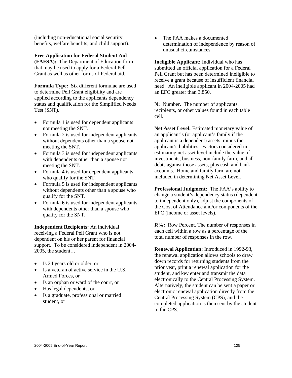(including non-educational social security benefits, welfare benefits, and child support).

**Free Application for Federal Student Aid (FAFSA):** The Department of Education form that may be used to apply for a Federal Pell Grant as well as other forms of Federal aid.

**Formula Type:** Six different formulae are used to determine Pell Grant eligibility and are applied according to the applicants dependency status and qualification for the Simplified Needs Test (SNT).

- Formula 1 is used for dependent applicants not meeting the SNT.
- Formula 2 is used for independent applicants without dependents other than a spouse not meeting the SNT.
- Formula 3 is used for independent applicants with dependents other than a spouse not meeting the SNT.
- Formula 4 is used for dependent applicants who qualify for the SNT.
- Formula 5 is used for independent applicants without dependents other than a spouse who qualify for the SNT.
- Formula 6 is used for independent applicants with dependents other than a spouse who qualify for the SNT.

**Independent Recipients:** An individual receiving a Federal Pell Grant who is not dependent on his or her parent for financial support. To be considered independent in 2004- 2005, the student…

- Is 24 years old or older, or
- Is a veteran of active service in the U.S. Armed Forces, or
- Is an orphan or ward of the court, or
- Has legal dependents, or
- Is a graduate, professional or married student, or

• The FAA makes a documented determination of independence by reason of unusual circumstances.

**Ineligible Applicant:** Individual who has submitted an official application for a Federal Pell Grant but has been determined ineligible to receive a grant because of insufficient financial need. An ineligible applicant in 2004-2005 had an EFC greater than 3,850.

**N:** Number. The number of applicants, recipients, or other values found in each table cell.

**Net Asset Level:** Estimated monetary value of an applicant's (or applicant's family if the applicant is a dependent) assets, minus the applicant's liabilities. Factors considered in estimating net asset level include the value of investments, business, non-family farm, and all debts against those assets, plus cash and bank accounts. Home and family farm are not included in determining Net Asset Level.

**Professional Judgment:** The FAA's ability to change a student's dependency status (dependent to independent only), adjust the components of the Cost of Attendance and/or components of the EFC (income or asset levels).

**R%:** Row Percent. The number of responses in each cell within a row as a percentage of the total number of responses in the row.

**Renewal Application:** Introduced in 1992-93, the renewal application allows schools to draw down records for returning students from the prior year, print a renewal application for the student, and key enter and transmit the data electronically to the Central Processing System. Alternatively, the student can be sent a paper or electronic renewal application directly from the Central Processing System (CPS), and the completed application is then sent by the student to the CPS.